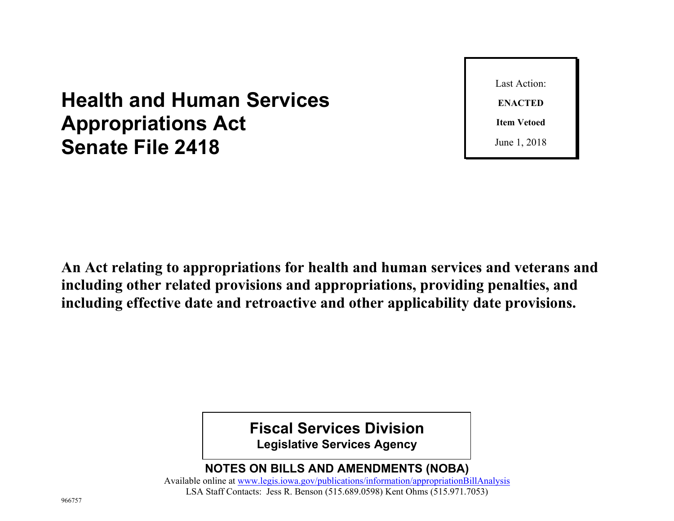# **Health and Human Services Appropriations Act Senate File 2418**

Last Action: **ENACTED Item Vetoed** June 1, 2018

**An Act relating to appropriations for health and human services and veterans and including other related provisions and appropriations, providing penalties, and including effective date and retroactive and other applicability date provisions.**

**Fiscal Services Division**

**Legislative Services Agency**

**NOTES ON BILLS AND AMENDMENTS (NOBA)**

Available online at [www.legis.iowa.gov/publications/information/appropriationBillAnalysis](https://www.legis.iowa.gov/publications/information/appropriationBillAnalysis) LSA Staff Contacts: Jess R. Benson (515.689.0598) Kent Ohms (515.971.7053)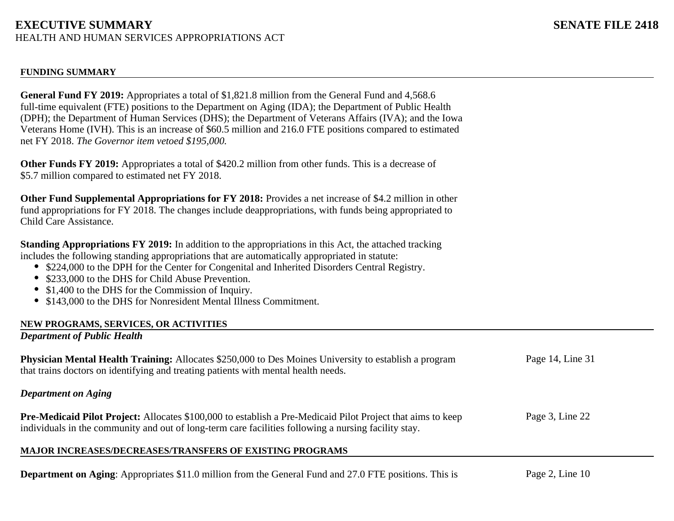### **FUNDING SUMMARY**

**General Fund FY 2019:** Appropriates a total of \$1,821.8 million from the General Fund and 4,568.6 full-time equivalent (FTE) positions to the Department on Aging (IDA); the Department of Public Health (DPH); the Department of Human Services (DHS); the Department of Veterans Affairs (IVA); and the Iowa Veterans Home (IVH). This is an increase of \$60.5 million and 216.0 FTE positions compared to estimated net FY 2018. *The Governor item vetoed \$195,000.*

**Other Funds FY 2019:** Appropriates a total of \$420.2 million from other funds. This is a decrease of \$5.7 million compared to estimated net FY 2018.

**Other Fund Supplemental Appropriations for FY 2018:** Provides a net increase of \$4.2 million in other fund appropriations for FY 2018. The changes include deappropriations, with funds being appropriated to Child Care Assistance.

**Standing Appropriations FY 2019:** In addition to the appropriations in this Act, the attached tracking includes the following standing appropriations that are automatically appropriated in statute:

- \$224,000 to the DPH for the Center for Congenital and Inherited Disorders Central Registry.
- \$233,000 to the DHS for Child Abuse Prevention.
- \$1,400 to the DHS for the Commission of Inquiry.
- \$143,000 to the DHS for Nonresident Mental Illness Commitment.

### **NEW PROGRAMS, SERVICES, OR ACTIVITIES**

### *Department of Public Health*

Page 3, Line 22 Page 14, Line 31 **Physician Mental Health Training:** Allocates \$250,000 to Des Moines University to establish a program that trains doctors on identifying and treating patients with mental health needs. *Department on Aging* **Pre-Medicaid Pilot Project:** Allocates \$100,000 to establish a Pre-Medicaid Pilot Project that aims to keep

individuals in the community and out of long-term care facilities following a nursing facility stay.

### **MAJOR INCREASES/DECREASES/TRANSFERS OF EXISTING PROGRAMS**

**Department on Aging**: Appropriates \$11.0 million from the General Fund and 27.0 FTE positions. This is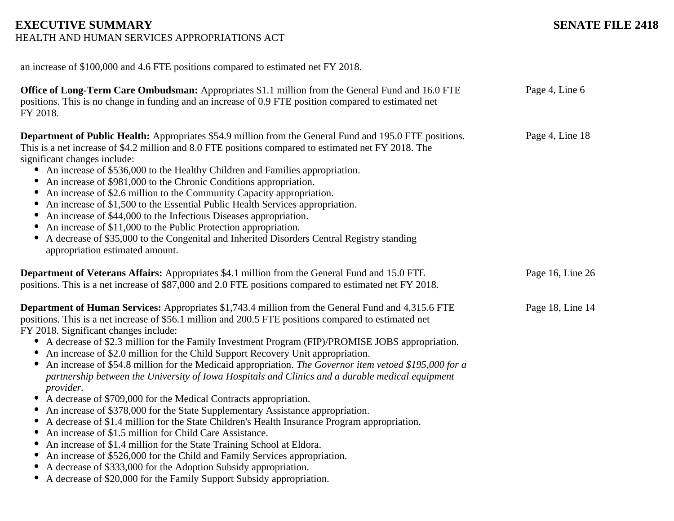# **EXECUTIVE SUMMARY** SENATE FILE 2418

HEALTH AND HUMAN SERVICES APPROPRIATIONS ACT

| an increase of \$100,000 and 4.6 FTE positions compared to estimated net FY 2018.                                                                                                                                                                                                                                                                                                                                                                                                                                                                                                                                                                                                                                                                                                                                                                                                                                                                                                                                                                                                                                                                                                                                                                                                                                                    |                  |
|--------------------------------------------------------------------------------------------------------------------------------------------------------------------------------------------------------------------------------------------------------------------------------------------------------------------------------------------------------------------------------------------------------------------------------------------------------------------------------------------------------------------------------------------------------------------------------------------------------------------------------------------------------------------------------------------------------------------------------------------------------------------------------------------------------------------------------------------------------------------------------------------------------------------------------------------------------------------------------------------------------------------------------------------------------------------------------------------------------------------------------------------------------------------------------------------------------------------------------------------------------------------------------------------------------------------------------------|------------------|
| <b>Office of Long-Term Care Ombudsman:</b> Appropriates \$1.1 million from the General Fund and 16.0 FTE<br>positions. This is no change in funding and an increase of 0.9 FTE position compared to estimated net<br>FY 2018.                                                                                                                                                                                                                                                                                                                                                                                                                                                                                                                                                                                                                                                                                                                                                                                                                                                                                                                                                                                                                                                                                                        | Page 4, Line 6   |
| <b>Department of Public Health:</b> Appropriates \$54.9 million from the General Fund and 195.0 FTE positions.<br>This is a net increase of \$4.2 million and 8.0 FTE positions compared to estimated net FY 2018. The<br>significant changes include:<br>An increase of \$536,000 to the Healthy Children and Families appropriation.<br>An increase of \$981,000 to the Chronic Conditions appropriation.<br>An increase of \$2.6 million to the Community Capacity appropriation.<br>An increase of \$1,500 to the Essential Public Health Services appropriation.<br>An increase of \$44,000 to the Infectious Diseases appropriation.<br>An increase of \$11,000 to the Public Protection appropriation.<br>A decrease of \$35,000 to the Congenital and Inherited Disorders Central Registry standing<br>appropriation estimated amount.                                                                                                                                                                                                                                                                                                                                                                                                                                                                                       | Page 4, Line 18  |
| <b>Department of Veterans Affairs:</b> Appropriates \$4.1 million from the General Fund and 15.0 FTE<br>positions. This is a net increase of \$87,000 and 2.0 FTE positions compared to estimated net FY 2018.                                                                                                                                                                                                                                                                                                                                                                                                                                                                                                                                                                                                                                                                                                                                                                                                                                                                                                                                                                                                                                                                                                                       | Page 16, Line 26 |
| <b>Department of Human Services:</b> Appropriates \$1,743.4 million from the General Fund and 4,315.6 FTE<br>positions. This is a net increase of \$56.1 million and 200.5 FTE positions compared to estimated net<br>FY 2018. Significant changes include:<br>A decrease of \$2.3 million for the Family Investment Program (FIP)/PROMISE JOBS appropriation.<br>$\bullet$<br>An increase of \$2.0 million for the Child Support Recovery Unit appropriation.<br>An increase of \$54.8 million for the Medicaid appropriation. The Governor item vetoed \$195,000 for a<br>partnership between the University of Iowa Hospitals and Clinics and a durable medical equipment<br>provider.<br>• A decrease of \$709,000 for the Medical Contracts appropriation.<br>An increase of \$378,000 for the State Supplementary Assistance appropriation.<br>A decrease of \$1.4 million for the State Children's Health Insurance Program appropriation.<br>$\bullet$<br>An increase of \$1.5 million for Child Care Assistance.<br>٠<br>An increase of \$1.4 million for the State Training School at Eldora.<br>٠<br>An increase of \$526,000 for the Child and Family Services appropriation.<br>A decrease of \$333,000 for the Adoption Subsidy appropriation.<br>A decrease of \$20,000 for the Family Support Subsidy appropriation. | Page 18, Line 14 |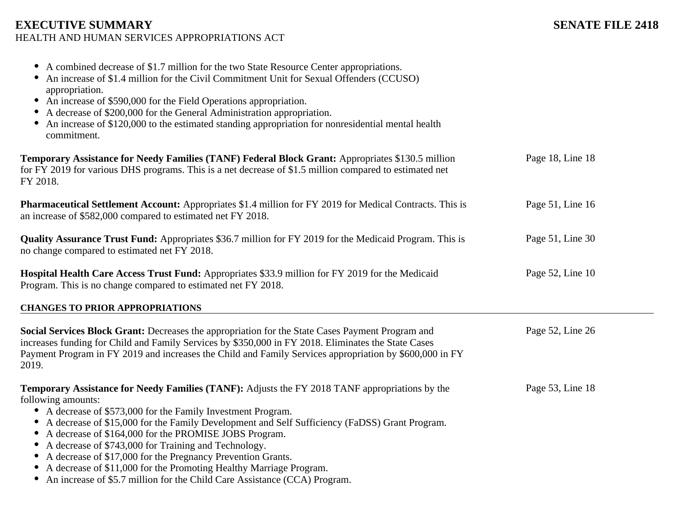| A combined decrease of \$1.7 million for the two State Resource Center appropriations.<br>An increase of \$1.4 million for the Civil Commitment Unit for Sexual Offenders (CCUSO)<br>appropriation.<br>An increase of \$590,000 for the Field Operations appropriation.<br>A decrease of \$200,000 for the General Administration appropriation.<br>An increase of \$120,000 to the estimated standing appropriation for nonresidential mental health<br>commitment.                                                                                                                                                                                                                          |                  |
|-----------------------------------------------------------------------------------------------------------------------------------------------------------------------------------------------------------------------------------------------------------------------------------------------------------------------------------------------------------------------------------------------------------------------------------------------------------------------------------------------------------------------------------------------------------------------------------------------------------------------------------------------------------------------------------------------|------------------|
| Temporary Assistance for Needy Families (TANF) Federal Block Grant: Appropriates \$130.5 million<br>for FY 2019 for various DHS programs. This is a net decrease of \$1.5 million compared to estimated net<br>FY 2018.                                                                                                                                                                                                                                                                                                                                                                                                                                                                       | Page 18, Line 18 |
| <b>Pharmaceutical Settlement Account:</b> Appropriates \$1.4 million for FY 2019 for Medical Contracts. This is<br>an increase of \$582,000 compared to estimated net FY 2018.                                                                                                                                                                                                                                                                                                                                                                                                                                                                                                                | Page 51, Line 16 |
| Quality Assurance Trust Fund: Appropriates \$36.7 million for FY 2019 for the Medicaid Program. This is<br>no change compared to estimated net FY 2018.                                                                                                                                                                                                                                                                                                                                                                                                                                                                                                                                       | Page 51, Line 30 |
| Hospital Health Care Access Trust Fund: Appropriates \$33.9 million for FY 2019 for the Medicaid<br>Program. This is no change compared to estimated net FY 2018.                                                                                                                                                                                                                                                                                                                                                                                                                                                                                                                             | Page 52, Line 10 |
| <b>CHANGES TO PRIOR APPROPRIATIONS</b>                                                                                                                                                                                                                                                                                                                                                                                                                                                                                                                                                                                                                                                        |                  |
| Social Services Block Grant: Decreases the appropriation for the State Cases Payment Program and<br>increases funding for Child and Family Services by \$350,000 in FY 2018. Eliminates the State Cases<br>Payment Program in FY 2019 and increases the Child and Family Services appropriation by \$600,000 in FY<br>2019.                                                                                                                                                                                                                                                                                                                                                                   | Page 52, Line 26 |
| <b>Temporary Assistance for Needy Families (TANF):</b> Adjusts the FY 2018 TANF appropriations by the<br>following amounts:<br>A decrease of \$573,000 for the Family Investment Program.<br>$\bullet$<br>A decrease of \$15,000 for the Family Development and Self Sufficiency (FaDSS) Grant Program.<br>$\bullet$<br>A decrease of \$164,000 for the PROMISE JOBS Program.<br>٠<br>A decrease of \$743,000 for Training and Technology.<br>$\bullet$<br>A decrease of \$17,000 for the Pregnancy Prevention Grants.<br>٠<br>A decrease of \$11,000 for the Promoting Healthy Marriage Program.<br>$\bullet$<br>• An increase of \$5.7 million for the Child Care Assistance (CCA) Program. | Page 53, Line 18 |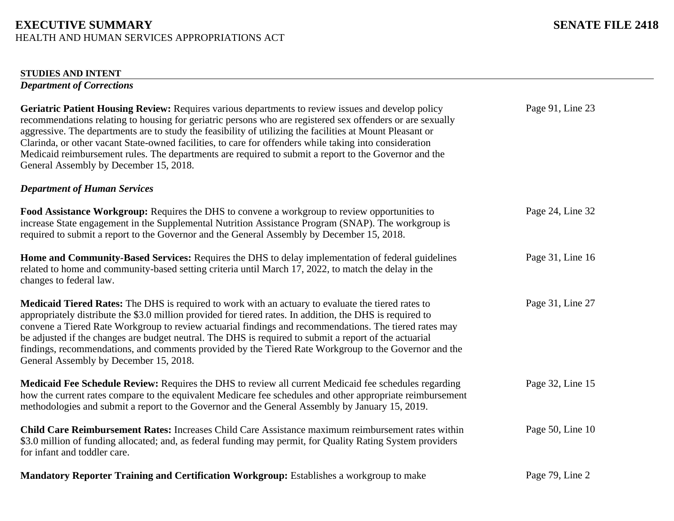### **STUDIES AND INTENT**

*Department of Corrections*

| Geriatric Patient Housing Review: Requires various departments to review issues and develop policy<br>recommendations relating to housing for geriatric persons who are registered sex offenders or are sexually<br>aggressive. The departments are to study the feasibility of utilizing the facilities at Mount Pleasant or<br>Clarinda, or other vacant State-owned facilities, to care for offenders while taking into consideration<br>Medicaid reimbursement rules. The departments are required to submit a report to the Governor and the<br>General Assembly by December 15, 2018.   | Page 91, Line 23 |
|-----------------------------------------------------------------------------------------------------------------------------------------------------------------------------------------------------------------------------------------------------------------------------------------------------------------------------------------------------------------------------------------------------------------------------------------------------------------------------------------------------------------------------------------------------------------------------------------------|------------------|
| <b>Department of Human Services</b>                                                                                                                                                                                                                                                                                                                                                                                                                                                                                                                                                           |                  |
| Food Assistance Workgroup: Requires the DHS to convene a workgroup to review opportunities to<br>increase State engagement in the Supplemental Nutrition Assistance Program (SNAP). The workgroup is<br>required to submit a report to the Governor and the General Assembly by December 15, 2018.                                                                                                                                                                                                                                                                                            | Page 24, Line 32 |
| Home and Community-Based Services: Requires the DHS to delay implementation of federal guidelines<br>related to home and community-based setting criteria until March 17, 2022, to match the delay in the<br>changes to federal law.                                                                                                                                                                                                                                                                                                                                                          | Page 31, Line 16 |
| <b>Medicaid Tiered Rates:</b> The DHS is required to work with an actuary to evaluate the tiered rates to<br>appropriately distribute the \$3.0 million provided for tiered rates. In addition, the DHS is required to<br>convene a Tiered Rate Workgroup to review actuarial findings and recommendations. The tiered rates may<br>be adjusted if the changes are budget neutral. The DHS is required to submit a report of the actuarial<br>findings, recommendations, and comments provided by the Tiered Rate Workgroup to the Governor and the<br>General Assembly by December 15, 2018. | Page 31, Line 27 |
| <b>Medicaid Fee Schedule Review:</b> Requires the DHS to review all current Medicaid fee schedules regarding<br>how the current rates compare to the equivalent Medicare fee schedules and other appropriate reimbursement<br>methodologies and submit a report to the Governor and the General Assembly by January 15, 2019.                                                                                                                                                                                                                                                                 | Page 32, Line 15 |
| <b>Child Care Reimbursement Rates:</b> Increases Child Care Assistance maximum reimbursement rates within<br>\$3.0 million of funding allocated; and, as federal funding may permit, for Quality Rating System providers<br>for infant and toddler care.                                                                                                                                                                                                                                                                                                                                      | Page 50, Line 10 |

Page 79, Line 2 **Mandatory Reporter Training and Certification Workgroup:** Establishes a workgroup to make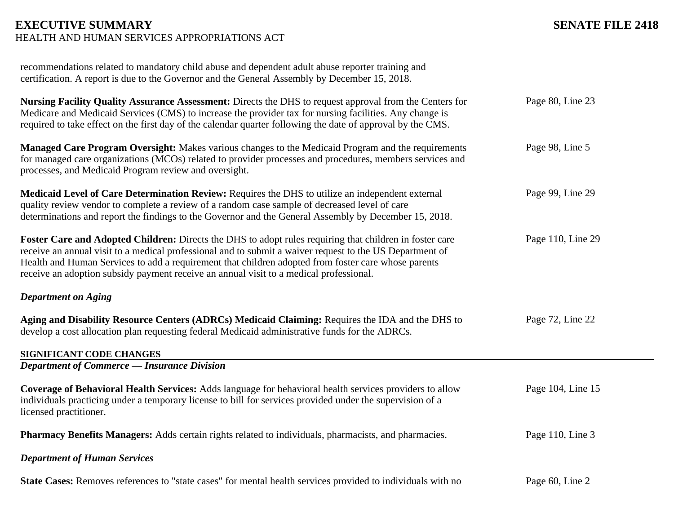| recommendations related to mandatory child abuse and dependent adult abuse reporter training and<br>certification. A report is due to the Governor and the General Assembly by December 15, 2018.                                                                                                                                                                                                                    |                   |
|----------------------------------------------------------------------------------------------------------------------------------------------------------------------------------------------------------------------------------------------------------------------------------------------------------------------------------------------------------------------------------------------------------------------|-------------------|
| Nursing Facility Quality Assurance Assessment: Directs the DHS to request approval from the Centers for<br>Medicare and Medicaid Services (CMS) to increase the provider tax for nursing facilities. Any change is<br>required to take effect on the first day of the calendar quarter following the date of approval by the CMS.                                                                                    | Page 80, Line 23  |
| Managed Care Program Oversight: Makes various changes to the Medicaid Program and the requirements<br>for managed care organizations (MCOs) related to provider processes and procedures, members services and<br>processes, and Medicaid Program review and oversight.                                                                                                                                              | Page 98, Line 5   |
| Medicaid Level of Care Determination Review: Requires the DHS to utilize an independent external<br>quality review vendor to complete a review of a random case sample of decreased level of care<br>determinations and report the findings to the Governor and the General Assembly by December 15, 2018.                                                                                                           | Page 99, Line 29  |
| Foster Care and Adopted Children: Directs the DHS to adopt rules requiring that children in foster care<br>receive an annual visit to a medical professional and to submit a waiver request to the US Department of<br>Health and Human Services to add a requirement that children adopted from foster care whose parents<br>receive an adoption subsidy payment receive an annual visit to a medical professional. | Page 110, Line 29 |
| <b>Department on Aging</b>                                                                                                                                                                                                                                                                                                                                                                                           |                   |
| Aging and Disability Resource Centers (ADRCs) Medicaid Claiming: Requires the IDA and the DHS to<br>develop a cost allocation plan requesting federal Medicaid administrative funds for the ADRCs.                                                                                                                                                                                                                   | Page 72, Line 22  |
| SIGNIFICANT CODE CHANGES                                                                                                                                                                                                                                                                                                                                                                                             |                   |
| <b>Department of Commerce — Insurance Division</b>                                                                                                                                                                                                                                                                                                                                                                   |                   |
| Coverage of Behavioral Health Services: Adds language for behavioral health services providers to allow<br>individuals practicing under a temporary license to bill for services provided under the supervision of a<br>licensed practitioner.                                                                                                                                                                       | Page 104, Line 15 |
| <b>Pharmacy Benefits Managers:</b> Adds certain rights related to individuals, pharmacists, and pharmacies.                                                                                                                                                                                                                                                                                                          | Page 110, Line 3  |
| <b>Department of Human Services</b>                                                                                                                                                                                                                                                                                                                                                                                  |                   |
| State Cases: Removes references to "state cases" for mental health services provided to individuals with no                                                                                                                                                                                                                                                                                                          | Page 60, Line 2   |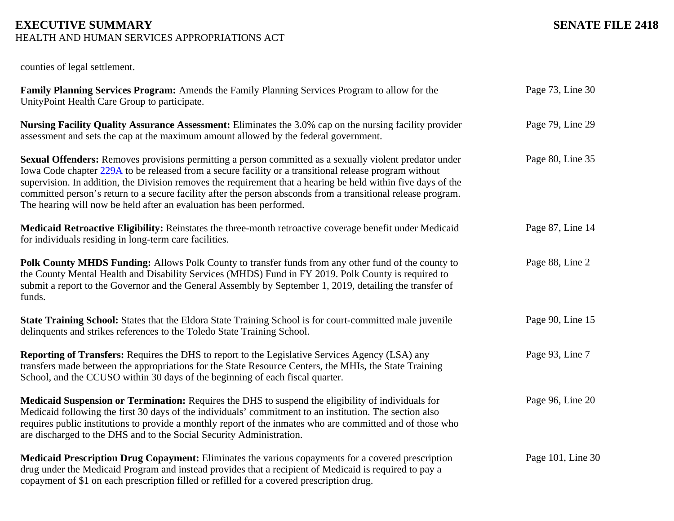| counties of legal settlement.                                                                                                                                                                                                                                                                                                                                                                                                                                                                                               |                   |
|-----------------------------------------------------------------------------------------------------------------------------------------------------------------------------------------------------------------------------------------------------------------------------------------------------------------------------------------------------------------------------------------------------------------------------------------------------------------------------------------------------------------------------|-------------------|
| Family Planning Services Program: Amends the Family Planning Services Program to allow for the<br>UnityPoint Health Care Group to participate.                                                                                                                                                                                                                                                                                                                                                                              | Page 73, Line 30  |
| Nursing Facility Quality Assurance Assessment: Eliminates the 3.0% cap on the nursing facility provider<br>assessment and sets the cap at the maximum amount allowed by the federal government.                                                                                                                                                                                                                                                                                                                             | Page 79, Line 29  |
| Sexual Offenders: Removes provisions permitting a person committed as a sexually violent predator under<br>Iowa Code chapter 229A to be released from a secure facility or a transitional release program without<br>supervision. In addition, the Division removes the requirement that a hearing be held within five days of the<br>committed person's return to a secure facility after the person absconds from a transitional release program.<br>The hearing will now be held after an evaluation has been performed. | Page 80, Line 35  |
| Medicaid Retroactive Eligibility: Reinstates the three-month retroactive coverage benefit under Medicaid<br>for individuals residing in long-term care facilities.                                                                                                                                                                                                                                                                                                                                                          | Page 87, Line 14  |
| Polk County MHDS Funding: Allows Polk County to transfer funds from any other fund of the county to<br>the County Mental Health and Disability Services (MHDS) Fund in FY 2019. Polk County is required to<br>submit a report to the Governor and the General Assembly by September 1, 2019, detailing the transfer of<br>funds.                                                                                                                                                                                            | Page 88, Line 2   |
| State Training School: States that the Eldora State Training School is for court-committed male juvenile<br>delinquents and strikes references to the Toledo State Training School.                                                                                                                                                                                                                                                                                                                                         | Page 90, Line 15  |
| <b>Reporting of Transfers:</b> Requires the DHS to report to the Legislative Services Agency (LSA) any<br>transfers made between the appropriations for the State Resource Centers, the MHIs, the State Training<br>School, and the CCUSO within 30 days of the beginning of each fiscal quarter.                                                                                                                                                                                                                           | Page 93, Line 7   |
| Medicaid Suspension or Termination: Requires the DHS to suspend the eligibility of individuals for<br>Medicaid following the first 30 days of the individuals' commitment to an institution. The section also<br>requires public institutions to provide a monthly report of the inmates who are committed and of those who<br>are discharged to the DHS and to the Social Security Administration.                                                                                                                         | Page 96, Line 20  |
| Medicaid Prescription Drug Copayment: Eliminates the various copayments for a covered prescription<br>drug under the Medicaid Program and instead provides that a recipient of Medicaid is required to pay a<br>copayment of \$1 on each prescription filled or refilled for a covered prescription drug.                                                                                                                                                                                                                   | Page 101, Line 30 |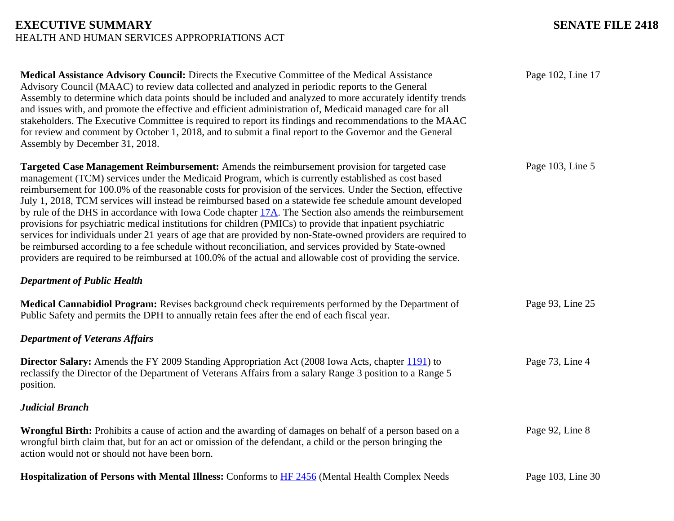| Medical Assistance Advisory Council: Directs the Executive Committee of the Medical Assistance<br>Advisory Council (MAAC) to review data collected and analyzed in periodic reports to the General<br>Assembly to determine which data points should be included and analyzed to more accurately identify trends<br>and issues with, and promote the effective and efficient administration of, Medicaid managed care for all<br>stakeholders. The Executive Committee is required to report its findings and recommendations to the MAAC<br>for review and comment by October 1, 2018, and to submit a final report to the Governor and the General<br>Assembly by December 31, 2018.                                                                                                                                                                                                                                                                                                            | Page 102, Line 17 |
|---------------------------------------------------------------------------------------------------------------------------------------------------------------------------------------------------------------------------------------------------------------------------------------------------------------------------------------------------------------------------------------------------------------------------------------------------------------------------------------------------------------------------------------------------------------------------------------------------------------------------------------------------------------------------------------------------------------------------------------------------------------------------------------------------------------------------------------------------------------------------------------------------------------------------------------------------------------------------------------------------|-------------------|
| Targeted Case Management Reimbursement: Amends the reimbursement provision for targeted case<br>management (TCM) services under the Medicaid Program, which is currently established as cost based<br>reimbursement for 100.0% of the reasonable costs for provision of the services. Under the Section, effective<br>July 1, 2018, TCM services will instead be reimbursed based on a statewide fee schedule amount developed<br>by rule of the DHS in accordance with Iowa Code chapter 17A. The Section also amends the reimbursement<br>provisions for psychiatric medical institutions for children (PMICs) to provide that inpatient psychiatric<br>services for individuals under 21 years of age that are provided by non-State-owned providers are required to<br>be reimbursed according to a fee schedule without reconciliation, and services provided by State-owned<br>providers are required to be reimbursed at 100.0% of the actual and allowable cost of providing the service. | Page 103, Line 5  |
| <b>Department of Public Health</b>                                                                                                                                                                                                                                                                                                                                                                                                                                                                                                                                                                                                                                                                                                                                                                                                                                                                                                                                                                |                   |
| Medical Cannabidiol Program: Revises background check requirements performed by the Department of<br>Public Safety and permits the DPH to annually retain fees after the end of each fiscal year.                                                                                                                                                                                                                                                                                                                                                                                                                                                                                                                                                                                                                                                                                                                                                                                                 | Page 93, Line 25  |
| <b>Department of Veterans Affairs</b>                                                                                                                                                                                                                                                                                                                                                                                                                                                                                                                                                                                                                                                                                                                                                                                                                                                                                                                                                             |                   |
| <b>Director Salary:</b> Amends the FY 2009 Standing Appropriation Act (2008 Iowa Acts, chapter 1191) to<br>reclassify the Director of the Department of Veterans Affairs from a salary Range 3 position to a Range 5<br>position.                                                                                                                                                                                                                                                                                                                                                                                                                                                                                                                                                                                                                                                                                                                                                                 | Page 73, Line 4   |
| <b>Judicial Branch</b>                                                                                                                                                                                                                                                                                                                                                                                                                                                                                                                                                                                                                                                                                                                                                                                                                                                                                                                                                                            |                   |
| Wrongful Birth: Prohibits a cause of action and the awarding of damages on behalf of a person based on a<br>wrongful birth claim that, but for an act or omission of the defendant, a child or the person bringing the<br>action would not or should not have been born.                                                                                                                                                                                                                                                                                                                                                                                                                                                                                                                                                                                                                                                                                                                          | Page 92, Line 8   |
| Hospitalization of Persons with Mental Illness: Conforms to HF 2456 (Mental Health Complex Needs                                                                                                                                                                                                                                                                                                                                                                                                                                                                                                                                                                                                                                                                                                                                                                                                                                                                                                  | Page 103, Line 30 |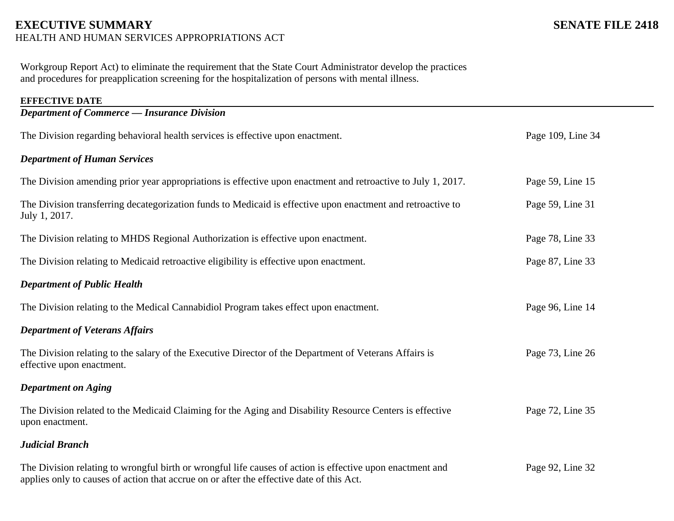Workgroup Report Act) to eliminate the requirement that the State Court Administrator develop the practices and procedures for preapplication screening for the hospitalization of persons with mental illness.

| <b>EFFECTIVE DATE</b>                                                                                                                                                                                 |                   |
|-------------------------------------------------------------------------------------------------------------------------------------------------------------------------------------------------------|-------------------|
| <b>Department of Commerce - Insurance Division</b>                                                                                                                                                    |                   |
| The Division regarding behavioral health services is effective upon enactment.                                                                                                                        | Page 109, Line 34 |
| <b>Department of Human Services</b>                                                                                                                                                                   |                   |
| The Division amending prior year appropriations is effective upon enactment and retroactive to July 1, 2017.                                                                                          | Page 59, Line 15  |
| The Division transferring decategorization funds to Medicaid is effective upon enactment and retroactive to<br>July 1, 2017.                                                                          | Page 59, Line 31  |
| The Division relating to MHDS Regional Authorization is effective upon enactment.                                                                                                                     | Page 78, Line 33  |
| The Division relating to Medicaid retroactive eligibility is effective upon enactment.                                                                                                                | Page 87, Line 33  |
| <b>Department of Public Health</b>                                                                                                                                                                    |                   |
| The Division relating to the Medical Cannabidiol Program takes effect upon enactment.                                                                                                                 | Page 96, Line 14  |
| <b>Department of Veterans Affairs</b>                                                                                                                                                                 |                   |
| The Division relating to the salary of the Executive Director of the Department of Veterans Affairs is<br>effective upon enactment.                                                                   | Page 73, Line 26  |
| <b>Department on Aging</b>                                                                                                                                                                            |                   |
| The Division related to the Medicaid Claiming for the Aging and Disability Resource Centers is effective<br>upon enactment.                                                                           | Page 72, Line 35  |
| <b>Judicial Branch</b>                                                                                                                                                                                |                   |
| The Division relating to wrongful birth or wrongful life causes of action is effective upon enactment and<br>applies only to causes of action that accrue on or after the effective date of this Act. | Page 92, Line 32  |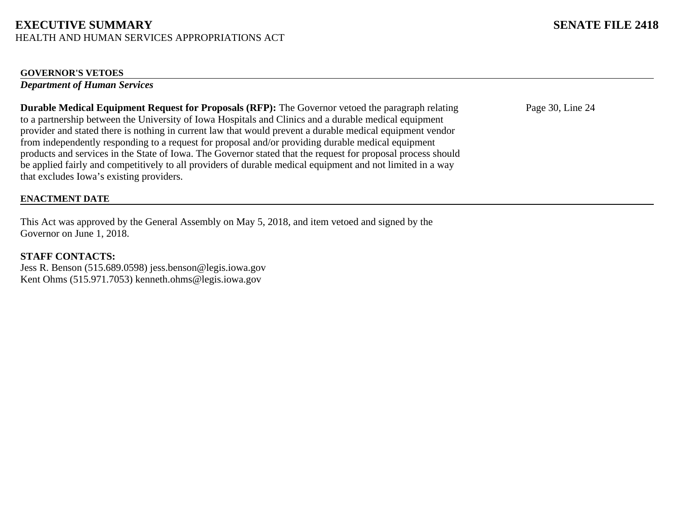### **GOVERNOR'S VETOES**

*Department of Human Services*

**Durable Medical Equipment Request for Proposals (RFP):** The Governor vetoed the paragraph relating to a partnership between the University of Iowa Hospitals and Clinics and a durable medical equipment provider and stated there is nothing in current law that would prevent a durable medical equipment vendor from independently responding to a request for proposal and/or providing durable medical equipment products and services in the State of Iowa. The Governor stated that the request for proposal process should be applied fairly and competitively to all providers of durable medical equipment and not limited in a way that excludes Iowa's existing providers.

# Page 30, Line 24

## **ENACTMENT DATE**

This Act was approved by the General Assembly on May 5, 2018, and item vetoed and signed by the Governor on June 1, 2018.

# **STAFF CONTACTS:**

Jess R. Benson (515.689.0598) jess.benson@legis.iowa.gov Kent Ohms (515.971.7053) kenneth.ohms@legis.iowa.gov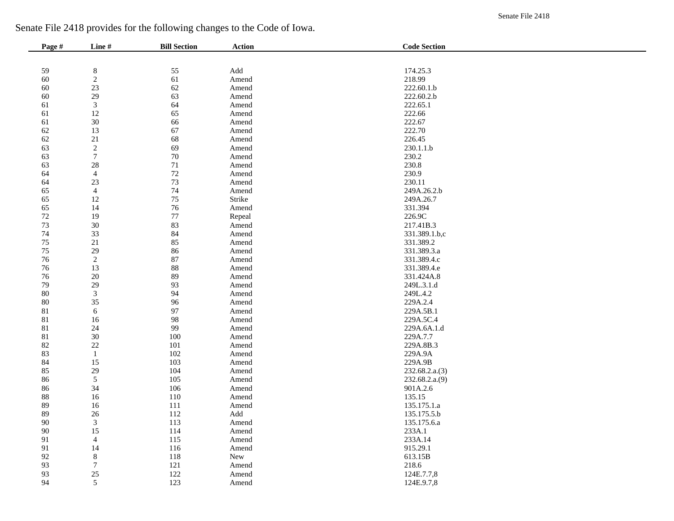Senate File 2418

| Senate File 2418 provides for the following changes to the Code of Iowa. |  |  |
|--------------------------------------------------------------------------|--|--|
|                                                                          |  |  |

| Page # | Line#            | <b>Bill Section</b> | <b>Action</b>                 | <b>Code Section</b> |
|--------|------------------|---------------------|-------------------------------|---------------------|
|        |                  |                     |                               |                     |
| 59     | $\bf 8$          | 55                  | $\operatorname{\mathsf{Add}}$ | 174.25.3            |
| $60\,$ | $\sqrt{2}$       | 61                  | Amend                         | 218.99              |
| 60     | 23               | 62                  | Amend                         | 222.60.1.b          |
| 60     | 29               | 63                  | Amend                         | 222.60.2.b          |
| 61     | $\mathfrak{Z}$   | 64                  | Amend                         | 222.65.1            |
| 61     | 12               | 65                  | Amend                         | 222.66              |
| 61     | $30\,$           | 66                  | Amend                         | 222.67              |
| $62\,$ | 13               | 67                  | Amend                         | 222.70              |
| $62\,$ | 21               | 68                  | Amend                         | 226.45              |
| 63     | $\sqrt{2}$       | 69                  | Amend                         | 230.1.1.b           |
| 63     | $\boldsymbol{7}$ | 70                  | Amend                         | 230.2               |
| 63     | 28               | $71\,$              | Amend                         | 230.8               |
| 64     | $\overline{4}$   | 72                  | Amend                         | 230.9               |
| 64     | 23               | 73                  | Amend                         | 230.11              |
| 65     | $\overline{4}$   | $74\,$              | Amend                         | 249A.26.2.b         |
| 65     | 12               | 75                  | Strike                        | 249A.26.7           |
| 65     | 14               | $76\,$              | Amend                         | 331.394             |
| $72\,$ | 19               | 77                  | Repeal                        | 226.9C              |
| $73\,$ | 30               | 83                  | Amend                         | 217.41B.3           |
| 74     | 33               | 84                  | Amend                         | 331.389.1.b,c       |
| $75\,$ | 21               | 85                  | Amend                         | 331.389.2           |
| $75\,$ | 29               | 86                  | Amend                         | 331.389.3.a         |
| $76\,$ | $\sqrt{2}$       | 87                  | Amend                         | 331.389.4.c         |
| $76\,$ | 13               | 88                  | Amend                         | 331.389.4.e         |
| $76\,$ | 20               | 89                  | Amend                         | 331.424A.8          |
| 79     | 29               | 93                  | Amend                         | 249L.3.1.d          |
| $80\,$ | $\sqrt{3}$       | 94                  | Amend                         | 249L.4.2            |
| $80\,$ | 35               | 96                  | Amend                         | 229A.2.4            |
| 81     | $\sqrt{6}$       | 97                  | Amend                         | 229A.5B.1           |
| 81     | 16               | 98                  | Amend                         | 229A.5C.4           |
| 81     | 24               | 99                  | Amend                         | 229A.6A.1.d         |
| 81     | 30               | $100\,$             | Amend                         | 229A.7.7            |
| $82\,$ | 22               | 101                 | Amend                         | 229A.8B.3           |
| 83     | $\mathbf{1}$     | $102\,$             | Amend                         | 229A.9A             |
| 84     | 15               | 103                 | Amend                         | 229A.9B             |
| 85     | 29               | 104                 | Amend                         | 232.68.2.a.(3)      |
| 86     | $\sqrt{5}$       | 105                 | Amend                         | 232.68.2.a.(9)      |
| 86     | 34               | 106                 | Amend                         | 901A.2.6            |
| $88\,$ | 16               | 110                 | Amend                         | 135.15              |
| 89     | 16               | 111                 | Amend                         | 135.175.1.a         |
| 89     | 26               | 112                 | Add                           | 135.175.5.b         |
| 90     | 3                | 113                 | Amend                         | 135.175.6.a         |
| $90\,$ | 15               | 114                 | Amend                         | 233A.1              |
| 91     | $\overline{4}$   | 115                 | Amend                         | 233A.14             |
| 91     | 14               | 116                 | Amend                         | 915.29.1            |
| 92     | $\,8\,$          | 118                 | New                           | 613.15B             |
| 93     | $\boldsymbol{7}$ | 121                 | Amend                         | 218.6               |
| 93     | $25\,$           | 122                 | Amend                         | 124E.7.7,8          |
| 94     | $\mathfrak{S}$   | 123                 | Amend                         | 124E.9.7,8          |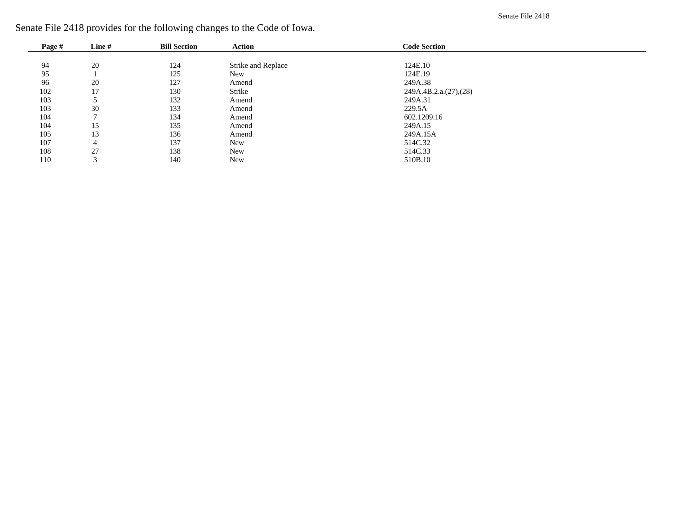Senate File 2418

| Page # | Line#  | <b>Bill Section</b> | <b>Action</b>      | <b>Code Section</b>   |  |
|--------|--------|---------------------|--------------------|-----------------------|--|
|        |        |                     |                    |                       |  |
| 94     | 20     | 124                 | Strike and Replace | 124E.10               |  |
| 95     |        | 125                 | <b>New</b>         | 124E.19               |  |
| 96     | 20     | 127                 | Amend              | 249A.38               |  |
| 102    | 17     | 130                 | Strike             | 249A.4B.2.a.(27),(28) |  |
| 103    |        | 132                 | Amend              | 249A.31               |  |
| 103    | 30     | 133                 | Amend              | 229.5A                |  |
| 104    |        | 134                 | Amend              | 602.1209.16           |  |
| 104    | 15     | 135                 | Amend              | 249A.15               |  |
| 105    | 13     | 136                 | Amend              | 249A.15A              |  |
| 107    | 4      | 137                 | <b>New</b>         | 514C.32               |  |
| 108    | 27     | 138                 | <b>New</b>         | 514C.33               |  |
| 110    | $\sim$ | 140                 | <b>New</b>         | 510B.10               |  |

Senate File 2418 provides for the following changes to the Code of Iowa.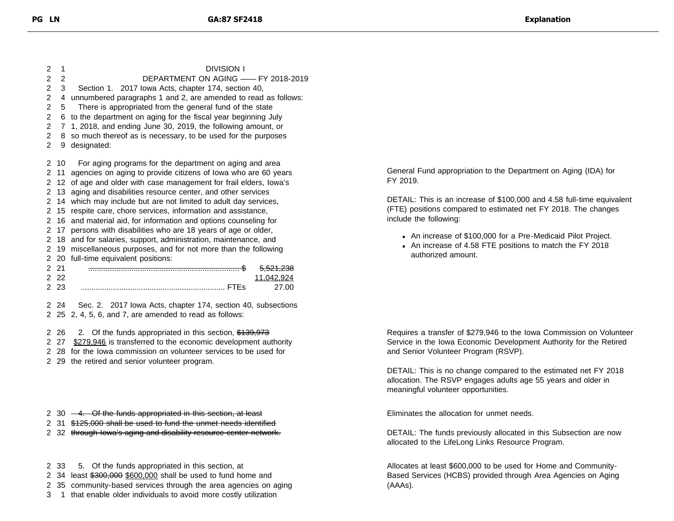1 DIVISION I 2 DEPARTMENT ON AGING —— FY 2018-2019 3 Section 1. 2017 Iowa Acts, chapter 174, section 40, 4 unnumbered paragraphs 1 and 2, are amended to read as follows: 5 There is appropriated from the general fund of the state 6 to the department on aging for the fiscal year beginning July 7 1, 2018, and ending June 30, 2019, the following amount, or 8 so much thereof as is necessary, to be used for the purposes 9 designated: 10 For aging programs for the department on aging and area 11 agencies on aging to provide citizens of Iowa who are 60 years 12 of age and older with case management for frail elders, Iowa's 13 aging and disabilities resource center, and other services 14 which may include but are not limited to adult day services, 15 respite care, chore services, information and assistance, 16 and material aid, for information and options counseling for 17 persons with disabilities who are 18 years of age or older, 18 and for salaries, support, administration, maintenance, and 19 miscellaneous purposes, and for not more than the following 20 full-time equivalent positions: 21 ...................................................................... \$ 5,521,238 22 11,042,924 23 ................................................................... FTEs 27.00

2 24 Sec. 2. 2017 Iowa Acts, chapter 174, section 40, subsections 2 25 2, 4, 5, 6, and 7, are amended to read as follows:

2 26 2. Of the funds appropriated in this section, \$139,973

2 27 \$279,946 is transferred to the economic development authority

- 2 28 for the Iowa commission on volunteer services to be used for
- 2 29 the retired and senior volunteer program.
- 2 30  $-4$ . Of the funds appropriated in this section, at least
- 2 31 \$125,000 shall be used to fund the unmet needs identified
- 2 32 through lowa's aging and disability resource center network.
- 2 33 5. Of the funds appropriated in this section, at
- 2 34 least \$300,000 \$600,000 shall be used to fund home and
- 2 35 community-based services through the area agencies on aging
- 3 1 that enable older individuals to avoid more costly utilization

General Fund appropriation to the Department on Aging (IDA) for FY 2019.

DETAIL: This is an increase of \$100,000 and 4.58 full-time equivalent (FTE) positions compared to estimated net FY 2018. The changes include the following:

- An increase of \$100,000 for a Pre-Medicaid Pilot Project.
- An increase of 4.58 FTE positions to match the FY 2018 authorized amount.

Requires a transfer of \$279,946 to the Iowa Commission on Volunteer Service in the Iowa Economic Development Authority for the Retired and Senior Volunteer Program (RSVP).

DETAIL: This is no change compared to the estimated net FY 2018 allocation. The RSVP engages adults age 55 years and older in meaningful volunteer opportunities.

Eliminates the allocation for unmet needs.

DETAIL: The funds previously allocated in this Subsection are now allocated to the LifeLong Links Resource Program.

Allocates at least \$600,000 to be used for Home and Community-Based Services (HCBS) provided through Area Agencies on Aging (AAAs).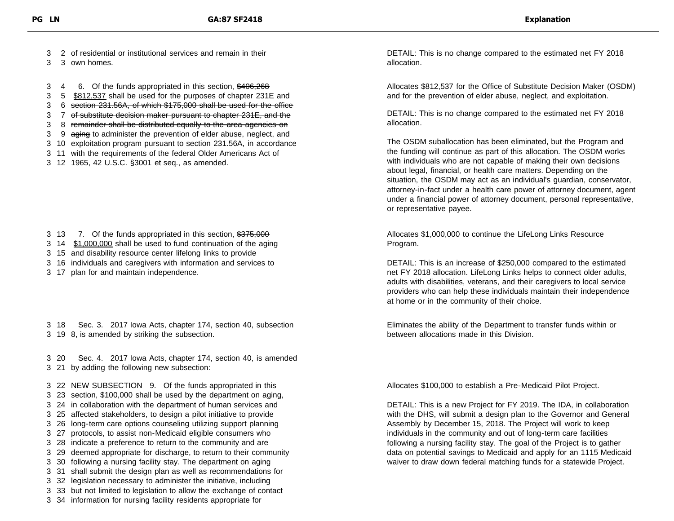- 3 2 of residential or institutional services and remain in their
- 3 3 own homes.

3 4 6. Of the funds appropriated in this section, \$406,268

- 3 5 \$812,537 shall be used for the purposes of chapter 231E and
- 3 6 section 231.56A, of which \$175,000 shall be used for the office
- 3 7 of substitute decision maker pursuant to chapter 231E, and the
- 3 8 remainder shall be distributed equally to the area agencies on
- 3 9 aging to administer the prevention of elder abuse, neglect, and
- 3 10 exploitation program pursuant to section 231.56A, in accordance
- 3 11 with the requirements of the federal Older Americans Act of
- 3 12 1965, 42 U.S.C. §3001 et seq., as amended.

- 3 13 7. Of the funds appropriated in this section, \$375,000
- 3 14 \$1,000,000 shall be used to fund continuation of the aging
- 3 15 and disability resource center lifelong links to provide
- 3 16 individuals and caregivers with information and services to
- 3 17 plan for and maintain independence.

3 18 Sec. 3. 2017 Iowa Acts, chapter 174, section 40, subsection 3 19 8, is amended by striking the subsection.

3 20 Sec. 4. 2017 Iowa Acts, chapter 174, section 40, is amended 3 21 by adding the following new subsection:

3 22 NEW SUBSECTION 9. Of the funds appropriated in this

- 3 23 section, \$100,000 shall be used by the department on aging, 3 24 in collaboration with the department of human services and
- 3 25 affected stakeholders, to design a pilot initiative to provide
- 3 26 long-term care options counseling utilizing support planning
- 3 27 protocols, to assist non-Medicaid eligible consumers who
- 3 28 indicate a preference to return to the community and are
- 3 29 deemed appropriate for discharge, to return to their community
- 3 30 following a nursing facility stay. The department on aging
- 3 31 shall submit the design plan as well as recommendations for
- 3 32 legislation necessary to administer the initiative, including
- 3 33 but not limited to legislation to allow the exchange of contact
- 3 34 information for nursing facility residents appropriate for

DETAIL: This is no change compared to the estimated net FY 2018 allocation.

Allocates \$812,537 for the Office of Substitute Decision Maker (OSDM) and for the prevention of elder abuse, neglect, and exploitation.

DETAIL: This is no change compared to the estimated net FY 2018 allocation.

The OSDM suballocation has been eliminated, but the Program and the funding will continue as part of this allocation. The OSDM works with individuals who are not capable of making their own decisions about legal, financial, or health care matters. Depending on the situation, the OSDM may act as an individual's guardian, conservator, attorney-in-fact under a health care power of attorney document, agent under a financial power of attorney document, personal representative, or representative payee.

Allocates \$1,000,000 to continue the LifeLong Links Resource Program.

DETAIL: This is an increase of \$250,000 compared to the estimated net FY 2018 allocation. LifeLong Links helps to connect older adults, adults with disabilities, veterans, and their caregivers to local service providers who can help these individuals maintain their independence at home or in the community of their choice.

Eliminates the ability of the Department to transfer funds within or between allocations made in this Division.

Allocates \$100,000 to establish a Pre-Medicaid Pilot Project.

DETAIL: This is a new Project for FY 2019. The IDA, in collaboration with the DHS, will submit a design plan to the Governor and General Assembly by December 15, 2018. The Project will work to keep individuals in the community and out of long-term care facilities following a nursing facility stay. The goal of the Project is to gather data on potential savings to Medicaid and apply for an 1115 Medicaid waiver to draw down federal matching funds for a statewide Project.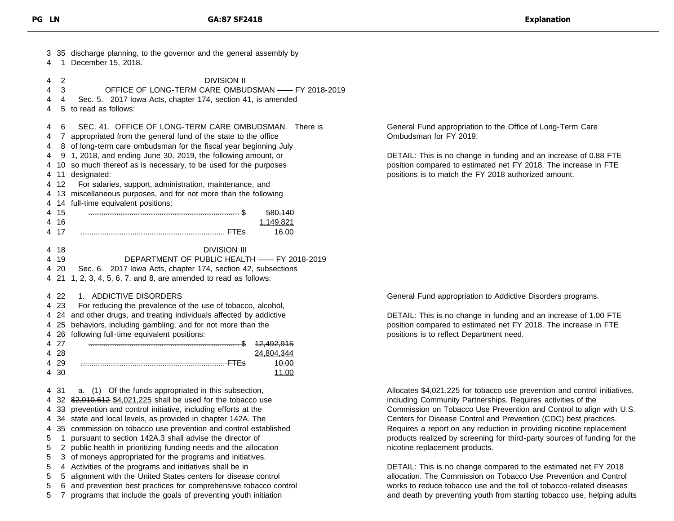| 3<br>4                                                   | 1                                                   | 35 discharge planning, to the governor and the general assembly by<br>December 15, 2018.                                                                                                                                                                                                                                                                                                                                                                                                                                                                                                                                                                                                                                                                                                 |
|----------------------------------------------------------|-----------------------------------------------------|------------------------------------------------------------------------------------------------------------------------------------------------------------------------------------------------------------------------------------------------------------------------------------------------------------------------------------------------------------------------------------------------------------------------------------------------------------------------------------------------------------------------------------------------------------------------------------------------------------------------------------------------------------------------------------------------------------------------------------------------------------------------------------------|
| 4<br>4<br>4<br>4                                         | 2<br>3<br>4                                         | <b>DIVISION II</b><br>OFFICE OF LONG-TERM CARE OMBUDSMAN -- FY 2018-2019<br>2017 Iowa Acts, chapter 174, section 41, is amended<br>Sec. 5.<br>5 to read as follows:                                                                                                                                                                                                                                                                                                                                                                                                                                                                                                                                                                                                                      |
| 4<br>4<br>4<br>4<br>4<br>4<br>4<br>4<br>4<br>4<br>4<br>4 | 6<br>12<br>15<br>16<br>17                           | SEC. 41. OFFICE OF LONG-TERM CARE OMBUDSMAN.<br>There is<br>7 appropriated from the general fund of the state to the office<br>8 of long-term care ombudsman for the fiscal year beginning July<br>9 1, 2018, and ending June 30, 2019, the following amount, or<br>10 so much thereof as is necessary, to be used for the purposes<br>11 designated:<br>For salaries, support, administration, maintenance, and<br>13 miscellaneous purposes, and for not more than the following<br>14 full-time equivalent positions:<br>580,140<br>1,149,821<br>16.00                                                                                                                                                                                                                                |
| 4                                                        | 4 18<br>4 19<br>4 20<br>21                          | <b>DIVISION III</b><br>DEPARTMENT OF PUBLIC HEALTH - FY 2018-2019<br>Sec. 6. 2017 Iowa Acts, chapter 174, section 42, subsections<br>1, 2, 3, 4, 5, 6, 7, and 8, are amended to read as follows:                                                                                                                                                                                                                                                                                                                                                                                                                                                                                                                                                                                         |
| 4                                                        | -22<br>4 23<br>4 25<br>4 27<br>4 28<br>4 29<br>4 30 | <b>ADDICTIVE DISORDERS</b><br>1.<br>For reducing the prevalence of the use of tobacco, alcohol,<br>4 24 and other drugs, and treating individuals affected by addictive<br>behaviors, including gambling, and for not more than the<br>4 26 following full-time equivalent positions:<br><del>12,492,915</del><br>24,804,344<br><del>10.00</del><br><u>11.00</u>                                                                                                                                                                                                                                                                                                                                                                                                                         |
| 4<br>5<br>5<br>5<br>5<br>5<br>5<br>5                     | 4 31<br>1<br>2<br>4<br>5<br>6<br>7                  | a. (1) Of the funds appropriated in this subsection,<br>4 32 \$2,010,612 \$4,021,225 shall be used for the tobacco use<br>33 prevention and control initiative, including efforts at the<br>4 34 state and local levels, as provided in chapter 142A. The<br>4 35 commission on tobacco use prevention and control established<br>pursuant to section 142A.3 shall advise the director of<br>public health in prioritizing funding needs and the allocation<br>3 of moneys appropriated for the programs and initiatives.<br>Activities of the programs and initiatives shall be in<br>alignment with the United States centers for disease control<br>and prevention best practices for comprehensive tobacco control<br>programs that include the goals of preventing youth initiation |

General Fund appropriation to the Office of Long-Term Care Ombudsman for FY 2019.

DETAIL: This is no change in funding and an increase of 0.88 FTE position compared to estimated net FY 2018. The increase in FTE positions is to match the FY 2018 authorized amount.

General Fund appropriation to Addictive Disorders programs.

DETAIL: This is no change in funding and an increase of 1.00 FTE position compared to estimated net FY 2018. The increase in FTE positions is to reflect Department need.

Allocates \$4,021,225 for tobacco use prevention and control initiatives, including Community Partnerships. Requires activities of the Commission on Tobacco Use Prevention and Control to align with U.S. Centers for Disease Control and Prevention (CDC) best practices. Requires a report on any reduction in providing nicotine replacement products realized by screening for third-party sources of funding for the nicotine replacement products.

DETAIL: This is no change compared to the estimated net FY 2018 allocation. The Commission on Tobacco Use Prevention and Control works to reduce tobacco use and the toll of tobacco-related diseases and death by preventing youth from starting tobacco use, helping adults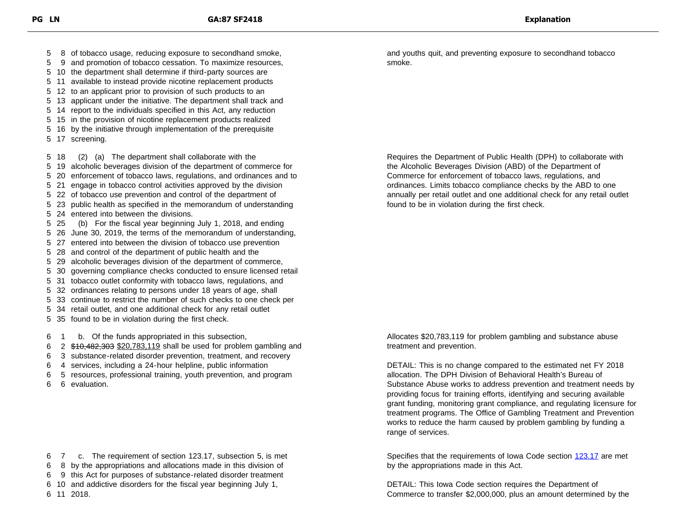9 and promotion of tobacco cessation. To maximize resources, 10 the department shall determine if third-party sources are 11 available to instead provide nicotine replacement products 12 to an applicant prior to provision of such products to an 13 applicant under the initiative. The department shall track and 14 report to the individuals specified in this Act, any reduction 15 in the provision of nicotine replacement products realized 16 by the initiative through implementation of the prerequisite 17 screening. 18 (2) (a) The department shall collaborate with the 19 alcoholic beverages division of the department of commerce for 20 enforcement of tobacco laws, regulations, and ordinances and to 21 engage in tobacco control activities approved by the division 22 of tobacco use prevention and control of the department of 23 public health as specified in the memorandum of understanding 24 entered into between the divisions. 25 (b) For the fiscal year beginning July 1, 2018, and ending 26 June 30, 2019, the terms of the memorandum of understanding, 27 entered into between the division of tobacco use prevention 28 and control of the department of public health and the 29 alcoholic beverages division of the department of commerce, 30 governing compliance checks conducted to ensure licensed retail 31 tobacco outlet conformity with tobacco laws, regulations, and 32 ordinances relating to persons under 18 years of age, shall 33 continue to restrict the number of such checks to one check per 34 retail outlet, and one additional check for any retail outlet 35 found to be in violation during the first check. 1 b. Of the funds appropriated in this subsection, 2 \$10,482,303 \$20,783,119 shall be used for problem gambling and 3 substance-related disorder prevention, treatment, and recovery

8 of tobacco usage, reducing exposure to secondhand smoke,

- 4 services, including a 24-hour helpline, public information
- 5 resources, professional training, youth prevention, and program
- 6 evaluation.

7 c. The requirement of section 123.17, subsection 5, is met

- 8 by the appropriations and allocations made in this division of
- 9 this Act for purposes of substance-related disorder treatment
- 10 and addictive disorders for the fiscal year beginning July 1,

11 2018.

and youths quit, and preventing exposure to secondhand tobacco smoke.

Requires the Department of Public Health (DPH) to collaborate with the Alcoholic Beverages Division (ABD) of the Department of Commerce for enforcement of tobacco laws, regulations, and ordinances. Limits tobacco compliance checks by the ABD to one annually per retail outlet and one additional check for any retail outlet found to be in violation during the first check.

Allocates \$20,783,119 for problem gambling and substance abuse treatment and prevention.

DETAIL: This is no change compared to the estimated net FY 2018 allocation. The DPH Division of Behavioral Health's Bureau of Substance Abuse works to address prevention and treatment needs by providing focus for training efforts, identifying and securing available grant funding, monitoring grant compliance, and regulating licensure for treatment programs. The Office of Gambling Treatment and Prevention works to reduce the harm caused by problem gambling by funding a range of services.

Specifies that the requirements of Iowa Code section [123.17](https://www.legis.iowa.gov/docs/code/123.17.pdf) are met by the appropriations made in this Act.

DETAIL: This Iowa Code section requires the Department of Commerce to transfer \$2,000,000, plus an amount determined by the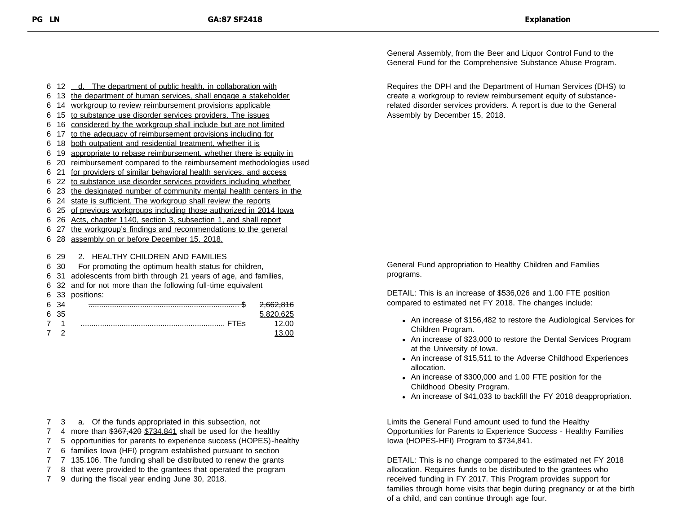6 12 \_ d. The department of public health, in collaboration with

- 6 13 the department of human services, shall engage a stakeholder
- 6 14 workgroup to review reimbursement provisions applicable
- 6 15 to substance use disorder services providers. The issues
- 6 16 considered by the workgroup shall include but are not limited
- 6 17 to the adequacy of reimbursement provisions including for
- 6 18 both outpatient and residential treatment, whether it is
- 6 19 appropriate to rebase reimbursement, whether there is equity in
- 6 20 reimbursement compared to the reimbursement methodologies used
- 6 21 for providers of similar behavioral health services, and access
- 6 22 to substance use disorder services providers including whether
- 6 23 the designated number of community mental health centers in the
- 6 24 state is sufficient. The workgroup shall review the reports
- 6 25 of previous workgroups including those authorized in 2014 Iowa
- 6 26 Acts, chapter 1140, section 3, subsection 1, and shall report
- 6 27 the workgroup's findings and recommendations to the general
- 6 28 assembly on or before December 15, 2018.

6 29 2. HEALTHY CHILDREN AND FAMILIES

- 6 30 For promoting the optimum health status for children,
- 6 31 adolescents from birth through 21 years of age, and families,
- 6 32 and for not more than the following full-time equivalent
- 6 33 positions:

| 6 |      | 2629946<br><del>2.002.010</del> |
|---|------|---------------------------------|
|   | 6 35 |                                 |
|   |      |                                 |
|   |      |                                 |

7 3 a. Of the funds appropriated in this subsection, not

- 7 4 more than \$367,420 \$734,841 shall be used for the healthy
- 7 5 opportunities for parents to experience success (HOPES)-healthy
- 7 6 families Iowa (HFI) program established pursuant to section
- 7 7 135.106. The funding shall be distributed to renew the grants
- 7 8 that were provided to the grantees that operated the program
- 7 9 during the fiscal year ending June 30, 2018.

General Assembly, from the Beer and Liquor Control Fund to the General Fund for the Comprehensive Substance Abuse Program.

Requires the DPH and the Department of Human Services (DHS) to create a workgroup to review reimbursement equity of substancerelated disorder services providers. A report is due to the General Assembly by December 15, 2018.

General Fund appropriation to Healthy Children and Families programs.

DETAIL: This is an increase of \$536,026 and 1.00 FTE position compared to estimated net FY 2018. The changes include:

- An increase of \$156,482 to restore the Audiological Services for Children Program.
- An increase of \$23,000 to restore the Dental Services Program at the University of Iowa.
- An increase of \$15,511 to the Adverse Childhood Experiences allocation.
- An increase of \$300,000 and 1.00 FTE position for the Childhood Obesity Program.
- An increase of \$41,033 to backfill the FY 2018 deappropriation.

Limits the General Fund amount used to fund the Healthy Opportunities for Parents to Experience Success - Healthy Families Iowa (HOPES-HFI) Program to \$734,841.

DETAIL: This is no change compared to the estimated net FY 2018 allocation. Requires funds to be distributed to the grantees who received funding in FY 2017. This Program provides support for families through home visits that begin during pregnancy or at the birth of a child, and can continue through age four.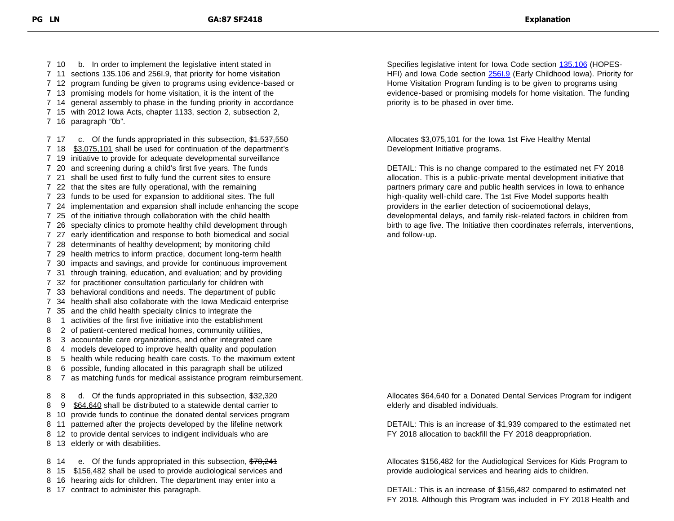10 b. In order to implement the legislative intent stated in 11 sections 135.106 and 256I.9, that priority for home visitation 12 program funding be given to programs using evidence-based or 13 promising models for home visitation, it is the intent of the 14 general assembly to phase in the funding priority in accordance 15 with 2012 Iowa Acts, chapter 1133, section 2, subsection 2, 16 paragraph "0b". 7 17 c. Of the funds appropriated in this subsection, \$1,537,550 18 \$3,075,101 shall be used for continuation of the department's 19 initiative to provide for adequate developmental surveillance 20 and screening during a child's first five years. The funds 21 shall be used first to fully fund the current sites to ensure 22 that the sites are fully operational, with the remaining 23 funds to be used for expansion to additional sites. The full 24 implementation and expansion shall include enhancing the scope 25 of the initiative through collaboration with the child health 26 specialty clinics to promote healthy child development through 27 early identification and response to both biomedical and social 28 determinants of healthy development; by monitoring child 29 health metrics to inform practice, document long-term health 30 impacts and savings, and provide for continuous improvement 31 through training, education, and evaluation; and by providing 32 for practitioner consultation particularly for children with 33 behavioral conditions and needs. The department of public 34 health shall also collaborate with the Iowa Medicaid enterprise 35 and the child health specialty clinics to integrate the 1 activities of the first five initiative into the establishment 2 of patient-centered medical homes, community utilities, 3 accountable care organizations, and other integrated care 4 models developed to improve health quality and population 5 health while reducing health care costs. To the maximum extent 6 possible, funding allocated in this paragraph shall be utilized 7 as matching funds for medical assistance program reimbursement. 8 8 d. Of the funds appropriated in this subsection, \$32,320 9 \$64,640 shall be distributed to a statewide dental carrier to 10 provide funds to continue the donated dental services program 11 patterned after the projects developed by the lifeline network 12 to provide dental services to indigent individuals who are 13 elderly or with disabilities. 8 14 e. Of the funds appropriated in this subsection, \$78,244

8 15 \$156,482 shall be used to provide audiological services and

- 8 16 hearing aids for children. The department may enter into a
- 8 17 contract to administer this paragraph.

Specifies legislative intent for Iowa Code section [135.106](https://www.legis.iowa.gov/docs/ico/code/135.106.pdf) (HOPES-HFI) and Iowa Code section 2561.9 (Early Childhood Iowa). Priority for Home Visitation Program funding is to be given to programs using evidence-based or promising models for home visitation. The funding priority is to be phased in over time.

Allocates \$3,075,101 for the Iowa 1st Five Healthy Mental Development Initiative programs.

DETAIL: This is no change compared to the estimated net FY 2018 allocation. This is a public-private mental development initiative that partners primary care and public health services in Iowa to enhance high-quality well-child care. The 1st Five Model supports health providers in the earlier detection of socioemotional delays, developmental delays, and family risk-related factors in children from birth to age five. The Initiative then coordinates referrals, interventions, and follow-up.

Allocates \$64,640 for a Donated Dental Services Program for indigent elderly and disabled individuals.

DETAIL: This is an increase of \$1,939 compared to the estimated net FY 2018 allocation to backfill the FY 2018 deappropriation.

Allocates \$156,482 for the Audiological Services for Kids Program to provide audiological services and hearing aids to children.

DETAIL: This is an increase of \$156,482 compared to estimated net FY 2018. Although this Program was included in FY 2018 Health and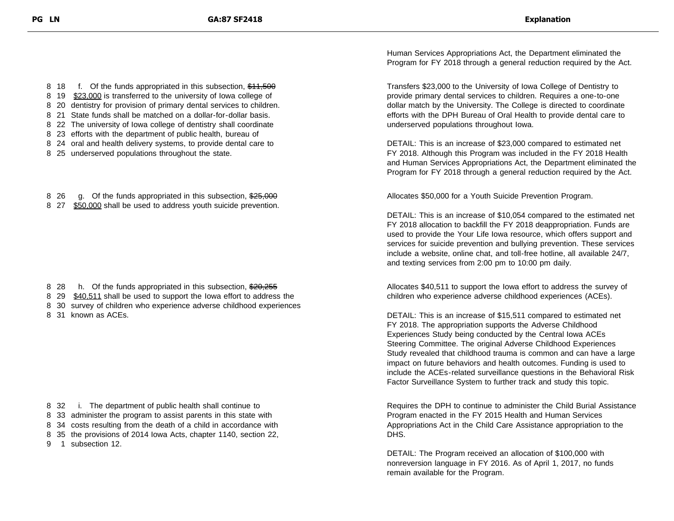8 18 f. Of the funds appropriated in this subsection, \$11,500 8 19 \$23,000 is transferred to the university of lowa college of 8 20 dentistry for provision of primary dental services to children.

8 21 State funds shall be matched on a dollar-for-dollar basis.

8 22 The university of Iowa college of dentistry shall coordinate

8 23 efforts with the department of public health, bureau of

- 8 24 oral and health delivery systems, to provide dental care to
- 8 25 underserved populations throughout the state.
- 8 26 g. Of the funds appropriated in this subsection, \$25,000
- 8 27 \$50,000 shall be used to address youth suicide prevention.

- 8 28 h. Of the funds appropriated in this subsection, \$20,255
- 8 29 \$40,511 shall be used to support the Iowa effort to address the
- 8 30 survey of children who experience adverse childhood experiences
- 8 31 known as ACEs.

8 32 i. The department of public health shall continue to 8 33 administer the program to assist parents in this state with

- 8 34 costs resulting from the death of a child in accordance with
- 8 35 the provisions of 2014 Iowa Acts, chapter 1140, section 22,
- 9 1 subsection 12.

Human Services Appropriations Act, the Department eliminated the Program for FY 2018 through a general reduction required by the Act.

Transfers \$23,000 to the University of Iowa College of Dentistry to provide primary dental services to children. Requires a one-to-one dollar match by the University. The College is directed to coordinate efforts with the DPH Bureau of Oral Health to provide dental care to underserved populations throughout Iowa.

DETAIL: This is an increase of \$23,000 compared to estimated net FY 2018. Although this Program was included in the FY 2018 Health and Human Services Appropriations Act, the Department eliminated the Program for FY 2018 through a general reduction required by the Act.

Allocates \$50,000 for a Youth Suicide Prevention Program.

DETAIL: This is an increase of \$10,054 compared to the estimated net FY 2018 allocation to backfill the FY 2018 deappropriation. Funds are used to provide the Your Life Iowa resource, which offers support and services for suicide prevention and bullying prevention. These services include a website, online chat, and toll-free hotline, all available 24/7, and texting services from 2:00 pm to 10:00 pm daily.

Allocates \$40,511 to support the Iowa effort to address the survey of children who experience adverse childhood experiences (ACEs).

DETAIL: This is an increase of \$15,511 compared to estimated net FY 2018. The appropriation supports the Adverse Childhood Experiences Study being conducted by the Central Iowa ACEs Steering Committee. The original Adverse Childhood Experiences Study revealed that childhood trauma is common and can have a large impact on future behaviors and health outcomes. Funding is used to include the ACEs-related surveillance questions in the Behavioral Risk Factor Surveillance System to further track and study this topic.

Requires the DPH to continue to administer the Child Burial Assistance Program enacted in the FY 2015 Health and Human Services Appropriations Act in the Child Care Assistance appropriation to the DHS.

DETAIL: The Program received an allocation of \$100,000 with nonreversion language in FY 2016. As of April 1, 2017, no funds remain available for the Program.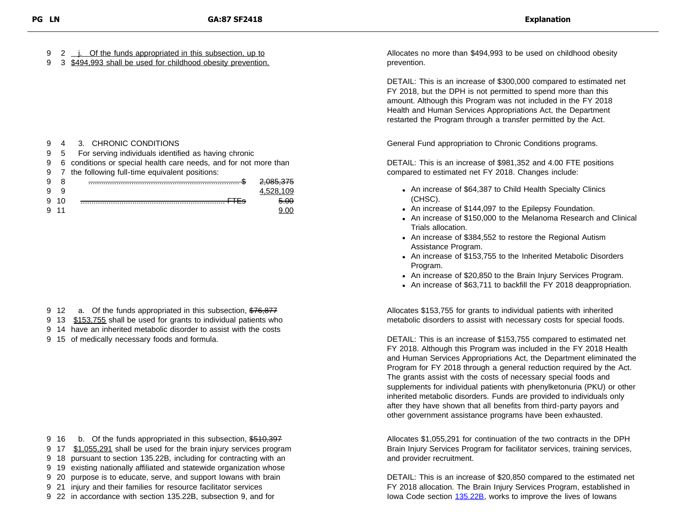9 2 j. Of the funds appropriated in this subsection, up to

9 3 \$494,993 shall be used for childhood obesity prevention.

| 9 |    | 4 3. CHRONIC CONDITIONS                                          |           |
|---|----|------------------------------------------------------------------|-----------|
| 9 | -5 | For serving individuals identified as having chronic             |           |
| 9 |    | 6 conditions or special health care needs, and for not more than |           |
| 9 |    | 7 the following full-time equivalent positions:                  |           |
| 9 | 8  |                                                                  |           |
| g |    |                                                                  | 4.528.109 |
|   | 10 |                                                                  | 5.00      |
|   |    |                                                                  |           |
|   |    |                                                                  |           |

- 9 12 a. Of the funds appropriated in this subsection, \$76,877
- 9 13 \$153,755 shall be used for grants to individual patients who
- 9 14 have an inherited metabolic disorder to assist with the costs
- 9 15 of medically necessary foods and formula.

9 16 b. Of the funds appropriated in this subsection, \$510,397 9 17 \$1,055,291 shall be used for the brain injury services program 18 pursuant to section 135.22B, including for contracting with an 19 existing nationally affiliated and statewide organization whose 20 purpose is to educate, serve, and support Iowans with brain 21 injury and their families for resource facilitator services

9 22 in accordance with section 135.22B, subsection 9, and for

Allocates no more than \$494,993 to be used on childhood obesity prevention.

DETAIL: This is an increase of \$300,000 compared to estimated net FY 2018, but the DPH is not permitted to spend more than this amount. Although this Program was not included in the FY 2018 Health and Human Services Appropriations Act, the Department restarted the Program through a transfer permitted by the Act.

General Fund appropriation to Chronic Conditions programs.

DETAIL: This is an increase of \$981,352 and 4.00 FTE positions compared to estimated net FY 2018. Changes include:

- An increase of \$64,387 to Child Health Specialty Clinics (CHSC).
- An increase of \$144,097 to the Epilepsy Foundation.
- An increase of \$150,000 to the Melanoma Research and Clinical Trials allocation.
- An increase of \$384,552 to restore the Regional Autism Assistance Program.
- An increase of \$153,755 to the Inherited Metabolic Disorders Program.
- An increase of \$20,850 to the Brain Injury Services Program.
- An increase of \$63,711 to backfill the FY 2018 deappropriation.

Allocates \$153,755 for grants to individual patients with inherited metabolic disorders to assist with necessary costs for special foods.

DETAIL: This is an increase of \$153,755 compared to estimated net FY 2018. Although this Program was included in the FY 2018 Health and Human Services Appropriations Act, the Department eliminated the Program for FY 2018 through a general reduction required by the Act. The grants assist with the costs of necessary special foods and supplements for individual patients with phenylketonuria (PKU) or other inherited metabolic disorders. Funds are provided to individuals only after they have shown that all benefits from third-party payors and other government assistance programs have been exhausted.

Allocates \$1,055,291 for continuation of the two contracts in the DPH Brain Injury Services Program for facilitator services, training services, and provider recruitment.

DETAIL: This is an increase of \$20,850 compared to the estimated net FY 2018 allocation. The Brain Injury Services Program, established in Iowa Code section [135.22B,](https://www.legis.iowa.gov/docs/code/135.22B.pdf) works to improve the lives of Iowans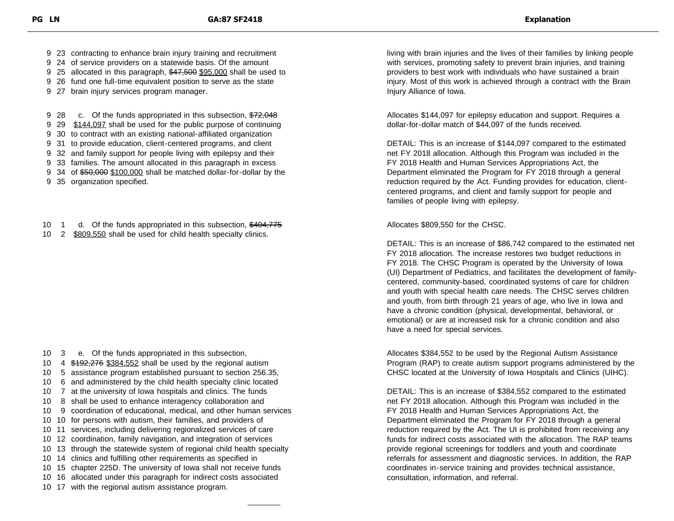9 23 contracting to enhance brain injury training and recruitment

- 9 24 of service providers on a statewide basis. Of the amount
- 9 25 allocated in this paragraph, \$47,500 \$95,000 shall be used to
- 9 26 fund one full-time equivalent position to serve as the state
- 9 27 brain injury services program manager.

9 28 c. Of the funds appropriated in this subsection, \$72,048

- 9 29 \$144,097 shall be used for the public purpose of continuing
- 9 30 to contract with an existing national-affiliated organization
- 9 31 to provide education, client-centered programs, and client
- 9 32 and family support for people living with epilepsy and their
- 9 33 families. The amount allocated in this paragraph in excess
- 9 34 of \$50,000 \$100,000 shall be matched dollar-for-dollar by the
- 9 35 organization specified.
- 10 1 d. Of the funds appropriated in this subsection, \$404,775
- 10 2 \$809,550 shall be used for child health specialty clinics.

- 10 3 e. Of the funds appropriated in this subsection,
- 10 4  $$192,276$  \$384,552 shall be used by the regional autism
- 10 5 assistance program established pursuant to section 256.35,
- 10 6 and administered by the child health specialty clinic located
- 10 7 at the university of Iowa hospitals and clinics. The funds
- 10 8 shall be used to enhance interagency collaboration and
- 10 9 coordination of educational, medical, and other human services
- 10 10 for persons with autism, their families, and providers of
- 10 11 services, including delivering regionalized services of care
- 10 12 coordination, family navigation, and integration of services
- 10 13 through the statewide system of regional child health specialty
- 10 14 clinics and fulfilling other requirements as specified in
- 10 15 chapter 225D. The university of Iowa shall not receive funds
- 10 16 allocated under this paragraph for indirect costs associated
- 10 17 with the regional autism assistance program.

living with brain injuries and the lives of their families by linking people with services, promoting safety to prevent brain injuries, and training providers to best work with individuals who have sustained a brain injury. Most of this work is achieved through a contract with the Brain Injury Alliance of Iowa.

Allocates \$144,097 for epilepsy education and support. Requires a dollar-for-dollar match of \$44,097 of the funds received.

DETAIL: This is an increase of \$144,097 compared to the estimated net FY 2018 allocation. Although this Program was included in the FY 2018 Health and Human Services Appropriations Act, the Department eliminated the Program for FY 2018 through a general reduction required by the Act. Funding provides for education, clientcentered programs, and client and family support for people and families of people living with epilepsy.

Allocates \$809,550 for the CHSC.

DETAIL: This is an increase of \$86,742 compared to the estimated net FY 2018 allocation. The increase restores two budget reductions in FY 2018. The CHSC Program is operated by the University of Iowa (UI) Department of Pediatrics, and facilitates the development of familycentered, community-based, coordinated systems of care for children and youth with special health care needs. The CHSC serves children and youth, from birth through 21 years of age, who live in Iowa and have a chronic condition (physical, developmental, behavioral, or emotional) or are at increased risk for a chronic condition and also have a need for special services.

Allocates \$384,552 to be used by the Regional Autism Assistance Program (RAP) to create autism support programs administered by the CHSC located at the University of Iowa Hospitals and Clinics (UIHC).

DETAIL: This is an increase of \$384,552 compared to the estimated net FY 2018 allocation. Although this Program was included in the FY 2018 Health and Human Services Appropriations Act, the Department eliminated the Program for FY 2018 through a general reduction required by the Act. The UI is prohibited from receiving any funds for indirect costs associated with the allocation. The RAP teams provide regional screenings for toddlers and youth and coordinate referrals for assessment and diagnostic services. In addition, the RAP coordinates in-service training and provides technical assistance, consultation, information, and referral.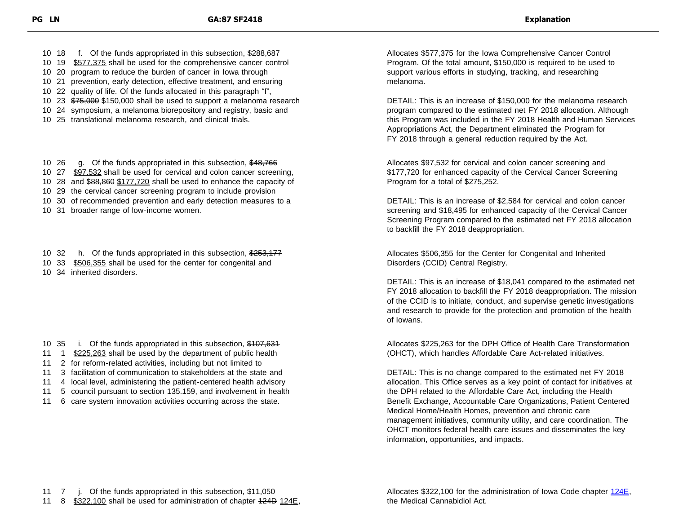10 18 f. Of the funds appropriated in this subsection, \$288,687

- 10 19 \$577,375 shall be used for the comprehensive cancer control
- 10 20 program to reduce the burden of cancer in Iowa through
- 10 21 prevention, early detection, effective treatment, and ensuring
- 10 22 quality of life. Of the funds allocated in this paragraph "f",
- 10 23 \$75,000 \$150,000 shall be used to support a melanoma research
- 10 24 symposium, a melanoma biorepository and registry, basic and
- 10 25 translational melanoma research, and clinical trials.
- 10 26 g. Of the funds appropriated in this subsection, \$48,766
- 10 27 \$97,532 shall be used for cervical and colon cancer screening,
- 10 28 and \$88,860 \$177,720 shall be used to enhance the capacity of
- 10 29 the cervical cancer screening program to include provision
- 10 30 of recommended prevention and early detection measures to a
- 10 31 broader range of low-income women.
- 10 32 h. Of the funds appropriated in this subsection, \$253,177
- 10 33 \$506,355 shall be used for the center for congenital and
- 10 34 inherited disorders.

- 10 35 i. Of the funds appropriated in this subsection, \$107,631
- 11 1 \$225,263 shall be used by the department of public health
- 11 2 for reform-related activities, including but not limited to
- 11 3 facilitation of communication to stakeholders at the state and
- 11 4 local level, administering the patient-centered health advisory
- 11 5 council pursuant to section 135.159, and involvement in health
- 11 6 care system innovation activities occurring across the state.

Allocates \$577,375 for the Iowa Comprehensive Cancer Control Program. Of the total amount, \$150,000 is required to be used to support various efforts in studying, tracking, and researching melanoma.

DETAIL: This is an increase of \$150,000 for the melanoma research program compared to the estimated net FY 2018 allocation. Although this Program was included in the FY 2018 Health and Human Services Appropriations Act, the Department eliminated the Program for FY 2018 through a general reduction required by the Act.

Allocates \$97,532 for cervical and colon cancer screening and \$177,720 for enhanced capacity of the Cervical Cancer Screening Program for a total of \$275,252.

DETAIL: This is an increase of \$2,584 for cervical and colon cancer screening and \$18,495 for enhanced capacity of the Cervical Cancer Screening Program compared to the estimated net FY 2018 allocation to backfill the FY 2018 deappropriation.

Allocates \$506,355 for the Center for Congenital and Inherited Disorders (CCID) Central Registry.

DETAIL: This is an increase of \$18,041 compared to the estimated net FY 2018 allocation to backfill the FY 2018 deappropriation. The mission of the CCID is to initiate, conduct, and supervise genetic investigations and research to provide for the protection and promotion of the health of Iowans.

Allocates \$225,263 for the DPH Office of Health Care Transformation (OHCT), which handles Affordable Care Act-related initiatives.

DETAIL: This is no change compared to the estimated net FY 2018 allocation. This Office serves as a key point of contact for initiatives at the DPH related to the Affordable Care Act, including the Health Benefit Exchange, Accountable Care Organizations, Patient Centered Medical Home/Health Homes, prevention and chronic care management initiatives, community utility, and care coordination. The OHCT monitors federal health care issues and disseminates the key information, opportunities, and impacts.

Allocates \$322,100 for the administration of Iowa Code chapter [124E](https://www.legis.iowa.gov/docs/code/124E.pdf), the Medical Cannabidiol Act.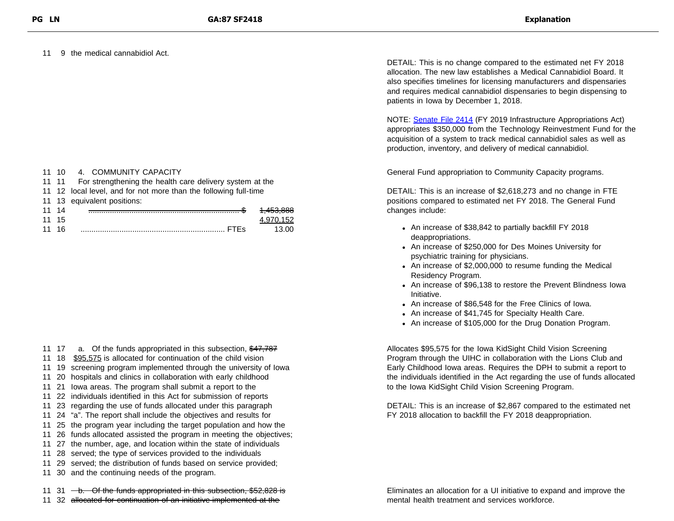11 9 the medical cannabidiol Act.

| 4. COMMUNITY CAPACITY<br>11 10 |  |  |
|--------------------------------|--|--|
|--------------------------------|--|--|

| 11 11 |  |  |  |  | For strengthening the health care delivery system at the |  |
|-------|--|--|--|--|----------------------------------------------------------|--|
| .     |  |  |  |  | .                                                        |  |

11 12 local level, and for not more than the following full-time

|  |  |  | 11 13 equivalent positions: |  |
|--|--|--|-----------------------------|--|
|--|--|--|-----------------------------|--|

| -11 |  | 00<br><del>400.000</del> |
|-----|--|--------------------------|
| 11  |  |                          |
| 11  |  |                          |

- 11 17 a. Of the funds appropriated in this subsection, \$47,787
- 11 18 \$95,575 is allocated for continuation of the child vision
- 11 19 screening program implemented through the university of Iowa
- 11 20 hospitals and clinics in collaboration with early childhood
- 11 21 Iowa areas. The program shall submit a report to the
- 11 22 individuals identified in this Act for submission of reports
- 11 23 regarding the use of funds allocated under this paragraph
- 11 24 "a". The report shall include the objectives and results for
- 11 25 the program year including the target population and how the
- 11 26 funds allocated assisted the program in meeting the objectives;
- 11 27 the number, age, and location within the state of individuals
- 11 28 served; the type of services provided to the individuals
- 11 29 served; the distribution of funds based on service provided;
- 11 30 and the continuing needs of the program.

11 31  $-b$ . Of the funds appropriated in this subsection, \$52,828 is 11 32 allocated for continuation of an initiative implemented at the

DETAIL: This is no change compared to the estimated net FY 2018 allocation. The new law establishes a Medical Cannabidiol Board. It also specifies timelines for licensing manufacturers and dispensaries and requires medical cannabidiol dispensaries to begin dispensing to patients in Iowa by December 1, 2018.

NOTE: [Senate File 2414](https://www.legis.iowa.gov/docs/publications/LGE/87/SF2414.pdf) (FY 2019 Infrastructure Appropriations Act) appropriates \$350,000 from the Technology Reinvestment Fund for the acquisition of a system to track medical cannabidiol sales as well as production, inventory, and delivery of medical cannabidiol.

General Fund appropriation to Community Capacity programs.

DETAIL: This is an increase of \$2,618,273 and no change in FTE positions compared to estimated net FY 2018. The General Fund changes include:

- An increase of \$38,842 to partially backfill FY 2018 deappropriations.
- An increase of \$250,000 for Des Moines University for psychiatric training for physicians.
- An increase of \$2,000,000 to resume funding the Medical Residency Program.
- An increase of \$96,138 to restore the Prevent Blindness Iowa Initiative.
- An increase of \$86,548 for the Free Clinics of Iowa.
- An increase of \$41,745 for Specialty Health Care.
- An increase of \$105,000 for the Drug Donation Program.

Allocates \$95,575 for the Iowa KidSight Child Vision Screening Program through the UIHC in collaboration with the Lions Club and Early Childhood Iowa areas. Requires the DPH to submit a report to the individuals identified in the Act regarding the use of funds allocated to the Iowa KidSight Child Vision Screening Program.

DETAIL: This is an increase of \$2,867 compared to the estimated net FY 2018 allocation to backfill the FY 2018 deappropriation.

Eliminates an allocation for a UI initiative to expand and improve the mental health treatment and services workforce.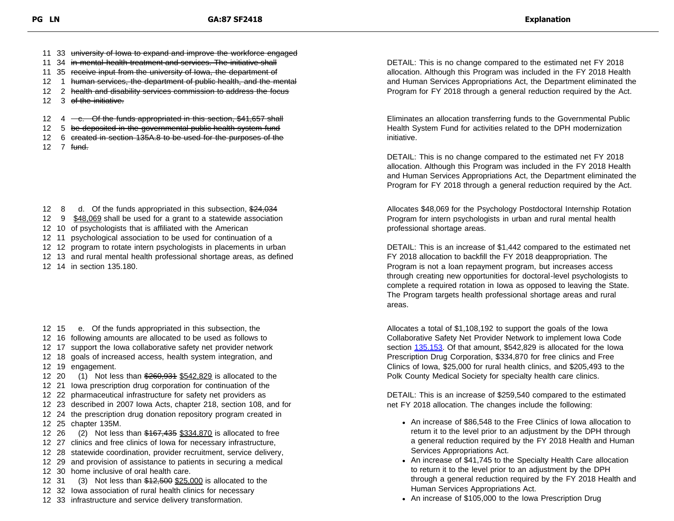- 11 33 university of lowa to expand and improve the workforce engaged
- 11 34 in mental health treatment and services. The initiative shall
- 11 35 receive input from the university of Iowa, the department of
- 12 1 human services, the department of public health, and the mental
- 12 2 health and disability services commission to address the focus
- 12 3 of the initiative.

12  $4 - e$ . Of the funds appropriated in this section, \$41,657 shall

- 12 5 be deposited in the governmental public health system fund
- 12 6 created in section 135A.8 to be used for the purposes of the
- $12 \quad 7 \quad \text{fund.}$

12 8 d. Of the funds appropriated in this subsection, \$24,034

- 12 9 \$48,069 shall be used for a grant to a statewide association
- 12 10 of psychologists that is affiliated with the American
- 12 11 psychological association to be used for continuation of a
- 12 12 program to rotate intern psychologists in placements in urban
- 12 13 and rural mental health professional shortage areas, as defined
- 12 14 in section 135.180.

12 15 e. Of the funds appropriated in this subsection, the

- 12 16 following amounts are allocated to be used as follows to
- 12 17 support the Iowa collaborative safety net provider network
- 12 18 goals of increased access, health system integration, and 12 19 engagement.
- 12 20 (1) Not less than \$260,934 \$542,829 is allocated to the
- 12 21 Iowa prescription drug corporation for continuation of the
- 12 22 pharmaceutical infrastructure for safety net providers as
- 12 23 described in 2007 Iowa Acts, chapter 218, section 108, and for

12 24 the prescription drug donation repository program created in 12 25 chapter 135M.

- 12 26 (2) Not less than \$167,435 \$334,870 is allocated to free
- 12 27 clinics and free clinics of Iowa for necessary infrastructure,
- 12 28 statewide coordination, provider recruitment, service delivery,
- 12 29 and provision of assistance to patients in securing a medical
- 12 30 home inclusive of oral health care.
- 12 31 (3) Not less than  $$12,500$  \$25,000 is allocated to the
- 12 32 Iowa association of rural health clinics for necessary
- 12 33 infrastructure and service delivery transformation.

DETAIL: This is no change compared to the estimated net FY 2018 allocation. Although this Program was included in the FY 2018 Health and Human Services Appropriations Act, the Department eliminated the Program for FY 2018 through a general reduction required by the Act.

Eliminates an allocation transferring funds to the Governmental Public Health System Fund for activities related to the DPH modernization initiative.

DETAIL: This is no change compared to the estimated net FY 2018 allocation. Although this Program was included in the FY 2018 Health and Human Services Appropriations Act, the Department eliminated the Program for FY 2018 through a general reduction required by the Act.

Allocates \$48,069 for the Psychology Postdoctoral Internship Rotation Program for intern psychologists in urban and rural mental health professional shortage areas.

DETAIL: This is an increase of \$1,442 compared to the estimated net FY 2018 allocation to backfill the FY 2018 deappropriation. The Program is not a loan repayment program, but increases access through creating new opportunities for doctoral-level psychologists to complete a required rotation in Iowa as opposed to leaving the State. The Program targets health professional shortage areas and rural areas.

Allocates a total of \$1,108,192 to support the goals of the Iowa Collaborative Safety Net Provider Network to implement Iowa Code section [135.153](https://www.legis.iowa.gov/docs/code/135.153.pdf). Of that amount, \$542,829 is allocated for the Iowa Prescription Drug Corporation, \$334,870 for free clinics and Free Clinics of Iowa, \$25,000 for rural health clinics, and \$205,493 to the Polk County Medical Society for specialty health care clinics.

DETAIL: This is an increase of \$259,540 compared to the estimated net FY 2018 allocation. The changes include the following:

- An increase of \$86,548 to the Free Clinics of Iowa allocation to return it to the level prior to an adjustment by the DPH through a general reduction required by the FY 2018 Health and Human Services Appropriations Act.
- An increase of \$41,745 to the Specialty Health Care allocation to return it to the level prior to an adjustment by the DPH through a general reduction required by the FY 2018 Health and Human Services Appropriations Act.
- An increase of \$105,000 to the Iowa Prescription Drug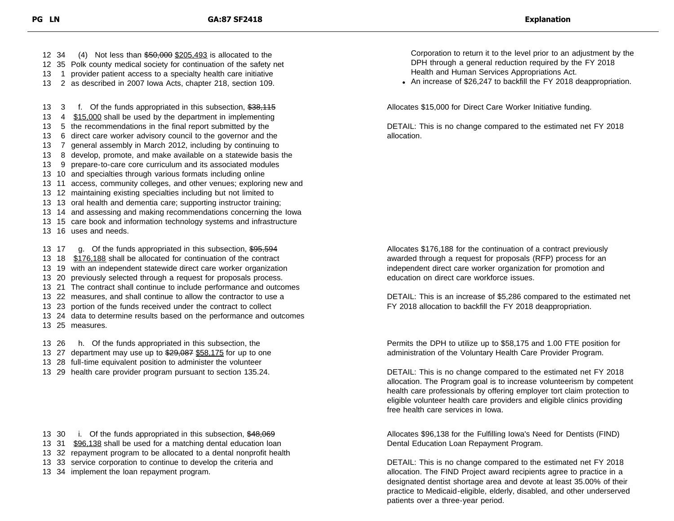34 (4) Not less than \$50,000 \$205,493 is allocated to the 35 Polk county medical society for continuation of the safety net 1 provider patient access to a specialty health care initiative 2 as described in 2007 Iowa Acts, chapter 218, section 109.

13 3 f. Of the funds appropriated in this subsection, \$38,115

 4 \$15,000 shall be used by the department in implementing 5 the recommendations in the final report submitted by the 6 direct care worker advisory council to the governor and the 7 general assembly in March 2012, including by continuing to 8 develop, promote, and make available on a statewide basis the 9 prepare-to-care core curriculum and its associated modules 10 and specialties through various formats including online 11 access, community colleges, and other venues; exploring new and 12 maintaining existing specialties including but not limited to 13 oral health and dementia care; supporting instructor training; 14 and assessing and making recommendations concerning the Iowa 15 care book and information technology systems and infrastructure 16 uses and needs. 13 17 g. Of the funds appropriated in this subsection, \$95,594 13 18 \$176,188 shall be allocated for continuation of the contract 19 with an independent statewide direct care worker organization 20 previously selected through a request for proposals process. 21 The contract shall continue to include performance and outcomes 22 measures, and shall continue to allow the contractor to use a 23 portion of the funds received under the contract to collect 24 data to determine results based on the performance and outcomes 25 measures.

13 26 h. Of the funds appropriated in this subsection, the

- 13 27 department may use up to \$29,087 \$58,175 for up to one
- 13 28 full-time equivalent position to administer the volunteer
- 13 29 health care provider program pursuant to section 135.24.

- 13 30 i. Of the funds appropriated in this subsection, \$48,069
- 13 31 \$96,138 shall be used for a matching dental education loan
- 13 32 repayment program to be allocated to a dental nonprofit health
- 13 33 service corporation to continue to develop the criteria and
- 13 34 implement the loan repayment program.

Corporation to return it to the level prior to an adjustment by the DPH through a general reduction required by the FY 2018 Health and Human Services Appropriations Act.

An increase of \$26,247 to backfill the FY 2018 deappropriation.

Allocates \$15,000 for Direct Care Worker Initiative funding.

DETAIL: This is no change compared to the estimated net FY 2018 allocation.

Allocates \$176,188 for the continuation of a contract previously awarded through a request for proposals (RFP) process for an independent direct care worker organization for promotion and education on direct care workforce issues.

DETAIL: This is an increase of \$5,286 compared to the estimated net FY 2018 allocation to backfill the FY 2018 deappropriation.

Permits the DPH to utilize up to \$58,175 and 1.00 FTE position for administration of the Voluntary Health Care Provider Program.

DETAIL: This is no change compared to the estimated net FY 2018 allocation. The Program goal is to increase volunteerism by competent health care professionals by offering employer tort claim protection to eligible volunteer health care providers and eligible clinics providing free health care services in Iowa.

Allocates \$96,138 for the Fulfilling Iowa's Need for Dentists (FIND) Dental Education Loan Repayment Program.

DETAIL: This is no change compared to the estimated net FY 2018 allocation. The FIND Project award recipients agree to practice in a designated dentist shortage area and devote at least 35.00% of their practice to Medicaid-eligible, elderly, disabled, and other underserved patients over a three-year period.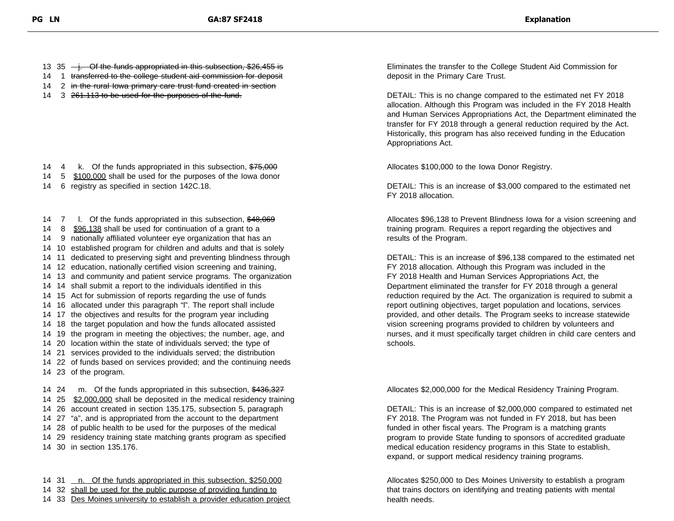13 35  $\rightarrow$ . Of the funds appropriated in this subsection, \$26,455 is

- 14 1 transferred to the college student aid commission for deposit
- 14 2 in the rural lowa primary care trust fund created in section
- 14 3 <del>261.113 to be used for the purposes of the fund.</del>

14 4 k. Of the funds appropriated in this subsection, \$75,000

- 14 5  $$100,000$  shall be used for the purposes of the lowa donor
- 14 6 registry as specified in section 142C.18.

14 7 I. Of the funds appropriated in this subsection, \$48,069

- 14 8 \$96,138 shall be used for continuation of a grant to a
- 14 9 nationally affiliated volunteer eye organization that has an
- 14 10 established program for children and adults and that is solely
- 14 11 dedicated to preserving sight and preventing blindness through
- 14 12 education, nationally certified vision screening and training,
- 14 13 and community and patient service programs. The organization
- 14 14 shall submit a report to the individuals identified in this
- 14 15 Act for submission of reports regarding the use of funds
- 14 16 allocated under this paragraph "l". The report shall include
- 14 17 the objectives and results for the program year including
- 14 18 the target population and how the funds allocated assisted
- 14 19 the program in meeting the objectives; the number, age, and
- 14 20 location within the state of individuals served; the type of
- 14 21 services provided to the individuals served; the distribution
- 14 22 of funds based on services provided; and the continuing needs 14 23 of the program.

14 24 m. Of the funds appropriated in this subsection, \$436,327 14 25 \$2,000,000 shall be deposited in the medical residency training 26 account created in section 135.175, subsection 5, paragraph 27 "a", and is appropriated from the account to the department 28 of public health to be used for the purposes of the medical 29 residency training state matching grants program as specified 30 in section 135.176.

14 31 n. Of the funds appropriated in this subsection, \$250,000 14 32 shall be used for the public purpose of providing funding to

14 33 Des Moines university to establish a provider education project

Eliminates the transfer to the College Student Aid Commission for deposit in the Primary Care Trust.

DETAIL: This is no change compared to the estimated net FY 2018 allocation. Although this Program was included in the FY 2018 Health and Human Services Appropriations Act, the Department eliminated the transfer for FY 2018 through a general reduction required by the Act. Historically, this program has also received funding in the Education Appropriations Act.

Allocates \$100,000 to the Iowa Donor Registry.

DETAIL: This is an increase of \$3,000 compared to the estimated net FY 2018 allocation.

Allocates \$96,138 to Prevent Blindness Iowa for a vision screening and training program. Requires a report regarding the objectives and results of the Program.

DETAIL: This is an increase of \$96,138 compared to the estimated net FY 2018 allocation. Although this Program was included in the FY 2018 Health and Human Services Appropriations Act, the Department eliminated the transfer for FY 2018 through a general reduction required by the Act. The organization is required to submit a report outlining objectives, target population and locations, services provided, and other details. The Program seeks to increase statewide vision screening programs provided to children by volunteers and nurses, and it must specifically target children in child care centers and schools.

Allocates \$2,000,000 for the Medical Residency Training Program.

DETAIL: This is an increase of \$2,000,000 compared to estimated net FY 2018. The Program was not funded in FY 2018, but has been funded in other fiscal years. The Program is a matching grants program to provide State funding to sponsors of accredited graduate medical education residency programs in this State to establish, expand, or support medical residency training programs.

Allocates \$250,000 to Des Moines University to establish a program that trains doctors on identifying and treating patients with mental health needs.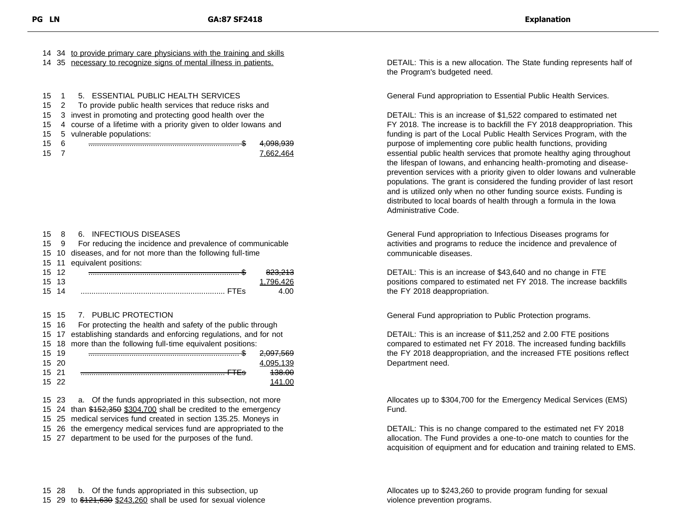|  |  | 14 34 to provide primary care physicians with the training and skills |  |  |  |
|--|--|-----------------------------------------------------------------------|--|--|--|
|  |  |                                                                       |  |  |  |

14 35 necessary to recognize signs of mental illness in patients.

| 15 1 5. ESSENTIAL PUBLIC HEALTH SERVICES |  |
|------------------------------------------|--|
|------------------------------------------|--|

15 2 To provide public health services that reduce risks and

15 3 invest in promoting and protecting good health over the

- 15 4 course of a lifetime with a priority given to older Iowans and
- 15 5 vulnerable populations:
- 
- 

15 6 ...................................................................... \$ 4,098,939 15 7 7,662,464

### 15 8 6. INFECTIOUS DISEASES

| 159 | For reducing the incidence and prevalence of communicable |  |  |
|-----|-----------------------------------------------------------|--|--|
|     |                                                           |  |  |

- 15 10 diseases, and for not more than the following full-time
- 15 11 equivalent positions:

| 15 | - 14 | īJ |
|----|------|----|
| 15 |      |    |
| 15 |      |    |

### 15 15 7. PUBLIC PROTECTION

|       |        | 15 16 For protecting the health and safety of the public through    |                      |
|-------|--------|---------------------------------------------------------------------|----------------------|
|       |        | 15 17 establishing standards and enforcing regulations, and for not |                      |
|       |        | 15 18 more than the following full-time equivalent positions:       |                      |
|       | 15 19  |                                                                     | <del>2,097,569</del> |
|       | 15, 20 |                                                                     | 4.095.139            |
| 15 21 |        |                                                                     | 438.00               |
|       | 15, 22 |                                                                     | 141.00               |
|       |        |                                                                     |                      |

15 23 a. Of the funds appropriated in this subsection, not more

- 15 24 than \$152,350 \$304,700 shall be credited to the emergency
- 15 25 medical services fund created in section 135.25. Moneys in
- 15 26 the emergency medical services fund are appropriated to the
- 15 27 department to be used for the purposes of the fund.

DETAIL: This is a new allocation. The State funding represents half of the Program's budgeted need.

General Fund appropriation to Essential Public Health Services.

DETAIL: This is an increase of \$1,522 compared to estimated net FY 2018. The increase is to backfill the FY 2018 deappropriation. This funding is part of the Local Public Health Services Program, with the purpose of implementing core public health functions, providing essential public health services that promote healthy aging throughout the lifespan of Iowans, and enhancing health-promoting and diseaseprevention services with a priority given to older Iowans and vulnerable populations. The grant is considered the funding provider of last resort and is utilized only when no other funding source exists. Funding is distributed to local boards of health through a formula in the Iowa Administrative Code.

General Fund appropriation to Infectious Diseases programs for activities and programs to reduce the incidence and prevalence of communicable diseases.

DETAIL: This is an increase of \$43,640 and no change in FTE positions compared to estimated net FY 2018. The increase backfills the FY 2018 deappropriation.

General Fund appropriation to Public Protection programs.

DETAIL: This is an increase of \$11,252 and 2.00 FTE positions compared to estimated net FY 2018. The increased funding backfills the FY 2018 deappropriation, and the increased FTE positions reflect Department need.

Allocates up to \$304,700 for the Emergency Medical Services (EMS) Fund.

DETAIL: This is no change compared to the estimated net FY 2018 allocation. The Fund provides a one-to-one match to counties for the acquisition of equipment and for education and training related to EMS.

Allocates up to \$243,260 to provide program funding for sexual violence prevention programs.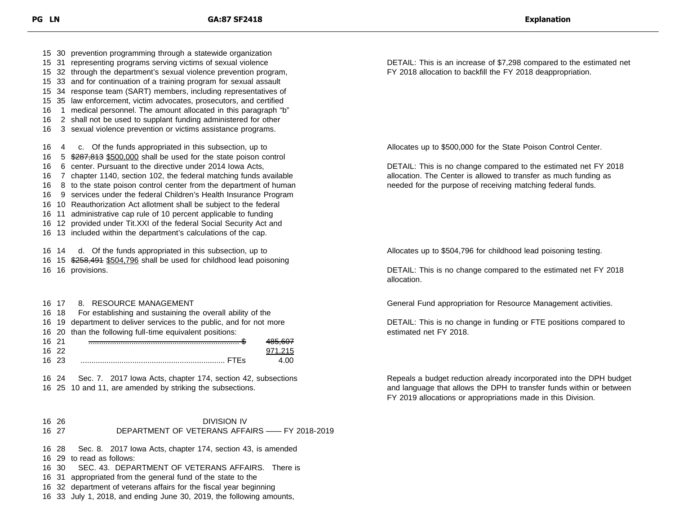30 prevention programming through a statewide organization 31 representing programs serving victims of sexual violence 32 through the department's sexual violence prevention program, 33 and for continuation of a training program for sexual assault 34 response team (SART) members, including representatives of 35 law enforcement, victim advocates, prosecutors, and certified 1 medical personnel. The amount allocated in this paragraph "b" 2 shall not be used to supplant funding administered for other 3 sexual violence prevention or victims assistance programs. 4 c. Of the funds appropriated in this subsection, up to 5 \$287,813 \$500,000 shall be used for the state poison control 6 center. Pursuant to the directive under 2014 Iowa Acts, 7 chapter 1140, section 102, the federal matching funds available 8 to the state poison control center from the department of human 9 services under the federal Children's Health Insurance Program 10 Reauthorization Act allotment shall be subject to the federal 11 administrative cap rule of 10 percent applicable to funding 12 provided under Tit.XXI of the federal Social Security Act and 13 included within the department's calculations of the cap. 14 d. Of the funds appropriated in this subsection, up to 16 15 \$258,491 \$504,796 shall be used for childhood lead poisoning 16 provisions.

 17 8. RESOURCE MANAGEMENT 18 For establishing and sustaining the overall ability of the 19 department to deliver services to the public, and for not more 20 than the following full-time equivalent positions: 21 ...................................................................... \$ 485,607 16 22 971,215 23 ................................................................... FTEs 4.00

 24 Sec. 7. 2017 Iowa Acts, chapter 174, section 42, subsections 25 10 and 11, are amended by striking the subsections.

### 26 DIVISION IV 27 DEPARTMENT OF VETERANS AFFAIRS —— FY 2018-2019

28 Sec. 8. 2017 Iowa Acts, chapter 174, section 43, is amended

- 29 to read as follows:
- 30 SEC. 43. DEPARTMENT OF VETERANS AFFAIRS. There is
- 31 appropriated from the general fund of the state to the
- 32 department of veterans affairs for the fiscal year beginning
- 33 July 1, 2018, and ending June 30, 2019, the following amounts,

DETAIL: This is an increase of \$7,298 compared to the estimated net FY 2018 allocation to backfill the FY 2018 deappropriation.

Allocates up to \$500,000 for the State Poison Control Center.

DETAIL: This is no change compared to the estimated net FY 2018 allocation. The Center is allowed to transfer as much funding as needed for the purpose of receiving matching federal funds.

Allocates up to \$504,796 for childhood lead poisoning testing.

DETAIL: This is no change compared to the estimated net FY 2018 allocation.

General Fund appropriation for Resource Management activities.

DETAIL: This is no change in funding or FTE positions compared to estimated net FY 2018.

Repeals a budget reduction already incorporated into the DPH budget and language that allows the DPH to transfer funds within or between FY 2019 allocations or appropriations made in this Division.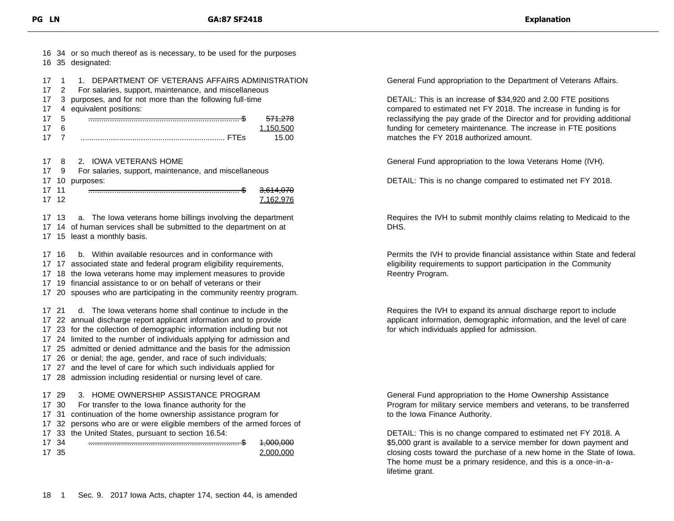| 16                                     | 35                                              | 16 34 or so much thereof as is necessary, to be used for the purposes<br>designated:                                                                                                                                                                                                                                                                                                                                                                                                                                           |
|----------------------------------------|-------------------------------------------------|--------------------------------------------------------------------------------------------------------------------------------------------------------------------------------------------------------------------------------------------------------------------------------------------------------------------------------------------------------------------------------------------------------------------------------------------------------------------------------------------------------------------------------|
| 17<br>17<br>17<br>17<br>17             | 1<br>$\overline{2}$<br>3<br>4<br>5<br>6         | DEPARTMENT OF VETERANS AFFAIRS ADMINISTRATION<br>1.<br>For salaries, support, maintenance, and miscellaneous<br>purposes, and for not more than the following full-time<br>equivalent positions:<br><del>571,278</del>                                                                                                                                                                                                                                                                                                         |
| 17<br>17                               | 7                                               | 1,150,500<br>15.00                                                                                                                                                                                                                                                                                                                                                                                                                                                                                                             |
| 17<br>17<br>17<br>17<br>17             | 8<br>9<br>10<br>11<br>12                        | 2.<br><b>IOWA VETERANS HOME</b><br>For salaries, support, maintenance, and miscellaneous<br>purposes:<br><del>3,614,070</del><br>7,162,976                                                                                                                                                                                                                                                                                                                                                                                     |
| 17<br>17<br>17                         | 13<br>14<br>15                                  | The lowa veterans home billings involving the department<br>a.<br>of human services shall be submitted to the department on at<br>least a monthly basis.                                                                                                                                                                                                                                                                                                                                                                       |
| 17<br>17<br>17<br>17<br>17             | 16<br>17<br>18<br>19<br>20                      | Within available resources and in conformance with<br>b.<br>associated state and federal program eligibility requirements,<br>the lowa veterans home may implement measures to provide<br>financial assistance to or on behalf of veterans or their<br>spouses who are participating in the community reentry program.                                                                                                                                                                                                         |
| 17<br>17<br>17<br>17<br>17<br>17<br>17 | 21<br>22<br>23<br>24<br>25<br>17 26<br>27<br>28 | The lowa veterans home shall continue to include in the<br>d.<br>annual discharge report applicant information and to provide<br>for the collection of demographic information including but not<br>limited to the number of individuals applying for admission and<br>admitted or denied admittance and the basis for the admission<br>or denial; the age, gender, and race of such individuals;<br>and the level of care for which such individuals applied for<br>admission including residential or nursing level of care. |
| 17<br>17<br>17<br>17<br>17             | 17 29<br>30<br>31<br>32<br>33<br>34<br>17 35    | HOME OWNERSHIP ASSISTANCE PROGRAM<br>3.<br>For transfer to the lowa finance authority for the<br>continuation of the home ownership assistance program for<br>persons who are or were eligible members of the armed forces of<br>the United States, pursuant to section 16.54:<br>4,000,000<br>2,000,000                                                                                                                                                                                                                       |

General Fund appropriation to the Department of Veterans Affairs.

DETAIL: This is an increase of \$34,920 and 2.00 FTE positions compared to estimated net FY 2018. The increase in funding is for reclassifying the pay grade of the Director and for providing additional funding for cemetery maintenance. The increase in FTE positions matches the FY 2018 authorized amount.

General Fund appropriation to the Iowa Veterans Home (IVH).

DETAIL: This is no change compared to estimated net FY 2018.

Requires the IVH to submit monthly claims relating to Medicaid to the DHS.

Permits the IVH to provide financial assistance within State and federal eligibility requirements to support participation in the Community Reentry Program.

Requires the IVH to expand its annual discharge report to include applicant information, demographic information, and the level of care for which individuals applied for admission.

General Fund appropriation to the Home Ownership Assistance Program for military service members and veterans, to be transferred to the Iowa Finance Authority.

DETAIL: This is no change compared to estimated net FY 2018. A \$5,000 grant is available to a service member for down payment and closing costs toward the purchase of a new home in the State of Iowa. The home must be a primary residence, and this is a once-in-alifetime grant.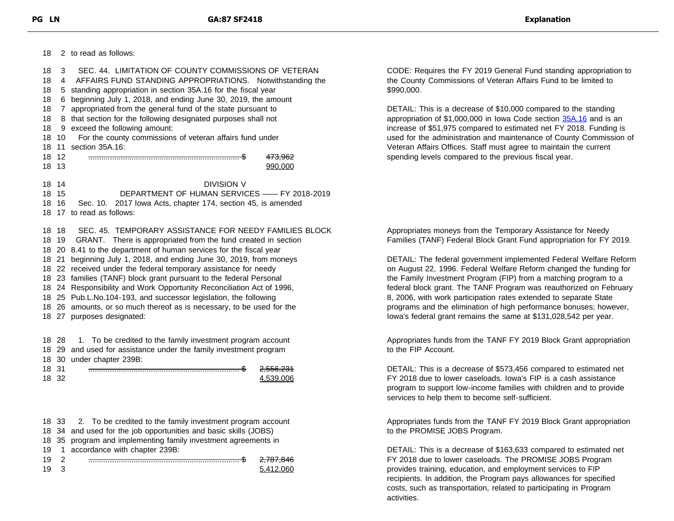2 to read as follows: 3 SEC. 44. LIMITATION OF COUNTY COMMISSIONS OF VETERAN 4 AFFAIRS FUND STANDING APPROPRIATIONS. Notwithstanding the 5 standing appropriation in section 35A.16 for the fiscal year 6 beginning July 1, 2018, and ending June 30, 2019, the amount 7 appropriated from the general fund of the state pursuant to 8 that section for the following designated purposes shall not 9 exceed the following amount: 10 For the county commissions of veteran affairs fund under 11 section 35A.16: 12 ...................................................................... \$ 473,962 13 990,000 14 DIVISION V 15 DEPARTMENT OF HUMAN SERVICES —— FY 2018-2019 16 Sec. 10. 2017 Iowa Acts, chapter 174, section 45, is amended 17 to read as follows: 18 SEC. 45. TEMPORARY ASSISTANCE FOR NEEDY FAMILIES BLOCK 19 GRANT. There is appropriated from the fund created in section 20 8.41 to the department of human services for the fiscal year 21 beginning July 1, 2018, and ending June 30, 2019, from moneys 22 received under the federal temporary assistance for needy 23 families (TANF) block grant pursuant to the federal Personal 24 Responsibility and Work Opportunity Reconciliation Act of 1996, 25 Pub.L.No.104-193, and successor legislation, the following 26 amounts, or so much thereof as is necessary, to be used for the 27 purposes designated:

 28 1. To be credited to the family investment program account 29 and used for assistance under the family investment program 30 under chapter 239B: 31 ...................................................................... \$ 2,556,231

| 10 | 2,000,201 |
|----|-----------|
| 18 | 1.500.000 |

 33 2. To be credited to the family investment program account 34 and used for the job opportunities and basic skills (JOBS) 35 program and implementing family investment agreements in 1 accordance with chapter 239B: 2 ...................................................................... \$ 2,787,846 5,412,060 CODE: Requires the FY 2019 General Fund standing appropriation to the County Commissions of Veteran Affairs Fund to be limited to \$990,000.

DETAIL: This is a decrease of \$10,000 compared to the standing appropriation of \$1,000,000 in Iowa Code section [35A.16](https://www.legis.iowa.gov/docs/code/35A.16.pdf) and is an increase of \$51,975 compared to estimated net FY 2018. Funding is used for the administration and maintenance of County Commission of Veteran Affairs Offices. Staff must agree to maintain the current spending levels compared to the previous fiscal year.

Appropriates moneys from the Temporary Assistance for Needy Families (TANF) Federal Block Grant Fund appropriation for FY 2019.

DETAIL: The federal government implemented Federal Welfare Reform on August 22, 1996. Federal Welfare Reform changed the funding for the Family Investment Program (FIP) from a matching program to a federal block grant. The TANF Program was reauthorized on February 8, 2006, with work participation rates extended to separate State programs and the elimination of high performance bonuses; however, Iowa's federal grant remains the same at \$131,028,542 per year.

Appropriates funds from the TANF FY 2019 Block Grant appropriation to the FIP Account.

DETAIL: This is a decrease of \$573,456 compared to estimated net FY 2018 due to lower caseloads. Iowa's FIP is a cash assistance program to support low-income families with children and to provide services to help them to become self-sufficient.

Appropriates funds from the TANF FY 2019 Block Grant appropriation to the PROMISE JOBS Program.

DETAIL: This is a decrease of \$163,633 compared to estimated net FY 2018 due to lower caseloads. The PROMISE JOBS Program provides training, education, and employment services to FIP recipients. In addition, the Program pays allowances for specified costs, such as transportation, related to participating in Program activities.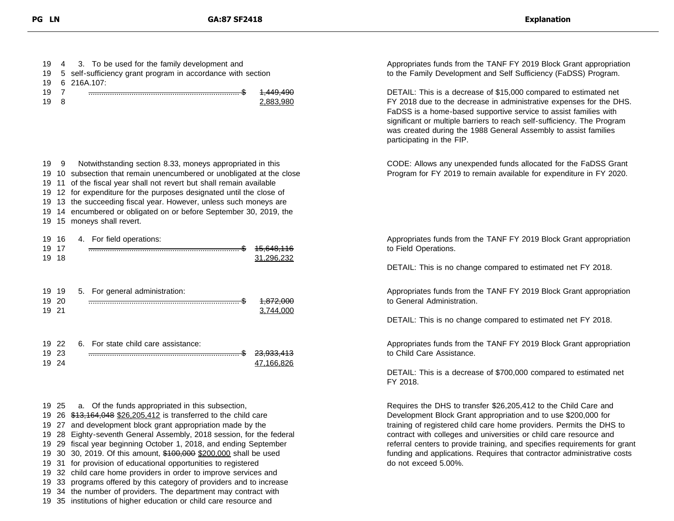| 3. To be used for the family development and<br>19<br>4<br>self-sufficiency grant program in accordance with section<br>19<br>5<br>6 216A.107:<br>19                                                                                                                                                                                                                                                                                                                                                                                                                                                                                                                                                                                                                 |                                     | Appropriates funds from the TANF FY 2019 Block Grant appropriation<br>to the Family Development and Self Sufficiency (FaDSS) Program.                                                                                                                                                                                                                                                                                                                            |  |  |
|----------------------------------------------------------------------------------------------------------------------------------------------------------------------------------------------------------------------------------------------------------------------------------------------------------------------------------------------------------------------------------------------------------------------------------------------------------------------------------------------------------------------------------------------------------------------------------------------------------------------------------------------------------------------------------------------------------------------------------------------------------------------|-------------------------------------|------------------------------------------------------------------------------------------------------------------------------------------------------------------------------------------------------------------------------------------------------------------------------------------------------------------------------------------------------------------------------------------------------------------------------------------------------------------|--|--|
| 7<br>19<br>19<br>8                                                                                                                                                                                                                                                                                                                                                                                                                                                                                                                                                                                                                                                                                                                                                   | <del>1,449,490</del><br>2,883,980   | DETAIL: This is a decrease of \$15,000 compared to estimated net<br>FY 2018 due to the decrease in administrative expenses for the DHS.<br>FaDSS is a home-based supportive service to assist families with<br>significant or multiple barriers to reach self-sufficiency. The Program<br>was created during the 1988 General Assembly to assist families<br>participating in the FIP.                                                                           |  |  |
| Notwithstanding section 8.33, moneys appropriated in this<br>19 9<br>19 10 subsection that remain unencumbered or unobligated at the close<br>19 11 of the fiscal year shall not revert but shall remain available<br>19 12 for expenditure for the purposes designated until the close of<br>19 13 the succeeding fiscal year. However, unless such moneys are<br>19 14 encumbered or obligated on or before September 30, 2019, the<br>19 15 moneys shall revert.                                                                                                                                                                                                                                                                                                  |                                     | CODE: Allows any unexpended funds allocated for the FaDSS Grant<br>Program for FY 2019 to remain available for expenditure in FY 2020.                                                                                                                                                                                                                                                                                                                           |  |  |
| 19 16<br>4. For field operations:<br>19 17<br>19 18                                                                                                                                                                                                                                                                                                                                                                                                                                                                                                                                                                                                                                                                                                                  | <del>15,648,116</del><br>31,296,232 | Appropriates funds from the TANF FY 2019 Block Grant appropriation<br>to Field Operations.                                                                                                                                                                                                                                                                                                                                                                       |  |  |
|                                                                                                                                                                                                                                                                                                                                                                                                                                                                                                                                                                                                                                                                                                                                                                      |                                     | DETAIL: This is no change compared to estimated net FY 2018.                                                                                                                                                                                                                                                                                                                                                                                                     |  |  |
| 19 19<br>5. For general administration:<br>19 20<br>19 21                                                                                                                                                                                                                                                                                                                                                                                                                                                                                                                                                                                                                                                                                                            | 4,872,000<br>3,744,000              | Appropriates funds from the TANF FY 2019 Block Grant appropriation<br>to General Administration.<br>DETAIL: This is no change compared to estimated net FY 2018.                                                                                                                                                                                                                                                                                                 |  |  |
| 19 22<br>6. For state child care assistance:<br>19 23<br>19 24                                                                                                                                                                                                                                                                                                                                                                                                                                                                                                                                                                                                                                                                                                       | <del>23,933,413</del><br>47,166,826 | Appropriates funds from the TANF FY 2019 Block Grant appropriation<br>to Child Care Assistance.<br>DETAIL: This is a decrease of \$700,000 compared to estimated net                                                                                                                                                                                                                                                                                             |  |  |
|                                                                                                                                                                                                                                                                                                                                                                                                                                                                                                                                                                                                                                                                                                                                                                      |                                     | FY 2018.                                                                                                                                                                                                                                                                                                                                                                                                                                                         |  |  |
| a. Of the funds appropriated in this subsection,<br>19 25<br>19 26 \$13,164,048 \$26,205,412 is transferred to the child care<br>19 27 and development block grant appropriation made by the<br>19 28 Eighty-seventh General Assembly, 2018 session, for the federal<br>19 29 fiscal year beginning October 1, 2018, and ending September<br>19 30 30, 2019. Of this amount, \$100,000 \$200,000 shall be used<br>19 31 for provision of educational opportunities to registered<br>19 32 child care home providers in order to improve services and<br>19 33 programs offered by this category of providers and to increase<br>19 34 the number of providers. The department may contract with<br>19 35 institutions of higher education or child care resource and |                                     | Requires the DHS to transfer \$26,205,412 to the Child Care and<br>Development Block Grant appropriation and to use \$200,000 for<br>training of registered child care home providers. Permits the DHS to<br>contract with colleges and universities or child care resource and<br>referral centers to provide training, and specifies requirements for grant<br>funding and applications. Requires that contractor administrative costs<br>do not exceed 5.00%. |  |  |
|                                                                                                                                                                                                                                                                                                                                                                                                                                                                                                                                                                                                                                                                                                                                                                      |                                     |                                                                                                                                                                                                                                                                                                                                                                                                                                                                  |  |  |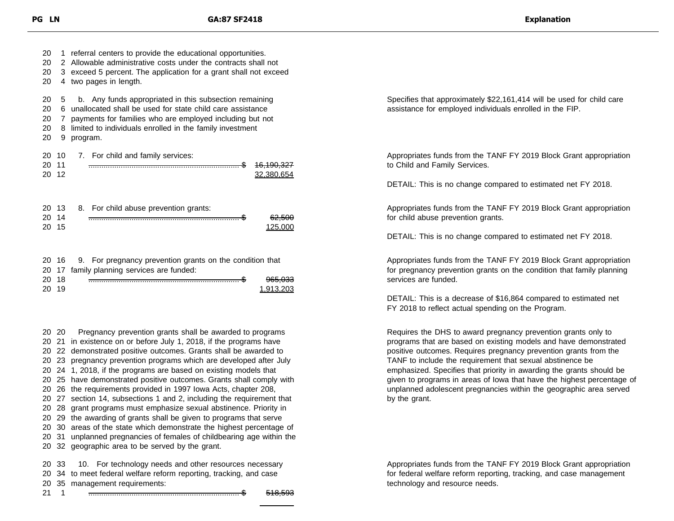20 1 referral centers to provide the educational opportunities. 2 Allowable administrative costs under the contracts shall not 3 exceed 5 percent. The application for a grant shall not exceed 4 two pages in length. 5 b. Any funds appropriated in this subsection remaining 6 unallocated shall be used for state child care assistance 7 payments for families who are employed including but not 8 limited to individuals enrolled in the family investment 9 program. 10 7. For child and family services: 11 ...................................................................... \$ 16,190,327 12 32,380,654 13 8. For child abuse prevention grants: 14 ...................................................................... \$ 62,500 20 15 20 15 16 9. For pregnancy prevention grants on the condition that 17 family planning services are funded: 18 ...................................................................... \$ 965,033 19 1,913,203

 20 Pregnancy prevention grants shall be awarded to programs 21 in existence on or before July 1, 2018, if the programs have 22 demonstrated positive outcomes. Grants shall be awarded to 23 pregnancy prevention programs which are developed after July 24 1, 2018, if the programs are based on existing models that 25 have demonstrated positive outcomes. Grants shall comply with 26 the requirements provided in 1997 Iowa Acts, chapter 208, 27 section 14, subsections 1 and 2, including the requirement that 28 grant programs must emphasize sexual abstinence. Priority in 29 the awarding of grants shall be given to programs that serve 30 areas of the state which demonstrate the highest percentage of 31 unplanned pregnancies of females of childbearing age within the 32 geographic area to be served by the grant. 33 10. For technology needs and other resources necessary 34 to meet federal welfare reform reporting, tracking, and case

20 35 management requirements:

21 1 ...................................................................... \$ 518,593

Specifies that approximately \$22,161,414 will be used for child care assistance for employed individuals enrolled in the FIP.

Appropriates funds from the TANF FY 2019 Block Grant appropriation to Child and Family Services.

DETAIL: This is no change compared to estimated net FY 2018.

Appropriates funds from the TANF FY 2019 Block Grant appropriation for child abuse prevention grants.

DETAIL: This is no change compared to estimated net FY 2018.

Appropriates funds from the TANF FY 2019 Block Grant appropriation for pregnancy prevention grants on the condition that family planning services are funded.

DETAIL: This is a decrease of \$16,864 compared to estimated net FY 2018 to reflect actual spending on the Program.

Requires the DHS to award pregnancy prevention grants only to programs that are based on existing models and have demonstrated positive outcomes. Requires pregnancy prevention grants from the TANF to include the requirement that sexual abstinence be emphasized. Specifies that priority in awarding the grants should be given to programs in areas of Iowa that have the highest percentage of unplanned adolescent pregnancies within the geographic area served by the grant.

Appropriates funds from the TANF FY 2019 Block Grant appropriation for federal welfare reform reporting, tracking, and case management technology and resource needs.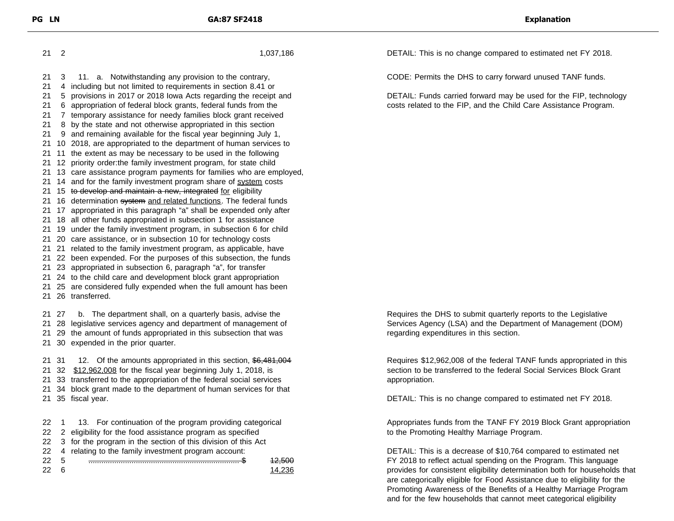2 1,037,186 3 11. a. Notwithstanding any provision to the contrary, 4 including but not limited to requirements in section 8.41 or 5 provisions in 2017 or 2018 Iowa Acts regarding the receipt and 6 appropriation of federal block grants, federal funds from the 7 temporary assistance for needy families block grant received 8 by the state and not otherwise appropriated in this section 9 and remaining available for the fiscal year beginning July 1, 10 2018, are appropriated to the department of human services to 11 the extent as may be necessary to be used in the following 12 priority order:the family investment program, for state child 13 care assistance program payments for families who are employed, 21 14 and for the family investment program share of system costs 21 15 to develop and maintain a new, integrated for eligibility 21 16 determination system and related functions. The federal funds 17 appropriated in this paragraph "a" shall be expended only after 18 all other funds appropriated in subsection 1 for assistance 19 under the family investment program, in subsection 6 for child 20 care assistance, or in subsection 10 for technology costs 21 related to the family investment program, as applicable, have 22 been expended. For the purposes of this subsection, the funds 23 appropriated in subsection 6, paragraph "a", for transfer 24 to the child care and development block grant appropriation 25 are considered fully expended when the full amount has been 26 transferred. 27 b. The department shall, on a quarterly basis, advise the 28 legislative services agency and department of management of 29 the amount of funds appropriated in this subsection that was 30 expended in the prior quarter. 21 31 12. Of the amounts appropriated in this section, \$6,481,004 32 \$12,962,008 for the fiscal year beginning July 1, 2018, is 33 transferred to the appropriation of the federal social services 34 block grant made to the department of human services for that 35 fiscal year. 22 1 13. For continuation of the program providing categorical 22 2 eligibility for the food assistance program as specified 3 for the program in the section of this division of this Act 4 relating to the family investment program account: 5 ...................................................................... \$ 12,500 22 6 14,236

DETAIL: This is no change compared to estimated net FY 2018.

CODE: Permits the DHS to carry forward unused TANF funds.

DETAIL: Funds carried forward may be used for the FIP, technology costs related to the FIP, and the Child Care Assistance Program.

Requires the DHS to submit quarterly reports to the Legislative Services Agency (LSA) and the Department of Management (DOM) regarding expenditures in this section.

Requires \$12,962,008 of the federal TANF funds appropriated in this section to be transferred to the federal Social Services Block Grant appropriation.

DETAIL: This is no change compared to estimated net FY 2018.

Appropriates funds from the TANF FY 2019 Block Grant appropriation to the Promoting Healthy Marriage Program.

DETAIL: This is a decrease of \$10,764 compared to estimated net FY 2018 to reflect actual spending on the Program. This language provides for consistent eligibility determination both for households that are categorically eligible for Food Assistance due to eligibility for the Promoting Awareness of the Benefits of a Healthy Marriage Program and for the few households that cannot meet categorical eligibility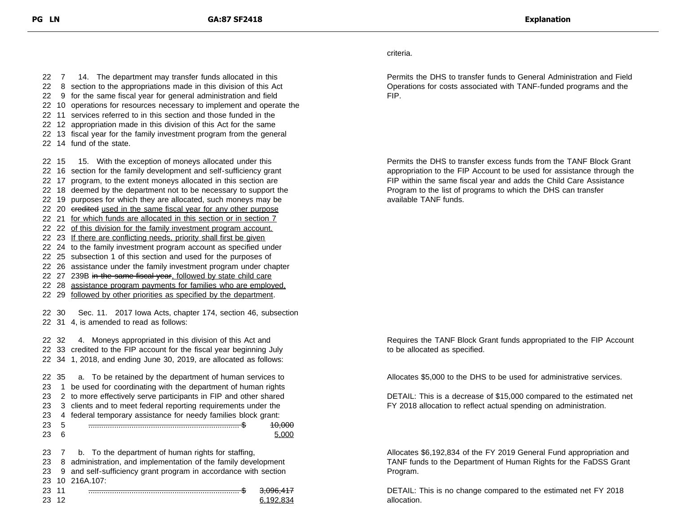22 14 fund of the state.

criteria.

Permits the DHS to transfer funds to General Administration and Field Operations for costs associated with TANF-funded programs and the FIP.

Permits the DHS to transfer excess funds from the TANF Block Grant appropriation to the FIP Account to be used for assistance through the FIP within the same fiscal year and adds the Child Care Assistance Program to the list of programs to which the DHS can transfer available TANF funds.

22 30 Sec. 11. 2017 Iowa Acts, chapter 174, section 46, subsection

22 32 4. Moneys appropriated in this division of this Act and 22 33 credited to the FIP account for the fiscal year beginning July 22 34 1, 2018, and ending June 30, 2019, are allocated as follows:

22 31 4, is amended to read as follows:

22 7 14. The department may transfer funds allocated in this 8 section to the appropriations made in this division of this Act 9 for the same fiscal year for general administration and field 10 operations for resources necessary to implement and operate the 11 services referred to in this section and those funded in the 12 appropriation made in this division of this Act for the same 13 fiscal year for the family investment program from the general

22 15 15. With the exception of moneys allocated under this 22 16 section for the family development and self-sufficiency grant 22 17 program, to the extent moneys allocated in this section are 22 18 deemed by the department not to be necessary to support the 22 19 purposes for which they are allocated, such moneys may be 22 20 eredited used in the same fiscal year for any other purpose 22 21 for which funds are allocated in this section or in section 7 22 22 of this division for the family investment program account. 22 23 If there are conflicting needs, priority shall first be given 22 24 to the family investment program account as specified under 22 25 subsection 1 of this section and used for the purposes of 22 26 assistance under the family investment program under chapter 22 27 239B in the same fiscal year, followed by state child care 22 28 assistance program payments for families who are employed, 22 29 followed by other priorities as specified by the department.

 35 a. To be retained by the department of human services to 1 be used for coordinating with the department of human rights 23 2 to more effectively serve participants in FIP and other shared 3 clients and to meet federal reporting requirements under the 4 federal temporary assistance for needy families block grant: 5 ...................................................................... \$ 10,000 23 6 5,000 7 b. To the department of human rights for staffing, 8 administration, and implementation of the family development

23 9 and self-sufficiency grant program in accordance with section 23 10 216A.107:

23 11 ...................................................................... \$ 3,096,417 23 12 6,192,834

Requires the TANF Block Grant funds appropriated to the FIP Account to be allocated as specified.

Allocates \$5,000 to the DHS to be used for administrative services.

DETAIL: This is a decrease of \$15,000 compared to the estimated net FY 2018 allocation to reflect actual spending on administration.

Allocates \$6,192,834 of the FY 2019 General Fund appropriation and TANF funds to the Department of Human Rights for the FaDSS Grant Program.

DETAIL: This is no change compared to the estimated net FY 2018 allocation.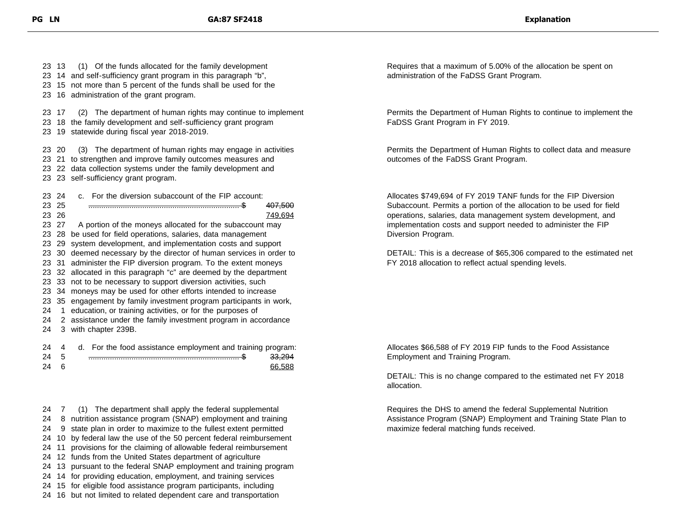13 (1) Of the funds allocated for the family development 14 and self-sufficiency grant program in this paragraph "b", 15 not more than 5 percent of the funds shall be used for the 16 administration of the grant program. 17 (2) The department of human rights may continue to implement 18 the family development and self-sufficiency grant program 19 statewide during fiscal year 2018-2019. 20 (3) The department of human rights may engage in activities 21 to strengthen and improve family outcomes measures and 22 data collection systems under the family development and 23 self-sufficiency grant program. 24 c. For the diversion subaccount of the FIP account: 25 ...................................................................... \$ 407,500 23 26 749,694 23 27 A portion of the moneys allocated for the subaccount may 28 be used for field operations, salaries, data management 29 system development, and implementation costs and support 30 deemed necessary by the director of human services in order to 31 administer the FIP diversion program. To the extent moneys 32 allocated in this paragraph "c" are deemed by the department 33 not to be necessary to support diversion activities, such 34 moneys may be used for other efforts intended to increase 35 engagement by family investment program participants in work, 1 education, or training activities, or for the purposes of 2 assistance under the family investment program in accordance 3 with chapter 239B. 24 A For the food assistance employment and training program:

| $2+$ | . . | u. For the lood assistance employment and training program |        |
|------|-----|------------------------------------------------------------|--------|
| 24   |     |                                                            | 33,294 |
| 24   |     |                                                            | 66.588 |
|      |     |                                                            |        |

24 7 (1) The department shall apply the federal supplemental 24 8 nutrition assistance program (SNAP) employment and training

24 9 state plan in order to maximize to the fullest extent permitted

24 10 by federal law the use of the 50 percent federal reimbursement

24 11 provisions for the claiming of allowable federal reimbursement

24 12 funds from the United States department of agriculture

24 13 pursuant to the federal SNAP employment and training program

24 14 for providing education, employment, and training services

24 15 for eligible food assistance program participants, including

24 16 but not limited to related dependent care and transportation

Requires that a maximum of 5.00% of the allocation be spent on administration of the FaDSS Grant Program.

Permits the Department of Human Rights to continue to implement the FaDSS Grant Program in FY 2019.

Permits the Department of Human Rights to collect data and measure outcomes of the FaDSS Grant Program.

Allocates \$749,694 of FY 2019 TANF funds for the FIP Diversion Subaccount. Permits a portion of the allocation to be used for field operations, salaries, data management system development, and implementation costs and support needed to administer the FIP Diversion Program.

DETAIL: This is a decrease of \$65,306 compared to the estimated net FY 2018 allocation to reflect actual spending levels.

Allocates \$66,588 of FY 2019 FIP funds to the Food Assistance Employment and Training Program.

DETAIL: This is no change compared to the estimated net FY 2018 allocation.

Requires the DHS to amend the federal Supplemental Nutrition Assistance Program (SNAP) Employment and Training State Plan to maximize federal matching funds received.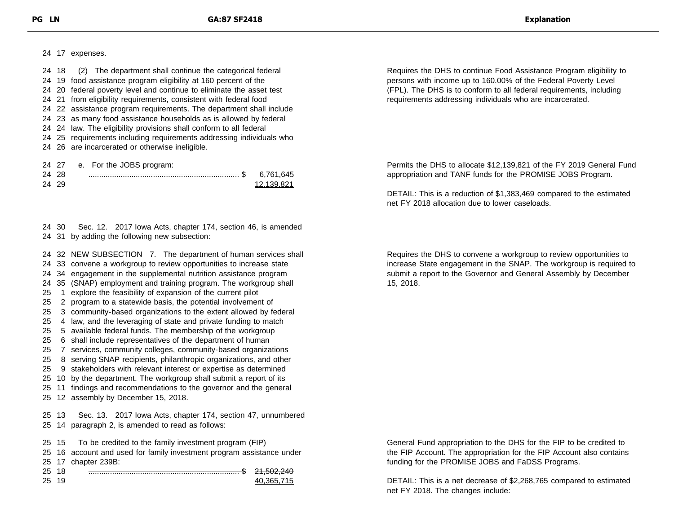17 expenses.

|  | 24 18 (2) The department shall continue the categorical federal      |
|--|----------------------------------------------------------------------|
|  | 24 19 food assistance program eligibility at 160 percent of the      |
|  | 24 20 federal poverty level and continue to eliminate the asset test |
|  | 24 21 from eligibility requirements, consistent with federal food    |
|  | 24 22 assistance program requirements. The department shall include  |
|  | 24 23 as many food assistance households as is allowed by federal    |
|  | 24 24 law. The eligibility provisions shall conform to all federal   |
|  | 24 25 requirements including requirements addressing individuals who |
|  | 24 26 are incarcerated or otherwise ineligible.                      |
|  |                                                                      |
|  | 24. 27 6 For the IODC program:                                       |

| $-1$  |                                    |
|-------|------------------------------------|
| 24 28 | 6.761.645                          |
| 24 29 | 12 139 821                         |
|       | $\sigma$ . To the sopport program. |

### 30 Sec. 12. 2017 Iowa Acts, chapter 174, section 46, is amended 31 by adding the following new subsection:

32 NEW SUBSECTION 7. The department of human services shall

- 33 convene a workgroup to review opportunities to increase state
- 34 engagement in the supplemental nutrition assistance program
- 35 (SNAP) employment and training program. The workgroup shall
- 1 explore the feasibility of expansion of the current pilot
- 2 program to a statewide basis, the potential involvement of
- 3 community-based organizations to the extent allowed by federal
- 4 law, and the leveraging of state and private funding to match
- 5 available federal funds. The membership of the workgroup
- 6 shall include representatives of the department of human
- 7 services, community colleges, community-based organizations
- 8 serving SNAP recipients, philanthropic organizations, and other
- 9 stakeholders with relevant interest or expertise as determined
- 10 by the department. The workgroup shall submit a report of its
- 11 findings and recommendations to the governor and the general
- 12 assembly by December 15, 2018.

 13 Sec. 13. 2017 Iowa Acts, chapter 174, section 47, unnumbered 14 paragraph 2, is amended to read as follows:

- 15 To be credited to the family investment program (FIP)
- 16 account and used for family investment program assistance under 17 chapter 239B:
- 18 ...................................................................... \$ 21,502,240 19 40,365,715

Requires the DHS to continue Food Assistance Program eligibility to persons with income up to 160.00% of the Federal Poverty Level (FPL). The DHS is to conform to all federal requirements, including requirements addressing individuals who are incarcerated.

Permits the DHS to allocate \$12,139,821 of the FY 2019 General Fund appropriation and TANF funds for the PROMISE JOBS Program.

DETAIL: This is a reduction of \$1,383,469 compared to the estimated net FY 2018 allocation due to lower caseloads.

Requires the DHS to convene a workgroup to review opportunities to increase State engagement in the SNAP. The workgroup is required to submit a report to the Governor and General Assembly by December 15, 2018.

General Fund appropriation to the DHS for the FIP to be credited to the FIP Account. The appropriation for the FIP Account also contains funding for the PROMISE JOBS and FaDSS Programs.

DETAIL: This is a net decrease of \$2,268,765 compared to estimated net FY 2018. The changes include: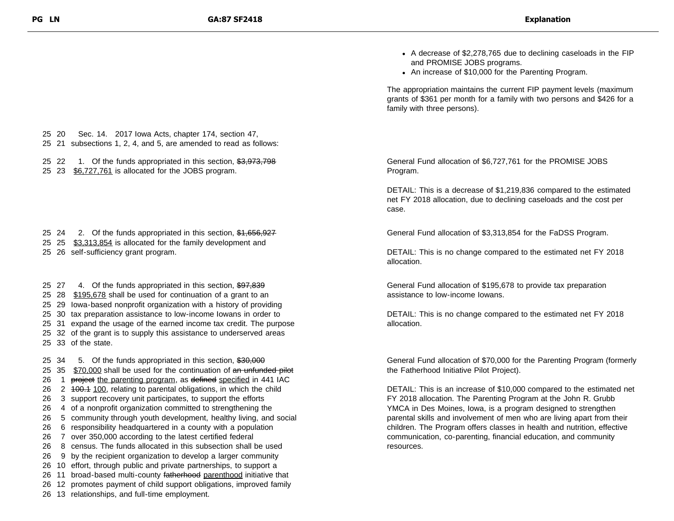- A decrease of \$2,278,765 due to declining caseloads in the FIP and PROMISE JOBS programs.
- An increase of \$10,000 for the Parenting Program.

The appropriation maintains the current FIP payment levels (maximum grants of \$361 per month for a family with two persons and \$426 for a family with three persons).

General Fund allocation of \$6,727,761 for the PROMISE JOBS Program.

DETAIL: This is a decrease of \$1,219,836 compared to the estimated net FY 2018 allocation, due to declining caseloads and the cost per case.

General Fund allocation of \$3,313,854 for the FaDSS Program.

DETAIL: This is no change compared to the estimated net FY 2018 allocation.

General Fund allocation of \$195,678 to provide tax preparation assistance to low-income Iowans.

DETAIL: This is no change compared to the estimated net FY 2018 allocation.

General Fund allocation of \$70,000 for the Parenting Program (formerly the Fatherhood Initiative Pilot Project).

DETAIL: This is an increase of \$10,000 compared to the estimated net FY 2018 allocation. The Parenting Program at the John R. Grubb YMCA in Des Moines, Iowa, is a program designed to strengthen parental skills and involvement of men who are living apart from their children. The Program offers classes in health and nutrition, effective communication, co-parenting, financial education, and community resources.

- 25 20 Sec. 14. 2017 Iowa Acts, chapter 174, section 47,
- 25 21 subsections 1, 2, 4, and 5, are amended to read as follows:

25 22 1. Of the funds appropriated in this section, \$3,973,798

25 23 \$6,727,761 is allocated for the JOBS program.

25 24 2. Of the funds appropriated in this section, \$1,656,927

- 25 25 \$3,313,854 is allocated for the family development and
- 25 26 self-sufficiency grant program.

25 27 4. Of the funds appropriated in this section,  $$97,839$ 25 28 \$195,678 shall be used for continuation of a grant to an 29 Iowa-based nonprofit organization with a history of providing 30 tax preparation assistance to low-income Iowans in order to 31 expand the usage of the earned income tax credit. The purpose 32 of the grant is to supply this assistance to underserved areas 33 of the state.

25 34 5. Of the funds appropriated in this section, \$30,000 25 35 \$70,000 shall be used for the continuation of an unfunded pilot 26 1 project the parenting program, as defined specified in 441 IAC 26 2 100.1 100, relating to parental obligations, in which the child 3 support recovery unit participates, to support the efforts 4 of a nonprofit organization committed to strengthening the 5 community through youth development, healthy living, and social 6 responsibility headquartered in a county with a population 7 over 350,000 according to the latest certified federal 8 census. The funds allocated in this subsection shall be used 9 by the recipient organization to develop a larger community 10 effort, through public and private partnerships, to support a 26 11 broad-based multi-county fatherhood parenthood initiative that 12 promotes payment of child support obligations, improved family 13 relationships, and full-time employment.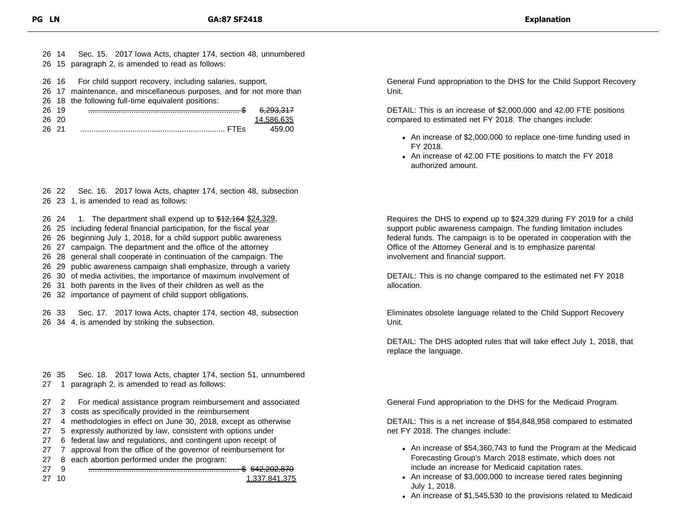|       |       | 26 14 Sec. 15. 2017 Iowa Acts, chapter 174, section 48, unnumbered   |                      |
|-------|-------|----------------------------------------------------------------------|----------------------|
|       |       | 26 15 paragraph 2, is amended to read as follows:                    |                      |
|       |       |                                                                      |                      |
|       |       | 26 16 For child support recovery, including salaries, support,       |                      |
|       |       | 26 17 maintenance, and miscellaneous purposes, and for not more than |                      |
|       |       | 26 18 the following full-time equivalent positions:                  |                      |
|       | 26 19 |                                                                      | <del>6.293.317</del> |
|       | 26 20 |                                                                      | 14.586.635           |
| 26 21 |       |                                                                      | 459.00               |

26 22 Sec. 16. 2017 Iowa Acts, chapter 174, section 48, subsection 26 23 1, is amended to read as follows:

26 24 1. The department shall expend up to \$12,164 \$24,329,

26 25 including federal financial participation, for the fiscal year

26 26 beginning July 1, 2018, for a child support public awareness

26 27 campaign. The department and the office of the attorney

26 28 general shall cooperate in continuation of the campaign. The

26 29 public awareness campaign shall emphasize, through a variety

26 30 of media activities, the importance of maximum involvement of

26 31 both parents in the lives of their children as well as the

26 32 importance of payment of child support obligations.

26 33 Sec. 17. 2017 Iowa Acts, chapter 174, section 48, subsection 26 34 4, is amended by striking the subsection.

26 35 Sec. 18. 2017 Iowa Acts, chapter 174, section 51, unnumbered 27 1 paragraph 2, is amended to read as follows:

- 27 2 For medical assistance program reimbursement and associated
- 27 3 costs as specifically provided in the reimbursement
- 27 4 methodologies in effect on June 30, 2018, except as otherwise
- 27 5 expressly authorized by law, consistent with options under
- 27 6 federal law and regulations, and contingent upon receipt of
- 27 7 approval from the office of the governor of reimbursement for

27 10 1,337,841,375

27 8 each abortion performed under the program:

27 9 ...................................................................... \$ 642,202,870

General Fund appropriation to the DHS for the Child Support Recovery Unit.

DETAIL: This is an increase of \$2,000,000 and 42.00 FTE positions compared to estimated net FY 2018. The changes include:

- An increase of \$2,000,000 to replace one-time funding used in FY 2018.
- An increase of 42.00 FTE positions to match the FY 2018 authorized amount.

Requires the DHS to expend up to \$24,329 during FY 2019 for a child support public awareness campaign. The funding limitation includes federal funds. The campaign is to be operated in cooperation with the Office of the Attorney General and is to emphasize parental involvement and financial support.

DETAIL: This is no change compared to the estimated net FY 2018 allocation.

Eliminates obsolete language related to the Child Support Recovery Unit.

DETAIL: The DHS adopted rules that will take effect July 1, 2018, that replace the language.

General Fund appropriation to the DHS for the Medicaid Program.

DETAIL: This is a net increase of \$54,848,958 compared to estimated net FY 2018. The changes include:

- An increase of \$54,360,743 to fund the Program at the Medicaid Forecasting Group's March 2018 estimate, which does not include an increase for Medicaid capitation rates.
- An increase of \$3,000,000 to increase tiered rates beginning July 1, 2018.
- An increase of \$1,545,530 to the provisions related to Medicaid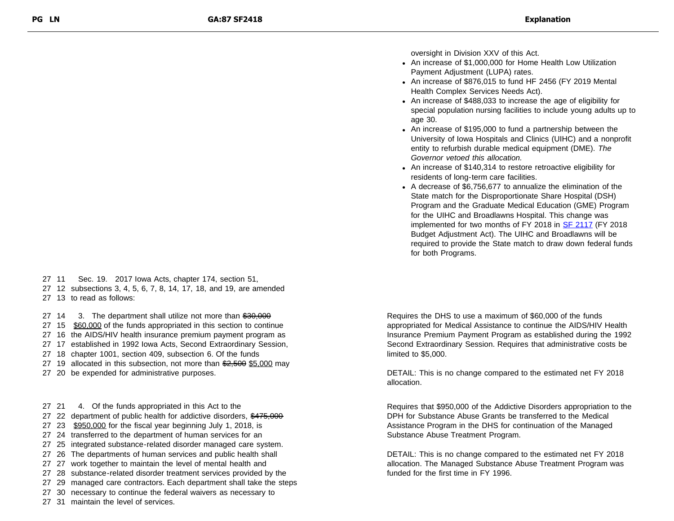oversight in Division XXV of this Act.

- An increase of \$1,000,000 for Home Health Low Utilization Payment Adjustment (LUPA) rates.
- An increase of \$876,015 to fund HF 2456 (FY 2019 Mental Health Complex Services Needs Act).
- An increase of \$488,033 to increase the age of eligibility for special population nursing facilities to include young adults up to age 30.
- An increase of \$195,000 to fund a partnership between the University of Iowa Hospitals and Clinics (UIHC) and a nonprofit entity to refurbish durable medical equipment (DME). *The Governor vetoed this allocation.*
- An increase of \$140,314 to restore retroactive eligibility for residents of long-term care facilities.
- A decrease of \$6,756,677 to annualize the elimination of the State match for the Disproportionate Share Hospital (DSH) Program and the Graduate Medical Education (GME) Program for the UIHC and Broadlawns Hospital. This change was implemented for two months of FY 2018 in [SF 2117](https://www.legis.iowa.gov/docs/publications/LGE/87/SF2117.pdf) (FY 2018 Budget Adjustment Act). The UIHC and Broadlawns will be required to provide the State match to draw down federal funds for both Programs.

- 27 11 Sec. 19. 2017 Iowa Acts, chapter 174, section 51,
- 27 12 subsections 3, 4, 5, 6, 7, 8, 14, 17, 18, and 19, are amended
- 27 13 to read as follows:

27 14 3. The department shall utilize not more than \$30,000

- 27 15 \$60,000 of the funds appropriated in this section to continue
- 27 16 the AIDS/HIV health insurance premium payment program as
- 27 17 established in 1992 Iowa Acts, Second Extraordinary Session,
- 27 18 chapter 1001, section 409, subsection 6. Of the funds
- 27 19 allocated in this subsection, not more than  $2,500$  \$5,000 may
- 27 20 be expended for administrative purposes.

27 31 maintain the level of services.

- 27 21 4. Of the funds appropriated in this Act to the
- 27 22 department of public health for addictive disorders, \$475,000
- 27 23 \$950,000 for the fiscal year beginning July 1, 2018, is
- 27 24 transferred to the department of human services for an
- 27 25 integrated substance-related disorder managed care system.
- 27 26 The departments of human services and public health shall
- 27 27 work together to maintain the level of mental health and
- 27 28 substance-related disorder treatment services provided by the
- 27 29 managed care contractors. Each department shall take the steps
- 27 30 necessary to continue the federal waivers as necessary to

Requires the DHS to use a maximum of \$60,000 of the funds appropriated for Medical Assistance to continue the AIDS/HIV Health Insurance Premium Payment Program as established during the 1992 Second Extraordinary Session. Requires that administrative costs be limited to \$5,000.

DETAIL: This is no change compared to the estimated net FY 2018 allocation.

Requires that \$950,000 of the Addictive Disorders appropriation to the DPH for Substance Abuse Grants be transferred to the Medical Assistance Program in the DHS for continuation of the Managed Substance Abuse Treatment Program.

DETAIL: This is no change compared to the estimated net FY 2018 allocation. The Managed Substance Abuse Treatment Program was funded for the first time in FY 1996.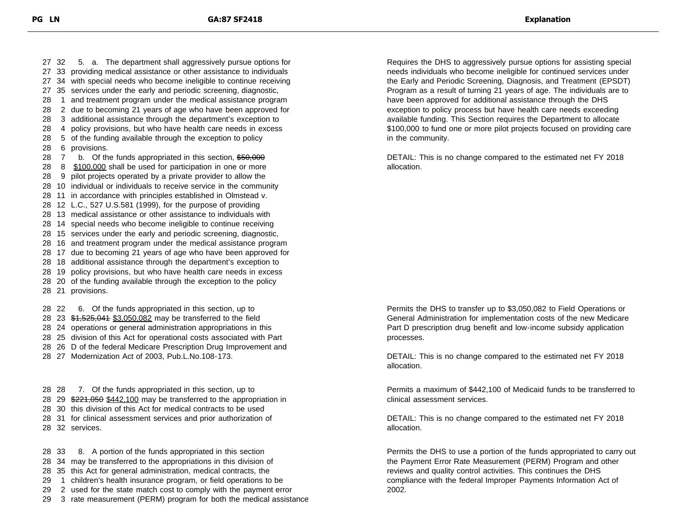32 5. a. The department shall aggressively pursue options for 33 providing medical assistance or other assistance to individuals 34 with special needs who become ineligible to continue receiving 35 services under the early and periodic screening, diagnostic, 1 and treatment program under the medical assistance program 2 due to becoming 21 years of age who have been approved for 3 additional assistance through the department's exception to 4 policy provisions, but who have health care needs in excess 5 of the funding available through the exception to policy 6 provisions. 28 7 b. Of the funds appropriated in this section, \$50,000 28 8 \$100,000 shall be used for participation in one or more 9 pilot projects operated by a private provider to allow the 10 individual or individuals to receive service in the community 11 in accordance with principles established in Olmstead v. 12 L.C., 527 U.S.581 (1999), for the purpose of providing 13 medical assistance or other assistance to individuals with 14 special needs who become ineligible to continue receiving 15 services under the early and periodic screening, diagnostic, 16 and treatment program under the medical assistance program 17 due to becoming 21 years of age who have been approved for 18 additional assistance through the department's exception to 19 policy provisions, but who have health care needs in excess 20 of the funding available through the exception to the policy 21 provisions. 22 6. Of the funds appropriated in this section, up to

28 23  $$1,525,041$  \$3,050,082 may be transferred to the field 24 operations or general administration appropriations in this 25 division of this Act for operational costs associated with Part 26 D of the federal Medicare Prescription Drug Improvement and 27 Modernization Act of 2003, Pub.L.No.108-173.

 28 7. Of the funds appropriated in this section, up to 28 29 \$221,050 \$442,100 may be transferred to the appropriation in 30 this division of this Act for medical contracts to be used 31 for clinical assessment services and prior authorization of 32 services.

 33 8. A portion of the funds appropriated in this section 34 may be transferred to the appropriations in this division of 35 this Act for general administration, medical contracts, the 1 children's health insurance program, or field operations to be 2 used for the state match cost to comply with the payment error 3 rate measurement (PERM) program for both the medical assistance Requires the DHS to aggressively pursue options for assisting special needs individuals who become ineligible for continued services under the Early and Periodic Screening, Diagnosis, and Treatment (EPSDT) Program as a result of turning 21 years of age. The individuals are to have been approved for additional assistance through the DHS exception to policy process but have health care needs exceeding available funding. This Section requires the Department to allocate \$100,000 to fund one or more pilot projects focused on providing care in the community.

DETAIL: This is no change compared to the estimated net FY 2018 allocation.

Permits the DHS to transfer up to \$3,050,082 to Field Operations or General Administration for implementation costs of the new Medicare Part D prescription drug benefit and low-income subsidy application processes.

DETAIL: This is no change compared to the estimated net FY 2018 allocation.

Permits a maximum of \$442,100 of Medicaid funds to be transferred to clinical assessment services.

DETAIL: This is no change compared to the estimated net FY 2018 allocation.

Permits the DHS to use a portion of the funds appropriated to carry out the Payment Error Rate Measurement (PERM) Program and other reviews and quality control activities. This continues the DHS compliance with the federal Improper Payments Information Act of 2002.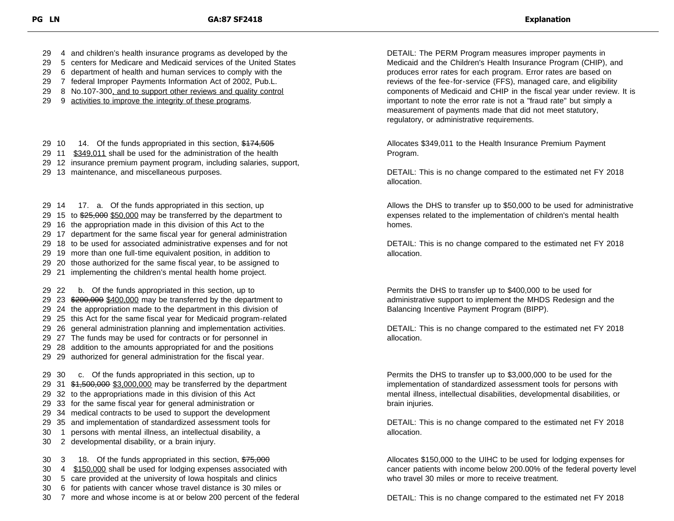29 4 and children's health insurance programs as developed by the

- 29 5 centers for Medicare and Medicaid services of the United States
- 29 6 department of health and human services to comply with the
- 29 7 federal Improper Payments Information Act of 2002, Pub.L.
- 29 8 No.107-300, and to support other reviews and quality control
- 29 9 activities to improve the integrity of these programs.

29 10 14. Of the funds appropriated in this section, \$174,505

- 29 11 \$349,011 shall be used for the administration of the health
- 29 12 insurance premium payment program, including salaries, support,
- 29 13 maintenance, and miscellaneous purposes.

 14 17. a. Of the funds appropriated in this section, up 29 15 to \$25,000 \$50,000 may be transferred by the department to 16 the appropriation made in this division of this Act to the 17 department for the same fiscal year for general administration 18 to be used for associated administrative expenses and for not 19 more than one full-time equivalent position, in addition to 20 those authorized for the same fiscal year, to be assigned to 21 implementing the children's mental health home project. 22 b. Of the funds appropriated in this section, up to 29 23 \$200,000 \$400,000 may be transferred by the department to

29 24 the appropriation made to the department in this division of

- 29 25 this Act for the same fiscal year for Medicaid program-related 29 26 general administration planning and implementation activities.
- 29 27 The funds may be used for contracts or for personnel in
- 29 28 addition to the amounts appropriated for and the positions
- 29 29 authorized for general administration for the fiscal year.

 30 c. Of the funds appropriated in this section, up to 29 31  $\frac{41,500,000}{2}$  \$3,000,000 may be transferred by the department 32 to the appropriations made in this division of this Act 33 for the same fiscal year for general administration or 34 medical contracts to be used to support the development 35 and implementation of standardized assessment tools for 1 persons with mental illness, an intellectual disability, a 2 developmental disability, or a brain injury. 30 3 18. Of the funds appropriated in this section, \$75,000

- 30 4 \$150,000 shall be used for lodging expenses associated with
- 30 5 care provided at the university of Iowa hospitals and clinics
- 30 6 for patients with cancer whose travel distance is 30 miles or
- 30 7 more and whose income is at or below 200 percent of the federal

DETAIL: The PERM Program measures improper payments in Medicaid and the Children's Health Insurance Program (CHIP), and produces error rates for each program. Error rates are based on reviews of the fee-for-service (FFS), managed care, and eligibility components of Medicaid and CHIP in the fiscal year under review. It is important to note the error rate is not a "fraud rate" but simply a measurement of payments made that did not meet statutory, regulatory, or administrative requirements.

Allocates \$349,011 to the Health Insurance Premium Payment Program.

DETAIL: This is no change compared to the estimated net FY 2018 allocation.

Allows the DHS to transfer up to \$50,000 to be used for administrative expenses related to the implementation of children's mental health homes.

DETAIL: This is no change compared to the estimated net FY 2018 allocation.

Permits the DHS to transfer up to \$400,000 to be used for administrative support to implement the MHDS Redesign and the Balancing Incentive Payment Program (BIPP).

DETAIL: This is no change compared to the estimated net FY 2018 allocation.

Permits the DHS to transfer up to \$3,000,000 to be used for the implementation of standardized assessment tools for persons with mental illness, intellectual disabilities, developmental disabilities, or brain injuries.

DETAIL: This is no change compared to the estimated net FY 2018 allocation.

Allocates \$150,000 to the UIHC to be used for lodging expenses for cancer patients with income below 200.00% of the federal poverty level who travel 30 miles or more to receive treatment.

DETAIL: This is no change compared to the estimated net FY 2018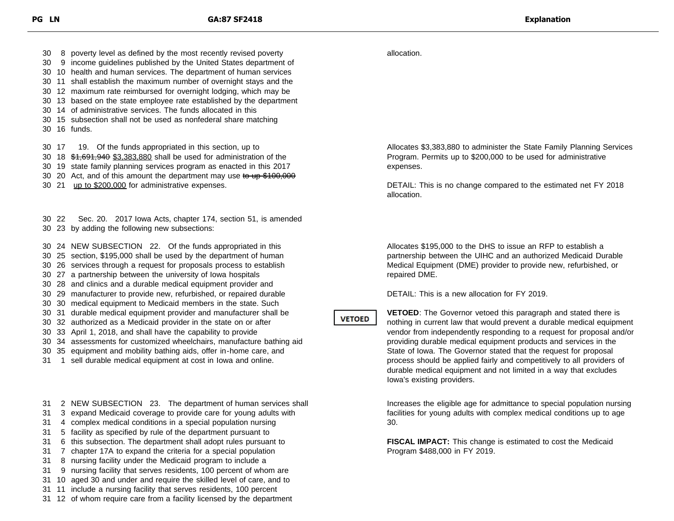30 8 poverty level as defined by the most recently revised poverty

30 9 income guidelines published by the United States department of

30 10 health and human services. The department of human services 30 11 shall establish the maximum number of overnight stays and the

30 12 maximum rate reimbursed for overnight lodging, which may be

- 30 13 based on the state employee rate established by the department
- 30 14 of administrative services. The funds allocated in this
- 30 15 subsection shall not be used as nonfederal share matching 30 16 funds.

30 17 19. Of the funds appropriated in this section, up to

30 18 \$1,691,940 \$3,383,880 shall be used for administration of the

30 19 state family planning services program as enacted in this 2017

- 30 20 Act, and of this amount the department may use to up \$100,000
- 30 21 up to \$200,000 for administrative expenses.

30 22 Sec. 20. 2017 Iowa Acts, chapter 174, section 51, is amended 30 23 by adding the following new subsections:

30 24 NEW SUBSECTION 22. Of the funds appropriated in this

30 25 section, \$195,000 shall be used by the department of human

30 26 services through a request for proposals process to establish

- 30 27 a partnership between the university of Iowa hospitals
- 30 28 and clinics and a durable medical equipment provider and
- 30 29 manufacturer to provide new, refurbished, or repaired durable
- 30 30 medical equipment to Medicaid members in the state. Such
- 30 31 durable medical equipment provider and manufacturer shall be
- 30 32 authorized as a Medicaid provider in the state on or after
- 30 33 April 1, 2018, and shall have the capability to provide
- 30 34 assessments for customized wheelchairs, manufacture bathing aid
- 30 35 equipment and mobility bathing aids, offer in-home care, and
- 31 1 sell durable medical equipment at cost in Iowa and online.

31 2 NEW SUBSECTION 23. The department of human services shall

- 31 3 expand Medicaid coverage to provide care for young adults with
- 31 4 complex medical conditions in a special population nursing
- 31 5 facility as specified by rule of the department pursuant to
- 31 6 this subsection. The department shall adopt rules pursuant to
- 31 7 chapter 17A to expand the criteria for a special population
- 31 8 nursing facility under the Medicaid program to include a
- 31 9 nursing facility that serves residents, 100 percent of whom are
- 31 10 aged 30 and under and require the skilled level of care, and to
- 31 11 include a nursing facility that serves residents, 100 percent
- 31 12 of whom require care from a facility licensed by the department

allocation.

**VETOED** 

Allocates \$3,383,880 to administer the State Family Planning Services Program. Permits up to \$200,000 to be used for administrative expenses.

DETAIL: This is no change compared to the estimated net FY 2018 allocation.

Allocates \$195,000 to the DHS to issue an RFP to establish a partnership between the UIHC and an authorized Medicaid Durable Medical Equipment (DME) provider to provide new, refurbished, or repaired DME.

DETAIL: This is a new allocation for FY 2019.

**VETOED**: The Governor vetoed this paragraph and stated there is nothing in current law that would prevent a durable medical equipment vendor from independently responding to a request for proposal and/or providing durable medical equipment products and services in the State of Iowa. The Governor stated that the request for proposal process should be applied fairly and competitively to all providers of durable medical equipment and not limited in a way that excludes Iowa's existing providers.

Increases the eligible age for admittance to special population nursing facilities for young adults with complex medical conditions up to age 30.

**FISCAL IMPACT:** This change is estimated to cost the Medicaid Program \$488,000 in FY 2019.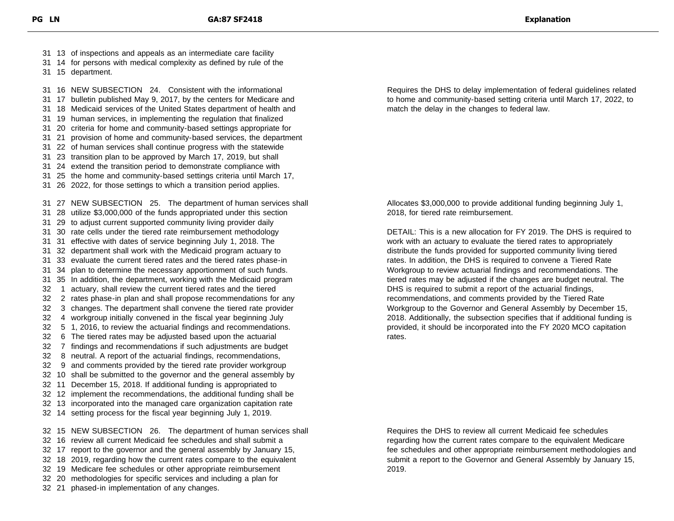13 of inspections and appeals as an intermediate care facility

14 for persons with medical complexity as defined by rule of the

15 department.

 16 NEW SUBSECTION 24. Consistent with the informational 17 bulletin published May 9, 2017, by the centers for Medicare and 18 Medicaid services of the United States department of health and 19 human services, in implementing the regulation that finalized 20 criteria for home and community-based settings appropriate for 21 provision of home and community-based services, the department 22 of human services shall continue progress with the statewide 23 transition plan to be approved by March 17, 2019, but shall 24 extend the transition period to demonstrate compliance with 25 the home and community-based settings criteria until March 17, 26 2022, for those settings to which a transition period applies. 27 NEW SUBSECTION 25. The department of human services shall 28 utilize \$3,000,000 of the funds appropriated under this section 29 to adjust current supported community living provider daily 30 rate cells under the tiered rate reimbursement methodology 31 effective with dates of service beginning July 1, 2018. The 32 department shall work with the Medicaid program actuary to 33 evaluate the current tiered rates and the tiered rates phase-in 34 plan to determine the necessary apportionment of such funds. 35 In addition, the department, working with the Medicaid program 1 actuary, shall review the current tiered rates and the tiered 2 rates phase-in plan and shall propose recommendations for any 3 changes. The department shall convene the tiered rate provider 4 workgroup initially convened in the fiscal year beginning July 5 1, 2016, to review the actuarial findings and recommendations. 6 The tiered rates may be adjusted based upon the actuarial 7 findings and recommendations if such adjustments are budget 8 neutral. A report of the actuarial findings, recommendations, 9 and comments provided by the tiered rate provider workgroup 10 shall be submitted to the governor and the general assembly by 11 December 15, 2018. If additional funding is appropriated to 12 implement the recommendations, the additional funding shall be 13 incorporated into the managed care organization capitation rate 14 setting process for the fiscal year beginning July 1, 2019. 15 NEW SUBSECTION 26. The department of human services shall 16 review all current Medicaid fee schedules and shall submit a 17 report to the governor and the general assembly by January 15, 18 2019, regarding how the current rates compare to the equivalent

19 Medicare fee schedules or other appropriate reimbursement

20 methodologies for specific services and including a plan for

21 phased-in implementation of any changes.

Requires the DHS to delay implementation of federal guidelines related to home and community-based setting criteria until March 17, 2022, to match the delay in the changes to federal law.

Allocates \$3,000,000 to provide additional funding beginning July 1, 2018, for tiered rate reimbursement.

DETAIL: This is a new allocation for FY 2019. The DHS is required to work with an actuary to evaluate the tiered rates to appropriately distribute the funds provided for supported community living tiered rates. In addition, the DHS is required to convene a Tiered Rate Workgroup to review actuarial findings and recommendations. The tiered rates may be adjusted if the changes are budget neutral. The DHS is required to submit a report of the actuarial findings, recommendations, and comments provided by the Tiered Rate Workgroup to the Governor and General Assembly by December 15, 2018. Additionally, the subsection specifies that if additional funding is provided, it should be incorporated into the FY 2020 MCO capitation rates.

Requires the DHS to review all current Medicaid fee schedules regarding how the current rates compare to the equivalent Medicare fee schedules and other appropriate reimbursement methodologies and submit a report to the Governor and General Assembly by January 15, 2019.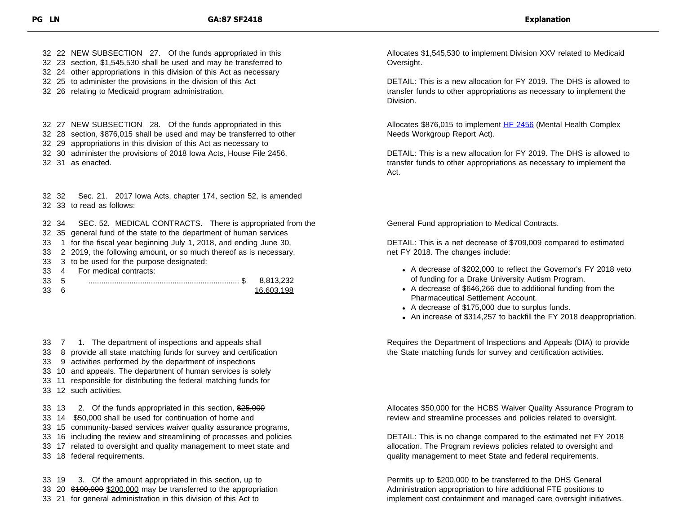32 22 NEW SUBSECTION 27. Of the funds appropriated in this 32 23 section, \$1,545,530 shall be used and may be transferred to

- 32 24 other appropriations in this division of this Act as necessary
- 32 25 to administer the provisions in the division of this Act
- 32 26 relating to Medicaid program administration.

32 27 NEW SUBSECTION 28. Of the funds appropriated in this

32 28 section, \$876,015 shall be used and may be transferred to other

32 29 appropriations in this division of this Act as necessary to

32 30 administer the provisions of 2018 Iowa Acts, House File 2456,

32 31 as enacted.

32 32 Sec. 21. 2017 Iowa Acts, chapter 174, section 52, is amended 32 33 to read as follows:

32 34 SEC. 52. MEDICAL CONTRACTS. There is appropriated from the

32 35 general fund of the state to the department of human services

- 33 1 for the fiscal year beginning July 1, 2018, and ending June 30,
- 33 2 2019, the following amount, or so much thereof as is necessary,
- 33 3 to be used for the purpose designated:
- 33 4 For medical contracts:

| $\sim$<br>ندې |  | $\overline{1}$ $\overline{2}$ |
|---------------|--|-------------------------------|
| $\sim$<br>ა.  |  |                               |

- 33 7 1. The department of inspections and appeals shall
- 33 8 provide all state matching funds for survey and certification
- 33 9 activities performed by the department of inspections
- 33 10 and appeals. The department of human services is solely
- 33 11 responsible for distributing the federal matching funds for
- 33 12 such activities.
- 33 13 2. Of the funds appropriated in this section, \$25,000
- 33 14 \$50,000 shall be used for continuation of home and
- 33 15 community-based services waiver quality assurance programs,
- 33 16 including the review and streamlining of processes and policies
- 33 17 related to oversight and quality management to meet state and
- 33 18 federal requirements.
- 33 19 3. Of the amount appropriated in this section, up to 33 20 \$100,000 \$200,000 may be transferred to the appropriation 33 21 for general administration in this division of this Act to

Allocates \$1,545,530 to implement Division XXV related to Medicaid Oversight.

DETAIL: This is a new allocation for FY 2019. The DHS is allowed to transfer funds to other appropriations as necessary to implement the Division.

Allocates \$876,015 to implement [HF 2456](https://www.legis.iowa.gov/docs/publications/LGE/87/HF2456.pdf) (Mental Health Complex Needs Workgroup Report Act).

DETAIL: This is a new allocation for FY 2019. The DHS is allowed to transfer funds to other appropriations as necessary to implement the Act.

General Fund appropriation to Medical Contracts.

DETAIL: This is a net decrease of \$709,009 compared to estimated net FY 2018. The changes include:

- A decrease of \$202,000 to reflect the Governor's FY 2018 veto of funding for a Drake University Autism Program.
- A decrease of \$646,266 due to additional funding from the Pharmaceutical Settlement Account.
- A decrease of \$175,000 due to surplus funds.
- An increase of \$314,257 to backfill the FY 2018 deappropriation.

Requires the Department of Inspections and Appeals (DIA) to provide the State matching funds for survey and certification activities.

Allocates \$50,000 for the HCBS Waiver Quality Assurance Program to review and streamline processes and policies related to oversight.

DETAIL: This is no change compared to the estimated net FY 2018 allocation. The Program reviews policies related to oversight and quality management to meet State and federal requirements.

Permits up to \$200,000 to be transferred to the DHS General Administration appropriation to hire additional FTE positions to implement cost containment and managed care oversight initiatives.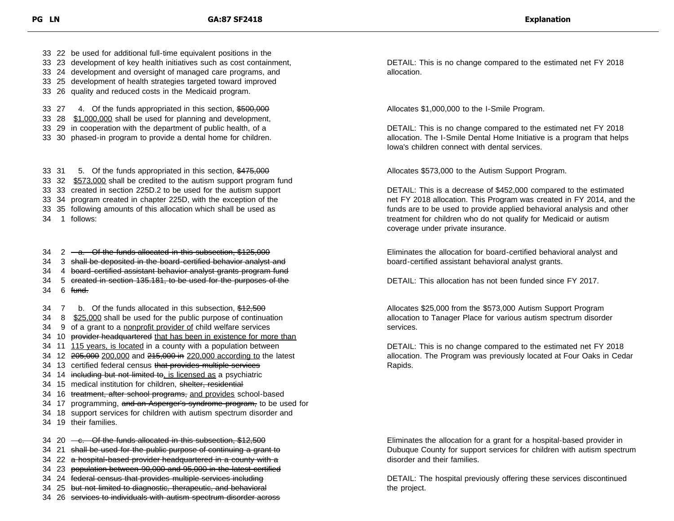33 22 be used for additional full-time equivalent positions in the

- 33 23 development of key health initiatives such as cost containment,
- 33 24 development and oversight of managed care programs, and
- 33 25 development of health strategies targeted toward improved
- 33 26 quality and reduced costs in the Medicaid program.

33 27 4. Of the funds appropriated in this section, \$500,000

33 28 \$1,000,000 shall be used for planning and development,

- 33 29 in cooperation with the department of public health, of a
- 33 30 phased-in program to provide a dental home for children.

33 31 5. Of the funds appropriated in this section, \$475,000 32 \$573,000 shall be credited to the autism support program fund 33 created in section 225D.2 to be used for the autism support 34 program created in chapter 225D, with the exception of the 35 following amounts of this allocation which shall be used as 1 follows:

 $34 \quad 2 \quad -a$ . Of the funds allocated in this subsection, \$125,000

- 34 3 shall be deposited in the board-certified behavior analyst and
- 34 4 board-certified assistant behavior analyst grants program fund
- 34 5 created in section 135.181, to be used for the purposes of the  $34 \quad 6 \quad \text{fund.}$
- 34 7 b. Of the funds allocated in this subsection, \$12,500
- 34 8 \$25,000 shall be used for the public purpose of continuation
- 34 9 of a grant to a nonprofit provider of child welfare services

34 10 provider headquartered that has been in existence for more than

- 34 11 115 years, is located in a county with a population between
- 34 12 205,000 200,000 and 215,000 in 220,000 according to the latest
- 34 13 certified federal census that provides multiple services
- 34 14 including but not limited to, is licensed as a psychiatric
- 34 15 medical institution for children, shelter, residential
- 34 16 treatment, after school programs, and provides school-based
- 34 17 programming, and an Asperger's syndrome program, to be used for
- 34 18 support services for children with autism spectrum disorder and
- 34 19 their families.
- $34$  20  $-e$ . Of the funds allocated in this subsection, \$12,500
- 34 21 shall be used for the public purpose of continuing a grant to
- 34 22 a hospital-based provider headquartered in a county with a
- 34 23 population between 90,000 and 95,000 in the latest certified
- 34 24 federal census that provides multiple services including
- 34 25 but not limited to diagnostic, therapeutic, and behavioral
- 34 26 services to individuals with autism spectrum disorder across

DETAIL: This is no change compared to the estimated net FY 2018 allocation.

Allocates \$1,000,000 to the I-Smile Program.

DETAIL: This is no change compared to the estimated net FY 2018 allocation. The I-Smile Dental Home Initiative is a program that helps Iowa's children connect with dental services.

Allocates \$573,000 to the Autism Support Program.

DETAIL: This is a decrease of \$452,000 compared to the estimated net FY 2018 allocation. This Program was created in FY 2014, and the funds are to be used to provide applied behavioral analysis and other treatment for children who do not qualify for Medicaid or autism coverage under private insurance.

Eliminates the allocation for board-certified behavioral analyst and board-certified assistant behavioral analyst grants.

DETAIL: This allocation has not been funded since FY 2017.

Allocates \$25,000 from the \$573,000 Autism Support Program allocation to Tanager Place for various autism spectrum disorder services.

DETAIL: This is no change compared to the estimated net FY 2018 allocation. The Program was previously located at Four Oaks in Cedar Rapids.

Eliminates the allocation for a grant for a hospital-based provider in Dubuque County for support services for children with autism spectrum disorder and their families.

DETAIL: The hospital previously offering these services discontinued the project.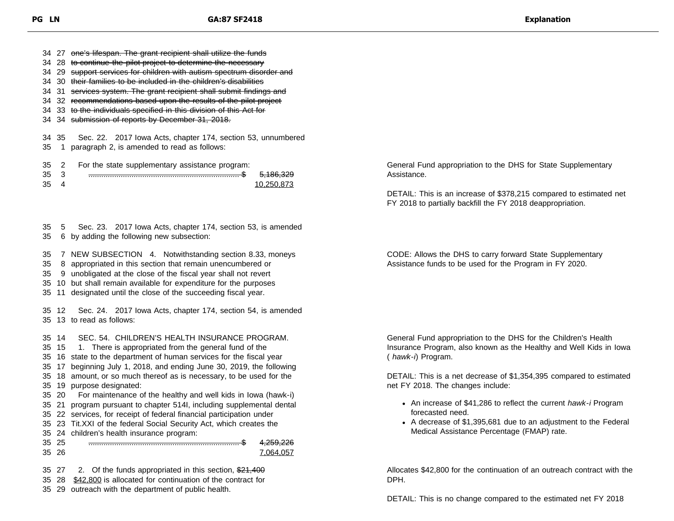34 27 one's lifespan. The grant recipient shall utilize the funds 34 28 to continue the pilot project to determine the necessary 34 29 support services for children with autism spectrum disorder and 34 30 their families to be included in the children's disabilities 34 31 services system. The grant recipient shall submit findings and 34 32 recommendations based upon the results of the pilot project 34 33 to the individuals specified in this division of this Act for

34 34 submission of reports by December 31, 2018.

34 35 Sec. 22. 2017 Iowa Acts, chapter 174, section 53, unnumbered 35 1 paragraph 2, is amended to read as follows:

35 2 For the state supplementary assistance program:

| $\sim$ |  |  |
|--------|--|--|
| $\sim$ |  |  |

35 5 Sec. 23. 2017 Iowa Acts, chapter 174, section 53, is amended

35 6 by adding the following new subsection:

35 7 NEW SUBSECTION 4. Notwithstanding section 8.33, moneys

- 35 8 appropriated in this section that remain unencumbered or
- 35 9 unobligated at the close of the fiscal year shall not revert
- 35 10 but shall remain available for expenditure for the purposes
- 35 11 designated until the close of the succeeding fiscal year.

35 12 Sec. 24. 2017 Iowa Acts, chapter 174, section 54, is amended 35 13 to read as follows:

35 14 SEC. 54. CHILDREN'S HEALTH INSURANCE PROGRAM.

35 15 1. There is appropriated from the general fund of the

- 35 16 state to the department of human services for the fiscal year
- 35 17 beginning July 1, 2018, and ending June 30, 2019, the following
- 35 18 amount, or so much thereof as is necessary, to be used for the 35 19 purpose designated:

35 20 For maintenance of the healthy and well kids in Iowa (hawk-i)

- 35 21 program pursuant to chapter 514I, including supplemental dental
- 35 22 services, for receipt of federal financial participation under
- 35 23 Tit.XXI of the federal Social Security Act, which creates the



35 27 2. Of the funds appropriated in this section, \$21,400

- 35 28 \$42,800 is allocated for continuation of the contract for
- 35 29 outreach with the department of public health.

General Fund appropriation to the DHS for State Supplementary Assistance.

DETAIL: This is an increase of \$378,215 compared to estimated net FY 2018 to partially backfill the FY 2018 deappropriation.

CODE: Allows the DHS to carry forward State Supplementary Assistance funds to be used for the Program in FY 2020.

General Fund appropriation to the DHS for the Children's Health Insurance Program, also known as the Healthy and Well Kids in Iowa ( *hawk-i*) Program.

DETAIL: This is a net decrease of \$1,354,395 compared to estimated net FY 2018. The changes include:

- An increase of \$41,286 to reflect the current *hawk-i* Program forecasted need.
- A decrease of \$1,395,681 due to an adjustment to the Federal Medical Assistance Percentage (FMAP) rate.

Allocates \$42,800 for the continuation of an outreach contract with the DPH.

DETAIL: This is no change compared to the estimated net FY 2018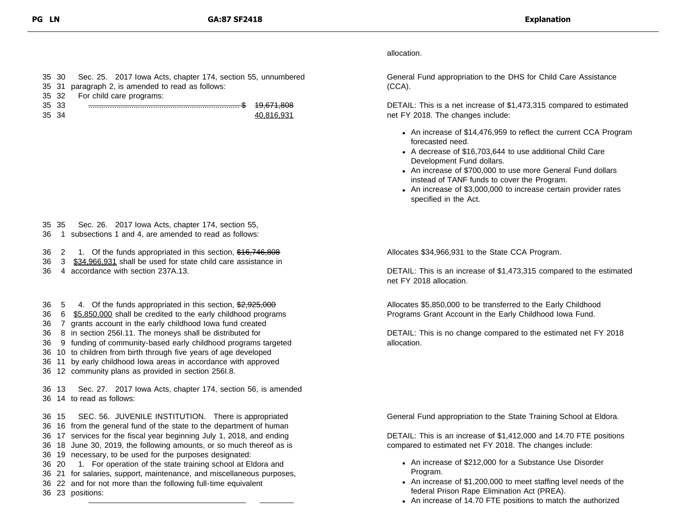## allocation.

General Fund appropriation to the DHS for Child Care Assistance (CCA).

DETAIL: This is a net increase of \$1,473,315 compared to estimated net FY 2018. The changes include:

- An increase of \$14,476,959 to reflect the current CCA Program forecasted need.
- A decrease of \$16,703,644 to use additional Child Care Development Fund dollars.
- An increase of \$700,000 to use more General Fund dollars instead of TANF funds to cover the Program.
- An increase of \$3,000,000 to increase certain provider rates specified in the Act.

Allocates \$34,966,931 to the State CCA Program.

DETAIL: This is an increase of \$1,473,315 compared to the estimated net FY 2018 allocation.

Allocates \$5,850,000 to be transferred to the Early Childhood Programs Grant Account in the Early Childhood Iowa Fund.

DETAIL: This is no change compared to the estimated net FY 2018 allocation.

General Fund appropriation to the State Training School at Eldora.

DETAIL: This is an increase of \$1,412,000 and 14.70 FTE positions compared to estimated net FY 2018. The changes include:

- An increase of \$212,000 for a Substance Use Disorder Program.
- An increase of \$1,200,000 to meet staffing level needs of the federal Prison Rape Elimination Act (PREA).
- An increase of 14.70 FTE positions to match the authorized

|  | 35 30 Sec. 25. 2017 Iowa Acts, chapter 174, section 55, unnumbered |
|--|--------------------------------------------------------------------|
|  | 35 31 paragraph 2, is amended to read as follows:                  |
|  | 35 32 For child care programs:                                     |

| 35 |  |  |
|----|--|--|
| 35 |  |  |

35 35 Sec. 26. 2017 Iowa Acts, chapter 174, section 55,

36 1 subsections 1 and 4, are amended to read as follows:

36 2 1. Of the funds appropriated in this section, \$16,746,808

- 36 3 \$34,966,931 shall be used for state child care assistance in
- 36 4 accordance with section 237A.13.

36 5 4. Of the funds appropriated in this section, \$2,925,000

- 36 6 \$5,850,000 shall be credited to the early childhood programs
- 36 7 grants account in the early childhood Iowa fund created
- 36 8 in section 256I.11. The moneys shall be distributed for

36 9 funding of community-based early childhood programs targeted

36 10 to children from birth through five years of age developed

- 36 11 by early childhood Iowa areas in accordance with approved
- 36 12 community plans as provided in section 256I.8.

36 13 Sec. 27. 2017 Iowa Acts, chapter 174, section 56, is amended 36 14 to read as follows:

 15 SEC. 56. JUVENILE INSTITUTION. There is appropriated 16 from the general fund of the state to the department of human 17 services for the fiscal year beginning July 1, 2018, and ending 18 June 30, 2019, the following amounts, or so much thereof as is 19 necessary, to be used for the purposes designated: 20 1. For operation of the state training school at Eldora and 21 for salaries, support, maintenance, and miscellaneous purposes, 22 and for not more than the following full-time equivalent

36 23 positions: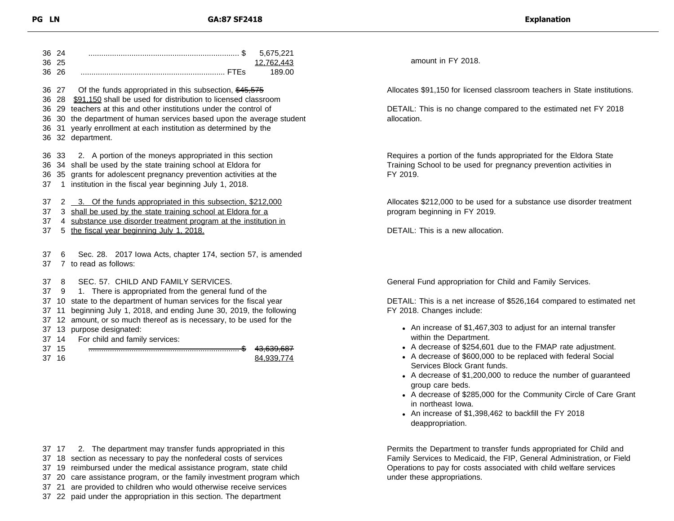| 36 24<br>36 25 |                 | 5,675,221<br>12.762.443                                                                                                 |
|----------------|-----------------|-------------------------------------------------------------------------------------------------------------------------|
|                | 36 26           | 189.00                                                                                                                  |
|                |                 |                                                                                                                         |
|                | 36 27<br>36 28  | Of the funds appropriated in this subsection, \$45,575<br>\$91,150 shall be used for distribution to licensed classroom |
|                | 36 29           | teachers at this and other institutions under the control of                                                            |
|                | 36 30           | the department of human services based upon the average student                                                         |
|                | 36 31           | yearly enrollment at each institution as determined by the                                                              |
|                |                 | 36 32 department.                                                                                                       |
|                |                 |                                                                                                                         |
|                | 36 33           | 2. A portion of the moneys appropriated in this section                                                                 |
|                | 36 34           | shall be used by the state training school at Eldora for                                                                |
| 36             | 35              | grants for adolescent pregnancy prevention activities at the                                                            |
| 37             | 1               | institution in the fiscal year beginning July 1, 2018.                                                                  |
| 37             |                 | 2 3. Of the funds appropriated in this subsection, \$212,000                                                            |
| 37             | 3               | shall be used by the state training school at Eldora for a                                                              |
| 37             |                 | 4 substance use disorder treatment program at the institution in                                                        |
| 37             |                 | 5 the fiscal year beginning July 1, 2018.                                                                               |
|                |                 |                                                                                                                         |
| 37             | 6               | Sec. 28. 2017 Iowa Acts, chapter 174, section 57, is amended                                                            |
| 37             |                 | 7 to read as follows:                                                                                                   |
|                |                 |                                                                                                                         |
| 37             | 8               | SEC. 57. CHILD AND FAMILY SERVICES.                                                                                     |
| 37             | 9               | 1. There is appropriated from the general fund of the                                                                   |
| 37             | 10              | state to the department of human services for the fiscal year                                                           |
| 37             | 11              | beginning July 1, 2018, and ending June 30, 2019, the following                                                         |
| 37             | 12 <sup>2</sup> | amount, or so much thereof as is necessary, to be used for the                                                          |
| 37             | 13              | purpose designated:                                                                                                     |
| 37             | 14              | For child and family services:                                                                                          |
| 37             | 15              | 43,639,687                                                                                                              |
| 37 16          |                 | 84,939,774                                                                                                              |
|                |                 |                                                                                                                         |

amount in FY 2018.

Allocates \$91,150 for licensed classroom teachers in State institutions.

DETAIL: This is no change compared to the estimated net FY 2018 allocation.

Requires a portion of the funds appropriated for the Eldora State Training School to be used for pregnancy prevention activities in FY 2019.

Allocates \$212,000 to be used for a substance use disorder treatment program beginning in FY 2019.

DETAIL: This is a new allocation.

General Fund appropriation for Child and Family Services.

DETAIL: This is a net increase of \$526,164 compared to estimated net FY 2018. Changes include:

- An increase of \$1,467,303 to adjust for an internal transfer within the Department.
- A decrease of \$254,601 due to the FMAP rate adjustment.
- A decrease of \$600,000 to be replaced with federal Social Services Block Grant funds.
- A decrease of \$1,200,000 to reduce the number of guaranteed group care beds.
- A decrease of \$285,000 for the Community Circle of Care Grant in northeast Iowa.
- An increase of \$1,398,462 to backfill the FY 2018 deappropriation.

Permits the Department to transfer funds appropriated for Child and Family Services to Medicaid, the FIP, General Administration, or Field Operations to pay for costs associated with child welfare services under these appropriations.

 17 2. The department may transfer funds appropriated in this 18 section as necessary to pay the nonfederal costs of services 19 reimbursed under the medical assistance program, state child 20 care assistance program, or the family investment program which 21 are provided to children who would otherwise receive services 22 paid under the appropriation in this section. The department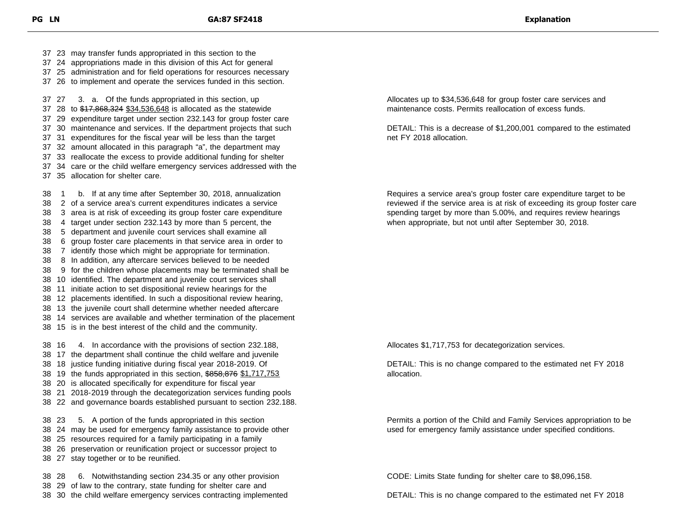23 may transfer funds appropriated in this section to the 24 appropriations made in this division of this Act for general 25 administration and for field operations for resources necessary 26 to implement and operate the services funded in this section. 27 3. a. Of the funds appropriated in this section, up 37 28 to \$17,868,324 \$34,536,648 is allocated as the statewide 29 expenditure target under section 232.143 for group foster care 30 maintenance and services. If the department projects that such 31 expenditures for the fiscal year will be less than the target 32 amount allocated in this paragraph "a", the department may 33 reallocate the excess to provide additional funding for shelter 34 care or the child welfare emergency services addressed with the 35 allocation for shelter care. 1 b. If at any time after September 30, 2018, annualization 2 of a service area's current expenditures indicates a service 3 area is at risk of exceeding its group foster care expenditure 4 target under section 232.143 by more than 5 percent, the 5 department and juvenile court services shall examine all 6 group foster care placements in that service area in order to 7 identify those which might be appropriate for termination. 8 In addition, any aftercare services believed to be needed 9 for the children whose placements may be terminated shall be 10 identified. The department and juvenile court services shall 11 initiate action to set dispositional review hearings for the 12 placements identified. In such a dispositional review hearing, 13 the juvenile court shall determine whether needed aftercare 14 services are available and whether termination of the placement 15 is in the best interest of the child and the community. 16 4. In accordance with the provisions of section 232.188, 17 the department shall continue the child welfare and juvenile 18 justice funding initiative during fiscal year 2018-2019. Of 19 the funds appropriated in this section, \$858,876 \$1,717,753 20 is allocated specifically for expenditure for fiscal year 21 2018-2019 through the decategorization services funding pools 22 and governance boards established pursuant to section 232.188. 23 5. A portion of the funds appropriated in this section 24 may be used for emergency family assistance to provide other

25 resources required for a family participating in a family

- 26 preservation or reunification project or successor project to
- 27 stay together or to be reunified.

 28 6. Notwithstanding section 234.35 or any other provision 29 of law to the contrary, state funding for shelter care and

30 the child welfare emergency services contracting implemented

Allocates up to \$34,536,648 for group foster care services and maintenance costs. Permits reallocation of excess funds.

DETAIL: This is a decrease of \$1,200,001 compared to the estimated net FY 2018 allocation.

Requires a service area's group foster care expenditure target to be reviewed if the service area is at risk of exceeding its group foster care spending target by more than 5.00%, and requires review hearings when appropriate, but not until after September 30, 2018.

Allocates \$1,717,753 for decategorization services.

DETAIL: This is no change compared to the estimated net FY 2018 allocation.

Permits a portion of the Child and Family Services appropriation to be used for emergency family assistance under specified conditions.

CODE: Limits State funding for shelter care to \$8,096,158.

DETAIL: This is no change compared to the estimated net FY 2018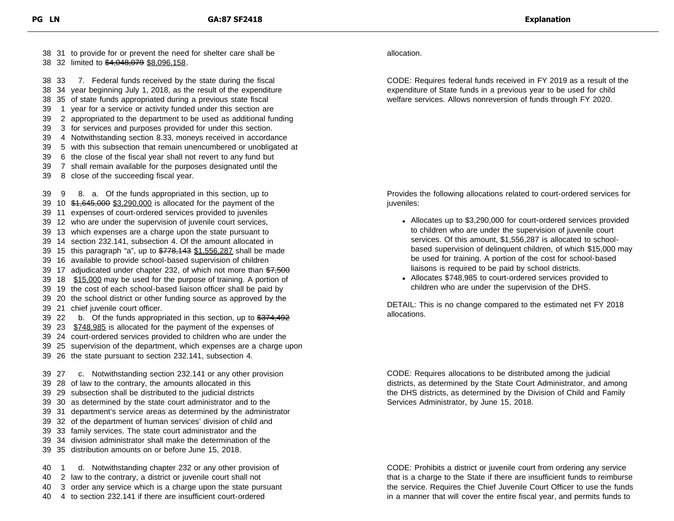31 to provide for or prevent the need for shelter care shall be 38 32 limited to \$4,048,079 \$8,096,158. 33 7. Federal funds received by the state during the fiscal 34 year beginning July 1, 2018, as the result of the expenditure 35 of state funds appropriated during a previous state fiscal 1 year for a service or activity funded under this section are 2 appropriated to the department to be used as additional funding 3 for services and purposes provided for under this section. 4 Notwithstanding section 8.33, moneys received in accordance 5 with this subsection that remain unencumbered or unobligated at 6 the close of the fiscal year shall not revert to any fund but 7 shall remain available for the purposes designated until the 8 close of the succeeding fiscal year. 9 8. a. Of the funds appropriated in this section, up to 39 10  $$1,645,000$  \$3,290,000 is allocated for the payment of the 11 expenses of court-ordered services provided to juveniles 12 who are under the supervision of juvenile court services, 13 which expenses are a charge upon the state pursuant to 14 section 232.141, subsection 4. Of the amount allocated in 39 15 this paragraph "a", up to  $\frac{2778,143 \frac{1}{556,287}}{1.556,287}$  shall be made 16 available to provide school-based supervision of children 39 17 adjudicated under chapter 232, of which not more than \$7,500 18 \$15,000 may be used for the purpose of training. A portion of 19 the cost of each school-based liaison officer shall be paid by 20 the school district or other funding source as approved by the 21 chief juvenile court officer. 39 22 b. Of the funds appropriated in this section, up to \$374,492 39 23 \$748,985 is allocated for the payment of the expenses of 24 court-ordered services provided to children who are under the 25 supervision of the department, which expenses are a charge upon 26 the state pursuant to section 232.141, subsection 4. 27 c. Notwithstanding section 232.141 or any other provision 28 of law to the contrary, the amounts allocated in this 29 subsection shall be distributed to the judicial districts 30 as determined by the state court administrator and to the 31 department's service areas as determined by the administrator 32 of the department of human services' division of child and 33 family services. The state court administrator and the 34 division administrator shall make the determination of the 35 distribution amounts on or before June 15, 2018. 1 d. Notwithstanding chapter 232 or any other provision of 2 law to the contrary, a district or juvenile court shall not

40 3 order any service which is a charge upon the state pursuant 40 4 to section 232.141 if there are insufficient court-ordered

allocation.

CODE: Requires federal funds received in FY 2019 as a result of the expenditure of State funds in a previous year to be used for child welfare services. Allows nonreversion of funds through FY 2020.

Provides the following allocations related to court-ordered services for iuveniles:

- Allocates up to \$3,290,000 for court-ordered services provided to children who are under the supervision of juvenile court services. Of this amount, \$1,556,287 is allocated to schoolbased supervision of delinquent children, of which \$15,000 may be used for training. A portion of the cost for school-based liaisons is required to be paid by school districts.
- Allocates \$748,985 to court-ordered services provided to children who are under the supervision of the DHS.

DETAIL: This is no change compared to the estimated net FY 2018 allocations.

CODE: Requires allocations to be distributed among the judicial districts, as determined by the State Court Administrator, and among the DHS districts, as determined by the Division of Child and Family Services Administrator, by June 15, 2018.

CODE: Prohibits a district or juvenile court from ordering any service that is a charge to the State if there are insufficient funds to reimburse the service. Requires the Chief Juvenile Court Officer to use the funds in a manner that will cover the entire fiscal year, and permits funds to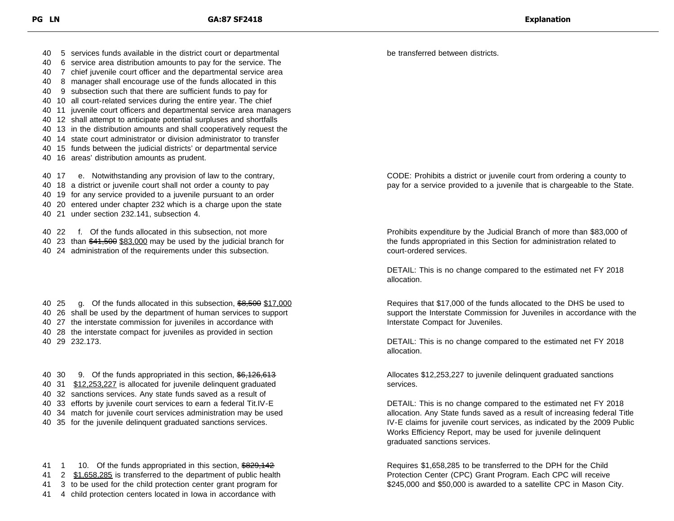40 5 services funds available in the district court or departmental

- 40 6 service area distribution amounts to pay for the service. The
- 40 7 chief juvenile court officer and the departmental service area
- 40 8 manager shall encourage use of the funds allocated in this
- 40 9 subsection such that there are sufficient funds to pay for
- 40 10 all court-related services during the entire year. The chief
- 40 11 juvenile court officers and departmental service area managers
- 40 12 shall attempt to anticipate potential surpluses and shortfalls
- 40 13 in the distribution amounts and shall cooperatively request the
- 40 14 state court administrator or division administrator to transfer
- 40 15 funds between the judicial districts' or departmental service
- 40 16 areas' distribution amounts as prudent.

40 17 e. Notwithstanding any provision of law to the contrary,

- 40 18 a district or juvenile court shall not order a county to pay
- 40 19 for any service provided to a juvenile pursuant to an order
- 40 20 entered under chapter 232 which is a charge upon the state
- 40 21 under section 232.141, subsection 4.
- 40 22 f. Of the funds allocated in this subsection, not more
- 40 23 than \$41,500 \$83,000 may be used by the judicial branch for
- 40 24 administration of the requirements under this subsection.
- 40 25 g. Of the funds allocated in this subsection, \$8,500 \$17,000
- 40 26 shall be used by the department of human services to support
- 40 27 the interstate commission for juveniles in accordance with
- 40 28 the interstate compact for juveniles as provided in section

40 29 232.173.

40 30 9. Of the funds appropriated in this section, \$6,126,613 31 \$12,253,227 is allocated for juvenile delinquent graduated 32 sanctions services. Any state funds saved as a result of 33 efforts by juvenile court services to earn a federal Tit.IV-E 34 match for juvenile court services administration may be used 35 for the juvenile delinquent graduated sanctions services.

41 1 10. Of the funds appropriated in this section, \$829,142 41 2 \$1,658,285 is transferred to the department of public health 41 3 to be used for the child protection center grant program for

41 4 child protection centers located in Iowa in accordance with

be transferred between districts.

CODE: Prohibits a district or juvenile court from ordering a county to pay for a service provided to a juvenile that is chargeable to the State.

Prohibits expenditure by the Judicial Branch of more than \$83,000 of the funds appropriated in this Section for administration related to court-ordered services.

DETAIL: This is no change compared to the estimated net FY 2018 allocation.

Requires that \$17,000 of the funds allocated to the DHS be used to support the Interstate Commission for Juveniles in accordance with the Interstate Compact for Juveniles.

DETAIL: This is no change compared to the estimated net FY 2018 allocation.

Allocates \$12,253,227 to juvenile delinquent graduated sanctions services.

DETAIL: This is no change compared to the estimated net FY 2018 allocation. Any State funds saved as a result of increasing federal Title IV-E claims for juvenile court services, as indicated by the 2009 Public Works Efficiency Report, may be used for juvenile delinquent graduated sanctions services.

Requires \$1,658,285 to be transferred to the DPH for the Child Protection Center (CPC) Grant Program. Each CPC will receive \$245,000 and \$50,000 is awarded to a satellite CPC in Mason City.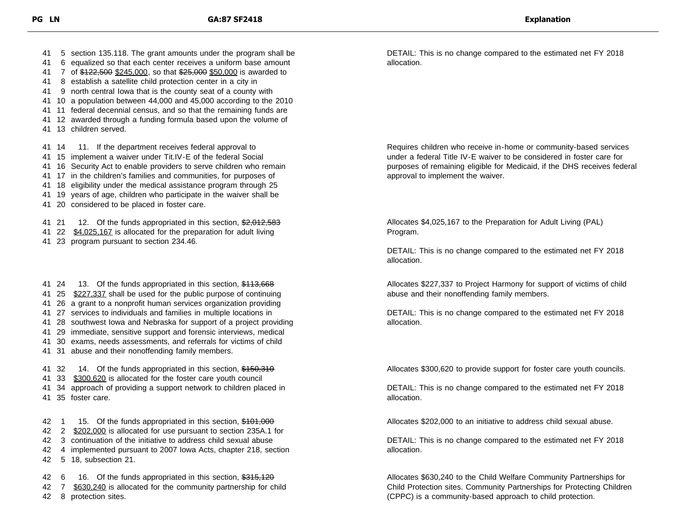- 41 5 section 135.118. The grant amounts under the program shall be
- 41 6 equalized so that each center receives a uniform base amount
- 41 7 of \$122,500 \$245,000, so that \$25,000 \$50,000 is awarded to
- 41 8 establish a satellite child protection center in a city in
- 41 9 north central Iowa that is the county seat of a county with
- 41 10 a population between 44,000 and 45,000 according to the 2010
- 41 11 federal decennial census, and so that the remaining funds are
- 41 12 awarded through a funding formula based upon the volume of
- 41 13 children served.

41 14 11. If the department receives federal approval to

- 41 15 implement a waiver under Tit.IV-E of the federal Social
- 41 16 Security Act to enable providers to serve children who remain
- 41 17 in the children's families and communities, for purposes of
- 41 18 eligibility under the medical assistance program through 25
- 41 19 years of age, children who participate in the waiver shall be
- 41 20 considered to be placed in foster care.

41 21 12. Of the funds appropriated in this section, \$2,012,583

- 41 22 \$4,025,167 is allocated for the preparation for adult living
- 41 23 program pursuant to section 234.46.

41 24 13. Of the funds appropriated in this section, \$113,668 41 25 \$227,337 shall be used for the public purpose of continuing 26 a grant to a nonprofit human services organization providing 27 services to individuals and families in multiple locations in 28 southwest Iowa and Nebraska for support of a project providing 29 immediate, sensitive support and forensic interviews, medical 30 exams, needs assessments, and referrals for victims of child 31 abuse and their nonoffending family members. 41 32 14. Of the funds appropriated in this section, \$150,310 33 \$300,620 is allocated for the foster care youth council 34 approach of providing a support network to children placed in 35 foster care.

42 1 15. Of the funds appropriated in this section, \$101,000

- 42 2 \$202,000 is allocated for use pursuant to section 235A.1 for
- 42 3 continuation of the initiative to address child sexual abuse
- 42 4 implemented pursuant to 2007 Iowa Acts, chapter 218, section
- 42 5 18, subsection 21.

42 6 16. Of the funds appropriated in this section, \$315,120

42 7 \$630,240 is allocated for the community partnership for child

42 8 protection sites.

DETAIL: This is no change compared to the estimated net FY 2018 allocation.

Requires children who receive in-home or community-based services under a federal Title IV-E waiver to be considered in foster care for purposes of remaining eligible for Medicaid, if the DHS receives federal approval to implement the waiver.

Allocates \$4,025,167 to the Preparation for Adult Living (PAL) Program.

DETAIL: This is no change compared to the estimated net FY 2018 allocation.

Allocates \$227,337 to Project Harmony for support of victims of child abuse and their nonoffending family members.

DETAIL: This is no change compared to the estimated net FY 2018 allocation.

Allocates \$300,620 to provide support for foster care youth councils.

DETAIL: This is no change compared to the estimated net FY 2018 allocation.

Allocates \$202,000 to an initiative to address child sexual abuse.

DETAIL: This is no change compared to the estimated net FY 2018 allocation.

Allocates \$630,240 to the Child Welfare Community Partnerships for Child Protection sites. Community Partnerships for Protecting Children (CPPC) is a community-based approach to child protection.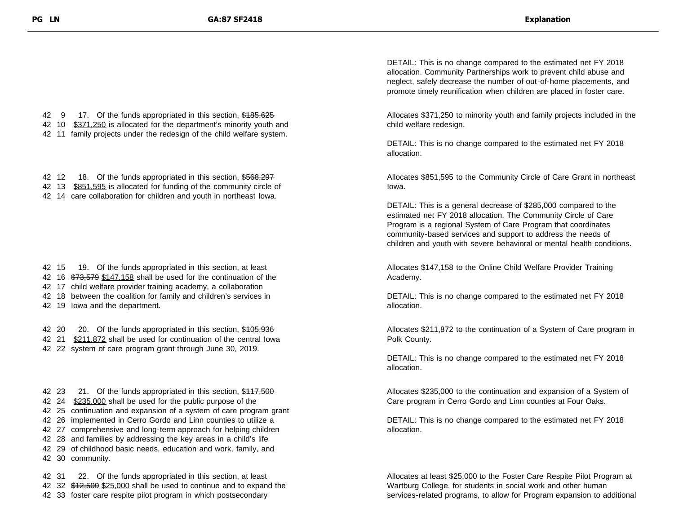42 9 17. Of the funds appropriated in this section, \$185,625 42 10 \$371,250 is allocated for the department's minority youth and 42 11 family projects under the redesign of the child welfare system.

- 42 12 18. Of the funds appropriated in this section, \$568,297 42 13 \$851,595 is allocated for funding of the community circle of
- 42 14 care collaboration for children and youth in northeast Iowa.

- 42 15 19. Of the funds appropriated in this section, at least 42 16 \$73,579 \$147,158 shall be used for the continuation of the 42 17 child welfare provider training academy, a collaboration 42 18 between the coalition for family and children's services in
- 42 19 Iowa and the department.

42 20 20. Of the funds appropriated in this section, \$105,936 42 21 \$211,872 shall be used for continuation of the central Iowa 42 22 system of care program grant through June 30, 2019.

42 23 21. Of the funds appropriated in this section, \$117,500 24 \$235,000 shall be used for the public purpose of the 25 continuation and expansion of a system of care program grant 26 implemented in Cerro Gordo and Linn counties to utilize a 27 comprehensive and long-term approach for helping children 28 and families by addressing the key areas in a child's life 29 of childhood basic needs, education and work, family, and 30 community.

42 31 22. Of the funds appropriated in this section, at least 42 32 \$12,500 \$25,000 shall be used to continue and to expand the 42 33 foster care respite pilot program in which postsecondary

DETAIL: This is no change compared to the estimated net FY 2018 allocation. Community Partnerships work to prevent child abuse and neglect, safely decrease the number of out-of-home placements, and promote timely reunification when children are placed in foster care.

Allocates \$371,250 to minority youth and family projects included in the child welfare redesign.

DETAIL: This is no change compared to the estimated net FY 2018 allocation.

Allocates \$851,595 to the Community Circle of Care Grant in northeast Iowa.

DETAIL: This is a general decrease of \$285,000 compared to the estimated net FY 2018 allocation. The Community Circle of Care Program is a regional System of Care Program that coordinates community-based services and support to address the needs of children and youth with severe behavioral or mental health conditions.

Allocates \$147,158 to the Online Child Welfare Provider Training Academy.

DETAIL: This is no change compared to the estimated net FY 2018 allocation.

Allocates \$211,872 to the continuation of a System of Care program in Polk County.

DETAIL: This is no change compared to the estimated net FY 2018 allocation.

Allocates \$235,000 to the continuation and expansion of a System of Care program in Cerro Gordo and Linn counties at Four Oaks.

DETAIL: This is no change compared to the estimated net FY 2018 allocation.

Allocates at least \$25,000 to the Foster Care Respite Pilot Program at Wartburg College, for students in social work and other human services-related programs, to allow for Program expansion to additional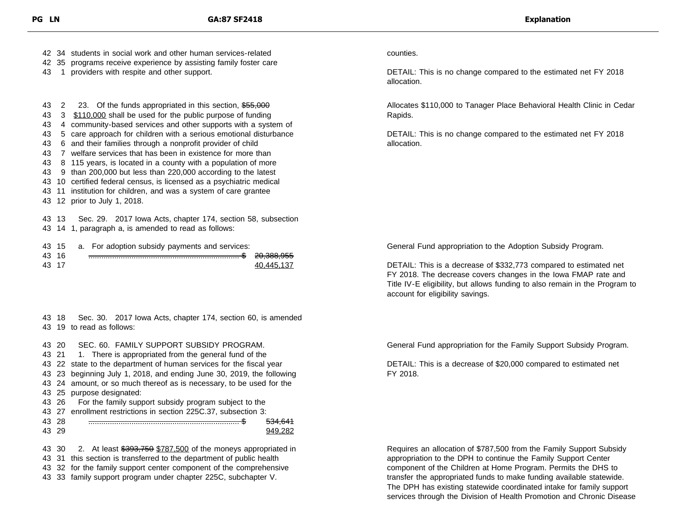42 34 students in social work and other human services-related

- 42 35 programs receive experience by assisting family foster care
- 43 1 providers with respite and other support.

43 2 23. Of the funds appropriated in this section, \$55,000 43 3 \$110,000 shall be used for the public purpose of funding 4 community-based services and other supports with a system of 5 care approach for children with a serious emotional disturbance 6 and their families through a nonprofit provider of child 7 welfare services that has been in existence for more than 8 115 years, is located in a county with a population of more 9 than 200,000 but less than 220,000 according to the latest 10 certified federal census, is licensed as a psychiatric medical 11 institution for children, and was a system of care grantee 12 prior to July 1, 2018.

43 13 Sec. 29. 2017 Iowa Acts, chapter 174, section 58, subsection

43 14 1, paragraph a, is amended to read as follows:

|       |  | 43 15 a. For adoption subsidy payments and services: |                       |
|-------|--|------------------------------------------------------|-----------------------|
| 43 16 |  |                                                      | <del>20.388.955</del> |
| 43 17 |  |                                                      | 40.445.137            |

43 18 Sec. 30. 2017 Iowa Acts, chapter 174, section 60, is amended 43 19 to read as follows:

43 20 SEC. 60. FAMILY SUPPORT SUBSIDY PROGRAM.

43 21 1. There is appropriated from the general fund of the

43 22 state to the department of human services for the fiscal year

43 23 beginning July 1, 2018, and ending June 30, 2019, the following

43 24 amount, or so much thereof as is necessary, to be used for the

43 25 purpose designated:

43 26 For the family support subsidy program subject to the

43 27 enrollment restrictions in section 225C.37, subsection 3:

43 28 ...................................................................... \$ 534,641

43 29 949,282

43 30 2. At least \$393,750 \$787,500 of the moneys appropriated in 43 31 this section is transferred to the department of public health

43 32 for the family support center component of the comprehensive

43 33 family support program under chapter 225C, subchapter V.

## counties.

DETAIL: This is no change compared to the estimated net FY 2018 allocation.

Allocates \$110,000 to Tanager Place Behavioral Health Clinic in Cedar Rapids.

DETAIL: This is no change compared to the estimated net FY 2018 allocation.

General Fund appropriation to the Adoption Subsidy Program.

DETAIL: This is a decrease of \$332,773 compared to estimated net FY 2018. The decrease covers changes in the Iowa FMAP rate and Title IV-E eligibility, but allows funding to also remain in the Program to account for eligibility savings.

General Fund appropriation for the Family Support Subsidy Program.

DETAIL: This is a decrease of \$20,000 compared to estimated net FY 2018.

Requires an allocation of \$787,500 from the Family Support Subsidy appropriation to the DPH to continue the Family Support Center component of the Children at Home Program. Permits the DHS to transfer the appropriated funds to make funding available statewide. The DPH has existing statewide coordinated intake for family support services through the Division of Health Promotion and Chronic Disease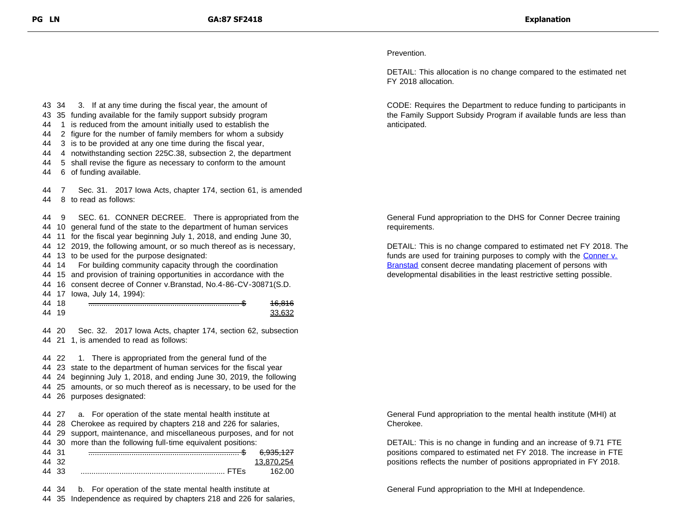Prevention.

DETAIL: This allocation is no change compared to the estimated net FY 2018 allocation.

CODE: Requires the Department to reduce funding to participants in the Family Support Subsidy Program if available funds are less than anticipated.

General Fund appropriation to the DHS for Conner Decree training requirements.

DETAIL: This is no change compared to estimated net FY 2018. The funds are used for training purposes to comply with the [Conner v.](http://www.clearinghouse.net/detail.php?id=446) **Branstad** consent decree mandating placement of persons with developmental disabilities in the least restrictive setting possible.

General Fund appropriation to the mental health institute (MHI) at Cherokee.

DETAIL: This is no change in funding and an increase of 9.71 FTE positions compared to estimated net FY 2018. The increase in FTE positions reflects the number of positions appropriated in FY 2018.

General Fund appropriation to the MHI at Independence.

 34 3. If at any time during the fiscal year, the amount of 35 funding available for the family support subsidy program 1 is reduced from the amount initially used to establish the 2 figure for the number of family members for whom a subsidy 3 is to be provided at any one time during the fiscal year, 4 notwithstanding section 225C.38, subsection 2, the department 5 shall revise the figure as necessary to conform to the amount 6 of funding available. 7 Sec. 31. 2017 Iowa Acts, chapter 174, section 61, is amended 8 to read as follows: 9 SEC. 61. CONNER DECREE. There is appropriated from the 10 general fund of the state to the department of human services 11 for the fiscal year beginning July 1, 2018, and ending June 30, 12 2019, the following amount, or so much thereof as is necessary, 13 to be used for the purpose designated: 14 For building community capacity through the coordination 15 and provision of training opportunities in accordance with the 16 consent decree of Conner v.Branstad, No.4-86-CV-30871(S.D. 17 Iowa, July 14, 1994): 44 18 <del>……………………………………………………………………\$</del> <del>16.816</del> 44 19 33,632 20 Sec. 32. 2017 Iowa Acts, chapter 174, section 62, subsection 21 1, is amended to read as follows: 22 1. There is appropriated from the general fund of the 23 state to the department of human services for the fiscal year 24 beginning July 1, 2018, and ending June 30, 2019, the following 25 amounts, or so much thereof as is necessary, to be used for the 26 purposes designated: 27 a. For operation of the state mental health institute at 28 Cherokee as required by chapters 218 and 226 for salaries, 29 support, maintenance, and miscellaneous purposes, and for not

 30 more than the following full-time equivalent positions: 31 ...................................................................... \$ 6,935,127 32 13,870,254 33 ................................................................... FTEs 162.00

34 b. For operation of the state mental health institute at

35 Independence as required by chapters 218 and 226 for salaries,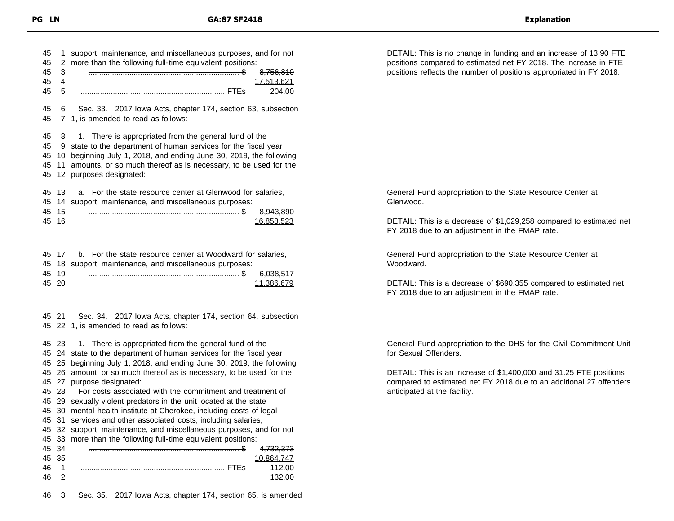| 45<br>45<br>45<br>45<br>45 | 1<br>2<br>3<br>4<br>5    | support, maintenance, and miscellaneous purposes, and for not<br>more than the following full-time equivalent positions:<br><del>8,756,810</del><br>17,513,621<br>204.00                                                                                                             |
|----------------------------|--------------------------|--------------------------------------------------------------------------------------------------------------------------------------------------------------------------------------------------------------------------------------------------------------------------------------|
| 45<br>45                   | 6                        | Sec. 33. 2017 Iowa Acts, chapter 174, section 63, subsection<br>7 1, is amended to read as follows:                                                                                                                                                                                  |
| 45<br>45<br>45<br>45<br>45 | 8<br>9<br>10<br>11<br>12 | 1. There is appropriated from the general fund of the<br>state to the department of human services for the fiscal year<br>beginning July 1, 2018, and ending June 30, 2019, the following<br>amounts, or so much thereof as is necessary, to be used for the<br>purposes designated: |
| 45<br>45<br>45<br>45       | 13<br>14<br>-15<br>16    | a. For the state resource center at Glenwood for salaries,<br>support, maintenance, and miscellaneous purposes:<br><del>8.943.890</del><br>16,858,523                                                                                                                                |

|       | 45 17 b. For the state resource center at Woodward for salaries, |            |
|-------|------------------------------------------------------------------|------------|
|       | 45 18 support, maintenance, and miscellaneous purposes:          |            |
| 45 19 |                                                                  | 6,038,517  |
| 45 20 |                                                                  | 11.386.679 |
|       |                                                                  |            |

 21 Sec. 34. 2017 Iowa Acts, chapter 174, section 64, subsection 22 1, is amended to read as follows:

23 1. There is appropriated from the general fund of the

24 state to the department of human services for the fiscal year

25 beginning July 1, 2018, and ending June 30, 2019, the following

 26 amount, or so much thereof as is necessary, to be used for the 27 purpose designated:

28 For costs associated with the commitment and treatment of

29 sexually violent predators in the unit located at the state

30 mental health institute at Cherokee, including costs of legal

31 services and other associated costs, including salaries,

 32 support, maintenance, and miscellaneous purposes, and for not 33 more than the following full-time equivalent positions:

|       |       | -- |                      |
|-------|-------|----|----------------------|
| 45 34 |       |    | <del>4,732,373</del> |
|       | 45 35 |    |                      |
| 46    |       |    | 112. QQ<br>—∠.oo     |
| 46    |       |    |                      |
|       |       |    |                      |

3 Sec. 35. 2017 Iowa Acts, chapter 174, section 65, is amended

DETAIL: This is no change in funding and an increase of 13.90 FTE positions compared to estimated net FY 2018. The increase in FTE positions reflects the number of positions appropriated in FY 2018.

General Fund appropriation to the State Resource Center at Glenwood.

DETAIL: This is a decrease of \$1,029,258 compared to estimated net FY 2018 due to an adjustment in the FMAP rate.

General Fund appropriation to the State Resource Center at Woodward.

DETAIL: This is a decrease of \$690,355 compared to estimated net FY 2018 due to an adjustment in the FMAP rate.

General Fund appropriation to the DHS for the Civil Commitment Unit for Sexual Offenders.

DETAIL: This is an increase of \$1,400,000 and 31.25 FTE positions compared to estimated net FY 2018 due to an additional 27 offenders anticipated at the facility.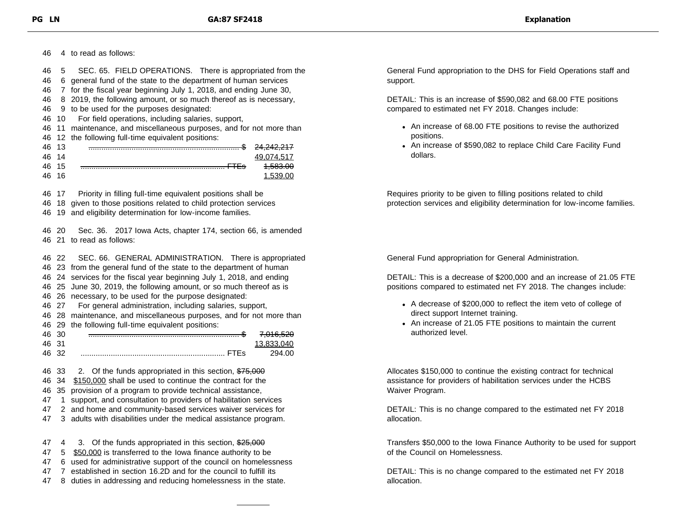46 4 to read as follows:

- 46 5 SEC. 65. FIELD OPERATIONS. There is appropriated from the
- 46 6 general fund of the state to the department of human services
- 46 7 for the fiscal year beginning July 1, 2018, and ending June 30,
- 46 8 2019, the following amount, or so much thereof as is necessary,
- 46 9 to be used for the purposes designated:
- 46 10 For field operations, including salaries, support,
- 46 11 maintenance, and miscellaneous purposes, and for not more than
- 46 12 the following full-time equivalent positions:

| 46    | - 12 | 24,242,217            |
|-------|------|-----------------------|
| 46    | 14   |                       |
| 46 15 |      | مم وقع<br><del></del> |
| 46    | - 16 |                       |

46 17 Priority in filling full-time equivalent positions shall be

46 18 given to those positions related to child protection services

46 19 and eligibility determination for low-income families.

46 20 Sec. 36. 2017 Iowa Acts, chapter 174, section 66, is amended 46 21 to read as follows:

 22 SEC. 66. GENERAL ADMINISTRATION. There is appropriated 23 from the general fund of the state to the department of human 24 services for the fiscal year beginning July 1, 2018, and ending 25 June 30, 2019, the following amount, or so much thereof as is 26 necessary, to be used for the purpose designated: 27 For general administration, including salaries, support, 28 maintenance, and miscellaneous purposes, and for not more than 29 the following full-time equivalent positions: 30 ...................................................................... \$ 7,016,520 31 13,833,040 32 ................................................................... FTEs 294.00

46 33 2. Of the funds appropriated in this section, \$75,000 46 34 \$150,000 shall be used to continue the contract for the

- 46 35 provision of a program to provide technical assistance,
- 47 1 support, and consultation to providers of habilitation services
- 47 2 and home and community-based services waiver services for
- 47 3 adults with disabilities under the medical assistance program.
- 47 4 3. Of the funds appropriated in this section, \$25,000 47 5 \$50,000 is transferred to the Iowa finance authority to be
- 47 6 used for administrative support of the council on homelessness
- 47 7 established in section 16.2D and for the council to fulfill its
- 47 8 duties in addressing and reducing homelessness in the state.

General Fund appropriation to the DHS for Field Operations staff and support.

DETAIL: This is an increase of \$590,082 and 68.00 FTE positions compared to estimated net FY 2018. Changes include:

- An increase of 68.00 FTE positions to revise the authorized positions.
- An increase of \$590,082 to replace Child Care Facility Fund dollars.

Requires priority to be given to filling positions related to child protection services and eligibility determination for low-income families.

General Fund appropriation for General Administration.

DETAIL: This is a decrease of \$200,000 and an increase of 21.05 FTE positions compared to estimated net FY 2018. The changes include:

- A decrease of \$200,000 to reflect the item veto of college of direct support Internet training.
- An increase of 21.05 FTE positions to maintain the current authorized level.

Allocates \$150,000 to continue the existing contract for technical assistance for providers of habilitation services under the HCBS Waiver Program.

DETAIL: This is no change compared to the estimated net FY 2018 allocation.

Transfers \$50,000 to the Iowa Finance Authority to be used for support of the Council on Homelessness.

DETAIL: This is no change compared to the estimated net FY 2018 allocation.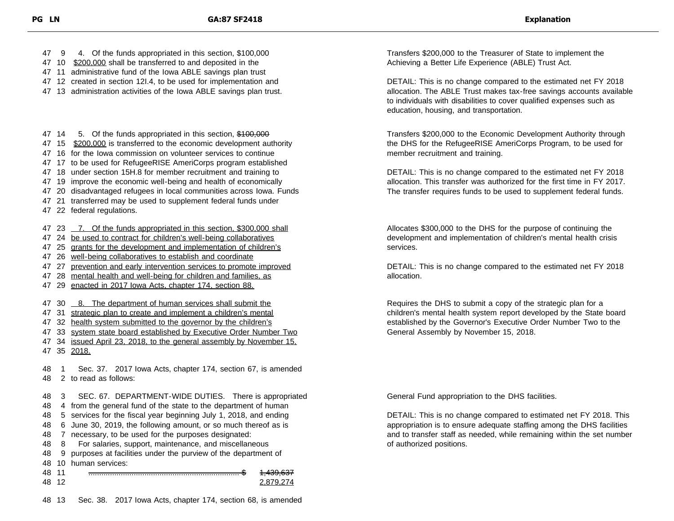47 9 4. Of the funds appropriated in this section, \$100,000

- 47 10 \$200,000 shall be transferred to and deposited in the
- 47 11 administrative fund of the Iowa ABLE savings plan trust
- 47 12 created in section 12I.4, to be used for implementation and
- 47 13 administration activities of the Iowa ABLE savings plan trust.

47 14 5. Of the funds appropriated in this section, \$100,000

- 47 15 \$200,000 is transferred to the economic development authority
- 47 16 for the Iowa commission on volunteer services to continue
- 47 17 to be used for RefugeeRISE AmeriCorps program established
- 47 18 under section 15H.8 for member recruitment and training to
- 47 19 improve the economic well-being and health of economically
- 47 20 disadvantaged refugees in local communities across Iowa. Funds
- 47 21 transferred may be used to supplement federal funds under
- 47 22 federal regulations.

47 23 7. Of the funds appropriated in this section, \$300,000 shall

- 47 24 be used to contract for children's well-being collaboratives
- 47 25 grants for the development and implementation of children's
- 47 26 well-being collaboratives to establish and coordinate
- 47 27 prevention and early intervention services to promote improved
- 47 28 mental health and well-being for children and families, as
- 47 29 enacted in 2017 Iowa Acts, chapter 174, section 88.
- 47 30 8. The department of human services shall submit the
- 47 31 strategic plan to create and implement a children's mental
- 47 32 health system submitted to the governor by the children's
- 47 33 system state board established by Executive Order Number Two
- 47 34 issued April 23, 2018, to the general assembly by November 15. 47 35 2018.

48 1 Sec. 37. 2017 Iowa Acts, chapter 174, section 67, is amended 48 2 to read as follows:

 3 SEC. 67. DEPARTMENT-WIDE DUTIES. There is appropriated 4 from the general fund of the state to the department of human 5 services for the fiscal year beginning July 1, 2018, and ending 6 June 30, 2019, the following amount, or so much thereof as is 7 necessary, to be used for the purposes designated: 8 For salaries, support, maintenance, and miscellaneous 9 purposes at facilities under the purview of the department of 10 human services: 11 ...................................................................... \$ 1,439,637 12 2,879,274

Transfers \$200,000 to the Treasurer of State to implement the Achieving a Better Life Experience (ABLE) Trust Act.

DETAIL: This is no change compared to the estimated net FY 2018 allocation. The ABLE Trust makes tax-free savings accounts available to individuals with disabilities to cover qualified expenses such as education, housing, and transportation.

Transfers \$200,000 to the Economic Development Authority through the DHS for the RefugeeRISE AmeriCorps Program, to be used for member recruitment and training.

DETAIL: This is no change compared to the estimated net FY 2018 allocation. This transfer was authorized for the first time in FY 2017. The transfer requires funds to be used to supplement federal funds.

Allocates \$300,000 to the DHS for the purpose of continuing the development and implementation of children's mental health crisis services.

DETAIL: This is no change compared to the estimated net FY 2018 allocation.

Requires the DHS to submit a copy of the strategic plan for a children's mental health system report developed by the State board established by the Governor's Executive Order Number Two to the General Assembly by November 15, 2018.

General Fund appropriation to the DHS facilities.

DETAIL: This is no change compared to estimated net FY 2018. This appropriation is to ensure adequate staffing among the DHS facilities and to transfer staff as needed, while remaining within the set number of authorized positions.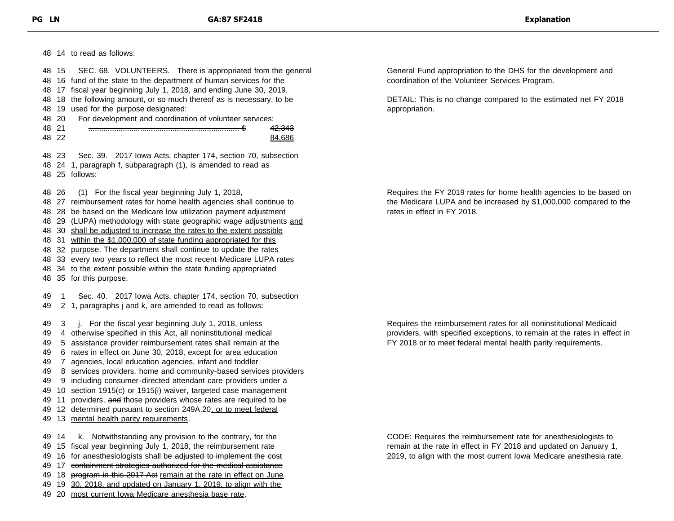|       |       | 48 14 to read as follows:                                                                                                                                                                                 |                      |
|-------|-------|-----------------------------------------------------------------------------------------------------------------------------------------------------------------------------------------------------------|----------------------|
|       | 48 15 | SEC. 68. VOLUNTEERS. There is appropriated from the general<br>48 16 fund of the state to the department of human services for the<br>48 17 fiscal year beginning July 1, 2018, and ending June 30, 2019, | General<br>coordinat |
| 48    |       | 18 the following amount, or so much thereof as is necessary, to be                                                                                                                                        | DETAIL:              |
|       |       | 48 19 used for the purpose designated:                                                                                                                                                                    | appropria            |
|       | 48 20 | For development and coordination of volunteer services:                                                                                                                                                   |                      |
| 48 21 |       | 42,343                                                                                                                                                                                                    |                      |
| 48 22 |       | 84,686                                                                                                                                                                                                    |                      |
|       | 48 23 | Sec. 39. 2017 Iowa Acts, chapter 174, section 70, subsection                                                                                                                                              |                      |
|       |       | 48 24 1, paragraph f, subparagraph (1), is amended to read as                                                                                                                                             |                      |
|       |       | 48 25 follows:                                                                                                                                                                                            |                      |
| 48 26 |       | (1) For the fiscal year beginning July 1, 2018,                                                                                                                                                           | Requires             |
|       |       | 48 27 reimbursement rates for home health agencies shall continue to                                                                                                                                      | the Medi             |
|       |       | 48 28 be based on the Medicare low utilization payment adjustment                                                                                                                                         | rates in e           |
|       |       | 48 29 (LUPA) methodology with state geographic wage adjustments and                                                                                                                                       |                      |
|       |       | 48 30 shall be adjusted to increase the rates to the extent possible                                                                                                                                      |                      |
|       |       | 48 31 within the \$1,000,000 of state funding appropriated for this                                                                                                                                       |                      |
|       |       | 48 32 purpose. The department shall continue to update the rates                                                                                                                                          |                      |
|       |       | 48 33 every two years to reflect the most recent Medicare LUPA rates                                                                                                                                      |                      |
|       |       | 48 34 to the extent possible within the state funding appropriated                                                                                                                                        |                      |
|       |       | 48 35 for this purpose.                                                                                                                                                                                   |                      |
| 49    | 1     | Sec. 40. 2017 Iowa Acts, chapter 174, section 70, subsection                                                                                                                                              |                      |
| 49    |       | 2 1, paragraphs j and k, are amended to read as follows:                                                                                                                                                  |                      |
| 49    | 3     | j. For the fiscal year beginning July 1, 2018, unless                                                                                                                                                     | Requires             |
| 49    |       | 4 otherwise specified in this Act, all noninstitutional medical                                                                                                                                           | providers            |
| 49    |       | 5 assistance provider reimbursement rates shall remain at the                                                                                                                                             | FY 2018              |
| 49    |       | 6 rates in effect on June 30, 2018, except for area education                                                                                                                                             |                      |
| 49    |       | 7 agencies, local education agencies, infant and toddler                                                                                                                                                  |                      |
| 49    |       | 8 services providers, home and community-based services providers                                                                                                                                         |                      |
| 49    |       | 9 including consumer-directed attendant care providers under a                                                                                                                                            |                      |
| 49    |       | 10 section 1915(c) or 1915(i) waiver, targeted case management                                                                                                                                            |                      |
| 49    |       | 11 providers, and those providers whose rates are required to be                                                                                                                                          |                      |
| 49    |       | 12 determined pursuant to section 249A.20, or to meet federal                                                                                                                                             |                      |
| 49    |       | 13 mental health parity requirements.                                                                                                                                                                     |                      |
| 49    | 14    | k. Notwithstanding any provision to the contrary, for the                                                                                                                                                 | CODE: F              |
| 49    |       | 15 fiscal year beginning July 1, 2018, the reimbursement rate                                                                                                                                             | remain a             |
| 49    |       | 16 for anesthesiologists shall be adjusted to implement the cost                                                                                                                                          | 2019, to             |
| 49    | 17    | containment strategies authorized for the medical assistance                                                                                                                                              |                      |
| 49    |       | 18 program in this 2017 Act remain at the rate in effect on June                                                                                                                                          |                      |
| 49    | 19    | 30, 2018, and updated on January 1, 2019, to align with the                                                                                                                                               |                      |
| 49    |       | 20 most current Iowa Medicare anesthesia base rate.                                                                                                                                                       |                      |

Fund appropriation to the DHS for the development and tion of the Volunteer Services Program.

This is no change compared to the estimated net FY 2018 ation.

the FY 2019 rates for home health agencies to be based on icare LUPA and be increased by \$1,000,000 compared to the effect in FY 2018.

the reimbursement rates for all noninstitutional Medicaid s, with specified exceptions, to remain at the rates in effect in or to meet federal mental health parity requirements.

Requires the reimbursement rate for anesthesiologists to at the rate in effect in FY 2018 and updated on January 1, align with the most current Iowa Medicare anesthesia rate.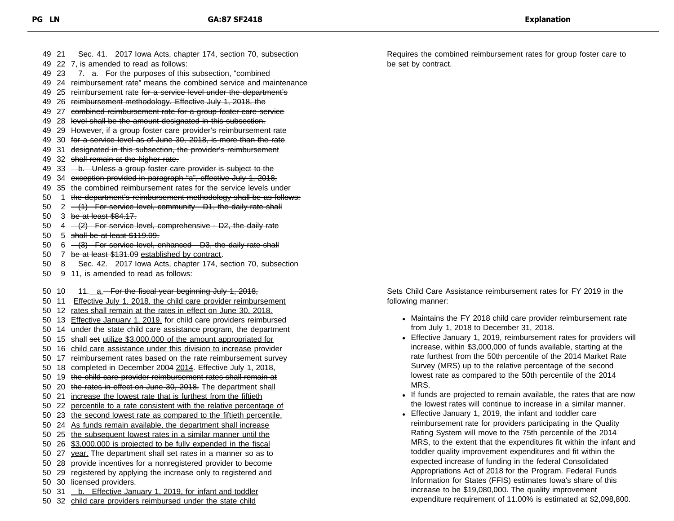49 22 7, is amended to read as follows: 49 23 7. a. For the purposes of this subsection, "combined 49 24 reimbursement rate" means the combined service and maintenance 49 25 reimbursement rate for a service level under the department's 49 26 reimbursement methodology. Effective July 1, 2018, the 49 27 combined reimbursement rate for a group foster care service 49 28 level shall be the amount designated in this subsection. 49 29 However, if a group foster care provider's reimbursement rate 49 30 for a service level as of June 30, 2018, is more than the rate 49 31 designated in this subsection, the provider's reimbursement 49 32 shall remain at the higher rate. 49 33 - b. Unless a group foster care provider is subject to the 49 34 exception provided in paragraph "a", effective July 1, 2018, 49 35 the combined reimbursement rates for the service levels under 50 1 the department's reimbursement methodology shall be as follows: 50  $2 - (1)$  For service level, community - D1, the daily rate shall 50 3 be at least \$84.17. 50  $4 - (2)$  For service level, comprehensive - D2, the daily rate 50 5 shall be at least \$119.09. 50 6 (3) For service level, enhanced - D3, the daily rate shall 50 7 be at least \$131.09 established by contract. 50 8 Sec. 42. 2017 Iowa Acts, chapter 174, section 70, subsection 50 9 11, is amended to read as follows: 50 10 11.  $a$ -For the fiscal year beginning July 1, 2018, 50 11 Effective July 1, 2018, the child care provider reimbursement 50 12 rates shall remain at the rates in effect on June 30, 2018. 50 13 Effective January 1, 2019, for child care providers reimbursed 50 14 under the state child care assistance program, the department 50 15 shall set utilize \$3,000,000 of the amount appropriated for 50 16 child care assistance under this division to increase provider 50 17 reimbursement rates based on the rate reimbursement survey 50 18 completed in December 2004 2014. Effective July 1, 2018, 50 19 the child care provider reimbursement rates shall remain at 50 20 the rates in effect on June 30, 2018. The department shall 50 21 increase the lowest rate that is furthest from the fiftieth 50 22 percentile to a rate consistent with the relative percentage of 50 23 the second lowest rate as compared to the fiftieth percentile. 50 24 As funds remain available, the department shall increase 50 25 the subsequent lowest rates in a similar manner until the 50 26 \$3,000,000 is projected to be fully expended in the fiscal 50 27 year. The department shall set rates in a manner so as to 50 28 provide incentives for a nonregistered provider to become 50 29 registered by applying the increase only to registered and 50 30 licensed providers. 50 31 <u>b. Effective January 1, 2019, for infant and toddler</u>

49 21 Sec. 41. 2017 Iowa Acts, chapter 174, section 70, subsection

50 32 child care providers reimbursed under the state child

Requires the combined reimbursement rates for group foster care to be set by contract.

Sets Child Care Assistance reimbursement rates for FY 2019 in the following manner:

- Maintains the FY 2018 child care provider reimbursement rate from July 1, 2018 to December 31, 2018.
- Effective January 1, 2019, reimbursement rates for providers will increase, within \$3,000,000 of funds available, starting at the rate furthest from the 50th percentile of the 2014 Market Rate Survey (MRS) up to the relative percentage of the second lowest rate as compared to the 50th percentile of the 2014 MRS.
- If funds are projected to remain available, the rates that are now the lowest rates will continue to increase in a similar manner.
- Effective January 1, 2019, the infant and toddler care reimbursement rate for providers participating in the Quality Rating System will move to the 75th percentile of the 2014 MRS, to the extent that the expenditures fit within the infant and toddler quality improvement expenditures and fit within the expected increase of funding in the federal Consolidated Appropriations Act of 2018 for the Program. Federal Funds Information for States (FFIS) estimates Iowa's share of this increase to be \$19,080,000. The quality improvement expenditure requirement of 11.00% is estimated at \$2,098,800.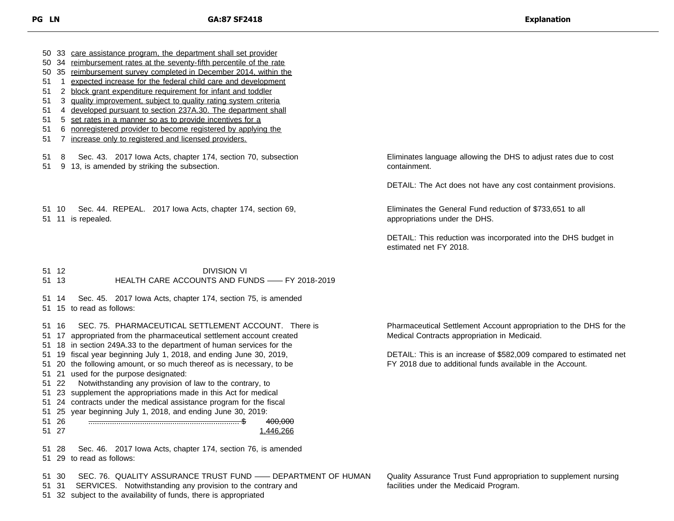33 care assistance program, the department shall set provider

- 34 reimbursement rates at the seventy-fifth percentile of the rate
- 35 reimbursement survey completed in December 2014, within the
- 1 expected increase for the federal child care and development
- 2 block grant expenditure requirement for infant and toddler
- 3 quality improvement, subject to quality rating system criteria
- 4 developed pursuant to section 237A.30. The department shall
- 51 5 set rates in a manner so as to provide incentives for a
- 6 nonregistered provider to become registered by applying the
- 7 increase only to registered and licensed providers.

12 DIVISION VI

8 Sec. 43. 2017 Iowa Acts, chapter 174, section 70, subsection

9 13, is amended by striking the subsection.

Eliminates language allowing the DHS to adjust rates due to cost containment.

DETAIL: The Act does not have any cost containment provisions.

Eliminates the General Fund reduction of \$733,651 to all appropriations under the DHS.

DETAIL: This reduction was incorporated into the DHS budget in estimated net FY 2018.

11 is repealed.

10 Sec. 44. REPEAL. 2017 Iowa Acts, chapter 174, section 69,

|    | 51 13    | <u>DIVIOIOIN VI</u><br>HEALTH CARE ACCOUNTS AND FUNDS - FY 2018-2019  |
|----|----------|-----------------------------------------------------------------------|
|    | 51 14    | Sec. 45. 2017 Iowa Acts, chapter 174, section 75, is amended          |
|    |          | 51 15 to read as follows:                                             |
| 51 | 16       | SEC. 75. PHARMACEUTICAL SETTLEMENT ACCOUNT. There is                  |
| 51 |          | 17 appropriated from the pharmaceutical settlement account created    |
| 51 |          | 18 in section 249A.33 to the department of human services for the     |
| 51 |          | 19 fiscal year beginning July 1, 2018, and ending June 30, 2019,      |
|    |          | 51 20 the following amount, or so much thereof as is necessary, to be |
|    |          | 51 21 used for the purpose designated:                                |
|    | 51 22    | Notwithstanding any provision of law to the contrary, to              |
|    |          | 51 23 supplement the appropriations made in this Act for medical      |
|    |          | 51 24 contracts under the medical assistance program for the fiscal   |
|    |          | 51 25 year beginning July 1, 2018, and ending June 30, 2019:          |
|    | 51 26    | <del>400.000</del>                                                    |
|    | 51 27    | 1.446.266                                                             |
|    | <u>_</u> | 0047 Luis Asta sharetar 474 sasting 70 is accorded<br>$\sqrt{2}$      |

Pharmaceutical Settlement Account appropriation to the DHS for the Medical Contracts appropriation in Medicaid.

DETAIL: This is an increase of \$582,009 compared to estimated net FY 2018 due to additional funds available in the Account.

 28 Sec. 46. 2017 Iowa Acts, chapter 174, section 76, is amended 29 to read as follows:

30 SEC. 76. QUALITY ASSURANCE TRUST FUND —— DEPARTMENT OF HUMAN

31 SERVICES. Notwithstanding any provision to the contrary and

32 subject to the availability of funds, there is appropriated

Quality Assurance Trust Fund appropriation to supplement nursing facilities under the Medicaid Program.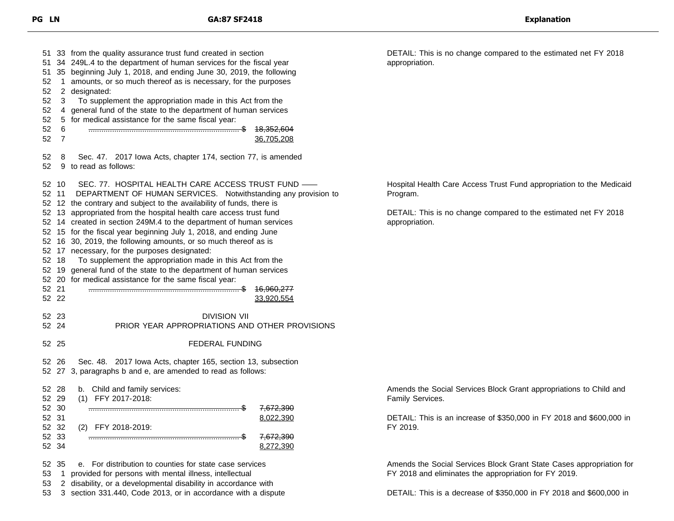33 from the quality assurance trust fund created in section 34 249L.4 to the department of human services for the fiscal year 35 beginning July 1, 2018, and ending June 30, 2019, the following 1 amounts, or so much thereof as is necessary, for the purposes 2 designated: 3 To supplement the appropriation made in this Act from the 4 general fund of the state to the department of human services 5 for medical assistance for the same fiscal year: 6 ...................................................................... \$ 18,352,604 7 36,705,208 8 Sec. 47. 2017 Iowa Acts, chapter 174, section 77, is amended 9 to read as follows: 10 SEC. 77. HOSPITAL HEALTH CARE ACCESS TRUST FUND —— 11 DEPARTMENT OF HUMAN SERVICES. Notwithstanding any provision to 12 the contrary and subject to the availability of funds, there is 13 appropriated from the hospital health care access trust fund 14 created in section 249M.4 to the department of human services 15 for the fiscal year beginning July 1, 2018, and ending June 16 30, 2019, the following amounts, or so much thereof as is 17 necessary, for the purposes designated: 18 To supplement the appropriation made in this Act from the 19 general fund of the state to the department of human services 20 for medical assistance for the same fiscal year: 21 ...................................................................... \$ 16,960,277 33,920,554 23 DIVISION VII 24 PRIOR YEAR APPROPRIATIONS AND OTHER PROVISIONS 25 FEDERAL FUNDING 26 Sec. 48. 2017 Iowa Acts, chapter 165, section 13, subsection 27 3, paragraphs b and e, are amended to read as follows: 28 b. Child and family services: 29 (1) FFY 2017-2018: 30 ...................................................................... \$ 7,672,390 31 8,022,390 32 (2) FFY 2018-2019: 33 ...................................................................... \$ 7,672,390 52 34 8,272,390 35 e. For distribution to counties for state case services 1 provided for persons with mental illness, intellectual 2 disability, or a developmental disability in accordance with

3 section 331.440, Code 2013, or in accordance with a dispute

DETAIL: This is no change compared to the estimated net FY 2018 appropriation.

Hospital Health Care Access Trust Fund appropriation to the Medicaid Program.

DETAIL: This is no change compared to the estimated net FY 2018 appropriation.

Amends the Social Services Block Grant appropriations to Child and Family Services.

DETAIL: This is an increase of \$350,000 in FY 2018 and \$600,000 in FY 2019.

Amends the Social Services Block Grant State Cases appropriation for FY 2018 and eliminates the appropriation for FY 2019.

DETAIL: This is a decrease of \$350,000 in FY 2018 and \$600,000 in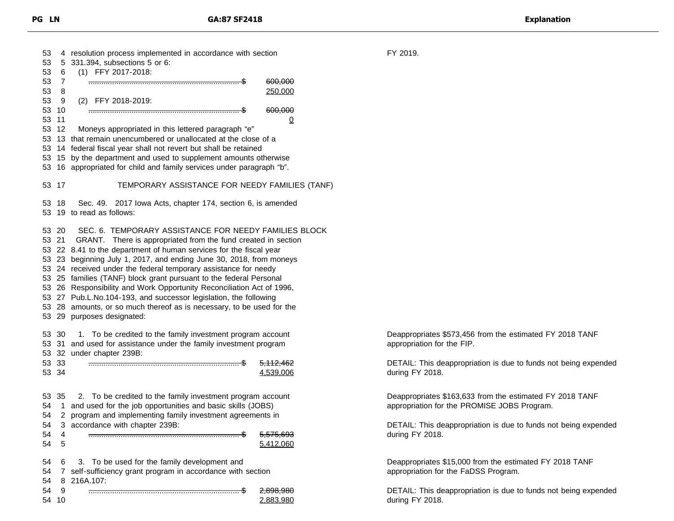| 53       | 4         | resolution process implemented in accordance with section                                                                 |                      |  |
|----------|-----------|---------------------------------------------------------------------------------------------------------------------------|----------------------|--|
| 53       | 5         | 331.394, subsections 5 or 6:                                                                                              |                      |  |
| 53       | 6         | (1) FFY 2017-2018:                                                                                                        |                      |  |
| 53       | 7         |                                                                                                                           | 600,000              |  |
| 53       | 8         |                                                                                                                           | 250,000              |  |
| 53       | 9         | (2) FFY 2018-2019:                                                                                                        |                      |  |
| 53       | 10        |                                                                                                                           | 600,000              |  |
| 53       | 11        |                                                                                                                           |                      |  |
|          |           |                                                                                                                           | $\Omega$             |  |
| 53       | 12        | Moneys appropriated in this lettered paragraph "e"                                                                        |                      |  |
| 53       | 13        | that remain unencumbered or unallocated at the close of a                                                                 |                      |  |
| 53       | 14        | federal fiscal year shall not revert but shall be retained                                                                |                      |  |
| 53 15    |           | by the department and used to supplement amounts otherwise                                                                |                      |  |
| 53       | 16        | appropriated for child and family services under paragraph "b".                                                           |                      |  |
| 53       | 17        | TEMPORARY ASSISTANCE FOR NEEDY FAMILIES (TANF)                                                                            |                      |  |
| 53<br>53 | -18<br>19 | Sec. 49. 2017 lowa Acts, chapter 174, section 6, is amended<br>to read as follows:                                        |                      |  |
| 53 21    | 53 20     | SEC. 6. TEMPORARY ASSISTANCE FOR NEEDY FAMILIES BLOCK<br>There is appropriated from the fund created in section<br>GRANT. |                      |  |
|          |           | 53 22 8.41 to the department of human services for the fiscal year                                                        |                      |  |
|          | 53 23     | beginning July 1, 2017, and ending June 30, 2018, from moneys                                                             |                      |  |
|          |           | 53 24 received under the federal temporary assistance for needy                                                           |                      |  |
|          |           |                                                                                                                           |                      |  |
|          |           | 53 25 families (TANF) block grant pursuant to the federal Personal                                                        |                      |  |
|          | 53 26     | Responsibility and Work Opportunity Reconciliation Act of 1996,                                                           |                      |  |
|          |           | 53 27 Pub.L.No.104-193, and successor legislation, the following                                                          |                      |  |
|          | 53 28     | amounts, or so much thereof as is necessary, to be used for the                                                           |                      |  |
|          | 53 29     | purposes designated:                                                                                                      |                      |  |
|          |           |                                                                                                                           |                      |  |
|          | 53 30     | To be credited to the family investment program account<br>1.                                                             |                      |  |
| 53 31    |           | and used for assistance under the family investment program                                                               |                      |  |
|          | 53 32     | under chapter 239B:                                                                                                       |                      |  |
|          | 53 33     |                                                                                                                           | <del>5,112,462</del> |  |
| 53 34    |           |                                                                                                                           | 4,539,006            |  |
|          |           |                                                                                                                           |                      |  |
| 53       | -35       | 2. To be credited to the family investment program account                                                                |                      |  |
| 54       | 1         | and used for the job opportunities and basic skills (JOBS)                                                                |                      |  |
| 54       |           |                                                                                                                           |                      |  |
|          | 2         | program and implementing family investment agreements in                                                                  |                      |  |
| 54       | 3         | accordance with chapter 239B:                                                                                             |                      |  |
| 54       | 4         |                                                                                                                           | <del>5,575,693</del> |  |
| 54       | 5         |                                                                                                                           | 5,412,060            |  |
|          |           |                                                                                                                           |                      |  |
| 54       | 6         | To be used for the family development and<br>3.                                                                           |                      |  |
| 54       | 7         | self-sufficiency grant program in accordance with section                                                                 |                      |  |
| 54       | 8         | 216A.107:                                                                                                                 |                      |  |
| 54       | 9         |                                                                                                                           | 2,898,980            |  |
| 54       | 10        |                                                                                                                           | 2,883,980            |  |

Deappropriates \$573,456 from the estimated FY 2018 TANF appropriation for the FIP.

FY 2019.

DETAIL: This deappropriation is due to funds not being expended during FY 2018.

Deappropriates \$163,633 from the estimated FY 2018 TANF appropriation for the PROMISE JOBS Program.

DETAIL: This deappropriation is due to funds not being expended during FY 2018.

Deappropriates \$15,000 from the estimated FY 2018 TANF appropriation for the FaDSS Program.

DETAIL: This deappropriation is due to funds not being expended during FY 2018.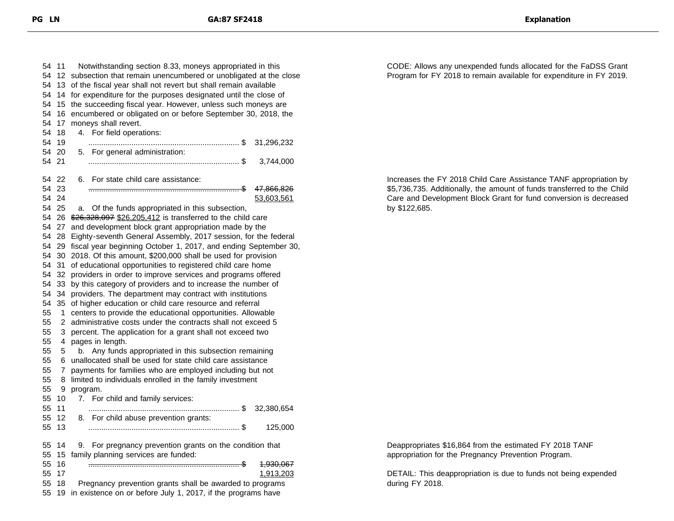| 54 | 11    | Notwithstanding section 8.33, moneys appropriated in this       |  |  |
|----|-------|-----------------------------------------------------------------|--|--|
| 54 | 12    | subsection that remain unencumbered or unobligated at the close |  |  |
| 54 | 13    | of the fiscal year shall not revert but shall remain available  |  |  |
| 54 | 14    | for expenditure for the purposes designated until the close of  |  |  |
| 54 | 15    | the succeeding fiscal year. However, unless such moneys are     |  |  |
| 54 | 16    | encumbered or obligated on or before September 30, 2018, the    |  |  |
| 54 | 17    | moneys shall revert.                                            |  |  |
| 54 | 18    | For field operations:<br>4.                                     |  |  |
| 54 | 19    | 31,296,232                                                      |  |  |
| 54 | 20    | 5. For general administration:                                  |  |  |
| 54 | 21    | 3,744,000                                                       |  |  |
|    |       |                                                                 |  |  |
|    | 54 22 | For state child care assistance:<br>6.                          |  |  |
|    | 54 23 | 47,866,826                                                      |  |  |
|    | 54 24 | 53,603,561                                                      |  |  |
|    | 54 25 | Of the funds appropriated in this subsection,<br>a.             |  |  |
|    | 54 26 | \$26,328,097 \$26,205,412 is transferred to the child care      |  |  |
|    | 54 27 | and development block grant appropriation made by the           |  |  |
| 54 | 28    | Eighty-seventh General Assembly, 2017 session, for the federal  |  |  |
| 54 | 29    | fiscal year beginning October 1, 2017, and ending September 30, |  |  |
| 54 | 30    | 2018. Of this amount, \$200,000 shall be used for provision     |  |  |
| 54 | 31    | of educational opportunities to registered child care home      |  |  |
|    | 32    |                                                                 |  |  |
| 54 |       | providers in order to improve services and programs offered     |  |  |
| 54 | 33    | by this category of providers and to increase the number of     |  |  |
| 54 | 34    | providers. The department may contract with institutions        |  |  |
| 54 | 35    | of higher education or child care resource and referral         |  |  |
| 55 | 1     | centers to provide the educational opportunities. Allowable     |  |  |
| 55 | 2     | administrative costs under the contracts shall not exceed 5     |  |  |
| 55 | 3     | percent. The application for a grant shall not exceed two       |  |  |
| 55 | 4     | pages in length.                                                |  |  |
| 55 | 5     | b. Any funds appropriated in this subsection remaining          |  |  |
| 55 | 6     | unallocated shall be used for state child care assistance       |  |  |
| 55 | 7     | payments for families who are employed including but not        |  |  |
| 55 | 8     | limited to individuals enrolled in the family investment        |  |  |
| 55 | 9     | program.                                                        |  |  |
| 55 | 10    | 7. For child and family services:                               |  |  |
| 55 | 11    | . \$<br>32,380,654<br>.                                         |  |  |
| 55 | 12    | For child abuse prevention grants:<br>8.                        |  |  |
| 55 | 13    | 125,000                                                         |  |  |
|    |       |                                                                 |  |  |
| 55 | 14    | For pregnancy prevention grants on the condition that<br>9.     |  |  |
| 55 | 15    | family planning services are funded:                            |  |  |
| 55 | 16    | <del>1,930,067</del>                                            |  |  |
| 55 | 17    | 1,913,203                                                       |  |  |
| 55 | 18    | Pregnancy prevention grants shall be awarded to programs        |  |  |
| 55 | 19    | in existence on or before July 1, 2017, if the programs have    |  |  |

CODE: Allows any unexpended funds allocated for the FaDSS Grant Program for FY 2018 to remain available for expenditure in FY 2019.

Increases the FY 2018 Child Care Assistance TANF appropriation by \$5,736,735. Additionally, the amount of funds transferred to the Child Care and Development Block Grant for fund conversion is decreased by \$122,685.

Deappropriates \$16,864 from the estimated FY 2018 TANF appropriation for the Pregnancy Prevention Program.

DETAIL: This deappropriation is due to funds not being expended during FY 2018.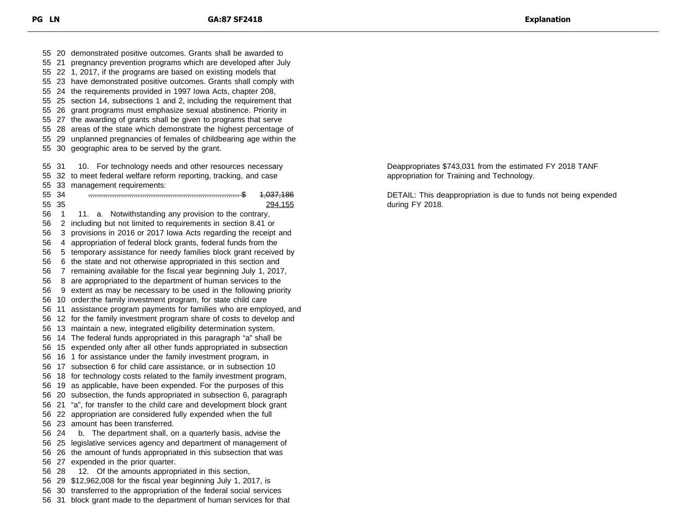20 demonstrated positive outcomes. Grants shall be awarded to 21 pregnancy prevention programs which are developed after July 22 1, 2017, if the programs are based on existing models that 23 have demonstrated positive outcomes. Grants shall comply with 24 the requirements provided in 1997 Iowa Acts, chapter 208, 25 section 14, subsections 1 and 2, including the requirement that 26 grant programs must emphasize sexual abstinence. Priority in 27 the awarding of grants shall be given to programs that serve 28 areas of the state which demonstrate the highest percentage of 29 unplanned pregnancies of females of childbearing age within the 30 geographic area to be served by the grant. 55 31 10. For technology needs and other resources necessary 32 to meet federal welfare reform reporting, tracking, and case 33 management requirements: 34 ...................................................................... \$ 1,037,186 35 294,155 56 1 11. a. Notwithstanding any provision to the contrary, 2 including but not limited to requirements in section 8.41 or 3 provisions in 2016 or 2017 Iowa Acts regarding the receipt and 4 appropriation of federal block grants, federal funds from the 5 temporary assistance for needy families block grant received by 6 the state and not otherwise appropriated in this section and 7 remaining available for the fiscal year beginning July 1, 2017, 8 are appropriated to the department of human services to the 9 extent as may be necessary to be used in the following priority 10 order:the family investment program, for state child care 11 assistance program payments for families who are employed, and 12 for the family investment program share of costs to develop and 13 maintain a new, integrated eligibility determination system. 14 The federal funds appropriated in this paragraph "a" shall be 15 expended only after all other funds appropriated in subsection 16 1 for assistance under the family investment program, in 17 subsection 6 for child care assistance, or in subsection 10 18 for technology costs related to the family investment program, 19 as applicable, have been expended. For the purposes of this 20 subsection, the funds appropriated in subsection 6, paragraph 21 "a", for transfer to the child care and development block grant 22 appropriation are considered fully expended when the full 23 amount has been transferred. 24 b. The department shall, on a quarterly basis, advise the 25 legislative services agency and department of management of 26 the amount of funds appropriated in this subsection that was 27 expended in the prior quarter. 28 12. Of the amounts appropriated in this section, 29 \$12,962,008 for the fiscal year beginning July 1, 2017, is 30 transferred to the appropriation of the federal social services 31 block grant made to the department of human services for that

Deappropriates \$743,031 from the estimated FY 2018 TANF appropriation for Training and Technology.

DETAIL: This deappropriation is due to funds not being expended during FY 2018.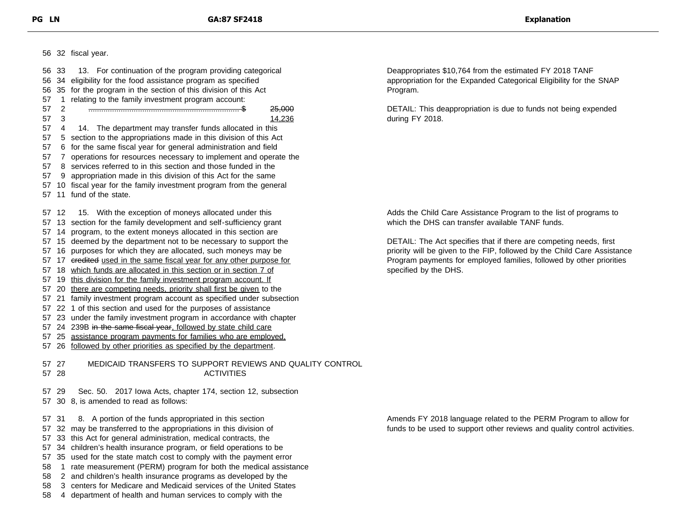32 fiscal year.

| 56       | 33       | For continuation of the program providing categorical<br>13.                                                                 |
|----------|----------|------------------------------------------------------------------------------------------------------------------------------|
| 56       | 34       | eligibility for the food assistance program as specified                                                                     |
| 56       | 35       | for the program in the section of this division of this Act                                                                  |
| 57       | 1        | relating to the family investment program account:                                                                           |
| 57       | 2        | <del>25,000</del>                                                                                                            |
| 57       | 3        | 14,236                                                                                                                       |
| 57       | 4        | The department may transfer funds allocated in this<br>14.                                                                   |
| 57       |          | 5 section to the appropriations made in this division of this Act                                                            |
| 57       | 6        | for the same fiscal year for general administration and field                                                                |
| 57       | 7        | operations for resources necessary to implement and operate the                                                              |
| 57       | 8        | services referred to in this section and those funded in the                                                                 |
| 57       | 9        | appropriation made in this division of this Act for the same                                                                 |
| 57       |          | 10 fiscal year for the family investment program from the general                                                            |
| 57       | 11       | fund of the state.                                                                                                           |
|          |          |                                                                                                                              |
| 57       | 12       | With the exception of moneys allocated under this<br>15.                                                                     |
| 57       |          | 13 section for the family development and self-sufficiency grant                                                             |
| 57       | 14       | program, to the extent moneys allocated in this section are                                                                  |
| 57       | 15       | deemed by the department not to be necessary to support the                                                                  |
| 57       | 16       |                                                                                                                              |
| 57       | 17       | purposes for which they are allocated, such moneys may be<br>eredited used in the same fiscal year for any other purpose for |
| 57       | 18       | which funds are allocated in this section or in section 7 of                                                                 |
| 57       |          |                                                                                                                              |
|          | 19       | this division for the family investment program account. If                                                                  |
| 57       | 20       | there are competing needs, priority shall first be given to the                                                              |
| 57       | 21       | family investment program account as specified under subsection                                                              |
| 57       | 22       | 1 of this section and used for the purposes of assistance                                                                    |
| 57       |          | 23 under the family investment program in accordance with chapter                                                            |
| 57       |          | 24 239B in the same fiscal year, followed by state child care                                                                |
| 57       | 25       | assistance program payments for families who are employed.                                                                   |
| 57       | 26       | followed by other priorities as specified by the department.                                                                 |
| 57<br>57 | 27<br>28 | MEDICAID TRANSFERS TO SUPPORT REVIEWS AND QUALITY CONTROL<br><b>ACTIVITIES</b>                                               |
| 57       | 29       | Sec. 50.                                                                                                                     |
|          |          | 2017 Iowa Acts, chapter 174, section 12, subsection                                                                          |
| 57       |          | 30 8, is amended to read as follows:                                                                                         |
| 57       | 31       | A portion of the funds appropriated in this section<br>8.                                                                    |
| 57       | 32       | may be transferred to the appropriations in this division of                                                                 |
| 57       | 33       | this Act for general administration, medical contracts, the                                                                  |
| 57       |          | 34 children's health insurance program, or field operations to be                                                            |
| 57       |          | 35 used for the state match cost to comply with the payment error                                                            |
|          |          |                                                                                                                              |
| 58       | 1        | rate measurement (PERM) program for both the medical assistance                                                              |
| 58       | 2        | and children's health insurance programs as developed by the                                                                 |
| 58       |          | 3 centers for Medicare and Medicaid services of the United States                                                            |
| 58       |          | 4 department of health and human services to comply with the                                                                 |
|          |          |                                                                                                                              |

Deappropriates \$10,764 from the estimated FY 2018 TANF appropriation for the Expanded Categorical Eligibility for the SNAP Program.

DETAIL: This deappropriation is due to funds not being expended during FY 2018.

Adds the Child Care Assistance Program to the list of programs to which the DHS can transfer available TANF funds.

DETAIL: The Act specifies that if there are competing needs, first priority will be given to the FIP, followed by the Child Care Assistance Program payments for employed families, followed by other priorities specified by the DHS.

Amends FY 2018 language related to the PERM Program to allow for funds to be used to support other reviews and quality control activities.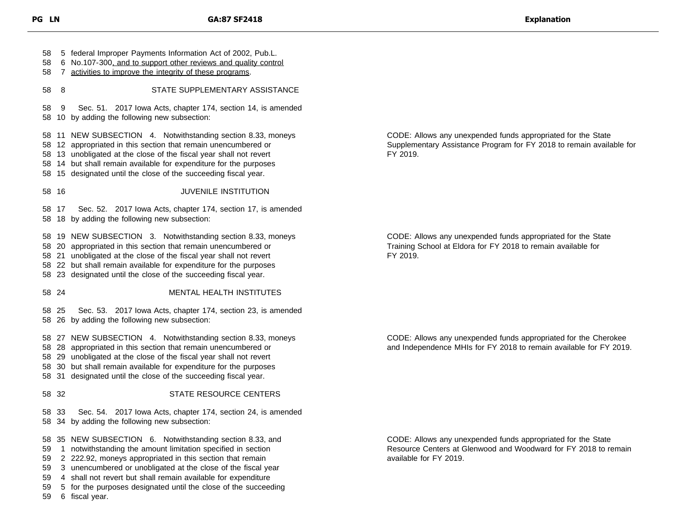5 federal Improper Payments Information Act of 2002, Pub.L. 6 No.107-300, and to support other reviews and quality control 7 activities to improve the integrity of these programs. 8 STATE SUPPLEMENTARY ASSISTANCE 9 Sec. 51. 2017 Iowa Acts, chapter 174, section 14, is amended 10 by adding the following new subsection: 11 NEW SUBSECTION 4. Notwithstanding section 8.33, moneys 12 appropriated in this section that remain unencumbered or 13 unobligated at the close of the fiscal year shall not revert 14 but shall remain available for expenditure for the purposes 15 designated until the close of the succeeding fiscal year. 16 JUVENILE INSTITUTION 17 Sec. 52. 2017 Iowa Acts, chapter 174, section 17, is amended 18 by adding the following new subsection: 19 NEW SUBSECTION 3. Notwithstanding section 8.33, moneys 20 appropriated in this section that remain unencumbered or 21 unobligated at the close of the fiscal year shall not revert 22 but shall remain available for expenditure for the purposes 23 designated until the close of the succeeding fiscal year. 24 MENTAL HEALTH INSTITUTES 25 Sec. 53. 2017 Iowa Acts, chapter 174, section 23, is amended 26 by adding the following new subsection: 27 NEW SUBSECTION 4. Notwithstanding section 8.33, moneys 28 appropriated in this section that remain unencumbered or 29 unobligated at the close of the fiscal year shall not revert 30 but shall remain available for expenditure for the purposes 31 designated until the close of the succeeding fiscal year. 32 STATE RESOURCE CENTERS 33 Sec. 54. 2017 Iowa Acts, chapter 174, section 24, is amended 34 by adding the following new subsection: 35 NEW SUBSECTION 6. Notwithstanding section 8.33, and 1 notwithstanding the amount limitation specified in section

- 2 222.92, moneys appropriated in this section that remain
- 3 unencumbered or unobligated at the close of the fiscal year
- 4 shall not revert but shall remain available for expenditure
- 5 for the purposes designated until the close of the succeeding
- 6 fiscal year.

CODE: Allows any unexpended funds appropriated for the State Supplementary Assistance Program for FY 2018 to remain available for FY 2019.

CODE: Allows any unexpended funds appropriated for the State Training School at Eldora for FY 2018 to remain available for FY 2019.

CODE: Allows any unexpended funds appropriated for the Cherokee and Independence MHIs for FY 2018 to remain available for FY 2019.

CODE: Allows any unexpended funds appropriated for the State Resource Centers at Glenwood and Woodward for FY 2018 to remain available for FY 2019.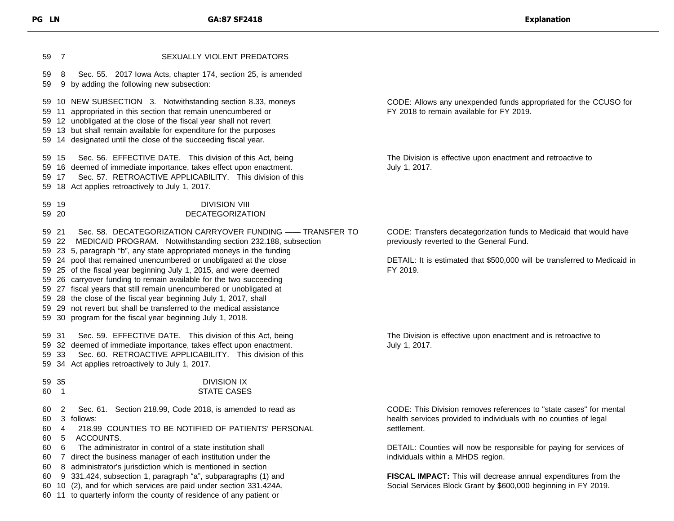10 NEW SUBSECTION 3. Notwithstanding section 8.33, moneys 11 appropriated in this section that remain unencumbered or 12 unobligated at the close of the fiscal year shall not revert 13 but shall remain available for expenditure for the purposes 14 designated until the close of the succeeding fiscal year. 15 Sec. 56. EFFECTIVE DATE. This division of this Act, being 16 deemed of immediate importance, takes effect upon enactment. 17 Sec. 57. RETROACTIVE APPLICABILITY. This division of this 18 Act applies retroactively to July 1, 2017. 19 DIVISION VIII 20 DECATEGORIZATION 21 Sec. 58. DECATEGORIZATION CARRYOVER FUNDING —— TRANSFER TO 22 MEDICAID PROGRAM. Notwithstanding section 232.188, subsection 23 5, paragraph "b", any state appropriated moneys in the funding 24 pool that remained unencumbered or unobligated at the close 25 of the fiscal year beginning July 1, 2015, and were deemed 26 carryover funding to remain available for the two succeeding 27 fiscal years that still remain unencumbered or unobligated at 28 the close of the fiscal year beginning July 1, 2017, shall 29 not revert but shall be transferred to the medical assistance 30 program for the fiscal year beginning July 1, 2018. 31 Sec. 59. EFFECTIVE DATE. This division of this Act, being 32 deemed of immediate importance, takes effect upon enactment. 33 Sec. 60. RETROACTIVE APPLICABILITY. This division of this 34 Act applies retroactively to July 1, 2017. 35 DIVISION IX 1 STATE CASES 2 Sec. 61. Section 218.99, Code 2018, is amended to read as 3 follows: 4 218.99 COUNTIES TO BE NOTIFIED OF PATIENTS' PERSONAL 5 ACCOUNTS. 6 The administrator in control of a state institution shall 7 direct the business manager of each institution under the 8 administrator's jurisdiction which is mentioned in section 9 331.424, subsection 1, paragraph "a", subparagraphs (1) and 10 (2), and for which services are paid under section 331.424A, 11 to quarterly inform the county of residence of any patient or CODE: Allows any unexpended funds appropriated for the CCUSO for FY 2018 to remain available for FY 2019. July 1, 2017. CODE: Transfers decategorization funds to Medicaid that would have previously reverted to the General Fund. DETAIL: It is estimated that \$500,000 will be transferred to Medicaid in FY 2019. The Division is effective upon enactment and is retroactive to July 1, 2017. CODE: This Division removes references to "state cases" for mental health services provided to individuals with no counties of legal settlement. DETAIL: Counties will now be responsible for paying for services of individuals within a MHDS region. **FISCAL IMPACT:** This will decrease annual expenditures from the Social Services Block Grant by \$600,000 beginning in FY 2019.

The Division is effective upon enactment and retroactive to

7 SEXUALLY VIOLENT PREDATORS

9 by adding the following new subsection:

8 Sec. 55. 2017 Iowa Acts, chapter 174, section 25, is amended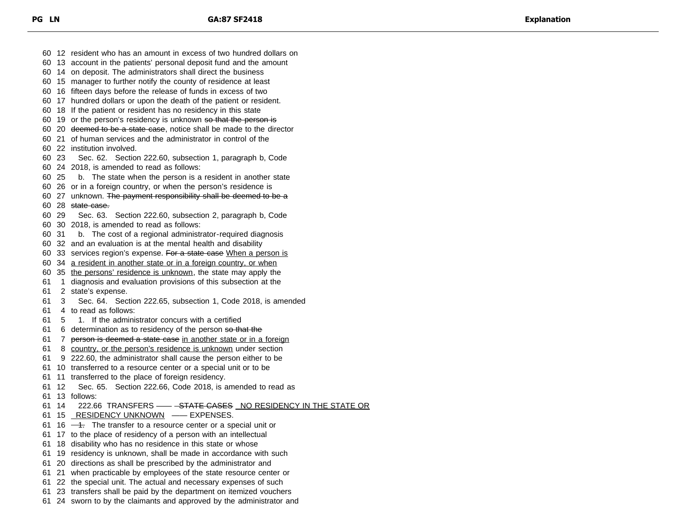12 resident who has an amount in excess of two hundred dollars on 13 account in the patients' personal deposit fund and the amount 14 on deposit. The administrators shall direct the business 15 manager to further notify the county of residence at least 16 fifteen days before the release of funds in excess of two 17 hundred dollars or upon the death of the patient or resident. 18 If the patient or resident has no residency in this state 60 19 or the person's residency is unknown so that the person is 60 20 <del>deemed to be a state case</del>, notice shall be made to the director 21 of human services and the administrator in control of the 22 institution involved. 23 Sec. 62. Section 222.60, subsection 1, paragraph b, Code 24 2018, is amended to read as follows: 25 b. The state when the person is a resident in another state 26 or in a foreign country, or when the person's residence is 60 27 unknown. The payment responsibility shall be deemed to be a 60 28 state case. 29 Sec. 63. Section 222.60, subsection 2, paragraph b, Code 30 2018, is amended to read as follows: 31 b. The cost of a regional administrator-required diagnosis 32 and an evaluation is at the mental health and disability 60 33 services region's expense. For a state case When a person is 34 a resident in another state or in a foreign country, or when 35 the persons' residence is unknown, the state may apply the 1 diagnosis and evaluation provisions of this subsection at the 2 state's expense. 3 Sec. 64. Section 222.65, subsection 1, Code 2018, is amended 4 to read as follows: 5 1. If the administrator concurs with a certified 61 6 determination as to residency of the person so that the 61 7 person is deemed a state case in another state or in a foreign 8 country, or the person's residence is unknown under section 9 222.60, the administrator shall cause the person either to be 10 transferred to a resource center or a special unit or to be 11 transferred to the place of foreign residency. 12 Sec. 65. Section 222.66, Code 2018, is amended to read as 13 follows: 61 14 222.66 TRANSFERS - - STATE CASES NO RESIDENCY IN THE STATE OR 15 RESIDENCY UNKNOWN —— EXPENSES. 61 16  $-4$ . The transfer to a resource center or a special unit or 17 to the place of residency of a person with an intellectual 18 disability who has no residence in this state or whose 19 residency is unknown, shall be made in accordance with such 20 directions as shall be prescribed by the administrator and 21 when practicable by employees of the state resource center or 22 the special unit. The actual and necessary expenses of such 23 transfers shall be paid by the department on itemized vouchers 24 sworn to by the claimants and approved by the administrator and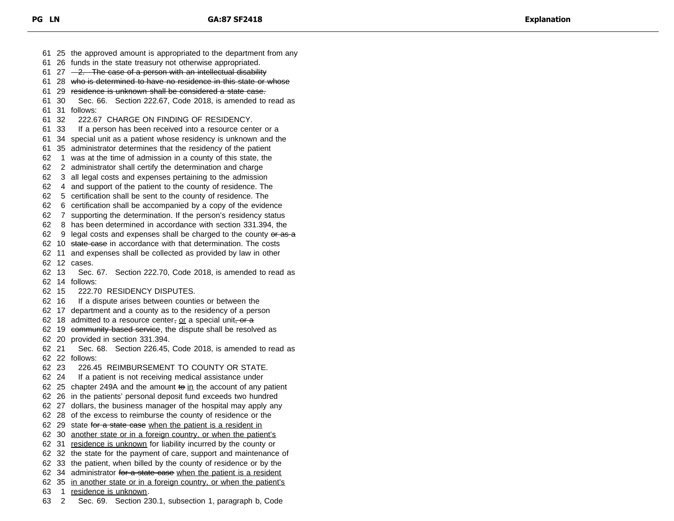25 the approved amount is appropriated to the department from any 26 funds in the state treasury not otherwise appropriated. 61 27  $-2$ . The case of a person with an intellectual disability 28 who is determined to have no residence in this state or whose 29 residence is unknown shall be considered a state case. 30 Sec. 66. Section 222.67, Code 2018, is amended to read as 31 follows: 32 222.67 CHARGE ON FINDING OF RESIDENCY. 33 If a person has been received into a resource center or a 34 special unit as a patient whose residency is unknown and the 35 administrator determines that the residency of the patient 1 was at the time of admission in a county of this state, the 2 administrator shall certify the determination and charge 3 all legal costs and expenses pertaining to the admission 4 and support of the patient to the county of residence. The 5 certification shall be sent to the county of residence. The 6 certification shall be accompanied by a copy of the evidence 7 supporting the determination. If the person's residency status 8 has been determined in accordance with section 331.394, the 62 9 legal costs and expenses shall be charged to the county  $\theta$  as a 62 10 state case in accordance with that determination. The costs 11 and expenses shall be collected as provided by law in other 12 cases. 13 Sec. 67. Section 222.70, Code 2018, is amended to read as 14 follows: 15 222.70 RESIDENCY DISPUTES. 16 If a dispute arises between counties or between the 17 department and a county as to the residency of a person 62 18 admitted to a resource center, or a special unit, or  $a$ 62 19 community-based service, the dispute shall be resolved as 20 provided in section 331.394. 21 Sec. 68. Section 226.45, Code 2018, is amended to read as 22 follows: 23 226.45 REIMBURSEMENT TO COUNTY OR STATE. 24 If a patient is not receiving medical assistance under 62 25 chapter 249A and the amount to in the account of any patient 26 in the patients' personal deposit fund exceeds two hundred 27 dollars, the business manager of the hospital may apply any 28 of the excess to reimburse the county of residence or the 62 29 state for a state case when the patient is a resident in 30 another state or in a foreign country, or when the patient's 31 residence is unknown for liability incurred by the county or 32 the state for the payment of care, support and maintenance of 33 the patient, when billed by the county of residence or by the 62 34 administrator for a state case when the patient is a resident 35 in another state or in a foreign country, or when the patient's 1 residence is unknown. 2 Sec. 69. Section 230.1, subsection 1, paragraph b, Code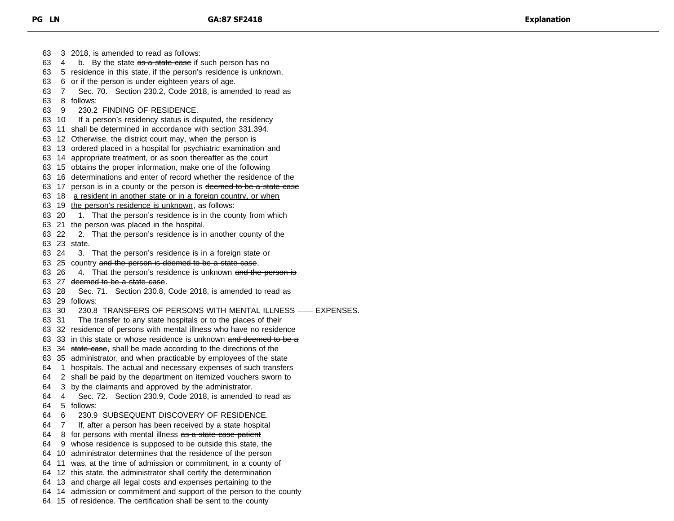3 2018, is amended to read as follows:  $-4$  b. By the state  $\overline{a}$  b as a state case if such person has no 5 residence in this state, if the person's residence is unknown, 6 or if the person is under eighteen years of age. 7 Sec. 70. Section 230.2, Code 2018, is amended to read as 8 follows: 9 230.2 FINDING OF RESIDENCE. 10 If a person's residency status is disputed, the residency 11 shall be determined in accordance with section 331.394. 12 Otherwise, the district court may, when the person is 13 ordered placed in a hospital for psychiatric examination and 14 appropriate treatment, or as soon thereafter as the court 15 obtains the proper information, make one of the following 16 determinations and enter of record whether the residence of the 63 17 person is in a county or the person is deemed to be a state case 18 a resident in another state or in a foreign country, or when 19 the person's residence is unknown, as follows: 20 1. That the person's residence is in the county from which 21 the person was placed in the hospital. 22 2. That the person's residence is in another county of the 23 state. 24 3. That the person's residence is in a foreign state or 63 25 country and the person is deemed to be a state case. 63 26 4. That the person's residence is unknown and the person is 27 deemed to be a state case. 28 Sec. 71. Section 230.8, Code 2018, is amended to read as 29 follows: 30 230.8 TRANSFERS OF PERSONS WITH MENTAL ILLNESS —— EXPENSES. 31 The transfer to any state hospitals or to the places of their 32 residence of persons with mental illness who have no residence 63 33 in this state or whose residence is unknown and deemed to be a 63 34 state case, shall be made according to the directions of the 35 administrator, and when practicable by employees of the state 1 hospitals. The actual and necessary expenses of such transfers 2 shall be paid by the department on itemized vouchers sworn to 3 by the claimants and approved by the administrator. 4 Sec. 72. Section 230.9, Code 2018, is amended to read as 5 follows: 6 230.9 SUBSEQUENT DISCOVERY OF RESIDENCE. 7 If, after a person has been received by a state hospital 64 8 for persons with mental illness as a state case patient 9 whose residence is supposed to be outside this state, the 10 administrator determines that the residence of the person 11 was, at the time of admission or commitment, in a county of 12 this state, the administrator shall certify the determination 13 and charge all legal costs and expenses pertaining to the 14 admission or commitment and support of the person to the county

15 of residence. The certification shall be sent to the county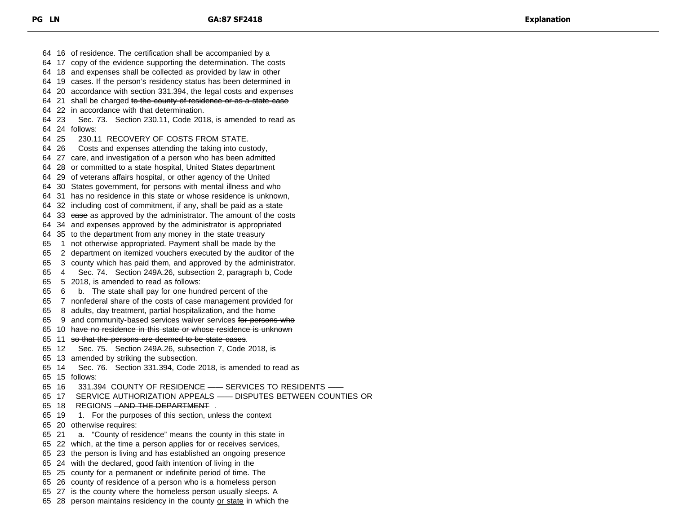16 of residence. The certification shall be accompanied by a 17 copy of the evidence supporting the determination. The costs 18 and expenses shall be collected as provided by law in other 19 cases. If the person's residency status has been determined in 20 accordance with section 331.394, the legal costs and expenses 64 21 shall be charged to the county of residence or as a state case 22 in accordance with that determination. 23 Sec. 73. Section 230.11, Code 2018, is amended to read as 24 follows: 25 230.11 RECOVERY OF COSTS FROM STATE. 26 Costs and expenses attending the taking into custody, 27 care, and investigation of a person who has been admitted 28 or committed to a state hospital, United States department 29 of veterans affairs hospital, or other agency of the United 30 States government, for persons with mental illness and who 31 has no residence in this state or whose residence is unknown, 64 32 including cost of commitment, if any, shall be paid as a state 64 33 ease as approved by the administrator. The amount of the costs 34 and expenses approved by the administrator is appropriated 35 to the department from any money in the state treasury 1 not otherwise appropriated. Payment shall be made by the 2 department on itemized vouchers executed by the auditor of the 3 county which has paid them, and approved by the administrator. 4 Sec. 74. Section 249A.26, subsection 2, paragraph b, Code 5 2018, is amended to read as follows: 6 b. The state shall pay for one hundred percent of the 7 nonfederal share of the costs of case management provided for 8 adults, day treatment, partial hospitalization, and the home 65 9 and community-based services waiver services for persons who 10 have no residence in this state or whose residence is unknown 11 so that the persons are deemed to be state cases. 12 Sec. 75. Section 249A.26, subsection 7, Code 2018, is 13 amended by striking the subsection. 14 Sec. 76. Section 331.394, Code 2018, is amended to read as 15 follows: 16 331.394 COUNTY OF RESIDENCE —— SERVICES TO RESIDENTS —— 17 SERVICE AUTHORIZATION APPEALS —— DISPUTES BETWEEN COUNTIES OR 65 18 REGIONS <del>AND THE DEPARTMENT</del>. 19 1. For the purposes of this section, unless the context 20 otherwise requires: 21 a. "County of residence" means the county in this state in 22 which, at the time a person applies for or receives services, 23 the person is living and has established an ongoing presence 24 with the declared, good faith intention of living in the 25 county for a permanent or indefinite period of time. The 26 county of residence of a person who is a homeless person 27 is the county where the homeless person usually sleeps. A 65 28 person maintains residency in the county or state in which the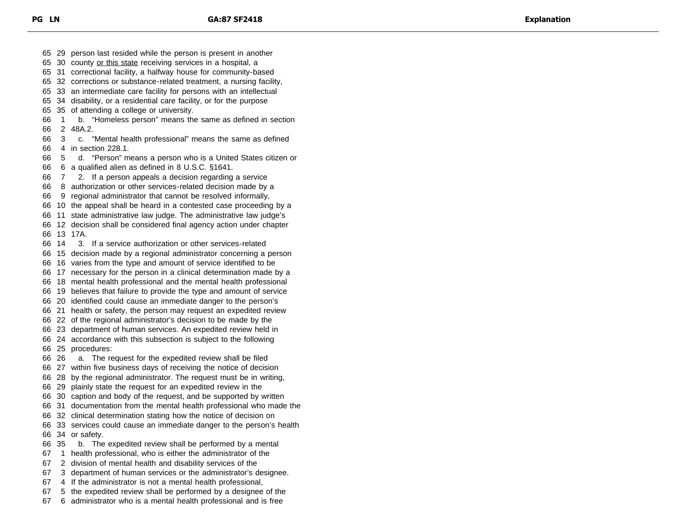29 person last resided while the person is present in another 30 county or this state receiving services in a hospital, a 31 correctional facility, a halfway house for community-based 32 corrections or substance-related treatment, a nursing facility, 33 an intermediate care facility for persons with an intellectual 34 disability, or a residential care facility, or for the purpose 35 of attending a college or university. 1 b. "Homeless person" means the same as defined in section 2 48A.2. 3 c. "Mental health professional" means the same as defined 4 in section 228.1. 5 d. "Person" means a person who is a United States citizen or 6 a qualified alien as defined in 8 U.S.C. §1641. 7 2. If a person appeals a decision regarding a service 8 authorization or other services-related decision made by a 9 regional administrator that cannot be resolved informally, 10 the appeal shall be heard in a contested case proceeding by a 11 state administrative law judge. The administrative law judge's 12 decision shall be considered final agency action under chapter 13 17A. 14 3. If a service authorization or other services-related 15 decision made by a regional administrator concerning a person 16 varies from the type and amount of service identified to be 17 necessary for the person in a clinical determination made by a 18 mental health professional and the mental health professional 19 believes that failure to provide the type and amount of service 20 identified could cause an immediate danger to the person's 21 health or safety, the person may request an expedited review 22 of the regional administrator's decision to be made by the 23 department of human services. An expedited review held in 24 accordance with this subsection is subject to the following 25 procedures: 26 a. The request for the expedited review shall be filed 27 within five business days of receiving the notice of decision 28 by the regional administrator. The request must be in writing, 29 plainly state the request for an expedited review in the 30 caption and body of the request, and be supported by written 31 documentation from the mental health professional who made the 32 clinical determination stating how the notice of decision on 33 services could cause an immediate danger to the person's health 34 or safety. 35 b. The expedited review shall be performed by a mental 1 health professional, who is either the administrator of the 2 division of mental health and disability services of the 3 department of human services or the administrator's designee. 4 If the administrator is not a mental health professional, 5 the expedited review shall be performed by a designee of the

6 administrator who is a mental health professional and is free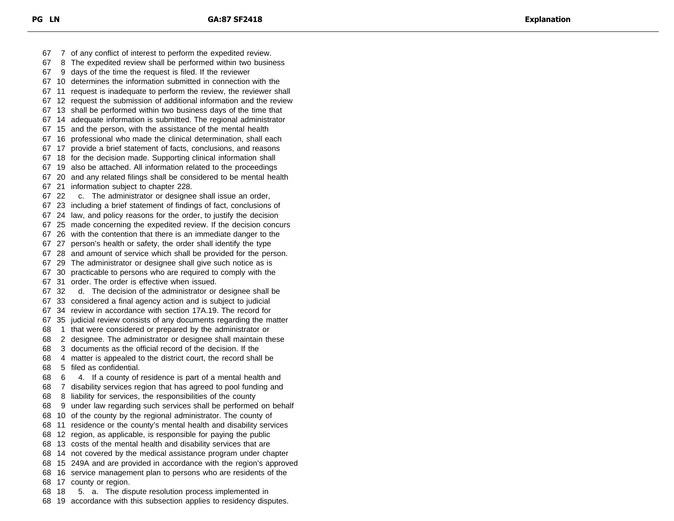7 of any conflict of interest to perform the expedited review. 8 The expedited review shall be performed within two business 9 days of the time the request is filed. If the reviewer 10 determines the information submitted in connection with the 11 request is inadequate to perform the review, the reviewer shall 12 request the submission of additional information and the review 13 shall be performed within two business days of the time that 14 adequate information is submitted. The regional administrator 15 and the person, with the assistance of the mental health 16 professional who made the clinical determination, shall each 17 provide a brief statement of facts, conclusions, and reasons 18 for the decision made. Supporting clinical information shall 19 also be attached. All information related to the proceedings 20 and any related filings shall be considered to be mental health 21 information subject to chapter 228. 22 c. The administrator or designee shall issue an order, 23 including a brief statement of findings of fact, conclusions of 24 law, and policy reasons for the order, to justify the decision 25 made concerning the expedited review. If the decision concurs 26 with the contention that there is an immediate danger to the 27 person's health or safety, the order shall identify the type 28 and amount of service which shall be provided for the person. 29 The administrator or designee shall give such notice as is 30 practicable to persons who are required to comply with the 31 order. The order is effective when issued. 32 d. The decision of the administrator or designee shall be 33 considered a final agency action and is subject to judicial 34 review in accordance with section 17A.19. The record for 35 judicial review consists of any documents regarding the matter 1 that were considered or prepared by the administrator or 2 designee. The administrator or designee shall maintain these 3 documents as the official record of the decision. If the 4 matter is appealed to the district court, the record shall be 5 filed as confidential. 6 4. If a county of residence is part of a mental health and 7 disability services region that has agreed to pool funding and 8 liability for services, the responsibilities of the county 9 under law regarding such services shall be performed on behalf 10 of the county by the regional administrator. The county of 11 residence or the county's mental health and disability services 12 region, as applicable, is responsible for paying the public 13 costs of the mental health and disability services that are 14 not covered by the medical assistance program under chapter 15 249A and are provided in accordance with the region's approved 16 service management plan to persons who are residents of the 17 county or region. 18 5. a. The dispute resolution process implemented in

19 accordance with this subsection applies to residency disputes.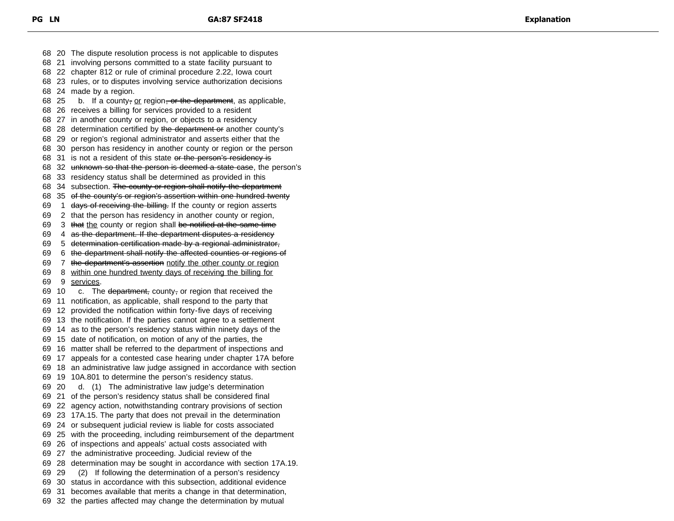20 The dispute resolution process is not applicable to disputes 21 involving persons committed to a state facility pursuant to 22 chapter 812 or rule of criminal procedure 2.22, Iowa court 23 rules, or to disputes involving service authorization decisions 24 made by a region. 68 25 b. If a county, or region, or the department, as applicable, 26 receives a billing for services provided to a resident 27 in another county or region, or objects to a residency 68 28 determination certified by the department or another county's 29 or region's regional administrator and asserts either that the 30 person has residency in another county or region or the person 68 31 is not a resident of this state or the person's residency is 68 32 unknown so that the person is deemed a state case, the person's 33 residency status shall be determined as provided in this 68 34 subsection. The county or region shall notify the department 35 of the county's or region's assertion within one hundred twenty 69 1 days of receiving the billing. If the county or region asserts 2 that the person has residency in another county or region, 69 3 that the county or region shall be notified at the same time 4 as the department. If the department disputes a residency 69 5 determination certification made by a regional administrator, 6 the department shall notify the affected counties or regions of 7 the department's assertion notify the other county or region 8 within one hundred twenty days of receiving the billing for 9 services. 69 10  $\cdot$  c. The department, county, or region that received the 11 notification, as applicable, shall respond to the party that 12 provided the notification within forty-five days of receiving 13 the notification. If the parties cannot agree to a settlement 14 as to the person's residency status within ninety days of the 15 date of notification, on motion of any of the parties, the 16 matter shall be referred to the department of inspections and 17 appeals for a contested case hearing under chapter 17A before 18 an administrative law judge assigned in accordance with section 19 10A.801 to determine the person's residency status. 20 d. (1) The administrative law judge's determination 21 of the person's residency status shall be considered final 22 agency action, notwithstanding contrary provisions of section 23 17A.15. The party that does not prevail in the determination 24 or subsequent judicial review is liable for costs associated 25 with the proceeding, including reimbursement of the department 26 of inspections and appeals' actual costs associated with 27 the administrative proceeding. Judicial review of the 28 determination may be sought in accordance with section 17A.19. 29 (2) If following the determination of a person's residency 30 status in accordance with this subsection, additional evidence 31 becomes available that merits a change in that determination, 32 the parties affected may change the determination by mutual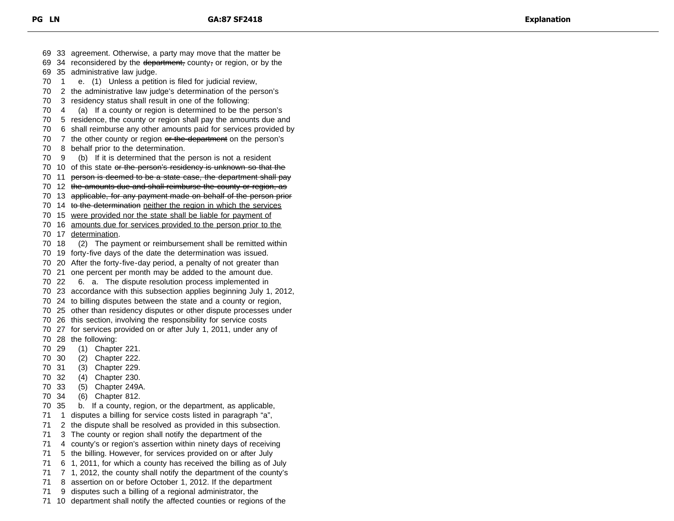33 agreement. Otherwise, a party may move that the matter be 69 34 reconsidered by the department, county, or region, or by the 35 administrative law judge. 1 e. (1) Unless a petition is filed for judicial review, 2 the administrative law judge's determination of the person's 3 residency status shall result in one of the following: 4 (a) If a county or region is determined to be the person's 5 residence, the county or region shall pay the amounts due and 6 shall reimburse any other amounts paid for services provided by 70 7 the other county or region or the department on the person's 8 behalf prior to the determination. 9 (b) If it is determined that the person is not a resident 70 10 of this state or the person's residency is unknown so that the 11 person is deemed to be a state case, the department shall pay 12 the amounts due and shall reimburse the county or region, as 13 applicable, for any payment made on behalf of the person prior 14 to the determination neither the region in which the services 15 were provided nor the state shall be liable for payment of 16 amounts due for services provided to the person prior to the 17 determination. 18 (2) The payment or reimbursement shall be remitted within 19 forty-five days of the date the determination was issued. 20 After the forty-five-day period, a penalty of not greater than 21 one percent per month may be added to the amount due. 22 6. a. The dispute resolution process implemented in 23 accordance with this subsection applies beginning July 1, 2012, 24 to billing disputes between the state and a county or region, 25 other than residency disputes or other dispute processes under 26 this section, involving the responsibility for service costs 27 for services provided on or after July 1, 2011, under any of 28 the following: 29 (1) Chapter 221. 30 (2) Chapter 222. 31 (3) Chapter 229. 32 (4) Chapter 230. 33 (5) Chapter 249A. 34 (6) Chapter 812. 35 b. If a county, region, or the department, as applicable, 1 disputes a billing for service costs listed in paragraph "a", 2 the dispute shall be resolved as provided in this subsection. 3 The county or region shall notify the department of the 4 county's or region's assertion within ninety days of receiving 5 the billing. However, for services provided on or after July 6 1, 2011, for which a county has received the billing as of July 7 1, 2012, the county shall notify the department of the county's 8 assertion on or before October 1, 2012. If the department 9 disputes such a billing of a regional administrator, the

10 department shall notify the affected counties or regions of the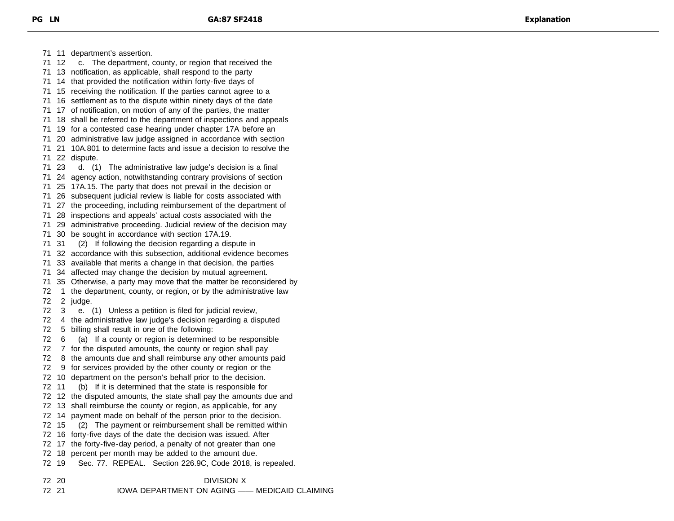11 department's assertion. 12 c. The department, county, or region that received the 13 notification, as applicable, shall respond to the party 14 that provided the notification within forty-five days of 15 receiving the notification. If the parties cannot agree to a 16 settlement as to the dispute within ninety days of the date 17 of notification, on motion of any of the parties, the matter 18 shall be referred to the department of inspections and appeals 19 for a contested case hearing under chapter 17A before an 20 administrative law judge assigned in accordance with section 21 10A.801 to determine facts and issue a decision to resolve the 22 dispute. 23 d. (1) The administrative law judge's decision is a final 24 agency action, notwithstanding contrary provisions of section 25 17A.15. The party that does not prevail in the decision or 26 subsequent judicial review is liable for costs associated with 27 the proceeding, including reimbursement of the department of 28 inspections and appeals' actual costs associated with the 29 administrative proceeding. Judicial review of the decision may 30 be sought in accordance with section 17A.19. 31 (2) If following the decision regarding a dispute in 32 accordance with this subsection, additional evidence becomes 33 available that merits a change in that decision, the parties 34 affected may change the decision by mutual agreement. 35 Otherwise, a party may move that the matter be reconsidered by 1 the department, county, or region, or by the administrative law 2 judge. 3 e. (1) Unless a petition is filed for judicial review, 4 the administrative law judge's decision regarding a disputed 5 billing shall result in one of the following: 6 (a) If a county or region is determined to be responsible 7 for the disputed amounts, the county or region shall pay 8 the amounts due and shall reimburse any other amounts paid 9 for services provided by the other county or region or the 10 department on the person's behalf prior to the decision. 11 (b) If it is determined that the state is responsible for 12 the disputed amounts, the state shall pay the amounts due and 13 shall reimburse the county or region, as applicable, for any 14 payment made on behalf of the person prior to the decision. 15 (2) The payment or reimbursement shall be remitted within 16 forty-five days of the date the decision was issued. After 17 the forty-five-day period, a penalty of not greater than one 18 percent per month may be added to the amount due. 19 Sec. 77. REPEAL. Section 226.9C, Code 2018, is repealed.

 20 DIVISION X 21 IOWA DEPARTMENT ON AGING —— MEDICAID CLAIMING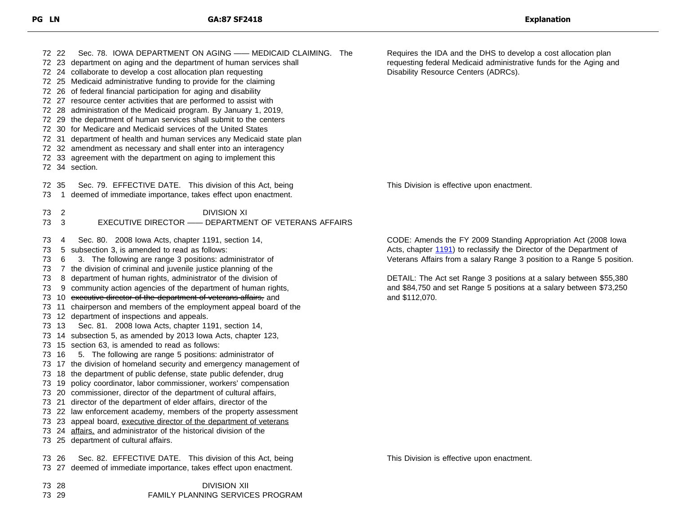| 72 22                                                                     | Sec. 78. IOWA DEPARTMENT ON AGING - MEDICAID CLAIMING. The<br>72 23 department on aging and the department of human services shall<br>72 24 collaborate to develop a cost allocation plan requesting<br>72 25 Medicaid administrative funding to provide for the claiming<br>72 26 of federal financial participation for aging and disability<br>72 27 resource center activities that are performed to assist with<br>72 28 administration of the Medicaid program. By January 1, 2019,<br>72 29 the department of human services shall submit to the centers<br>72 30 for Medicare and Medicaid services of the United States<br>72 31 department of health and human services any Medicaid state plan<br>72 32 amendment as necessary and shall enter into an interagency<br>72 33 agreement with the department on aging to implement this<br>72 34 section.                                                                                                                                                                                                                                                                                                                                                                                                                                                                                                                                                                     | Requires the IDA and the DHS to develop a cost allocation plan<br>requesting federal Medicaid administrative funds for the Aging and<br>Disability Resource Centers (ADRCs).                                                                                                                                                                                                   |
|---------------------------------------------------------------------------|---------------------------------------------------------------------------------------------------------------------------------------------------------------------------------------------------------------------------------------------------------------------------------------------------------------------------------------------------------------------------------------------------------------------------------------------------------------------------------------------------------------------------------------------------------------------------------------------------------------------------------------------------------------------------------------------------------------------------------------------------------------------------------------------------------------------------------------------------------------------------------------------------------------------------------------------------------------------------------------------------------------------------------------------------------------------------------------------------------------------------------------------------------------------------------------------------------------------------------------------------------------------------------------------------------------------------------------------------------------------------------------------------------------------------------------|--------------------------------------------------------------------------------------------------------------------------------------------------------------------------------------------------------------------------------------------------------------------------------------------------------------------------------------------------------------------------------|
| 72 35<br>73<br>$\mathbf{1}$                                               | Sec. 79. EFFECTIVE DATE. This division of this Act, being<br>deemed of immediate importance, takes effect upon enactment.                                                                                                                                                                                                                                                                                                                                                                                                                                                                                                                                                                                                                                                                                                                                                                                                                                                                                                                                                                                                                                                                                                                                                                                                                                                                                                             | This Division is effective upon enactment.                                                                                                                                                                                                                                                                                                                                     |
| $\overline{2}$<br>73<br>73<br>$\mathbf{3}$                                | <b>DIVISION XI</b><br>EXECUTIVE DIRECTOR - DEPARTMENT OF VETERANS AFFAIRS                                                                                                                                                                                                                                                                                                                                                                                                                                                                                                                                                                                                                                                                                                                                                                                                                                                                                                                                                                                                                                                                                                                                                                                                                                                                                                                                                             |                                                                                                                                                                                                                                                                                                                                                                                |
| 73<br>4<br>73<br>73<br>6<br>73<br>73<br>73<br>73<br>73 13<br>73 16<br>73. | Sec. 80. 2008 Iowa Acts, chapter 1191, section 14,<br>5 subsection 3, is amended to read as follows:<br>3. The following are range 3 positions: administrator of<br>7 the division of criminal and juvenile justice planning of the<br>8 department of human rights, administrator of the division of<br>9 community action agencies of the department of human rights,<br>73 10 executive director of the department of veterans affairs, and<br>73 11 chairperson and members of the employment appeal board of the<br>12 department of inspections and appeals.<br>Sec. 81. 2008 lowa Acts, chapter 1191, section 14,<br>73 14 subsection 5, as amended by 2013 lowa Acts, chapter 123,<br>73 15 section 63, is amended to read as follows:<br>5. The following are range 5 positions: administrator of<br>73 17 the division of homeland security and emergency management of<br>73 18 the department of public defense, state public defender, drug<br>73 19 policy coordinator, labor commissioner, workers' compensation<br>20 commissioner, director of the department of cultural affairs,<br>73 21 director of the department of elder affairs, director of the<br>73 22 law enforcement academy, members of the property assessment<br>73 23 appeal board, executive director of the department of veterans<br>73 24 affairs, and administrator of the historical division of the<br>73 25 department of cultural affairs. | CODE: Amends the FY 2009 Standing Appropriation Act (2008 lowa<br>Acts, chapter 1191) to reclassify the Director of the Department of<br>Veterans Affairs from a salary Range 3 position to a Range 5 position.<br>DETAIL: The Act set Range 3 positions at a salary between \$55,380<br>and \$84,750 and set Range 5 positions at a salary between \$73,250<br>and \$112,070. |
| 73 26                                                                     | Sec. 82. EFFECTIVE DATE. This division of this Act, being<br>73 27 deemed of immediate importance, takes effect upon enactment.                                                                                                                                                                                                                                                                                                                                                                                                                                                                                                                                                                                                                                                                                                                                                                                                                                                                                                                                                                                                                                                                                                                                                                                                                                                                                                       | This Division is effective upon enactment.                                                                                                                                                                                                                                                                                                                                     |
| 73 28<br>73 29                                                            | <b>DIVISION XII</b><br>FAMILY PLANNING SERVICES PROGRAM                                                                                                                                                                                                                                                                                                                                                                                                                                                                                                                                                                                                                                                                                                                                                                                                                                                                                                                                                                                                                                                                                                                                                                                                                                                                                                                                                                               |                                                                                                                                                                                                                                                                                                                                                                                |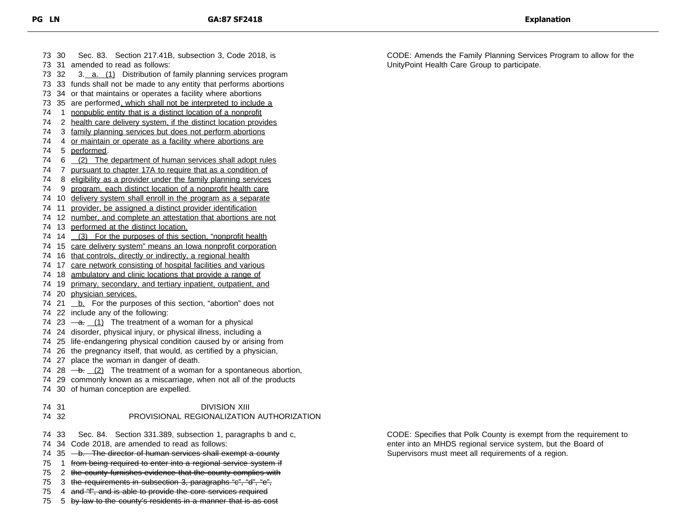|    | 73 30 | Sec. 83. Section 217.41B, subsection 3, Code 2018, is                                                              |  |  |
|----|-------|--------------------------------------------------------------------------------------------------------------------|--|--|
|    |       | 73 31 amended to read as follows:                                                                                  |  |  |
|    | 73 32 | 3. a. (1) Distribution of family planning services program                                                         |  |  |
|    |       | 73 33 funds shall not be made to any entity that performs abortions                                                |  |  |
|    |       | 73 34 or that maintains or operates a facility where abortions                                                     |  |  |
| 73 |       | 35 are performed, which shall not be interpreted to include a                                                      |  |  |
| 74 |       | 1 nonpublic entity that is a distinct location of a nonprofit                                                      |  |  |
| 74 |       | 2 health care delivery system, if the distinct location provides                                                   |  |  |
| 74 |       | 3 family planning services but does not perform abortions                                                          |  |  |
| 74 |       | 4 or maintain or operate as a facility where abortions are                                                         |  |  |
| 74 |       | 5 performed.                                                                                                       |  |  |
| 74 |       | 6 (2) The department of human services shall adopt rules                                                           |  |  |
| 74 |       | 7 pursuant to chapter 17A to require that as a condition of                                                        |  |  |
| 74 |       | 8 eligibility as a provider under the family planning services                                                     |  |  |
| 74 |       | 9 program, each distinct location of a nonprofit health care                                                       |  |  |
| 74 |       | 10 delivery system shall enroll in the program as a separate                                                       |  |  |
| 74 |       | 11 provider, be assigned a distinct provider identification                                                        |  |  |
| 74 |       | 12 number, and complete an attestation that abortions are not                                                      |  |  |
|    |       | 74 13 performed at the distinct location.                                                                          |  |  |
|    |       | 74 14 (3) For the purposes of this section, "nonprofit health                                                      |  |  |
|    |       | 74 15 care delivery system" means an lowa nonprofit corporation                                                    |  |  |
|    |       | 74 16 that controls, directly or indirectly, a regional health                                                     |  |  |
|    |       | 74 17 care network consisting of hospital facilities and various                                                   |  |  |
|    |       | 74 18 ambulatory and clinic locations that provide a range of                                                      |  |  |
|    |       | 74 19 primary, secondary, and tertiary inpatient, outpatient, and                                                  |  |  |
|    |       | 74 20 physician services.                                                                                          |  |  |
|    |       | 74 21 <b>b.</b> For the purposes of this section, "abortion" does not                                              |  |  |
|    |       | 74 22 include any of the following:                                                                                |  |  |
|    |       | 74 23 $-a$ . $(1)$ The treatment of a woman for a physical                                                         |  |  |
|    |       | 74 24 disorder, physical injury, or physical illness, including a                                                  |  |  |
|    |       | 74 25 life-endangering physical condition caused by or arising from                                                |  |  |
|    |       | 74 26 the pregnancy itself, that would, as certified by a physician,                                               |  |  |
|    |       | 74 27 place the woman in danger of death.<br>74 28 $-$ b. (2) The treatment of a woman for a spontaneous abortion, |  |  |
|    |       | 74 29 commonly known as a miscarriage, when not all of the products                                                |  |  |
|    |       | 74 30 of human conception are expelled.                                                                            |  |  |
|    |       |                                                                                                                    |  |  |
|    | 74 31 | <b>DIVISION XIII</b>                                                                                               |  |  |
|    | 74 32 | PROVISIONAL REGIONALIZATION AUTHORIZATION                                                                          |  |  |
|    |       |                                                                                                                    |  |  |
| 74 | 33    | Sec. 84. Section 331.389, subsection 1, paragraphs b and c,                                                        |  |  |
| 74 |       | 34 Code 2018, are amended to read as follows:                                                                      |  |  |
| 74 |       | 35 - b. The director of human services shall exempt a county                                                       |  |  |
| 75 | 1     | from being required to enter into a regional service system if                                                     |  |  |
| 75 |       | 2 the county furnishes evidence that the county complies with                                                      |  |  |
| 75 |       | 3 the requirements in subsection 3, paragraphs "c", "d", "e",                                                      |  |  |
| 75 |       | 4 and "f", and is able to provide the core services required                                                       |  |  |
| 75 | 5     | by law to the county's residents in a manner that is as cost                                                       |  |  |

CODE: Amends the Family Planning Services Program to allow for the UnityPoint Health Care Group to participate.

CODE: Specifies that Polk County is exempt from the requirement to enter into an MHDS regional service system, but the Board of

Supervisors must meet all requirements of a region.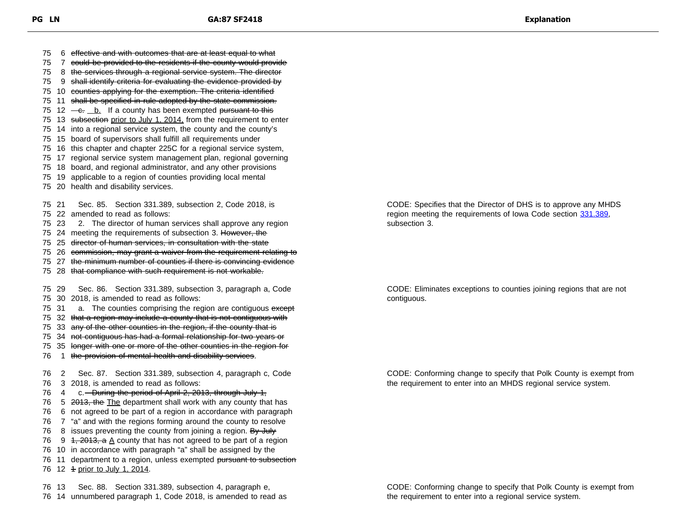6 effective and with outcomes that are at least equal to what 7 could be provided to the residents if the county would provide 8 the services through a regional service system. The director 9 shall identify criteria for evaluating the evidence provided by 10 counties applying for the exemption. The criteria identified 11 shall be specified in rule adopted by the state commission. 75 12  $\leftarrow$   $\leftarrow$   $\leftarrow$   $\leftarrow$   $\leftarrow$   $\leftarrow$  If a county has been exempted <del>pursuant to this</del> 75 13 subsection prior to July 1, 2014, from the requirement to enter 14 into a regional service system, the county and the county's 15 board of supervisors shall fulfill all requirements under 16 this chapter and chapter 225C for a regional service system, 17 regional service system management plan, regional governing 18 board, and regional administrator, and any other provisions 19 applicable to a region of counties providing local mental 20 health and disability services. 21 Sec. 85. Section 331.389, subsection 2, Code 2018, is 22 amended to read as follows: 23 2. The director of human services shall approve any region 75 24 meeting the requirements of subsection 3. However, the 25 director of human services, in consultation with the state 75 26 commission, may grant a waiver from the requirement relating to 27 the minimum number of counties if there is convincing evidence 28 that compliance with such requirement is not workable. 29 Sec. 86. Section 331.389, subsection 3, paragraph a, Code 30 2018, is amended to read as follows: 75 31 a. The counties comprising the region are contiguous except 32 that a region may include a county that is not contiguous with 75 33 any of the other counties in the region, if the county that is 34 not contiguous has had a formal relationship for two years or 35 longer with one or more of the other counties in the region for 76 1 the provision of mental health and disability services. 2 Sec. 87. Section 331.389, subsection 4, paragraph c, Code 3 2018, is amended to read as follows: 76 4 c. - During the period of April 2, 2013, through July 1, 76 5 2013, the The department shall work with any county that has 6 not agreed to be part of a region in accordance with paragraph 7 "a" and with the regions forming around the county to resolve 76 8 issues preventing the county from joining a region. By July 76 9 1, 2013,  $a \triangle$  county that has not agreed to be part of a region 10 in accordance with paragraph "a" shall be assigned by the 76 11 department to a region, unless exempted pursuant to subsection 76 12 4 prior to July 1, 2014.

76 13 Sec. 88. Section 331.389, subsection 4, paragraph e, 76 14 unnumbered paragraph 1, Code 2018, is amended to read as CODE: Specifies that the Director of DHS is to approve any MHDS region meeting the requirements of Iowa Code section [331.389,](https://www.legis.iowa.gov/docs/code/331.389.pdf) subsection 3.

CODE: Eliminates exceptions to counties joining regions that are not contiguous.

CODE: Conforming change to specify that Polk County is exempt from the requirement to enter into an MHDS regional service system.

CODE: Conforming change to specify that Polk County is exempt from the requirement to enter into a regional service system.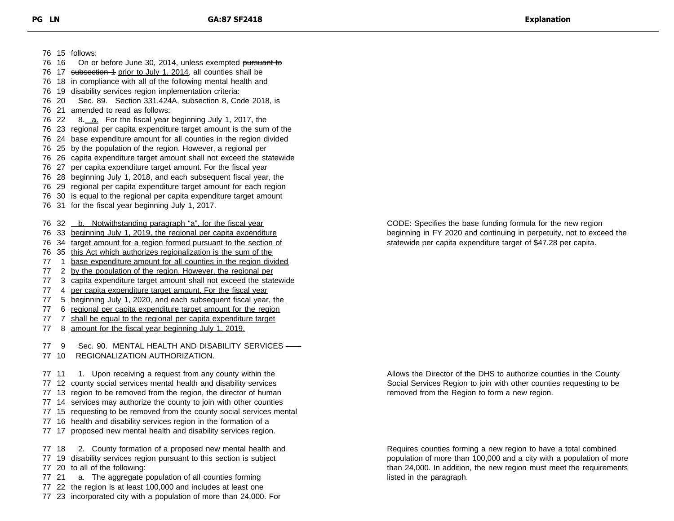15 follows:

| 76     | -18            | in compliance with all of the following mental health and                                                                               |
|--------|----------------|-----------------------------------------------------------------------------------------------------------------------------------------|
|        | 76 19          | disability services region implementation criteria:                                                                                     |
|        | 76 20          | Section 331.424A, subsection 8, Code 2018, is<br>Sec. 89.                                                                               |
| 76 21  |                | amended to read as follows:                                                                                                             |
|        | 76 22          | 8. a. For the fiscal year beginning July 1, 2017, the                                                                                   |
|        |                | 76 23 regional per capita expenditure target amount is the sum of the                                                                   |
|        | 76 24          | base expenditure amount for all counties in the region divided                                                                          |
|        |                | 76 25 by the population of the region. However, a regional per                                                                          |
|        | 76 26          | capita expenditure target amount shall not exceed the statewide                                                                         |
|        | 76 27          | per capita expenditure target amount. For the fiscal year                                                                               |
|        |                | 76 28 beginning July 1, 2018, and each subsequent fiscal year, the                                                                      |
|        |                |                                                                                                                                         |
|        |                | 76 29 regional per capita expenditure target amount for each region                                                                     |
|        |                | 76 30 is equal to the regional per capita expenditure target amount                                                                     |
|        | 76 31          | for the fiscal year beginning July 1, 2017.                                                                                             |
|        | 76 32          | b. Notwithstanding paragraph "a", for the fiscal year                                                                                   |
|        |                |                                                                                                                                         |
|        |                | 76 33 beginning July 1, 2019, the regional per capita expenditure<br>76 34 target amount for a region formed pursuant to the section of |
|        |                |                                                                                                                                         |
| 76     |                | 35 this Act which authorizes regionalization is the sum of the                                                                          |
| $77\,$ | 1              | base expenditure amount for all counties in the region divided                                                                          |
| 77     | $\overline{2}$ | by the population of the region. However, the regional per                                                                              |
| 77     | 3              | capita expenditure target amount shall not exceed the statewide                                                                         |
| 77     | 4              | per capita expenditure target amount. For the fiscal year                                                                               |
| 77     |                | 5 beginning July 1, 2020, and each subsequent fiscal year, the                                                                          |
| 77     | 6.             | regional per capita expenditure target amount for the region                                                                            |
| 77     | $\overline{7}$ | shall be equal to the regional per capita expenditure target                                                                            |
| 77     |                | 8 amount for the fiscal year beginning July 1, 2019.                                                                                    |
|        |                |                                                                                                                                         |
| 77     | 9              | Sec. 90. MENTAL HEALTH AND DISABILITY SERVICES -                                                                                        |
|        | 77 10          | REGIONALIZATION AUTHORIZATION.                                                                                                          |
| 77 11  |                | 1.<br>Upon receiving a request from any county within the                                                                               |
| 77     |                | 12 county social services mental health and disability services                                                                         |
| 77     |                |                                                                                                                                         |
|        |                | 13 region to be removed from the region, the director of human                                                                          |
|        |                | 77 14 services may authorize the county to join with other counties                                                                     |
| 77     |                | 15 requesting to be removed from the county social services mental                                                                      |
| 77     |                | 16 health and disability services region in the formation of a                                                                          |
| 77     |                | 17 proposed new mental health and disability services region.                                                                           |
|        | 77 18          | County formation of a proposed new mental health and<br>2.                                                                              |
| 77     |                | 19 disability services region pursuant to this section is subject                                                                       |
|        | 77 20          | to all of the following:                                                                                                                |
|        |                |                                                                                                                                         |
| 77 21  |                | The aggregate population of all counties forming<br>a.                                                                                  |
| 77     |                | 22 the region is at least 100,000 and includes at least one                                                                             |
|        |                | 77 23 incorporated city with a population of more than 24,000. For                                                                      |
|        |                |                                                                                                                                         |
|        |                |                                                                                                                                         |

76 16 On or before June 30, 2014, unless exempted pursuant to 76 17 subsection 1 prior to July 1, 2014, all counties shall be

> CODE: Specifies the base funding formula for the new region beginning in FY 2020 and continuing in perpetuity, not to exceed the statewide per capita expenditure target of \$47.28 per capita.

Allows the Director of the DHS to authorize counties in the County Social Services Region to join with other counties requesting to be removed from the Region to form a new region.

Requires counties forming a new region to have a total combined population of more than 100,000 and a city with a population of more than 24,000. In addition, the new region must meet the requirements listed in the paragraph.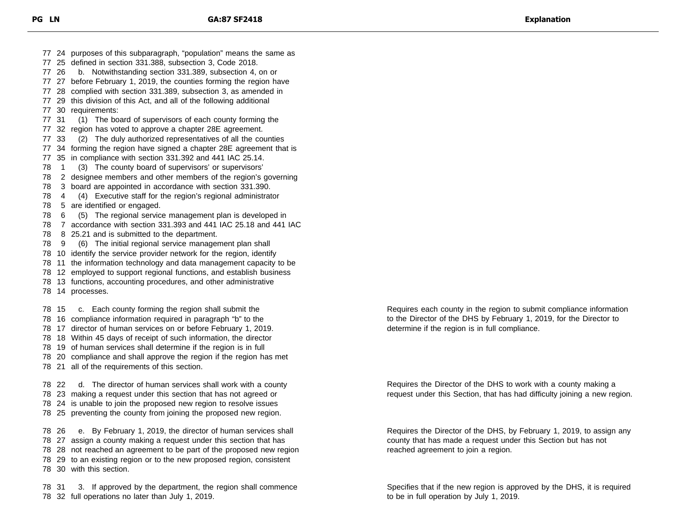24 purposes of this subparagraph, "population" means the same as 25 defined in section 331.388, subsection 3, Code 2018. 26 b. Notwithstanding section 331.389, subsection 4, on or 27 before February 1, 2019, the counties forming the region have 28 complied with section 331.389, subsection 3, as amended in 29 this division of this Act, and all of the following additional 30 requirements: 31 (1) The board of supervisors of each county forming the 32 region has voted to approve a chapter 28E agreement. 33 (2) The duly authorized representatives of all the counties 34 forming the region have signed a chapter 28E agreement that is 35 in compliance with section 331.392 and 441 IAC 25.14. 1 (3) The county board of supervisors' or supervisors' 2 designee members and other members of the region's governing 3 board are appointed in accordance with section 331.390. 4 (4) Executive staff for the region's regional administrator 5 are identified or engaged. 6 (5) The regional service management plan is developed in 7 accordance with section 331.393 and 441 IAC 25.18 and 441 IAC 8 25.21 and is submitted to the department. 9 (6) The initial regional service management plan shall 10 identify the service provider network for the region, identify 11 the information technology and data management capacity to be 12 employed to support regional functions, and establish business 13 functions, accounting procedures, and other administrative 14 processes. 15 c. Each county forming the region shall submit the 16 compliance information required in paragraph "b" to the 17 director of human services on or before February 1, 2019. 18 Within 45 days of receipt of such information, the director 19 of human services shall determine if the region is in full 20 compliance and shall approve the region if the region has met 21 all of the requirements of this section. 22 d. The director of human services shall work with a county 23 making a request under this section that has not agreed or 24 is unable to join the proposed new region to resolve issues

25 preventing the county from joining the proposed new region.

 26 e. By February 1, 2019, the director of human services shall 27 assign a county making a request under this section that has 28 not reached an agreement to be part of the proposed new region 29 to an existing region or to the new proposed region, consistent 30 with this section.

 31 3. If approved by the department, the region shall commence 32 full operations no later than July 1, 2019.

Requires each county in the region to submit compliance information to the Director of the DHS by February 1, 2019, for the Director to determine if the region is in full compliance.

Requires the Director of the DHS to work with a county making a request under this Section, that has had difficulty joining a new region.

Requires the Director of the DHS, by February 1, 2019, to assign any county that has made a request under this Section but has not reached agreement to join a region.

Specifies that if the new region is approved by the DHS, it is required to be in full operation by July 1, 2019.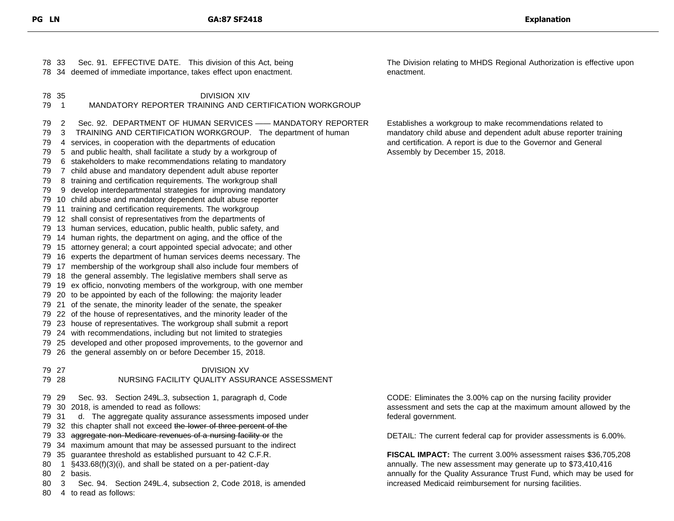| 78 33                                                                                      | Sec. 91. EFFECTIVE DATE. This division of this Act, being<br>78 34 deemed of immediate importance, takes effect upon enactment.                                                                                                                                                                                                                                                                                                                                                                                                                                                                                                                                                                                                                                                                                                                                                                                                                                                                                                                                                                                                                                                                                                                                                                                                                                                                                                                                                                                                                                                                                                                                                                                                                                                                                                   | The Division relating to MHDS Regional Authorization is effective upon<br>enactment.                                                                                                                                                |
|--------------------------------------------------------------------------------------------|-----------------------------------------------------------------------------------------------------------------------------------------------------------------------------------------------------------------------------------------------------------------------------------------------------------------------------------------------------------------------------------------------------------------------------------------------------------------------------------------------------------------------------------------------------------------------------------------------------------------------------------------------------------------------------------------------------------------------------------------------------------------------------------------------------------------------------------------------------------------------------------------------------------------------------------------------------------------------------------------------------------------------------------------------------------------------------------------------------------------------------------------------------------------------------------------------------------------------------------------------------------------------------------------------------------------------------------------------------------------------------------------------------------------------------------------------------------------------------------------------------------------------------------------------------------------------------------------------------------------------------------------------------------------------------------------------------------------------------------------------------------------------------------------------------------------------------------|-------------------------------------------------------------------------------------------------------------------------------------------------------------------------------------------------------------------------------------|
| 78 35<br>79<br>$\overline{1}$                                                              | <b>DIVISION XIV</b><br>MANDATORY REPORTER TRAINING AND CERTIFICATION WORKGROUP                                                                                                                                                                                                                                                                                                                                                                                                                                                                                                                                                                                                                                                                                                                                                                                                                                                                                                                                                                                                                                                                                                                                                                                                                                                                                                                                                                                                                                                                                                                                                                                                                                                                                                                                                    |                                                                                                                                                                                                                                     |
| 79<br>2<br>3<br>79<br>79<br>79<br>79<br>79<br>79<br>79<br>79<br>79<br>79<br>79 27<br>79 28 | Sec. 92. DEPARTMENT OF HUMAN SERVICES —— MANDATORY REPORTER<br>TRAINING AND CERTIFICATION WORKGROUP. The department of human<br>4 services, in cooperation with the departments of education<br>5 and public health, shall facilitate a study by a workgroup of<br>6 stakeholders to make recommendations relating to mandatory<br>7 child abuse and mandatory dependent adult abuse reporter<br>8 training and certification requirements. The workgroup shall<br>9 develop interdepartmental strategies for improving mandatory<br>10 child abuse and mandatory dependent adult abuse reporter<br>11 training and certification requirements. The workgroup<br>79 12 shall consist of representatives from the departments of<br>79 13 human services, education, public health, public safety, and<br>79 14 human rights, the department on aging, and the office of the<br>79 15 attorney general; a court appointed special advocate; and other<br>16 experts the department of human services deems necessary. The<br>79 17 membership of the workgroup shall also include four members of<br>79 18 the general assembly. The legislative members shall serve as<br>79 19 ex officio, nonvoting members of the workgroup, with one member<br>79 20 to be appointed by each of the following: the majority leader<br>79 21 of the senate, the minority leader of the senate, the speaker<br>79 22 of the house of representatives, and the minority leader of the<br>79 23 house of representatives. The workgroup shall submit a report<br>79 24 with recommendations, including but not limited to strategies<br>79 25 developed and other proposed improvements, to the governor and<br>79 26 the general assembly on or before December 15, 2018.<br><b>DIVISION XV</b><br>NURSING FACILITY QUALITY ASSURANCE ASSESSMENT | Establishes a workgroup to make recommendations related to<br>mandatory child abuse and dependent adult abuse reporter training<br>and certification. A report is due to the Governor and General<br>Assembly by December 15, 2018. |
| 79 29                                                                                      | Sec. 93. Section 249L.3, subsection 1, paragraph d, Code                                                                                                                                                                                                                                                                                                                                                                                                                                                                                                                                                                                                                                                                                                                                                                                                                                                                                                                                                                                                                                                                                                                                                                                                                                                                                                                                                                                                                                                                                                                                                                                                                                                                                                                                                                          | CODE: Eliminates the 3.00% cap on the nursing facility provider                                                                                                                                                                     |
| 79 31                                                                                      | 79 30 2018, is amended to read as follows:<br>d. The aggregate quality assurance assessments imposed under                                                                                                                                                                                                                                                                                                                                                                                                                                                                                                                                                                                                                                                                                                                                                                                                                                                                                                                                                                                                                                                                                                                                                                                                                                                                                                                                                                                                                                                                                                                                                                                                                                                                                                                        | assessment and sets the cap at the maximum amount allowed by the<br>federal government.                                                                                                                                             |
| 79                                                                                         | 32 this chapter shall not exceed the lower of three percent of the                                                                                                                                                                                                                                                                                                                                                                                                                                                                                                                                                                                                                                                                                                                                                                                                                                                                                                                                                                                                                                                                                                                                                                                                                                                                                                                                                                                                                                                                                                                                                                                                                                                                                                                                                                |                                                                                                                                                                                                                                     |
| 79                                                                                         | 33 aggregate non-Medicare revenues of a nursing facility or the                                                                                                                                                                                                                                                                                                                                                                                                                                                                                                                                                                                                                                                                                                                                                                                                                                                                                                                                                                                                                                                                                                                                                                                                                                                                                                                                                                                                                                                                                                                                                                                                                                                                                                                                                                   | DETAIL: The current federal cap for provider assessments is 6.00%.                                                                                                                                                                  |
|                                                                                            | 79 34 maximum amount that may be assessed pursuant to the indirect                                                                                                                                                                                                                                                                                                                                                                                                                                                                                                                                                                                                                                                                                                                                                                                                                                                                                                                                                                                                                                                                                                                                                                                                                                                                                                                                                                                                                                                                                                                                                                                                                                                                                                                                                                |                                                                                                                                                                                                                                     |
|                                                                                            | 79 35 guarantee threshold as established pursuant to 42 C.F.R.                                                                                                                                                                                                                                                                                                                                                                                                                                                                                                                                                                                                                                                                                                                                                                                                                                                                                                                                                                                                                                                                                                                                                                                                                                                                                                                                                                                                                                                                                                                                                                                                                                                                                                                                                                    | FISCAL IMPACT: The current 3.00% assessment raises \$36,705,208                                                                                                                                                                     |
| 80                                                                                         | 1 §433.68(f)(3)(i), and shall be stated on a per-patient-day                                                                                                                                                                                                                                                                                                                                                                                                                                                                                                                                                                                                                                                                                                                                                                                                                                                                                                                                                                                                                                                                                                                                                                                                                                                                                                                                                                                                                                                                                                                                                                                                                                                                                                                                                                      | annually. The new assessment may generate up to \$73,410,416                                                                                                                                                                        |
| 80                                                                                         | 2 basis.                                                                                                                                                                                                                                                                                                                                                                                                                                                                                                                                                                                                                                                                                                                                                                                                                                                                                                                                                                                                                                                                                                                                                                                                                                                                                                                                                                                                                                                                                                                                                                                                                                                                                                                                                                                                                          | annually for the Quality Assurance Trust Fund, which may be used for                                                                                                                                                                |
| 80<br>3                                                                                    | Sec. 94. Section 249L.4, subsection 2, Code 2018, is amended                                                                                                                                                                                                                                                                                                                                                                                                                                                                                                                                                                                                                                                                                                                                                                                                                                                                                                                                                                                                                                                                                                                                                                                                                                                                                                                                                                                                                                                                                                                                                                                                                                                                                                                                                                      | increased Medicaid reimbursement for nursing facilities.                                                                                                                                                                            |
| 80                                                                                         | 4 to read as follows:                                                                                                                                                                                                                                                                                                                                                                                                                                                                                                                                                                                                                                                                                                                                                                                                                                                                                                                                                                                                                                                                                                                                                                                                                                                                                                                                                                                                                                                                                                                                                                                                                                                                                                                                                                                                             |                                                                                                                                                                                                                                     |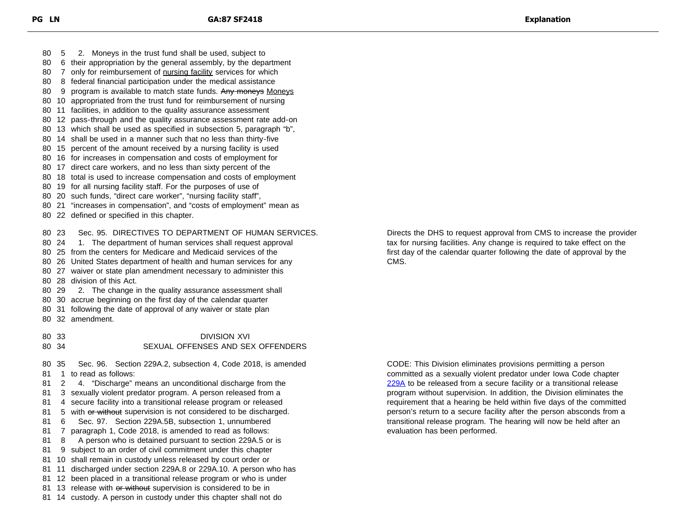5 2. Moneys in the trust fund shall be used, subject to 6 their appropriation by the general assembly, by the department 80 7 only for reimbursement of nursing facility services for which 8 federal financial participation under the medical assistance 80 9 program is available to match state funds. Any moneys Moneys 10 appropriated from the trust fund for reimbursement of nursing 11 facilities, in addition to the quality assurance assessment 12 pass-through and the quality assurance assessment rate add-on 13 which shall be used as specified in subsection 5, paragraph "b", 14 shall be used in a manner such that no less than thirty-five 15 percent of the amount received by a nursing facility is used 16 for increases in compensation and costs of employment for 17 direct care workers, and no less than sixty percent of the 18 total is used to increase compensation and costs of employment 19 for all nursing facility staff. For the purposes of use of 20 such funds, "direct care worker", "nursing facility staff", 21 "increases in compensation", and "costs of employment" mean as 22 defined or specified in this chapter. 23 Sec. 95. DIRECTIVES TO DEPARTMENT OF HUMAN SERVICES. 24 1. The department of human services shall request approval 25 from the centers for Medicare and Medicaid services of the 26 United States department of health and human services for any 27 waiver or state plan amendment necessary to administer this 28 division of this Act. 29 2. The change in the quality assurance assessment shall 30 accrue beginning on the first day of the calendar quarter 31 following the date of approval of any waiver or state plan 32 amendment. 33 DIVISION XVI 34 SEXUAL OFFENSES AND SEX OFFENDERS 35 Sec. 96. Section 229A.2, subsection 4, Code 2018, is amended 1 to read as follows:

 2 4. "Discharge" means an unconditional discharge from the 3 sexually violent predator program. A person released from a 4 secure facility into a transitional release program or released 81 5 with or without supervision is not considered to be discharged. 6 Sec. 97. Section 229A.5B, subsection 1, unnumbered 7 paragraph 1, Code 2018, is amended to read as follows: 81 8 A person who is detained pursuant to section 229A.5 or is 9 subject to an order of civil commitment under this chapter 10 shall remain in custody unless released by court order or 11 discharged under section 229A.8 or 229A.10. A person who has 12 been placed in a transitional release program or who is under 81 13 release with or without supervision is considered to be in 14 custody. A person in custody under this chapter shall not do

Directs the DHS to request approval from CMS to increase the provider tax for nursing facilities. Any change is required to take effect on the first day of the calendar quarter following the date of approval by the CMS.

CODE: This Division eliminates provisions permitting a person committed as a sexually violent predator under Iowa Code chapter [229A](https://www.legis.iowa.gov/docs/code/229A.pdf) to be released from a secure facility or a transitional release program without supervision. In addition, the Division eliminates the requirement that a hearing be held within five days of the committed person's return to a secure facility after the person absconds from a transitional release program. The hearing will now be held after an evaluation has been performed.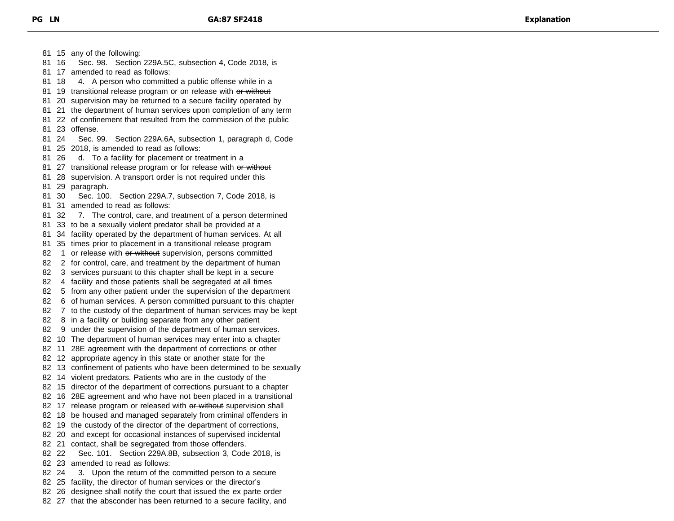15 any of the following: 16 Sec. 98. Section 229A.5C, subsection 4, Code 2018, is 17 amended to read as follows: 18 4. A person who committed a public offense while in a 81 19 transitional release program or on release with or without 20 supervision may be returned to a secure facility operated by 21 the department of human services upon completion of any term 22 of confinement that resulted from the commission of the public 23 offense. 24 Sec. 99. Section 229A.6A, subsection 1, paragraph d, Code 25 2018, is amended to read as follows: 26 d. To a facility for placement or treatment in a 81 27 transitional release program or for release with or without 28 supervision. A transport order is not required under this 29 paragraph. 30 Sec. 100. Section 229A.7, subsection 7, Code 2018, is 31 amended to read as follows: 32 7. The control, care, and treatment of a person determined 33 to be a sexually violent predator shall be provided at a 34 facility operated by the department of human services. At all 35 times prior to placement in a transitional release program 82 1 or release with or without supervision, persons committed 2 for control, care, and treatment by the department of human 3 services pursuant to this chapter shall be kept in a secure 4 facility and those patients shall be segregated at all times 5 from any other patient under the supervision of the department 6 of human services. A person committed pursuant to this chapter 7 to the custody of the department of human services may be kept 8 in a facility or building separate from any other patient 9 under the supervision of the department of human services. 10 The department of human services may enter into a chapter 11 28E agreement with the department of corrections or other 12 appropriate agency in this state or another state for the 13 confinement of patients who have been determined to be sexually 14 violent predators. Patients who are in the custody of the 15 director of the department of corrections pursuant to a chapter 16 28E agreement and who have not been placed in a transitional 82 17 release program or released with or without supervision shall 18 be housed and managed separately from criminal offenders in 82 19 the custody of the director of the department of corrections, 20 and except for occasional instances of supervised incidental 21 contact, shall be segregated from those offenders. 22 Sec. 101. Section 229A.8B, subsection 3, Code 2018, is 23 amended to read as follows: 24 3. Upon the return of the committed person to a secure 25 facility, the director of human services or the director's 26 designee shall notify the court that issued the ex parte order 27 that the absconder has been returned to a secure facility, and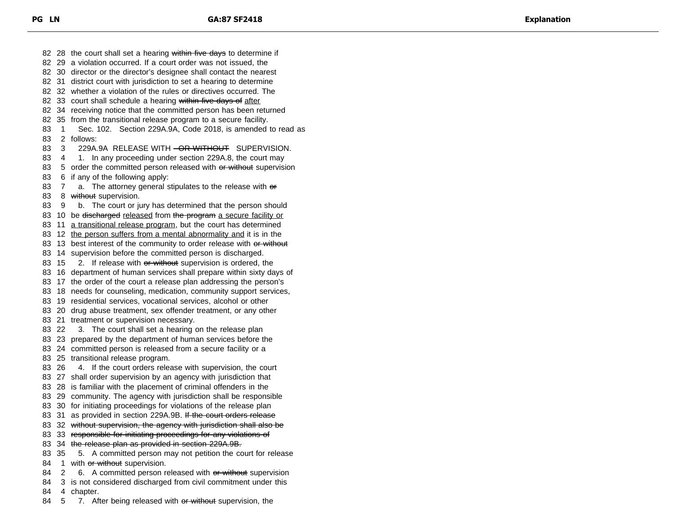82 28 the court shall set a hearing within five days to determine if 29 a violation occurred. If a court order was not issued, the 30 director or the director's designee shall contact the nearest 31 district court with jurisdiction to set a hearing to determine 32 whether a violation of the rules or directives occurred. The 82 33 court shall schedule a hearing within five days of after 34 receiving notice that the committed person has been returned 35 from the transitional release program to a secure facility. 1 Sec. 102. Section 229A.9A, Code 2018, is amended to read as 2 follows: 83 3 229A.9A RELEASE WITH <del>OR WITHOUT</del> SUPERVISION. 4 1. In any proceeding under section 229A.8, the court may 83 5 order the committed person released with or without supervision 6 if any of the following apply: 83 7 a. The attorney general stipulates to the release with  $er$ 83 8 without supervision. 9 b. The court or jury has determined that the person should 83 10 be discharged released from the program a secure facility or 11 a transitional release program, but the court has determined 12 the person suffers from a mental abnormality and it is in the 83 13 best interest of the community to order release with or without 14 supervision before the committed person is discharged. 83 15 2. If release with or without supervision is ordered, the 16 department of human services shall prepare within sixty days of 17 the order of the court a release plan addressing the person's 18 needs for counseling, medication, community support services, 19 residential services, vocational services, alcohol or other 20 drug abuse treatment, sex offender treatment, or any other 21 treatment or supervision necessary. 22 3. The court shall set a hearing on the release plan 23 prepared by the department of human services before the 24 committed person is released from a secure facility or a 25 transitional release program. 26 4. If the court orders release with supervision, the court 27 shall order supervision by an agency with jurisdiction that 28 is familiar with the placement of criminal offenders in the 29 community. The agency with jurisdiction shall be responsible 30 for initiating proceedings for violations of the release plan 83 31 as provided in section 229A.9B. If the court orders release 83 32 without supervision, the agency with jurisdiction shall also be 83 33 responsible for initiating proceedings for any violations of 83 34 the release plan as provided in section 229A.9B. 35 5. A committed person may not petition the court for release 84 1 with or without supervision. 84 2 6. A committed person released with or without supervision 84 3 is not considered discharged from civil commitment under this 4 chapter.

84 5 7. After being released with or without supervision, the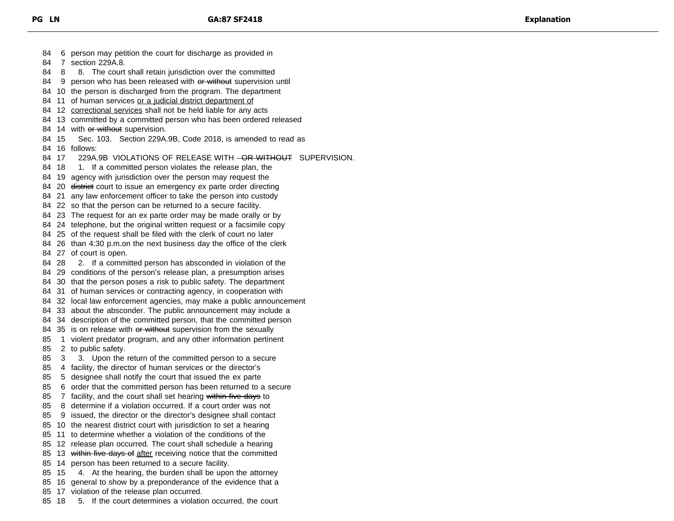6 person may petition the court for discharge as provided in 7 section 229A.8. 84 8 8. The court shall retain jurisdiction over the committed 84 9 person who has been released with or without supervision until 10 the person is discharged from the program. The department 84 11 of human services or a judicial district department of 84 12 correctional services shall not be held liable for any acts 13 committed by a committed person who has been ordered released 84 14 with or without supervision. 15 Sec. 103. Section 229A.9B, Code 2018, is amended to read as 16 follows: 84 17 229A.9B VIOLATIONS OF RELEASE WITH <del>OR WITHOUT</del> SUPERVISION. 84 18 1. If a committed person violates the release plan, the 19 agency with jurisdiction over the person may request the 84 20 <del>district</del> court to issue an emergency ex parte order directing 21 any law enforcement officer to take the person into custody 22 so that the person can be returned to a secure facility. 23 The request for an ex parte order may be made orally or by 24 telephone, but the original written request or a facsimile copy 25 of the request shall be filed with the clerk of court no later 26 than 4:30 p.m.on the next business day the office of the clerk 27 of court is open. 84 28 2. If a committed person has absconded in violation of the 29 conditions of the person's release plan, a presumption arises 30 that the person poses a risk to public safety. The department 31 of human services or contracting agency, in cooperation with 32 local law enforcement agencies, may make a public announcement 33 about the absconder. The public announcement may include a 34 description of the committed person, that the committed person 84 35 is on release with or without supervision from the sexually 1 violent predator program, and any other information pertinent 2 to public safety. 3 3. Upon the return of the committed person to a secure 4 facility, the director of human services or the director's 5 designee shall notify the court that issued the ex parte 6 order that the committed person has been returned to a secure 85 7 facility, and the court shall set hearing within five days to 8 determine if a violation occurred. If a court order was not 9 issued, the director or the director's designee shall contact 10 the nearest district court with jurisdiction to set a hearing 11 to determine whether a violation of the conditions of the 12 release plan occurred. The court shall schedule a hearing 85 13 within five days of after receiving notice that the committed 14 person has been returned to a secure facility. 15 4. At the hearing, the burden shall be upon the attorney 16 general to show by a preponderance of the evidence that a 17 violation of the release plan occurred. 18 5. If the court determines a violation occurred, the court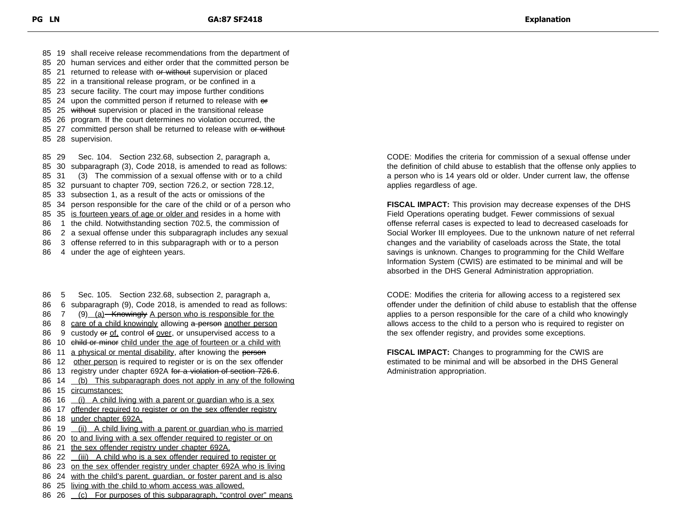19 shall receive release recommendations from the department of 20 human services and either order that the committed person be 85 21 returned to release with or without supervision or placed 22 in a transitional release program, or be confined in a 23 secure facility. The court may impose further conditions 85 24 upon the committed person if returned to release with er

- 85 25 without supervision or placed in the transitional release
- 85 26 program. If the court determines no violation occurred, the
- 85 27 committed person shall be returned to release with or without
- 85 28 supervision.

 29 Sec. 104. Section 232.68, subsection 2, paragraph a, 30 subparagraph (3), Code 2018, is amended to read as follows: 31 (3) The commission of a sexual offense with or to a child 32 pursuant to chapter 709, section 726.2, or section 728.12,

- 85 33 subsection 1, as a result of the acts or omissions of the
- 85 34 person responsible for the care of the child or of a person who
- 85 35 is fourteen years of age or older and resides in a home with
- 86 1 the child. Notwithstanding section 702.5, the commission of
- 86 2 a sexual offense under this subparagraph includes any sexual
- 86 3 offense referred to in this subparagraph with or to a person
- 86 4 under the age of eighteen years.

86 5 Sec. 105. Section 232.68, subsection 2, paragraph a, 86 6 subparagraph (9), Code 2018, is amended to read as follows: 86 7 (9) (a) Knowingly A person who is responsible for the 86 8 care of a child knowingly allowing a person another person 86 9 custody or of, control of over, or unsupervised access to a 86 10 child or minor child under the age of fourteen or a child with 86 11 a physical or mental disability, after knowing the person 86 12 other person is required to register or is on the sex offender 86 13 registry under chapter 692A for a violation of section 726.6. 86 14 (b) This subparagraph does not apply in any of the following 86 15 circumstances: 86 16 (i) A child living with a parent or guardian who is a sex 86 17 offender required to register or on the sex offender registry 86 18 under chapter 692A. 86 19 (ii) A child living with a parent or quardian who is married 86 20 to and living with a sex offender required to register or on 86 21 the sex offender registry under chapter 692A. 86 22 (iii) A child who is a sex offender required to register or 86 23 on the sex offender registry under chapter 692A who is living

- 86 24 with the child's parent, quardian, or foster parent and is also
- 86 25 living with the child to whom access was allowed.
- 86 26 (c) For purposes of this subparagraph, "control over" means

CODE: Modifies the criteria for commission of a sexual offense under the definition of child abuse to establish that the offense only applies to a person who is 14 years old or older. Under current law, the offense applies regardless of age.

**FISCAL IMPACT:** This provision may decrease expenses of the DHS Field Operations operating budget. Fewer commissions of sexual offense referral cases is expected to lead to decreased caseloads for Social Worker III employees. Due to the unknown nature of net referral changes and the variability of caseloads across the State, the total savings is unknown. Changes to programming for the Child Welfare Information System (CWIS) are estimated to be minimal and will be absorbed in the DHS General Administration appropriation.

CODE: Modifies the criteria for allowing access to a registered sex offender under the definition of child abuse to establish that the offense applies to a person responsible for the care of a child who knowingly allows access to the child to a person who is required to register on the sex offender registry, and provides some exceptions.

**FISCAL IMPACT:** Changes to programming for the CWIS are estimated to be minimal and will be absorbed in the DHS General Administration appropriation.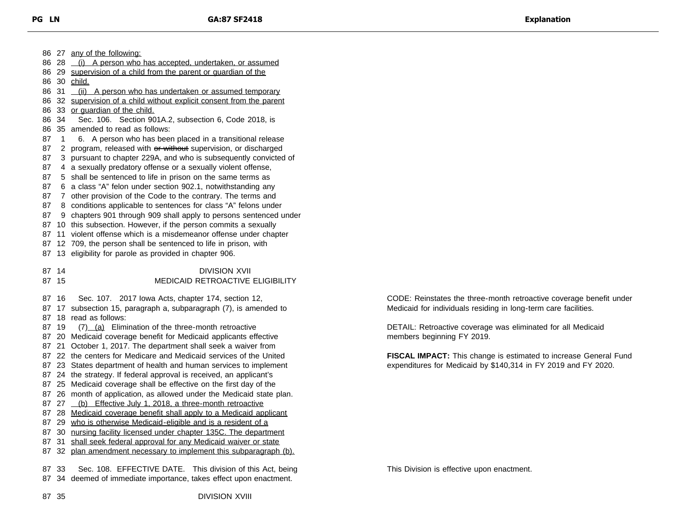27 any of the following: 86 28 (i) A person who has accepted, undertaken, or assumed 29 supervision of a child from the parent or guardian of the 30 child. 86 31 (ii) A person who has undertaken or assumed temporary 86 32 supervision of a child without explicit consent from the parent 33 or guardian of the child. 34 Sec. 106. Section 901A.2, subsection 6, Code 2018, is 35 amended to read as follows: 87 1 6. A person who has been placed in a transitional release 87 2 program, released with or without supervision, or discharged 3 pursuant to chapter 229A, and who is subsequently convicted of 4 a sexually predatory offense or a sexually violent offense, 5 shall be sentenced to life in prison on the same terms as 6 a class "A" felon under section 902.1, notwithstanding any 7 other provision of the Code to the contrary. The terms and 8 conditions applicable to sentences for class "A" felons under 9 chapters 901 through 909 shall apply to persons sentenced under 10 this subsection. However, if the person commits a sexually 11 violent offense which is a misdemeanor offense under chapter 12 709, the person shall be sentenced to life in prison, with 13 eligibility for parole as provided in chapter 906. 87 14 DIVISION XVII 15 MEDICAID RETROACTIVE ELIGIBILITY 16 Sec. 107. 2017 Iowa Acts, chapter 174, section 12, 17 subsection 15, paragraph a, subparagraph (7), is amended to 18 read as follows: 87 19 (7) (a) Elimination of the three-month retroactive 20 Medicaid coverage benefit for Medicaid applicants effective 21 October 1, 2017. The department shall seek a waiver from 22 the centers for Medicare and Medicaid services of the United 23 States department of health and human services to implement 24 the strategy. If federal approval is received, an applicant's 25 Medicaid coverage shall be effective on the first day of the 26 month of application, as allowed under the Medicaid state plan. 87 27 (b) Effective July 1, 2018, a three-month retroactive 28 Medicaid coverage benefit shall apply to a Medicaid applicant 87 29 who is otherwise Medicaid-eligible and is a resident of a 30 nursing facility licensed under chapter 135C. The department 31 shall seek federal approval for any Medicaid waiver or state 32 plan amendment necessary to implement this subparagraph (b). 33 Sec. 108. EFFECTIVE DATE. This division of this Act, being 34 deemed of immediate importance, takes effect upon enactment.

CODE: Reinstates the three-month retroactive coverage benefit under Medicaid for individuals residing in long-term care facilities.

DETAIL: Retroactive coverage was eliminated for all Medicaid members beginning FY 2019.

**FISCAL IMPACT:** This change is estimated to increase General Fund expenditures for Medicaid by \$140,314 in FY 2019 and FY 2020.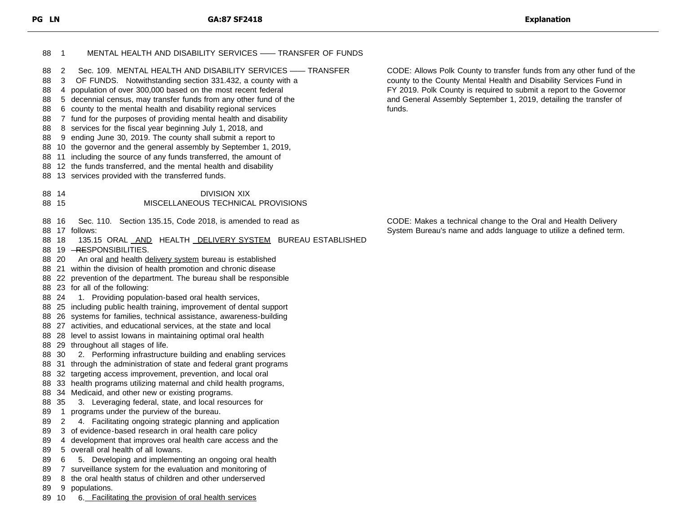| 88                                                 | $\overline{\phantom{0}}$ 1                              | MENTAL HEALTH AND DISABILITY SERVICES - TRANSFER OF FUNDS                                                                                                                                                                                                                                                                                                                                                                                                                                                                                                                                                                                                                                                                                                                                                                                                                                                                                                                                                                                                                                                                                                                                                                                                                                                                                                                                                                                                |                                                                                                                                                                                                                                                                                                   |
|----------------------------------------------------|---------------------------------------------------------|----------------------------------------------------------------------------------------------------------------------------------------------------------------------------------------------------------------------------------------------------------------------------------------------------------------------------------------------------------------------------------------------------------------------------------------------------------------------------------------------------------------------------------------------------------------------------------------------------------------------------------------------------------------------------------------------------------------------------------------------------------------------------------------------------------------------------------------------------------------------------------------------------------------------------------------------------------------------------------------------------------------------------------------------------------------------------------------------------------------------------------------------------------------------------------------------------------------------------------------------------------------------------------------------------------------------------------------------------------------------------------------------------------------------------------------------------------|---------------------------------------------------------------------------------------------------------------------------------------------------------------------------------------------------------------------------------------------------------------------------------------------------|
| 88<br>88<br>88<br>88<br>88<br>88<br>88<br>88<br>88 | 2<br>3                                                  | Sec. 109. MENTAL HEALTH AND DISABILITY SERVICES - TRANSFER<br>OF FUNDS. Notwithstanding section 331.432, a county with a<br>4 population of over 300,000 based on the most recent federal<br>5 decennial census, may transfer funds from any other fund of the<br>6 county to the mental health and disability regional services<br>7 fund for the purposes of providing mental health and disability<br>8 services for the fiscal year beginning July 1, 2018, and<br>9 ending June 30, 2019. The county shall submit a report to<br>10 the governor and the general assembly by September 1, 2019,<br>88 11 including the source of any funds transferred, the amount of<br>88 12 the funds transferred, and the mental health and disability<br>88 13 services provided with the transferred funds.                                                                                                                                                                                                                                                                                                                                                                                                                                                                                                                                                                                                                                                   | CODE: Allows Polk County to transfer funds from any other fund of the<br>county to the County Mental Health and Disability Services Fund in<br>FY 2019. Polk County is required to submit a report to the Governor<br>and General Assembly September 1, 2019, detailing the transfer of<br>funds. |
|                                                    | 88 14<br>88 15                                          | <b>DIVISION XIX</b><br>MISCELLANEOUS TECHNICAL PROVISIONS                                                                                                                                                                                                                                                                                                                                                                                                                                                                                                                                                                                                                                                                                                                                                                                                                                                                                                                                                                                                                                                                                                                                                                                                                                                                                                                                                                                                |                                                                                                                                                                                                                                                                                                   |
| 89<br>89<br>89<br>89                               | 88 16<br>88 18<br>88 20<br>88 24<br>88 30<br>88 35<br>2 | Sec. 110. Section 135.15, Code 2018, is amended to read as<br>88 17 follows:<br>135.15 ORAL AND HEALTH <b>DELIVERY SYSTEM</b> BUREAU ESTABLISHED<br>88 19 - RESPONSIBILITIES.<br>An oral and health delivery system bureau is established<br>88 21 within the division of health promotion and chronic disease<br>88 22 prevention of the department. The bureau shall be responsible<br>88 23 for all of the following:<br>1. Providing population-based oral health services,<br>88 25 including public health training, improvement of dental support<br>88 26 systems for families, technical assistance, awareness-building<br>88 27 activities, and educational services, at the state and local<br>88 28 level to assist lowans in maintaining optimal oral health<br>88 29 throughout all stages of life.<br>2. Performing infrastructure building and enabling services<br>88 31 through the administration of state and federal grant programs<br>88 32 targeting access improvement, prevention, and local oral<br>88 33 health programs utilizing maternal and child health programs,<br>88 34 Medicaid, and other new or existing programs.<br>3. Leveraging federal, state, and local resources for<br>1 programs under the purview of the bureau.<br>4. Facilitating ongoing strategic planning and application<br>3 of evidence-based research in oral health care policy<br>4 development that improves oral health care access and the | CODE: Makes a technical change to the Oral and Health Delivery<br>System Bureau's name and adds language to utilize a defined term.                                                                                                                                                               |
| 89<br>89                                           | 6                                                       | 5 overall oral health of all lowans.<br>5. Developing and implementing an ongoing oral health                                                                                                                                                                                                                                                                                                                                                                                                                                                                                                                                                                                                                                                                                                                                                                                                                                                                                                                                                                                                                                                                                                                                                                                                                                                                                                                                                            |                                                                                                                                                                                                                                                                                                   |
| 89                                                 |                                                         | 7 surveillance system for the evaluation and monitoring of                                                                                                                                                                                                                                                                                                                                                                                                                                                                                                                                                                                                                                                                                                                                                                                                                                                                                                                                                                                                                                                                                                                                                                                                                                                                                                                                                                                               |                                                                                                                                                                                                                                                                                                   |
| 89                                                 |                                                         | 8 the oral health status of children and other underserved                                                                                                                                                                                                                                                                                                                                                                                                                                                                                                                                                                                                                                                                                                                                                                                                                                                                                                                                                                                                                                                                                                                                                                                                                                                                                                                                                                                               |                                                                                                                                                                                                                                                                                                   |
| 89                                                 | 89 10                                                   | 9 populations.<br>6. Facilitating the provision of oral health services                                                                                                                                                                                                                                                                                                                                                                                                                                                                                                                                                                                                                                                                                                                                                                                                                                                                                                                                                                                                                                                                                                                                                                                                                                                                                                                                                                                  |                                                                                                                                                                                                                                                                                                   |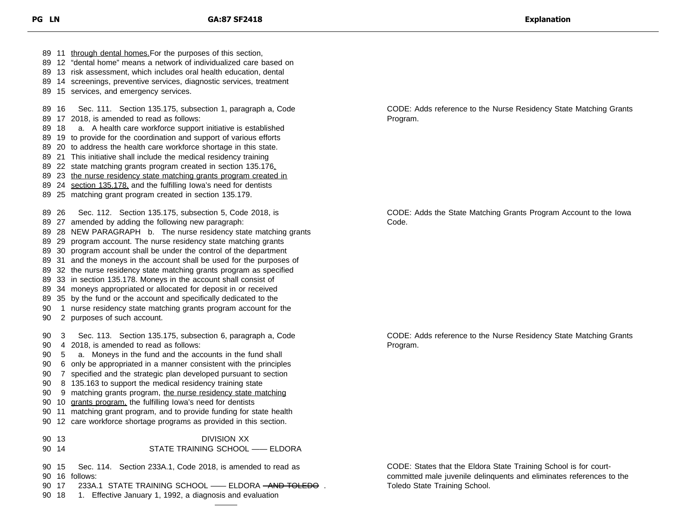11 through dental homes.For the purposes of this section, 12 "dental home" means a network of individualized care based on 13 risk assessment, which includes oral health education, dental 14 screenings, preventive services, diagnostic services, treatment 15 services, and emergency services. 16 Sec. 111. Section 135.175, subsection 1, paragraph a, Code 17 2018, is amended to read as follows: 18 a. A health care workforce support initiative is established 19 to provide for the coordination and support of various efforts 20 to address the health care workforce shortage in this state. 21 This initiative shall include the medical residency training 22 state matching grants program created in section 135.176, 89 23 the nurse residency state matching grants program created in 89 24 section 135.178, and the fulfilling lowa's need for dentists 25 matching grant program created in section 135.179. 26 Sec. 112. Section 135.175, subsection 5, Code 2018, is 27 amended by adding the following new paragraph: 28 NEW PARAGRAPH b. The nurse residency state matching grants 29 program account. The nurse residency state matching grants 30 program account shall be under the control of the department 31 and the moneys in the account shall be used for the purposes of 32 the nurse residency state matching grants program as specified 33 in section 135.178. Moneys in the account shall consist of 34 moneys appropriated or allocated for deposit in or received 35 by the fund or the account and specifically dedicated to the 1 nurse residency state matching grants program account for the 2 purposes of such account. 3 Sec. 113. Section 135.175, subsection 6, paragraph a, Code 4 2018, is amended to read as follows: 5 a. Moneys in the fund and the accounts in the fund shall 6 only be appropriated in a manner consistent with the principles 7 specified and the strategic plan developed pursuant to section 8 135.163 to support the medical residency training state 90 9 matching grants program, the nurse residency state matching 10 grants program, the fulfilling Iowa's need for dentists 11 matching grant program, and to provide funding for state health 12 care workforce shortage programs as provided in this section. 13 DIVISION XX 14 STATE TRAINING SCHOOL —— ELDORA 15 Sec. 114. Section 233A.1, Code 2018, is amended to read as 16 follows: 90 17 233A.1 STATE TRAINING SCHOOL —— ELDORA <del>- AND TOLEDO</del> .

18 1. Effective January 1, 1992, a diagnosis and evaluation

CODE: Adds reference to the Nurse Residency State Matching Grants Program.

CODE: Adds the State Matching Grants Program Account to the Iowa Code.

CODE: Adds reference to the Nurse Residency State Matching Grants Program.

CODE: States that the Eldora State Training School is for courtcommitted male juvenile delinquents and eliminates references to the Toledo State Training School.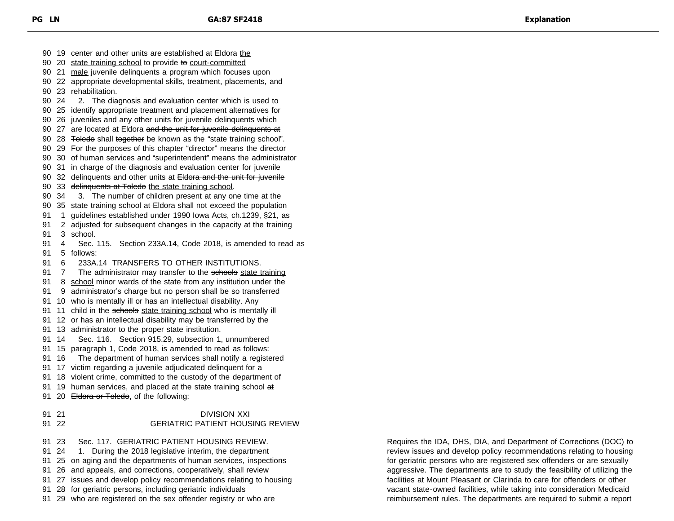90 20 state training school to provide to court-committed 21 male juvenile delinquents a program which focuses upon 22 appropriate developmental skills, treatment, placements, and 23 rehabilitation. 24 2. The diagnosis and evaluation center which is used to 25 identify appropriate treatment and placement alternatives for 26 juveniles and any other units for juvenile delinquents which 90 27 are located at Eldora and the unit for juvenile delinquents at 90 28 <del>Toledo</del> shall together be known as the "state training school". 29 For the purposes of this chapter "director" means the director 30 of human services and "superintendent" means the administrator 31 in charge of the diagnosis and evaluation center for juvenile 90 32 delinquents and other units at Eldora and the unit for juvenile 90 33 delinquents at Toledo the state training school. 34 3. The number of children present at any one time at the 90 35 state training school at Eldora shall not exceed the population 1 guidelines established under 1990 Iowa Acts, ch.1239, §21, as 2 adjusted for subsequent changes in the capacity at the training 3 school. 4 Sec. 115. Section 233A.14, Code 2018, is amended to read as 5 follows: 6 233A.14 TRANSFERS TO OTHER INSTITUTIONS. 91 7 The administrator may transfer to the schools state training 91 8 school minor wards of the state from any institution under the 9 administrator's charge but no person shall be so transferred 10 who is mentally ill or has an intellectual disability. Any 91 11 child in the schools state training school who is mentally ill 12 or has an intellectual disability may be transferred by the 13 administrator to the proper state institution. 14 Sec. 116. Section 915.29, subsection 1, unnumbered 15 paragraph 1, Code 2018, is amended to read as follows: 16 The department of human services shall notify a registered 17 victim regarding a juvenile adjudicated delinquent for a 18 violent crime, committed to the custody of the department of 91 19 human services, and placed at the state training school at 91 20 Eldora or Toledo, of the following: 91 21 DIVISION XXI 22 GERIATRIC PATIENT HOUSING REVIEW 23 Sec. 117. GERIATRIC PATIENT HOUSING REVIEW. 91 24 1. During the 2018 legislative interim, the department 25 on aging and the departments of human services, inspections 26 and appeals, and corrections, cooperatively, shall review 27 issues and develop policy recommendations relating to housing 28 for geriatric persons, including geriatric individuals 29 who are registered on the sex offender registry or who are

19 center and other units are established at Eldora the

Requires the IDA, DHS, DIA, and Department of Corrections (DOC) to review issues and develop policy recommendations relating to housing for geriatric persons who are registered sex offenders or are sexually aggressive. The departments are to study the feasibility of utilizing the facilities at Mount Pleasant or Clarinda to care for offenders or other vacant state-owned facilities, while taking into consideration Medicaid reimbursement rules. The departments are required to submit a report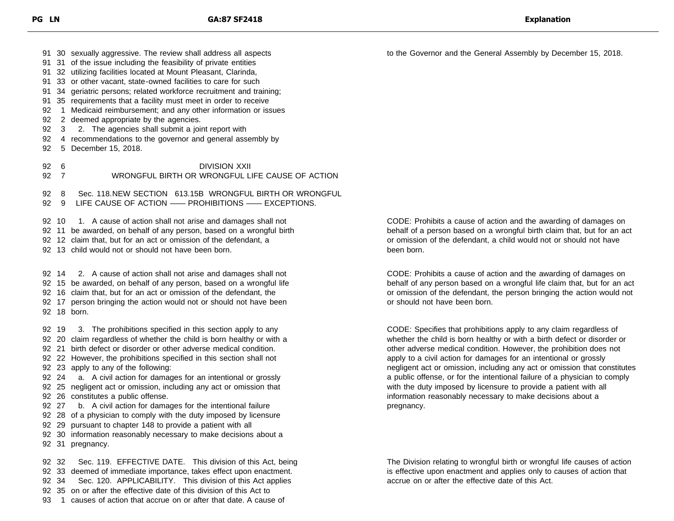30 sexually aggressive. The review shall address all aspects

- 31 of the issue including the feasibility of private entities
- 32 utilizing facilities located at Mount Pleasant, Clarinda,
- 33 or other vacant, state-owned facilities to care for such
- 34 geriatric persons; related workforce recruitment and training;
- 35 requirements that a facility must meet in order to receive
- 92 1 Medicaid reimbursement; and any other information or issues
- 2 deemed appropriate by the agencies.
- 3 2. The agencies shall submit a joint report with
- 4 recommendations to the governor and general assembly by
- 5 December 15, 2018.

 6 DIVISION XXII 7 WRONGFUL BIRTH OR WRONGFUL LIFE CAUSE OF ACTION

8 Sec. 118.NEW SECTION 613.15B WRONGFUL BIRTH OR WRONGFUL

9 LIFE CAUSE OF ACTION —— PROHIBITIONS —— EXCEPTIONS.

92 10 1. A cause of action shall not arise and damages shall not

92 11 be awarded, on behalf of any person, based on a wrongful birth

12 claim that, but for an act or omission of the defendant, a

13 child would not or should not have been born.

 14 2. A cause of action shall not arise and damages shall not 15 be awarded, on behalf of any person, based on a wrongful life 16 claim that, but for an act or omission of the defendant, the 17 person bringing the action would not or should not have been 18 born.

 19 3. The prohibitions specified in this section apply to any 20 claim regardless of whether the child is born healthy or with a 21 birth defect or disorder or other adverse medical condition. 22 However, the prohibitions specified in this section shall not 23 apply to any of the following: 24 a. A civil action for damages for an intentional or grossly 25 negligent act or omission, including any act or omission that 26 constitutes a public offense. 27 b. A civil action for damages for the intentional failure 28 of a physician to comply with the duty imposed by licensure 29 pursuant to chapter 148 to provide a patient with all 30 information reasonably necessary to make decisions about a 31 pregnancy.

 32 Sec. 119. EFFECTIVE DATE. This division of this Act, being 33 deemed of immediate importance, takes effect upon enactment. 34 Sec. 120. APPLICABILITY. This division of this Act applies 35 on or after the effective date of this division of this Act to 1 causes of action that accrue on or after that date. A cause of

CODE: Prohibits a cause of action and the awarding of damages on behalf of a person based on a wrongful birth claim that, but for an act or omission of the defendant, a child would not or should not have been born.

to the Governor and the General Assembly by December 15, 2018.

CODE: Prohibits a cause of action and the awarding of damages on behalf of any person based on a wrongful life claim that, but for an act or omission of the defendant, the person bringing the action would not or should not have been born.

CODE: Specifies that prohibitions apply to any claim regardless of whether the child is born healthy or with a birth defect or disorder or other adverse medical condition. However, the prohibition does not apply to a civil action for damages for an intentional or grossly negligent act or omission, including any act or omission that constitutes a public offense, or for the intentional failure of a physician to comply with the duty imposed by licensure to provide a patient with all information reasonably necessary to make decisions about a pregnancy.

The Division relating to wrongful birth or wrongful life causes of action is effective upon enactment and applies only to causes of action that accrue on or after the effective date of this Act.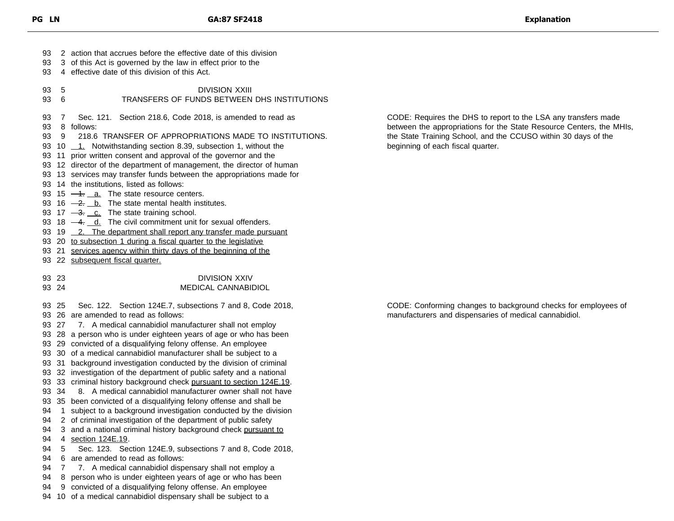2 action that accrues before the effective date of this division 3 of this Act is governed by the law in effect prior to the 4 effective date of this division of this Act. 5 DIVISION XXIII 6 TRANSFERS OF FUNDS BETWEEN DHS INSTITUTIONS 7 Sec. 121. Section 218.6, Code 2018, is amended to read as 8 follows: 9 218.6 TRANSFER OF APPROPRIATIONS MADE TO INSTITUTIONS. 93 10 1. Notwithstanding section 8.39, subsection 1, without the 11 prior written consent and approval of the governor and the 12 director of the department of management, the director of human 13 services may transfer funds between the appropriations made for 14 the institutions, listed as follows: 93 15  $-4$ .  $a$ . The state resource centers. 93 16  $\frac{-2}{2}$ . b. The state mental health institutes. 93 17  $\frac{3.0}{2}$ . The state training school. 93 18  $-4$ .  $d$ . The civil commitment unit for sexual offenders. 93 19 \_ 2. The department shall report any transfer made pursuant 93 20 to subsection 1 during a fiscal quarter to the legislative 93 21 services agency within thirty days of the beginning of the 22 subsequent fiscal quarter. 23 DIVISION XXIV 24 MEDICAL CANNABIDIOL 25 Sec. 122. Section 124E.7, subsections 7 and 8, Code 2018, 26 are amended to read as follows: 27 7. A medical cannabidiol manufacturer shall not employ 28 a person who is under eighteen years of age or who has been 29 convicted of a disqualifying felony offense. An employee 30 of a medical cannabidiol manufacturer shall be subject to a 31 background investigation conducted by the division of criminal 32 investigation of the department of public safety and a national 93 33 criminal history background check pursuant to section 124E.19. 93 34 8. A medical cannabidiol manufacturer owner shall not have 35 been convicted of a disqualifying felony offense and shall be 94 1 subject to a background investigation conducted by the division 2 of criminal investigation of the department of public safety 94 3 and a national criminal history background check pursuant to 4 section 124E.19. 5 Sec. 123. Section 124E.9, subsections 7 and 8, Code 2018, 6 are amended to read as follows: 7 7. A medical cannabidiol dispensary shall not employ a 8 person who is under eighteen years of age or who has been 9 convicted of a disqualifying felony offense. An employee 10 of a medical cannabidiol dispensary shall be subject to a

CODE: Requires the DHS to report to the LSA any transfers made between the appropriations for the State Resource Centers, the MHIs, the State Training School, and the CCUSO within 30 days of the beginning of each fiscal quarter.

CODE: Conforming changes to background checks for employees of manufacturers and dispensaries of medical cannabidiol.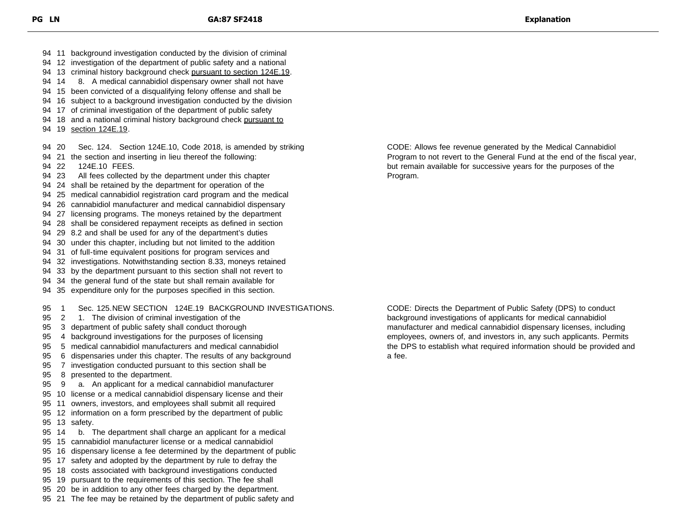94 13 criminal history background check pursuant to section 124E.19. 94 14 8. A medical cannabidiol dispensary owner shall not have 15 been convicted of a disqualifying felony offense and shall be 16 subject to a background investigation conducted by the division 17 of criminal investigation of the department of public safety 94 18 and a national criminal history background check pursuant to 94 19 section 124E.19. 20 Sec. 124. Section 124E.10, Code 2018, is amended by striking 21 the section and inserting in lieu thereof the following: 22 124E.10 FEES. 23 All fees collected by the department under this chapter 24 shall be retained by the department for operation of the 25 medical cannabidiol registration card program and the medical 26 cannabidiol manufacturer and medical cannabidiol dispensary 27 licensing programs. The moneys retained by the department 28 shall be considered repayment receipts as defined in section 29 8.2 and shall be used for any of the department's duties 30 under this chapter, including but not limited to the addition 31 of full-time equivalent positions for program services and 32 investigations. Notwithstanding section 8.33, moneys retained 33 by the department pursuant to this section shall not revert to 34 the general fund of the state but shall remain available for 35 expenditure only for the purposes specified in this section. 1 Sec. 125.NEW SECTION 124E.19 BACKGROUND INVESTIGATIONS. 2 1. The division of criminal investigation of the 3 department of public safety shall conduct thorough 4 background investigations for the purposes of licensing 5 medical cannabidiol manufacturers and medical cannabidiol 6 dispensaries under this chapter. The results of any background 7 investigation conducted pursuant to this section shall be 8 presented to the department. 9 a. An applicant for a medical cannabidiol manufacturer 10 license or a medical cannabidiol dispensary license and their 11 owners, investors, and employees shall submit all required 12 information on a form prescribed by the department of public 13 safety. 14 b. The department shall charge an applicant for a medical 15 cannabidiol manufacturer license or a medical cannabidiol 16 dispensary license a fee determined by the department of public 17 safety and adopted by the department by rule to defray the 18 costs associated with background investigations conducted 19 pursuant to the requirements of this section. The fee shall 20 be in addition to any other fees charged by the department. 21 The fee may be retained by the department of public safety and

 11 background investigation conducted by the division of criminal 12 investigation of the department of public safety and a national

> CODE: Allows fee revenue generated by the Medical Cannabidiol Program to not revert to the General Fund at the end of the fiscal year, but remain available for successive years for the purposes of the Program.

> CODE: Directs the Department of Public Safety (DPS) to conduct background investigations of applicants for medical cannabidiol manufacturer and medical cannabidiol dispensary licenses, including employees, owners of, and investors in, any such applicants. Permits the DPS to establish what required information should be provided and a fee.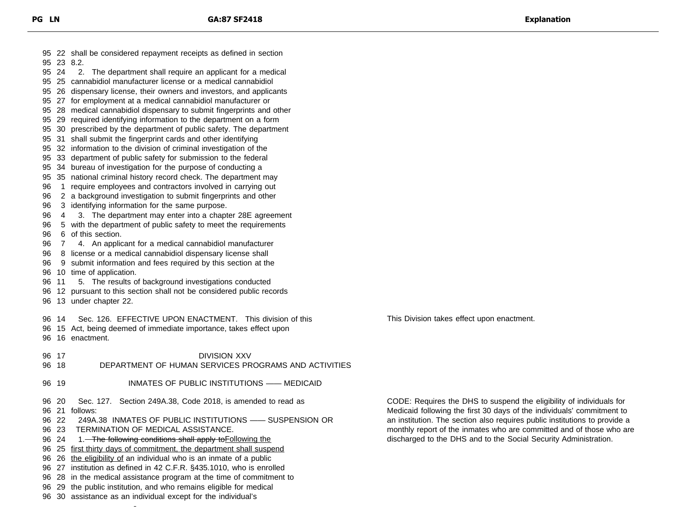22 shall be considered repayment receipts as defined in section 23 8.2. 24 2. The department shall require an applicant for a medical 25 cannabidiol manufacturer license or a medical cannabidiol 26 dispensary license, their owners and investors, and applicants 27 for employment at a medical cannabidiol manufacturer or 28 medical cannabidiol dispensary to submit fingerprints and other 29 required identifying information to the department on a form 30 prescribed by the department of public safety. The department 31 shall submit the fingerprint cards and other identifying 32 information to the division of criminal investigation of the 33 department of public safety for submission to the federal 34 bureau of investigation for the purpose of conducting a 35 national criminal history record check. The department may 1 require employees and contractors involved in carrying out 2 a background investigation to submit fingerprints and other 3 identifying information for the same purpose. 4 3. The department may enter into a chapter 28E agreement 5 with the department of public safety to meet the requirements 6 of this section. 7 4. An applicant for a medical cannabidiol manufacturer 8 license or a medical cannabidiol dispensary license shall 9 submit information and fees required by this section at the 10 time of application. 11 5. The results of background investigations conducted 12 pursuant to this section shall not be considered public records 13 under chapter 22. 14 Sec. 126. EFFECTIVE UPON ENACTMENT. This division of this 15 Act, being deemed of immediate importance, takes effect upon 16 enactment. 17 DIVISION XXV 18 DEPARTMENT OF HUMAN SERVICES PROGRAMS AND ACTIVITIES 19 INMATES OF PUBLIC INSTITUTIONS —— MEDICAID 20 Sec. 127. Section 249A.38, Code 2018, is amended to read as 21 follows: 22 249A.38 INMATES OF PUBLIC INSTITUTIONS —— SUSPENSION OR 23 TERMINATION OF MEDICAL ASSISTANCE. 96 24 1. The following conditions shall apply to Following the 96 25 first thirty days of commitment, the department shall suspend 96 26 the eligibility of an individual who is an inmate of a public 27 institution as defined in 42 C.F.R. §435.1010, who is enrolled 28 in the medical assistance program at the time of commitment to 29 the public institution, and who remains eligible for medical 30 assistance as an individual except for the individual's This Division takes effect upon enactment.

CODE: Requires the DHS to suspend the eligibility of individuals for Medicaid following the first 30 days of the individuals' commitment to an institution. The section also requires public institutions to provide a monthly report of the inmates who are committed and of those who are discharged to the DHS and to the Social Security Administration.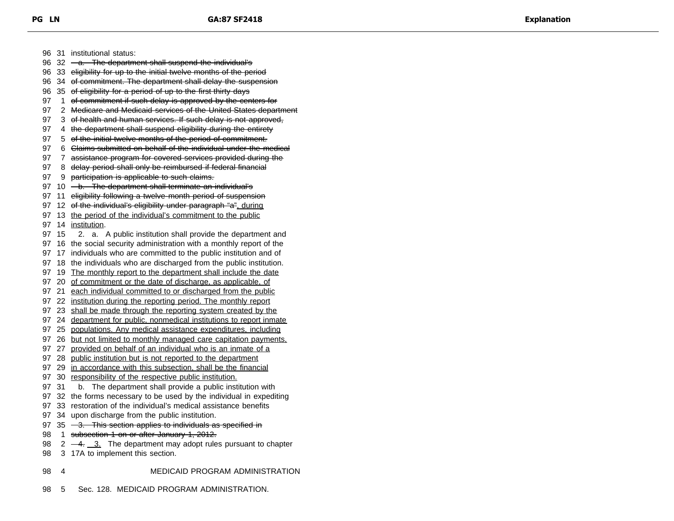96 31 institutional status: 96 32 <del>a. The department shall suspend the individual's</del> 96 33 eligibility for up to the initial twelve months of the period 96 34 of commitment. The department shall delay the suspension 96 35 of eligibility for a period of up to the first thirty days 97 1 of commitment if such delay is approved by the centers for 97 2 Medicare and Medicaid services of the United States department 97 3 of health and human services. If such delay is not approved, 97 4 the department shall suspend eligibility during the entirety 97 5 of the initial twelve months of the period of commitment. 97 6 Claims submitted on behalf of the individual under the medical 97 7 assistance program for covered services provided during the 97 8 delay period shall only be reimbursed if federal financial 97 9 participation is applicable to such claims. 97 10 - b. The department shall terminate an individual's 97 11 eligibility following a twelve-month period of suspension 97 12 of the individual's eligibility under paragraph "a", during 97 13 the period of the individual's commitment to the public 97 14 institution. 97 15 2. a. A public institution shall provide the department and 97 16 the social security administration with a monthly report of the 97 17 individuals who are committed to the public institution and of 97 18 the individuals who are discharged from the public institution. 97 19 The monthly report to the department shall include the date 97 20 of commitment or the date of discharge, as applicable, of 97 21 each individual committed to or discharged from the public 97 22 institution during the reporting period. The monthly report 97 23 shall be made through the reporting system created by the 97 24 department for public, nonmedical institutions to report inmate 97 25 populations. Any medical assistance expenditures, including 97 26 but not limited to monthly managed care capitation payments, 97 27 provided on behalf of an individual who is an inmate of a 97 28 public institution but is not reported to the department 97 29 in accordance with this subsection, shall be the financial 97 30 responsibility of the respective public institution. 97 31 b. The department shall provide a public institution with 97 32 the forms necessary to be used by the individual in expediting 97 33 restoration of the individual's medical assistance benefits 97 34 upon discharge from the public institution. 97 35 - 3. This section applies to individuals as specified in 98 1 subsection 1 on or after January 1, 2012. 98  $2 \frac{-4}{1}$  3. The department may adopt rules pursuant to chapter 98 3 17A to implement this section.

- 98 4 MEDICAID PROGRAM ADMINISTRATION
- 98 5 Sec. 128. MEDICAID PROGRAM ADMINISTRATION.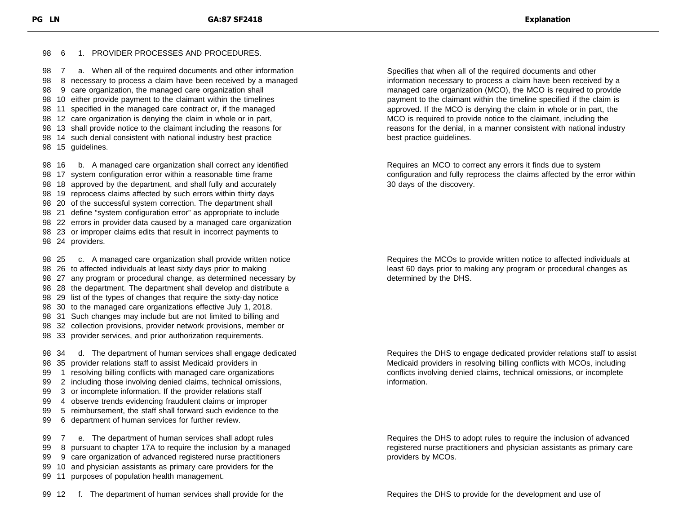## 6 1. PROVIDER PROCESSES AND PROCEDURES.

 7 a. When all of the required documents and other information 8 necessary to process a claim have been received by a managed 9 care organization, the managed care organization shall 10 either provide payment to the claimant within the timelines 11 specified in the managed care contract or, if the managed 12 care organization is denying the claim in whole or in part, 13 shall provide notice to the claimant including the reasons for 14 such denial consistent with national industry best practice 98 15 quidelines.

 16 b. A managed care organization shall correct any identified 17 system configuration error within a reasonable time frame 18 approved by the department, and shall fully and accurately 19 reprocess claims affected by such errors within thirty days 20 of the successful system correction. The department shall 21 define "system configuration error" as appropriate to include 22 errors in provider data caused by a managed care organization 23 or improper claims edits that result in incorrect payments to 24 providers.

 25 c. A managed care organization shall provide written notice 26 to affected individuals at least sixty days prior to making 27 any program or procedural change, as determined necessary by 28 the department. The department shall develop and distribute a 29 list of the types of changes that require the sixty-day notice 30 to the managed care organizations effective July 1, 2018. 31 Such changes may include but are not limited to billing and 32 collection provisions, provider network provisions, member or 33 provider services, and prior authorization requirements. 34 d. The department of human services shall engage dedicated 35 provider relations staff to assist Medicaid providers in 1 resolving billing conflicts with managed care organizations

- 2 including those involving denied claims, technical omissions,
- 3 or incomplete information. If the provider relations staff
- 4 observe trends evidencing fraudulent claims or improper
- 5 reimbursement, the staff shall forward such evidence to the
- 6 department of human services for further review.

 7 e. The department of human services shall adopt rules 8 pursuant to chapter 17A to require the inclusion by a managed 9 care organization of advanced registered nurse practitioners 10 and physician assistants as primary care providers for the 11 purposes of population health management.

Specifies that when all of the required documents and other information necessary to process a claim have been received by a managed care organization (MCO), the MCO is required to provide payment to the claimant within the timeline specified if the claim is approved. If the MCO is denying the claim in whole or in part, the MCO is required to provide notice to the claimant, including the reasons for the denial, in a manner consistent with national industry best practice guidelines.

Requires an MCO to correct any errors it finds due to system configuration and fully reprocess the claims affected by the error within 30 days of the discovery.

Requires the MCOs to provide written notice to affected individuals at least 60 days prior to making any program or procedural changes as determined by the DHS.

Requires the DHS to engage dedicated provider relations staff to assist Medicaid providers in resolving billing conflicts with MCOs, including conflicts involving denied claims, technical omissions, or incomplete information.

Requires the DHS to adopt rules to require the inclusion of advanced registered nurse practitioners and physician assistants as primary care providers by MCOs.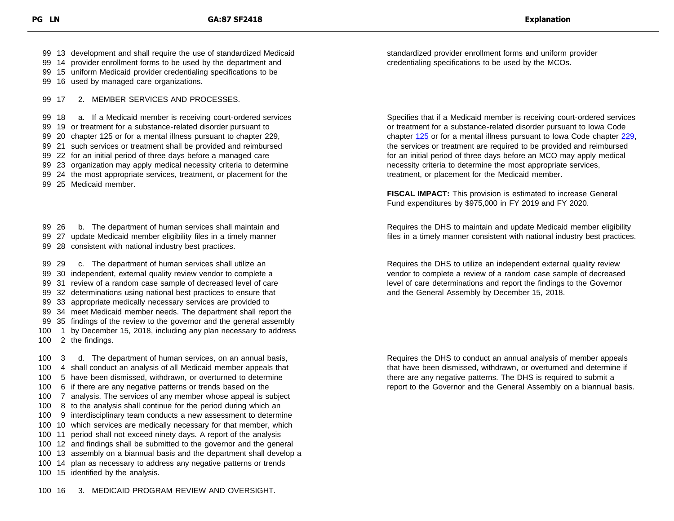13 development and shall require the use of standardized Medicaid

14 provider enrollment forms to be used by the department and

15 uniform Medicaid provider credentialing specifications to be

16 used by managed care organizations.

17 2. MEMBER SERVICES AND PROCESSES.

 18 a. If a Medicaid member is receiving court-ordered services 19 or treatment for a substance-related disorder pursuant to 20 chapter 125 or for a mental illness pursuant to chapter 229,

21 such services or treatment shall be provided and reimbursed

22 for an initial period of three days before a managed care

23 organization may apply medical necessity criteria to determine

24 the most appropriate services, treatment, or placement for the

25 Medicaid member.

 26 b. The department of human services shall maintain and 27 update Medicaid member eligibility files in a timely manner 28 consistent with national industry best practices.

 29 c. The department of human services shall utilize an 30 independent, external quality review vendor to complete a 31 review of a random case sample of decreased level of care 32 determinations using national best practices to ensure that 33 appropriate medically necessary services are provided to 34 meet Medicaid member needs. The department shall report the 35 findings of the review to the governor and the general assembly 1 by December 15, 2018, including any plan necessary to address 2 the findings.

 3 d. The department of human services, on an annual basis, 4 shall conduct an analysis of all Medicaid member appeals that 5 have been dismissed, withdrawn, or overturned to determine 6 if there are any negative patterns or trends based on the 7 analysis. The services of any member whose appeal is subject 8 to the analysis shall continue for the period during which an 9 interdisciplinary team conducts a new assessment to determine 10 which services are medically necessary for that member, which 11 period shall not exceed ninety days. A report of the analysis 12 and findings shall be submitted to the governor and the general 13 assembly on a biannual basis and the department shall develop a 14 plan as necessary to address any negative patterns or trends 15 identified by the analysis.

16 3. MEDICAID PROGRAM REVIEW AND OVERSIGHT.

standardized provider enrollment forms and uniform provider credentialing specifications to be used by the MCOs.

Specifies that if a Medicaid member is receiving court-ordered services or treatment for a substance-related disorder pursuant to Iowa Code chapter [125](https://www.legis.iowa.gov/docs/code/125.pdf) or for a mental illness pursuant to Iowa Code chapter [229,](https://www.legis.iowa.gov/docs/code/229.pdf) the services or treatment are required to be provided and reimbursed for an initial period of three days before an MCO may apply medical necessity criteria to determine the most appropriate services, treatment, or placement for the Medicaid member.

**FISCAL IMPACT:** This provision is estimated to increase General Fund expenditures by \$975,000 in FY 2019 and FY 2020.

Requires the DHS to maintain and update Medicaid member eligibility files in a timely manner consistent with national industry best practices.

Requires the DHS to utilize an independent external quality review vendor to complete a review of a random case sample of decreased level of care determinations and report the findings to the Governor and the General Assembly by December 15, 2018.

Requires the DHS to conduct an annual analysis of member appeals that have been dismissed, withdrawn, or overturned and determine if there are any negative patterns. The DHS is required to submit a report to the Governor and the General Assembly on a biannual basis.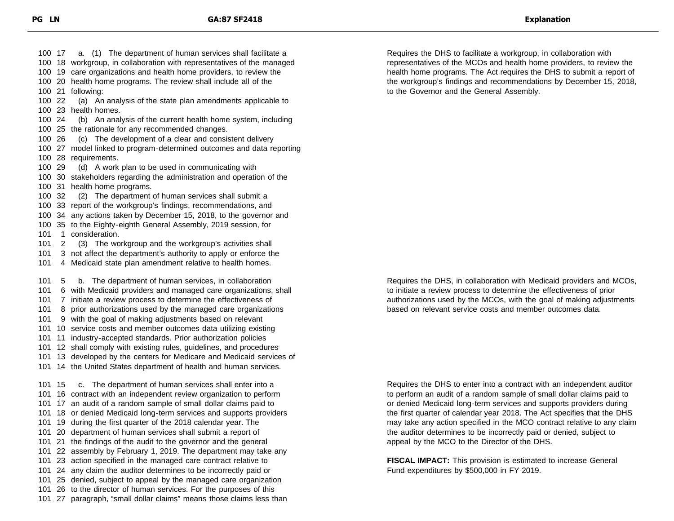17 a. (1) The department of human services shall facilitate a 18 workgroup, in collaboration with representatives of the managed 19 care organizations and health home providers, to review the 20 health home programs. The review shall include all of the 21 following: 22 (a) An analysis of the state plan amendments applicable to 23 health homes. 24 (b) An analysis of the current health home system, including 25 the rationale for any recommended changes. 26 (c) The development of a clear and consistent delivery 27 model linked to program-determined outcomes and data reporting 28 requirements. 29 (d) A work plan to be used in communicating with 30 stakeholders regarding the administration and operation of the 31 health home programs. 32 (2) The department of human services shall submit a 33 report of the workgroup's findings, recommendations, and 34 any actions taken by December 15, 2018, to the governor and 35 to the Eighty-eighth General Assembly, 2019 session, for 101 1 consideration. 2 (3) The workgroup and the workgroup's activities shall 3 not affect the department's authority to apply or enforce the 4 Medicaid state plan amendment relative to health homes. 5 b. The department of human services, in collaboration 6 with Medicaid providers and managed care organizations, shall 7 initiate a review process to determine the effectiveness of 8 prior authorizations used by the managed care organizations 9 with the goal of making adjustments based on relevant 10 service costs and member outcomes data utilizing existing 11 industry-accepted standards. Prior authorization policies 12 shall comply with existing rules, guidelines, and procedures 13 developed by the centers for Medicare and Medicaid services of 14 the United States department of health and human services. 101 15 c. The department of human services shall enter into a 16 contract with an independent review organization to perform 17 an audit of a random sample of small dollar claims paid to 18 or denied Medicaid long-term services and supports providers 19 during the first quarter of the 2018 calendar year. The 20 department of human services shall submit a report of 21 the findings of the audit to the governor and the general 22 assembly by February 1, 2019. The department may take any 23 action specified in the managed care contract relative to 24 any claim the auditor determines to be incorrectly paid or 25 denied, subject to appeal by the managed care organization 26 to the director of human services. For the purposes of this 27 paragraph, "small dollar claims" means those claims less than

Requires the DHS to facilitate a workgroup, in collaboration with representatives of the MCOs and health home providers, to review the health home programs. The Act requires the DHS to submit a report of the workgroup's findings and recommendations by December 15, 2018, to the Governor and the General Assembly.

Requires the DHS, in collaboration with Medicaid providers and MCOs, to initiate a review process to determine the effectiveness of prior authorizations used by the MCOs, with the goal of making adjustments based on relevant service costs and member outcomes data.

Requires the DHS to enter into a contract with an independent auditor to perform an audit of a random sample of small dollar claims paid to or denied Medicaid long-term services and supports providers during the first quarter of calendar year 2018. The Act specifies that the DHS may take any action specified in the MCO contract relative to any claim the auditor determines to be incorrectly paid or denied, subject to appeal by the MCO to the Director of the DHS.

**FISCAL IMPACT:** This provision is estimated to increase General Fund expenditures by \$500,000 in FY 2019.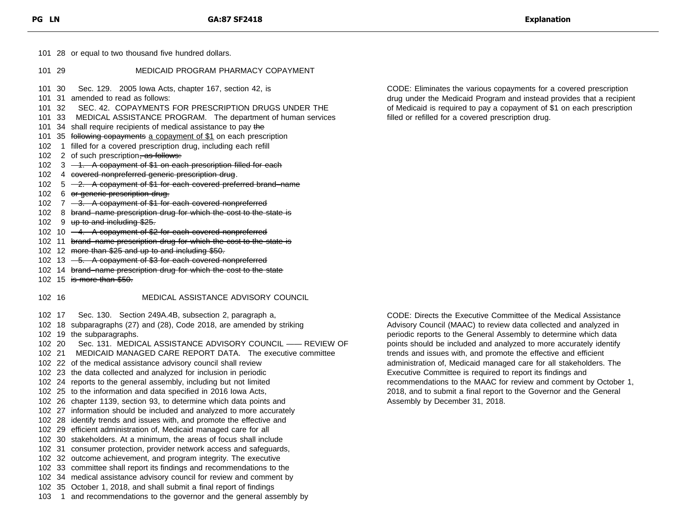101 28 or equal to two thousand five hundred dollars.

- 101 29 MEDICAID PROGRAM PHARMACY COPAYMENT
- 101 30 Sec. 129. 2005 Iowa Acts, chapter 167, section 42, is
- 101 31 amended to read as follows:
- 101 32 SEC. 42. COPAYMENTS FOR PRESCRIPTION DRUGS UNDER THE
- 101 33 MEDICAL ASSISTANCE PROGRAM. The department of human services
- 101 34 shall require recipients of medical assistance to pay the
- 101 35 following copayments a copayment of \$1 on each prescription
- 102 1 filled for a covered prescription drug, including each refill
- 102 2 of such prescription, as follows:
- 102  $3 1$ . A copayment of \$1 on each prescription filled for each
- 102 4 covered nonpreferred generic prescription drug.
- 102  $5 -2$ . A copayment of \$1 for each covered preferred brand–name
- 102 6 or generic prescription drug.
- 102  $7 3$ . A copayment of \$1 for each covered nonpreferred
- 102 8 brand–name prescription drug for which the cost to the state is
- 102 9 up to and including \$25.
- 102 10 -4. A copayment of \$2 for each covered nonpreferred
- 102 11 brand–name prescription drug for which the cost to the state is
- 102 12 more than \$25 and up to and including \$50.
- 102 13  $-5$ . A copayment of \$3 for each covered nonpreferred
- 102 14 brand–name prescription drug for which the cost to the state
- 102 15 is more than \$50.

## 102 16 MEDICAL ASSISTANCE ADVISORY COUNCIL

102 17 Sec. 130. Section 249A.4B, subsection 2, paragraph a,

- 102 18 subparagraphs (27) and (28), Code 2018, are amended by striking
- 102 19 the subparagraphs.
- 102 20 Sec. 131. MEDICAL ASSISTANCE ADVISORY COUNCIL —— REVIEW OF
- 102 21 MEDICAID MANAGED CARE REPORT DATA. The executive committee
- 102 22 of the medical assistance advisory council shall review
- 102 23 the data collected and analyzed for inclusion in periodic
- 102 24 reports to the general assembly, including but not limited
- 102 25 to the information and data specified in 2016 Iowa Acts,
- 102 26 chapter 1139, section 93, to determine which data points and
- 102 27 information should be included and analyzed to more accurately
- 102 28 identify trends and issues with, and promote the effective and
- 102 29 efficient administration of, Medicaid managed care for all
- 102 30 stakeholders. At a minimum, the areas of focus shall include
- 102 31 consumer protection, provider network access and safeguards,
- 102 32 outcome achievement, and program integrity. The executive
- 102 33 committee shall report its findings and recommendations to the
- 102 34 medical assistance advisory council for review and comment by
- 102 35 October 1, 2018, and shall submit a final report of findings
- 103 1 and recommendations to the governor and the general assembly by

CODE: Eliminates the various copayments for a covered prescription drug under the Medicaid Program and instead provides that a recipient of Medicaid is required to pay a copayment of \$1 on each prescription filled or refilled for a covered prescription drug.

CODE: Directs the Executive Committee of the Medical Assistance Advisory Council (MAAC) to review data collected and analyzed in periodic reports to the General Assembly to determine which data points should be included and analyzed to more accurately identify trends and issues with, and promote the effective and efficient administration of, Medicaid managed care for all stakeholders. The Executive Committee is required to report its findings and recommendations to the MAAC for review and comment by October 1, 2018, and to submit a final report to the Governor and the General Assembly by December 31, 2018.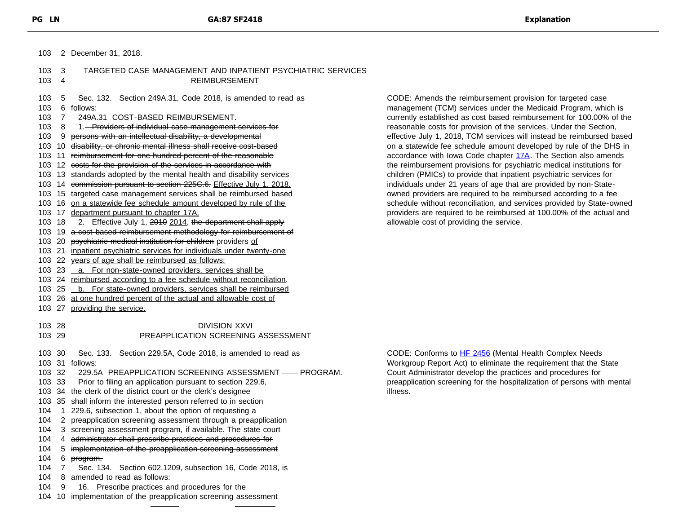| TARGETED CASE MANAGEMENT AND INPATIENT PSYCHIATRIC SERVICES<br>$103 \quad 3$<br>103<br><b>REIMBURSEMENT</b><br>4<br>103<br>Sec. 132. Section 249A.31, Code 2018, is amended to read as<br>5<br>103<br>6 follows:<br>$\overline{7}$<br>249A.31 COST-BASED REIMBURSEMENT.<br>currently established<br>103<br>103<br>1. Providers of individual case management services for<br>8<br>9 persons with an intellectual disability, a developmental<br>103<br>103 10 disability, or chronic mental illness shall receive cost-based<br>103 11 reimbursement for one hundred percent of the reasonable<br>103 12 costs for the provision of the services in accordance with<br>the reimbursement pi<br>103 13 standards adopted by the mental health and disability services<br>children (PMICs) to p<br>individuals under 21<br>103 14 commission pursuant to section 225C.6. Effective July 1, 2018.<br>103 15 targeted case management services shall be reimbursed based<br>owned providers are<br>103 16 on a statewide fee schedule amount developed by rule of the<br>schedule without reco<br>103 17 department pursuant to chapter 17A.<br>providers are require<br>2. Effective July 1, 2010 2014, the department shall apply<br>allowable cost of prov<br>103 18<br>103 19 a cost-based reimbursement methodology for reimbursement of<br>103 20 psychiatric medical institution for children providers of<br>103 21 inpatient psychiatric services for individuals under twenty-one<br>103 22 years of age shall be reimbursed as follows:<br>103 23 _a. For non-state-owned providers, services shall be<br>103 24 reimbursed according to a fee schedule without reconciliation.<br>103 25 _b. For state-owned providers, services shall be reimbursed<br>103 26 at one hundred percent of the actual and allowable cost of<br>103 27 providing the service. | CODE: Amends the<br>management (TCM) s |
|--------------------------------------------------------------------------------------------------------------------------------------------------------------------------------------------------------------------------------------------------------------------------------------------------------------------------------------------------------------------------------------------------------------------------------------------------------------------------------------------------------------------------------------------------------------------------------------------------------------------------------------------------------------------------------------------------------------------------------------------------------------------------------------------------------------------------------------------------------------------------------------------------------------------------------------------------------------------------------------------------------------------------------------------------------------------------------------------------------------------------------------------------------------------------------------------------------------------------------------------------------------------------------------------------------------------------------------------------------------------------------------------------------------------------------------------------------------------------------------------------------------------------------------------------------------------------------------------------------------------------------------------------------------------------------------------------------------------------------------------------------------------------------------------------------------------------------------------------------------------|----------------------------------------|
|                                                                                                                                                                                                                                                                                                                                                                                                                                                                                                                                                                                                                                                                                                                                                                                                                                                                                                                                                                                                                                                                                                                                                                                                                                                                                                                                                                                                                                                                                                                                                                                                                                                                                                                                                                                                                                                                    |                                        |
|                                                                                                                                                                                                                                                                                                                                                                                                                                                                                                                                                                                                                                                                                                                                                                                                                                                                                                                                                                                                                                                                                                                                                                                                                                                                                                                                                                                                                                                                                                                                                                                                                                                                                                                                                                                                                                                                    |                                        |
|                                                                                                                                                                                                                                                                                                                                                                                                                                                                                                                                                                                                                                                                                                                                                                                                                                                                                                                                                                                                                                                                                                                                                                                                                                                                                                                                                                                                                                                                                                                                                                                                                                                                                                                                                                                                                                                                    |                                        |
|                                                                                                                                                                                                                                                                                                                                                                                                                                                                                                                                                                                                                                                                                                                                                                                                                                                                                                                                                                                                                                                                                                                                                                                                                                                                                                                                                                                                                                                                                                                                                                                                                                                                                                                                                                                                                                                                    |                                        |
|                                                                                                                                                                                                                                                                                                                                                                                                                                                                                                                                                                                                                                                                                                                                                                                                                                                                                                                                                                                                                                                                                                                                                                                                                                                                                                                                                                                                                                                                                                                                                                                                                                                                                                                                                                                                                                                                    |                                        |
|                                                                                                                                                                                                                                                                                                                                                                                                                                                                                                                                                                                                                                                                                                                                                                                                                                                                                                                                                                                                                                                                                                                                                                                                                                                                                                                                                                                                                                                                                                                                                                                                                                                                                                                                                                                                                                                                    | reasonable costs for                   |
|                                                                                                                                                                                                                                                                                                                                                                                                                                                                                                                                                                                                                                                                                                                                                                                                                                                                                                                                                                                                                                                                                                                                                                                                                                                                                                                                                                                                                                                                                                                                                                                                                                                                                                                                                                                                                                                                    | effective July 1, 2018                 |
|                                                                                                                                                                                                                                                                                                                                                                                                                                                                                                                                                                                                                                                                                                                                                                                                                                                                                                                                                                                                                                                                                                                                                                                                                                                                                                                                                                                                                                                                                                                                                                                                                                                                                                                                                                                                                                                                    | on a statewide fee so                  |
|                                                                                                                                                                                                                                                                                                                                                                                                                                                                                                                                                                                                                                                                                                                                                                                                                                                                                                                                                                                                                                                                                                                                                                                                                                                                                                                                                                                                                                                                                                                                                                                                                                                                                                                                                                                                                                                                    | accordance with lowa                   |
|                                                                                                                                                                                                                                                                                                                                                                                                                                                                                                                                                                                                                                                                                                                                                                                                                                                                                                                                                                                                                                                                                                                                                                                                                                                                                                                                                                                                                                                                                                                                                                                                                                                                                                                                                                                                                                                                    |                                        |
|                                                                                                                                                                                                                                                                                                                                                                                                                                                                                                                                                                                                                                                                                                                                                                                                                                                                                                                                                                                                                                                                                                                                                                                                                                                                                                                                                                                                                                                                                                                                                                                                                                                                                                                                                                                                                                                                    |                                        |
|                                                                                                                                                                                                                                                                                                                                                                                                                                                                                                                                                                                                                                                                                                                                                                                                                                                                                                                                                                                                                                                                                                                                                                                                                                                                                                                                                                                                                                                                                                                                                                                                                                                                                                                                                                                                                                                                    |                                        |
|                                                                                                                                                                                                                                                                                                                                                                                                                                                                                                                                                                                                                                                                                                                                                                                                                                                                                                                                                                                                                                                                                                                                                                                                                                                                                                                                                                                                                                                                                                                                                                                                                                                                                                                                                                                                                                                                    |                                        |
|                                                                                                                                                                                                                                                                                                                                                                                                                                                                                                                                                                                                                                                                                                                                                                                                                                                                                                                                                                                                                                                                                                                                                                                                                                                                                                                                                                                                                                                                                                                                                                                                                                                                                                                                                                                                                                                                    |                                        |
|                                                                                                                                                                                                                                                                                                                                                                                                                                                                                                                                                                                                                                                                                                                                                                                                                                                                                                                                                                                                                                                                                                                                                                                                                                                                                                                                                                                                                                                                                                                                                                                                                                                                                                                                                                                                                                                                    |                                        |
|                                                                                                                                                                                                                                                                                                                                                                                                                                                                                                                                                                                                                                                                                                                                                                                                                                                                                                                                                                                                                                                                                                                                                                                                                                                                                                                                                                                                                                                                                                                                                                                                                                                                                                                                                                                                                                                                    |                                        |
|                                                                                                                                                                                                                                                                                                                                                                                                                                                                                                                                                                                                                                                                                                                                                                                                                                                                                                                                                                                                                                                                                                                                                                                                                                                                                                                                                                                                                                                                                                                                                                                                                                                                                                                                                                                                                                                                    |                                        |
|                                                                                                                                                                                                                                                                                                                                                                                                                                                                                                                                                                                                                                                                                                                                                                                                                                                                                                                                                                                                                                                                                                                                                                                                                                                                                                                                                                                                                                                                                                                                                                                                                                                                                                                                                                                                                                                                    |                                        |
|                                                                                                                                                                                                                                                                                                                                                                                                                                                                                                                                                                                                                                                                                                                                                                                                                                                                                                                                                                                                                                                                                                                                                                                                                                                                                                                                                                                                                                                                                                                                                                                                                                                                                                                                                                                                                                                                    |                                        |
|                                                                                                                                                                                                                                                                                                                                                                                                                                                                                                                                                                                                                                                                                                                                                                                                                                                                                                                                                                                                                                                                                                                                                                                                                                                                                                                                                                                                                                                                                                                                                                                                                                                                                                                                                                                                                                                                    |                                        |
|                                                                                                                                                                                                                                                                                                                                                                                                                                                                                                                                                                                                                                                                                                                                                                                                                                                                                                                                                                                                                                                                                                                                                                                                                                                                                                                                                                                                                                                                                                                                                                                                                                                                                                                                                                                                                                                                    |                                        |
|                                                                                                                                                                                                                                                                                                                                                                                                                                                                                                                                                                                                                                                                                                                                                                                                                                                                                                                                                                                                                                                                                                                                                                                                                                                                                                                                                                                                                                                                                                                                                                                                                                                                                                                                                                                                                                                                    |                                        |
|                                                                                                                                                                                                                                                                                                                                                                                                                                                                                                                                                                                                                                                                                                                                                                                                                                                                                                                                                                                                                                                                                                                                                                                                                                                                                                                                                                                                                                                                                                                                                                                                                                                                                                                                                                                                                                                                    |                                        |
|                                                                                                                                                                                                                                                                                                                                                                                                                                                                                                                                                                                                                                                                                                                                                                                                                                                                                                                                                                                                                                                                                                                                                                                                                                                                                                                                                                                                                                                                                                                                                                                                                                                                                                                                                                                                                                                                    |                                        |
|                                                                                                                                                                                                                                                                                                                                                                                                                                                                                                                                                                                                                                                                                                                                                                                                                                                                                                                                                                                                                                                                                                                                                                                                                                                                                                                                                                                                                                                                                                                                                                                                                                                                                                                                                                                                                                                                    |                                        |
|                                                                                                                                                                                                                                                                                                                                                                                                                                                                                                                                                                                                                                                                                                                                                                                                                                                                                                                                                                                                                                                                                                                                                                                                                                                                                                                                                                                                                                                                                                                                                                                                                                                                                                                                                                                                                                                                    |                                        |
| 103 28<br><b>DIVISION XXVI</b>                                                                                                                                                                                                                                                                                                                                                                                                                                                                                                                                                                                                                                                                                                                                                                                                                                                                                                                                                                                                                                                                                                                                                                                                                                                                                                                                                                                                                                                                                                                                                                                                                                                                                                                                                                                                                                     |                                        |
| 103 29<br>PREAPPLICATION SCREENING ASSESSMENT                                                                                                                                                                                                                                                                                                                                                                                                                                                                                                                                                                                                                                                                                                                                                                                                                                                                                                                                                                                                                                                                                                                                                                                                                                                                                                                                                                                                                                                                                                                                                                                                                                                                                                                                                                                                                      |                                        |
|                                                                                                                                                                                                                                                                                                                                                                                                                                                                                                                                                                                                                                                                                                                                                                                                                                                                                                                                                                                                                                                                                                                                                                                                                                                                                                                                                                                                                                                                                                                                                                                                                                                                                                                                                                                                                                                                    |                                        |
| 103 30<br>Sec. 133. Section 229.5A, Code 2018, is amended to read as                                                                                                                                                                                                                                                                                                                                                                                                                                                                                                                                                                                                                                                                                                                                                                                                                                                                                                                                                                                                                                                                                                                                                                                                                                                                                                                                                                                                                                                                                                                                                                                                                                                                                                                                                                                               | CODE: Conforms to                      |
| 103 31 follows:                                                                                                                                                                                                                                                                                                                                                                                                                                                                                                                                                                                                                                                                                                                                                                                                                                                                                                                                                                                                                                                                                                                                                                                                                                                                                                                                                                                                                                                                                                                                                                                                                                                                                                                                                                                                                                                    | Workgroup Report Ao                    |
| 229.5A PREAPPLICATION SCREENING ASSESSMENT - PROGRAM.<br>103 32                                                                                                                                                                                                                                                                                                                                                                                                                                                                                                                                                                                                                                                                                                                                                                                                                                                                                                                                                                                                                                                                                                                                                                                                                                                                                                                                                                                                                                                                                                                                                                                                                                                                                                                                                                                                    | Court Administrator d                  |
| 103 33<br>Prior to filing an application pursuant to section 229.6,                                                                                                                                                                                                                                                                                                                                                                                                                                                                                                                                                                                                                                                                                                                                                                                                                                                                                                                                                                                                                                                                                                                                                                                                                                                                                                                                                                                                                                                                                                                                                                                                                                                                                                                                                                                                | preapplication screen                  |
| 103 34 the clerk of the district court or the clerk's designee<br>illness.                                                                                                                                                                                                                                                                                                                                                                                                                                                                                                                                                                                                                                                                                                                                                                                                                                                                                                                                                                                                                                                                                                                                                                                                                                                                                                                                                                                                                                                                                                                                                                                                                                                                                                                                                                                         |                                        |
| 103 35 shall inform the interested person referred to in section                                                                                                                                                                                                                                                                                                                                                                                                                                                                                                                                                                                                                                                                                                                                                                                                                                                                                                                                                                                                                                                                                                                                                                                                                                                                                                                                                                                                                                                                                                                                                                                                                                                                                                                                                                                                   |                                        |
| 104 1 229.6, subsection 1, about the option of requesting a                                                                                                                                                                                                                                                                                                                                                                                                                                                                                                                                                                                                                                                                                                                                                                                                                                                                                                                                                                                                                                                                                                                                                                                                                                                                                                                                                                                                                                                                                                                                                                                                                                                                                                                                                                                                        |                                        |
| 2 preapplication screening assessment through a preapplication<br>104                                                                                                                                                                                                                                                                                                                                                                                                                                                                                                                                                                                                                                                                                                                                                                                                                                                                                                                                                                                                                                                                                                                                                                                                                                                                                                                                                                                                                                                                                                                                                                                                                                                                                                                                                                                              |                                        |
| 3 screening assessment program, if available. The state court<br>104                                                                                                                                                                                                                                                                                                                                                                                                                                                                                                                                                                                                                                                                                                                                                                                                                                                                                                                                                                                                                                                                                                                                                                                                                                                                                                                                                                                                                                                                                                                                                                                                                                                                                                                                                                                               |                                        |
| 4 administrator shall prescribe practices and procedures for<br>104                                                                                                                                                                                                                                                                                                                                                                                                                                                                                                                                                                                                                                                                                                                                                                                                                                                                                                                                                                                                                                                                                                                                                                                                                                                                                                                                                                                                                                                                                                                                                                                                                                                                                                                                                                                                |                                        |
| 104<br>implementation of the preapplication screening assessment<br>5                                                                                                                                                                                                                                                                                                                                                                                                                                                                                                                                                                                                                                                                                                                                                                                                                                                                                                                                                                                                                                                                                                                                                                                                                                                                                                                                                                                                                                                                                                                                                                                                                                                                                                                                                                                              |                                        |
| 104<br>6 <del>program.</del>                                                                                                                                                                                                                                                                                                                                                                                                                                                                                                                                                                                                                                                                                                                                                                                                                                                                                                                                                                                                                                                                                                                                                                                                                                                                                                                                                                                                                                                                                                                                                                                                                                                                                                                                                                                                                                       |                                        |
| 104<br>Sec. 134. Section 602.1209, subsection 16, Code 2018, is<br>$\overline{7}$                                                                                                                                                                                                                                                                                                                                                                                                                                                                                                                                                                                                                                                                                                                                                                                                                                                                                                                                                                                                                                                                                                                                                                                                                                                                                                                                                                                                                                                                                                                                                                                                                                                                                                                                                                                  |                                        |
| 104<br>amended to read as follows:<br>8                                                                                                                                                                                                                                                                                                                                                                                                                                                                                                                                                                                                                                                                                                                                                                                                                                                                                                                                                                                                                                                                                                                                                                                                                                                                                                                                                                                                                                                                                                                                                                                                                                                                                                                                                                                                                            |                                        |
| 16. Prescribe practices and procedures for the<br>104<br>9                                                                                                                                                                                                                                                                                                                                                                                                                                                                                                                                                                                                                                                                                                                                                                                                                                                                                                                                                                                                                                                                                                                                                                                                                                                                                                                                                                                                                                                                                                                                                                                                                                                                                                                                                                                                         |                                        |
| 104 10 implementation of the preapplication screening assessment                                                                                                                                                                                                                                                                                                                                                                                                                                                                                                                                                                                                                                                                                                                                                                                                                                                                                                                                                                                                                                                                                                                                                                                                                                                                                                                                                                                                                                                                                                                                                                                                                                                                                                                                                                                                   |                                        |

reimbursement provision for targeted case services under the Medicaid Program, which is as cost based reimbursement for 100.00% of the provision of the services. Under the Section, 8, TCM services will instead be reimbursed based chedule amount developed by rule of the DHS in a Code chapter [17A.](https://www.legis.iowa.gov/docs/code/17A.pdf) The Section also amends rovisions for psychiatric medical institutions for provide that inpatient psychiatric services for years of age that are provided by non-Staterequired to be reimbursed according to a fee conciliation, and services provided by State-owned d to be reimbursed at 100.00% of the actual and viding the service.

[HF 2456](https://www.legis.iowa.gov/docs/publications/LGE/87/HF2456.pdf) (Mental Health Complex Needs ct) to eliminate the requirement that the State develop the practices and procedures for hing for the hospitalization of persons with mental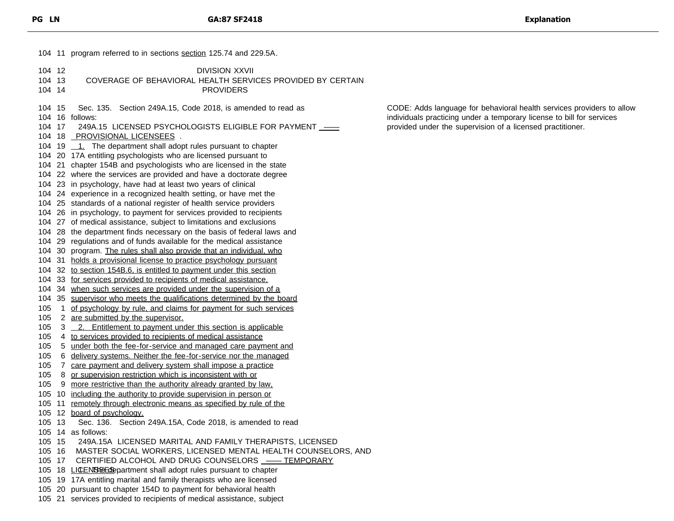11 program referred to in sections section 125.74 and 229.5A. 12 DIVISION XXVII 13 COVERAGE OF BEHAVIORAL HEALTH SERVICES PROVIDED BY CERTAIN 14 PROVIDERS 15 Sec. 135. Section 249A.15, Code 2018, is amended to read as 16 follows: 104 17 249A.15 LICENSED PSYCHOLOGISTS ELIGIBLE FOR PAYMENT \_\_\_ 18 PROVISIONAL LICENSEES . 104 19  $\frac{1}{2}$ . The department shall adopt rules pursuant to chapter 20 17A entitling psychologists who are licensed pursuant to 21 chapter 154B and psychologists who are licensed in the state 22 where the services are provided and have a doctorate degree 23 in psychology, have had at least two years of clinical 24 experience in a recognized health setting, or have met the 25 standards of a national register of health service providers 26 in psychology, to payment for services provided to recipients 27 of medical assistance, subject to limitations and exclusions 28 the department finds necessary on the basis of federal laws and 29 regulations and of funds available for the medical assistance 104 30 program. The rules shall also provide that an individual, who 31 holds a provisional license to practice psychology pursuant 32 to section 154B.6, is entitled to payment under this section 33 for services provided to recipients of medical assistance, 34 when such services are provided under the supervision of a 35 supervisor who meets the qualifications determined by the board 1 of psychology by rule, and claims for payment for such services 105 2 are submitted by the supervisor. 3 2. Entitlement to payment under this section is applicable 4 to services provided to recipients of medical assistance 5 under both the fee-for-service and managed care payment and 6 delivery systems. Neither the fee-for-service nor the managed 105 7 care payment and delivery system shall impose a practice 8 or supervision restriction which is inconsistent with or 9 more restrictive than the authority already granted by law, 105 10 including the authority to provide supervision in person or 11 remotely through electronic means as specified by rule of the 12 board of psychology. 13 Sec. 136. Section 249A.15A, Code 2018, is amended to read 14 as follows: 15 249A.15A LICENSED MARITAL AND FAMILY THERAPISTS, LICENSED 16 MASTER SOCIAL WORKERS, LICENSED MENTAL HEALTH COUNSELORS, AND 17 CERTIFIED ALCOHOL AND DRUG COUNSELORS —— TEMPORARY 105 18 LICENSEES partment shall adopt rules pursuant to chapter 19 17A entitling marital and family therapists who are licensed 20 pursuant to chapter 154D to payment for behavioral health 21 services provided to recipients of medical assistance, subject

CODE: Adds language for behavioral health services providers to allow individuals practicing under a temporary license to bill for services provided under the supervision of a licensed practitioner.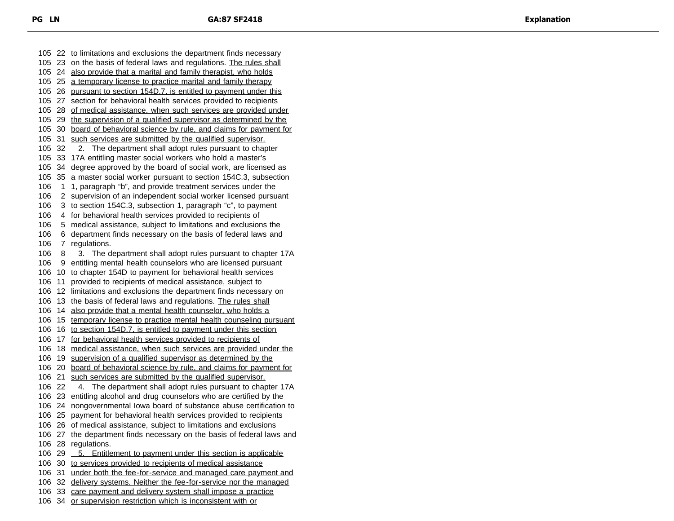22 to limitations and exclusions the department finds necessary 23 on the basis of federal laws and regulations. The rules shall 24 also provide that a marital and family therapist, who holds 25 a temporary license to practice marital and family therapy 26 pursuant to section 154D.7, is entitled to payment under this 27 section for behavioral health services provided to recipients 28 of medical assistance, when such services are provided under 29 the supervision of a qualified supervisor as determined by the 30 board of behavioral science by rule, and claims for payment for 105 31 such services are submitted by the qualified supervisor. 32 2. The department shall adopt rules pursuant to chapter 33 17A entitling master social workers who hold a master's 34 degree approved by the board of social work, are licensed as 35 a master social worker pursuant to section 154C.3, subsection 1 1, paragraph "b", and provide treatment services under the 2 supervision of an independent social worker licensed pursuant 3 to section 154C.3, subsection 1, paragraph "c", to payment 4 for behavioral health services provided to recipients of 5 medical assistance, subject to limitations and exclusions the 6 department finds necessary on the basis of federal laws and 7 regulations. 8 3. The department shall adopt rules pursuant to chapter 17A 9 entitling mental health counselors who are licensed pursuant 10 to chapter 154D to payment for behavioral health services 11 provided to recipients of medical assistance, subject to 12 limitations and exclusions the department finds necessary on 13 the basis of federal laws and regulations. The rules shall 14 also provide that a mental health counselor, who holds a 15 temporary license to practice mental health counseling pursuant 16 to section 154D.7, is entitled to payment under this section 17 for behavioral health services provided to recipients of 18 medical assistance, when such services are provided under the 19 supervision of a qualified supervisor as determined by the 20 board of behavioral science by rule, and claims for payment for 21 such services are submitted by the qualified supervisor. 22 4. The department shall adopt rules pursuant to chapter 17A 23 entitling alcohol and drug counselors who are certified by the 24 nongovernmental Iowa board of substance abuse certification to 25 payment for behavioral health services provided to recipients 26 of medical assistance, subject to limitations and exclusions 27 the department finds necessary on the basis of federal laws and 28 regulations. 106 29 5. Entitlement to payment under this section is applicable 30 to services provided to recipients of medical assistance 31 under both the fee-for-service and managed care payment and 32 delivery systems. Neither the fee-for-service nor the managed 33 care payment and delivery system shall impose a practice 34 or supervision restriction which is inconsistent with or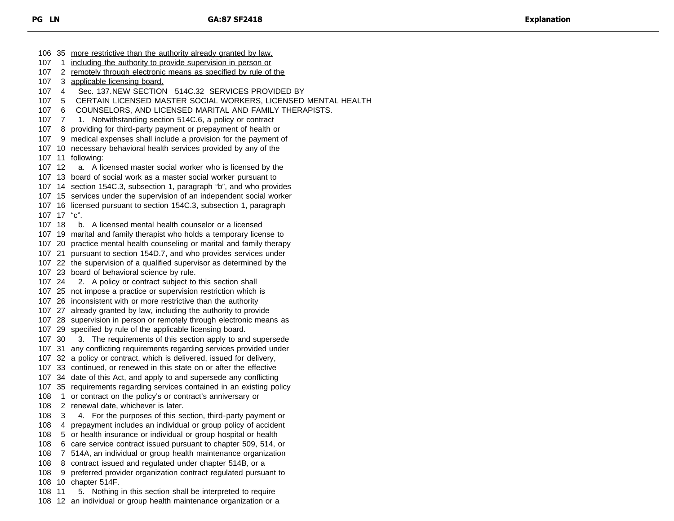35 more restrictive than the authority already granted by law, 107 1 including the authority to provide supervision in person or 2 remotely through electronic means as specified by rule of the 3 applicable licensing board. 4 Sec. 137.NEW SECTION 514C.32 SERVICES PROVIDED BY 5 CERTAIN LICENSED MASTER SOCIAL WORKERS, LICENSED MENTAL HEALTH 6 COUNSELORS, AND LICENSED MARITAL AND FAMILY THERAPISTS. 107 7 1. Notwithstanding section 514C.6, a policy or contract 8 providing for third-party payment or prepayment of health or 9 medical expenses shall include a provision for the payment of 10 necessary behavioral health services provided by any of the 11 following: 12 a. A licensed master social worker who is licensed by the 13 board of social work as a master social worker pursuant to 14 section 154C.3, subsection 1, paragraph "b", and who provides 15 services under the supervision of an independent social worker 16 licensed pursuant to section 154C.3, subsection 1, paragraph 17 "c". 18 b. A licensed mental health counselor or a licensed 19 marital and family therapist who holds a temporary license to 20 practice mental health counseling or marital and family therapy 21 pursuant to section 154D.7, and who provides services under 22 the supervision of a qualified supervisor as determined by the 23 board of behavioral science by rule. 24 2. A policy or contract subject to this section shall 25 not impose a practice or supervision restriction which is 26 inconsistent with or more restrictive than the authority 27 already granted by law, including the authority to provide 28 supervision in person or remotely through electronic means as 29 specified by rule of the applicable licensing board. 30 3. The requirements of this section apply to and supersede 31 any conflicting requirements regarding services provided under 32 a policy or contract, which is delivered, issued for delivery, 33 continued, or renewed in this state on or after the effective 34 date of this Act, and apply to and supersede any conflicting 35 requirements regarding services contained in an existing policy 108 1 or contract on the policy's or contract's anniversary or 2 renewal date, whichever is later. 3 4. For the purposes of this section, third-party payment or 4 prepayment includes an individual or group policy of accident 5 or health insurance or individual or group hospital or health 6 care service contract issued pursuant to chapter 509, 514, or 7 514A, an individual or group health maintenance organization 8 contract issued and regulated under chapter 514B, or a 9 preferred provider organization contract regulated pursuant to 10 chapter 514F. 11 5. Nothing in this section shall be interpreted to require

12 an individual or group health maintenance organization or a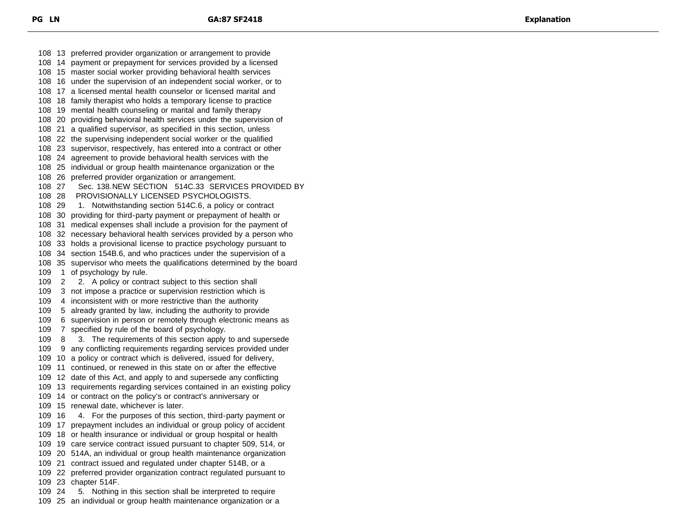13 preferred provider organization or arrangement to provide 14 payment or prepayment for services provided by a licensed 15 master social worker providing behavioral health services 16 under the supervision of an independent social worker, or to 17 a licensed mental health counselor or licensed marital and 18 family therapist who holds a temporary license to practice 19 mental health counseling or marital and family therapy 20 providing behavioral health services under the supervision of 21 a qualified supervisor, as specified in this section, unless 22 the supervising independent social worker or the qualified 23 supervisor, respectively, has entered into a contract or other 24 agreement to provide behavioral health services with the 25 individual or group health maintenance organization or the 26 preferred provider organization or arrangement. 27 Sec. 138.NEW SECTION 514C.33 SERVICES PROVIDED BY 28 PROVISIONALLY LICENSED PSYCHOLOGISTS. 29 1. Notwithstanding section 514C.6, a policy or contract 30 providing for third-party payment or prepayment of health or 31 medical expenses shall include a provision for the payment of 32 necessary behavioral health services provided by a person who 33 holds a provisional license to practice psychology pursuant to 34 section 154B.6, and who practices under the supervision of a 35 supervisor who meets the qualifications determined by the board 109 1 of psychology by rule. 109 2 2. A policy or contract subject to this section shall 3 not impose a practice or supervision restriction which is 4 inconsistent with or more restrictive than the authority 5 already granted by law, including the authority to provide 6 supervision in person or remotely through electronic means as 7 specified by rule of the board of psychology. 8 3. The requirements of this section apply to and supersede 9 any conflicting requirements regarding services provided under 10 a policy or contract which is delivered, issued for delivery, 11 continued, or renewed in this state on or after the effective 12 date of this Act, and apply to and supersede any conflicting 13 requirements regarding services contained in an existing policy 14 or contract on the policy's or contract's anniversary or 15 renewal date, whichever is later. 16 4. For the purposes of this section, third-party payment or 17 prepayment includes an individual or group policy of accident 18 or health insurance or individual or group hospital or health 19 care service contract issued pursuant to chapter 509, 514, or 20 514A, an individual or group health maintenance organization 21 contract issued and regulated under chapter 514B, or a 22 preferred provider organization contract regulated pursuant to 23 chapter 514F. 24 5. Nothing in this section shall be interpreted to require 25 an individual or group health maintenance organization or a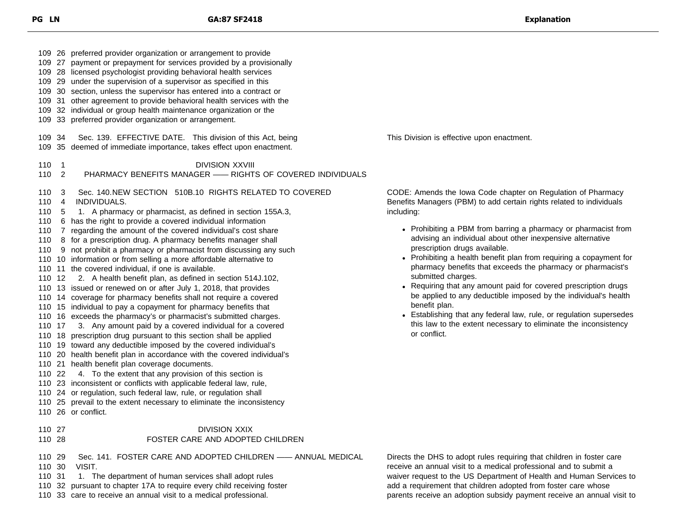|                                                                                                                  | 109 26 preferred provider organization or arrangement to provide<br>109 27 payment or prepayment for services provided by a provisionally<br>109 28 licensed psychologist providing behavioral health services<br>109 29 under the supervision of a supervisor as specified in this<br>109 30 section, unless the supervisor has entered into a contract or<br>109 31 other agreement to provide behavioral health services with the<br>109 32 individual or group health maintenance organization or the<br>109 33 preferred provider organization or arrangement.                                                                                                                                                                                                                                                                                                                                                                                                                                                                                                                                                                                                                                                                                                                                                                                                                                                                                                                                                                                                                     |                                                                                                                                                                                                                                                                                                                                                                                                                                                                                                                                                                                                                                                                                                                                                                                                 |
|------------------------------------------------------------------------------------------------------------------|-----------------------------------------------------------------------------------------------------------------------------------------------------------------------------------------------------------------------------------------------------------------------------------------------------------------------------------------------------------------------------------------------------------------------------------------------------------------------------------------------------------------------------------------------------------------------------------------------------------------------------------------------------------------------------------------------------------------------------------------------------------------------------------------------------------------------------------------------------------------------------------------------------------------------------------------------------------------------------------------------------------------------------------------------------------------------------------------------------------------------------------------------------------------------------------------------------------------------------------------------------------------------------------------------------------------------------------------------------------------------------------------------------------------------------------------------------------------------------------------------------------------------------------------------------------------------------------------|-------------------------------------------------------------------------------------------------------------------------------------------------------------------------------------------------------------------------------------------------------------------------------------------------------------------------------------------------------------------------------------------------------------------------------------------------------------------------------------------------------------------------------------------------------------------------------------------------------------------------------------------------------------------------------------------------------------------------------------------------------------------------------------------------|
| 109 34                                                                                                           | Sec. 139. EFFECTIVE DATE. This division of this Act, being<br>109 35 deemed of immediate importance, takes effect upon enactment.                                                                                                                                                                                                                                                                                                                                                                                                                                                                                                                                                                                                                                                                                                                                                                                                                                                                                                                                                                                                                                                                                                                                                                                                                                                                                                                                                                                                                                                       | This Division is effective upon enactment.                                                                                                                                                                                                                                                                                                                                                                                                                                                                                                                                                                                                                                                                                                                                                      |
| 110<br>$\overline{1}$<br>110<br>$\overline{2}$                                                                   | <b>DIVISION XXVIII</b><br>PHARMACY BENEFITS MANAGER - RIGHTS OF COVERED INDIVIDUALS                                                                                                                                                                                                                                                                                                                                                                                                                                                                                                                                                                                                                                                                                                                                                                                                                                                                                                                                                                                                                                                                                                                                                                                                                                                                                                                                                                                                                                                                                                     |                                                                                                                                                                                                                                                                                                                                                                                                                                                                                                                                                                                                                                                                                                                                                                                                 |
| 110<br>3<br>110<br>-4<br>110<br>-5<br>110<br>110<br>110<br>110<br>110 12<br>110 17<br>110 22<br>110 27<br>110 28 | Sec. 140.NEW SECTION 510B.10 RIGHTS RELATED TO COVERED<br>INDIVIDUALS.<br>1. A pharmacy or pharmacist, as defined in section 155A.3,<br>6 has the right to provide a covered individual information<br>7 regarding the amount of the covered individual's cost share<br>8 for a prescription drug. A pharmacy benefits manager shall<br>9 not prohibit a pharmacy or pharmacist from discussing any such<br>110 10 information or from selling a more affordable alternative to<br>110 11 the covered individual, if one is available.<br>2. A health benefit plan, as defined in section 514J.102,<br>110 13 issued or renewed on or after July 1, 2018, that provides<br>110 14 coverage for pharmacy benefits shall not require a covered<br>110 15 individual to pay a copayment for pharmacy benefits that<br>110 16 exceeds the pharmacy's or pharmacist's submitted charges.<br>3. Any amount paid by a covered individual for a covered<br>110 18 prescription drug pursuant to this section shall be applied<br>110 19 toward any deductible imposed by the covered individual's<br>110 20 health benefit plan in accordance with the covered individual's<br>110 21 health benefit plan coverage documents.<br>4. To the extent that any provision of this section is<br>110 23 inconsistent or conflicts with applicable federal law, rule,<br>110 24 or regulation, such federal law, rule, or regulation shall<br>110 25 prevail to the extent necessary to eliminate the inconsistency<br>110 26 or conflict.<br><b>DIVISION XXIX</b><br>FOSTER CARE AND ADOPTED CHILDREN | CODE: Amends the Iowa Code chapter on Regulation of Pharmacy<br>Benefits Managers (PBM) to add certain rights related to individuals<br>including:<br>• Prohibiting a PBM from barring a pharmacy or pharmacist from<br>advising an individual about other inexpensive alternative<br>prescription drugs available.<br>• Prohibiting a health benefit plan from requiring a copayment for<br>pharmacy benefits that exceeds the pharmacy or pharmacist's<br>submitted charges.<br>• Requiring that any amount paid for covered prescription drugs<br>be applied to any deductible imposed by the individual's health<br>benefit plan.<br>• Establishing that any federal law, rule, or regulation supersedes<br>this law to the extent necessary to eliminate the inconsistency<br>or conflict. |
| 110 29<br>110 30                                                                                                 | Sec. 141. FOSTER CARE AND ADOPTED CHILDREN - ANNUAL MEDICAL<br>VISIT.<br>$\sim$ $\sim$ $\sim$ $\sim$ $\sim$                                                                                                                                                                                                                                                                                                                                                                                                                                                                                                                                                                                                                                                                                                                                                                                                                                                                                                                                                                                                                                                                                                                                                                                                                                                                                                                                                                                                                                                                             | Directs the DHS to adopt rules requiring that children in foster care<br>receive an annual visit to a medical professional and to submit a                                                                                                                                                                                                                                                                                                                                                                                                                                                                                                                                                                                                                                                      |

- 110 31 1. The department of human services shall adopt rules
- 32 pursuant to chapter 17A to require every child receiving foster
- 33 care to receive an annual visit to a medical professional.

Directs the DHS to adopt rules requiring that children in foster care waiver request to the US Department of Health and Human Services to add a requirement that children adopted from foster care whose parents receive an adoption subsidy payment receive an annual visit to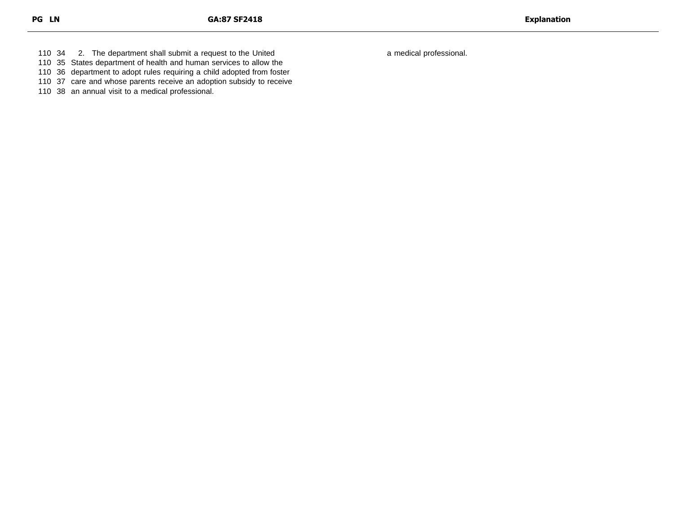34 2. The department shall submit a request to the United

35 States department of health and human services to allow the

36 department to adopt rules requiring a child adopted from foster

37 care and whose parents receive an adoption subsidy to receive

38 an annual visit to a medical professional.

a medical professional.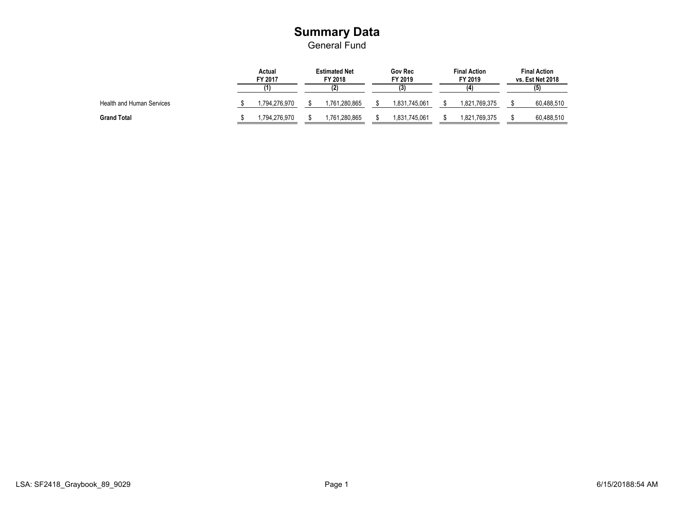#### **Summary Data** General Fund

|                                  | Actual<br>FY 2017 |                | <b>Estimated Net</b><br>FY 2018 | <b>Gov Rec</b><br>FY 2019 | <b>Final Action</b><br>FY 2019 | <b>Final Action</b><br>vs. Est Net 2018 |  |
|----------------------------------|-------------------|----------------|---------------------------------|---------------------------|--------------------------------|-----------------------------------------|--|
|                                  |                   |                |                                 | (3)                       | (4)                            |                                         |  |
| <b>Health and Human Services</b> |                   | .794,276.970 ا | .761,280,865                    | 1,831,745,061             | 1.821.769.375                  | 60,488,510                              |  |
| <b>Grand Total</b>               |                   | .794.276.970   | ,761,280,865                    | 1,831,745,061             | 1,821,769,375                  | 60,488,510                              |  |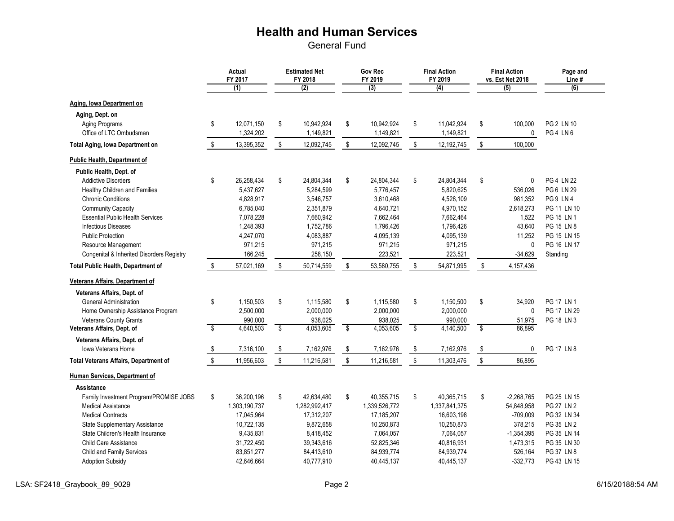General Fund

|                                              |                         | <b>Actual</b><br>FY 2017<br>(1) | <b>Estimated Net</b><br>FY 2018<br>(2) | <b>Gov Rec</b><br>FY 2019<br>(3) | <b>Final Action</b><br>FY 2019<br>(4) |           | <b>Final Action</b><br>vs. Est Net 2018<br>(5) | Page and<br>Line#<br>(6) |
|----------------------------------------------|-------------------------|---------------------------------|----------------------------------------|----------------------------------|---------------------------------------|-----------|------------------------------------------------|--------------------------|
| Aging, Iowa Department on                    |                         |                                 |                                        |                                  |                                       |           |                                                |                          |
| Aging, Dept. on                              |                         |                                 |                                        |                                  |                                       |           |                                                |                          |
| Aging Programs                               | \$                      | 12,071,150                      | \$<br>10,942,924                       | \$<br>10,942,924                 | \$<br>11,042,924                      | \$        | 100,000                                        | PG 2 LN 10               |
| Office of LTC Ombudsman                      |                         | 1,324,202                       | 1,149,821                              | 1,149,821                        | 1,149,821                             |           | 0                                              | PG4 LN6                  |
| <b>Total Aging, Iowa Department on</b>       | $\sqrt[6]{\frac{1}{2}}$ | 13,395,352                      | \$<br>12,092,745                       | \$<br>12,092,745                 | \$<br>12,192,745                      | \$        | 100,000                                        |                          |
| <b>Public Health, Department of</b>          |                         |                                 |                                        |                                  |                                       |           |                                                |                          |
| Public Health, Dept. of                      |                         |                                 |                                        |                                  |                                       |           |                                                |                          |
| <b>Addictive Disorders</b>                   | \$                      | 26,258,434                      | \$<br>24,804,344                       | \$<br>24,804,344                 | \$<br>24,804,344                      | \$        | $\mathbf 0$                                    | <b>PG 4 LN 22</b>        |
| Healthy Children and Families                |                         | 5,437,627                       | 5,284,599                              | 5,776,457                        | 5,820,625                             |           | 536,026                                        | PG 6 LN 29               |
| <b>Chronic Conditions</b>                    |                         | 4,828,917                       | 3,546,757                              | 3,610,468                        | 4,528,109                             |           | 981,352                                        | PG 9 LN 4                |
| <b>Community Capacity</b>                    |                         | 6,785,040                       | 2,351,879                              | 4,640,721                        | 4,970,152                             |           | 2,618,273                                      | PG 11 LN 10              |
| <b>Essential Public Health Services</b>      |                         | 7,078,228                       | 7,660,942                              | 7,662,464                        | 7,662,464                             |           | 1,522                                          | PG 15 LN 1               |
| <b>Infectious Diseases</b>                   |                         | 1,248,393                       | 1,752,786                              | 1,796,426                        | 1,796,426                             |           | 43,640                                         | PG 15 LN 8               |
| <b>Public Protection</b>                     |                         | 4,247,070                       | 4,083,887                              | 4,095,139                        | 4,095,139                             |           | 11,252                                         | PG 15 LN 15              |
| Resource Management                          |                         | 971,215                         | 971,215                                | 971,215                          | 971,215                               |           | 0                                              | PG 16 LN 17              |
| Congenital & Inherited Disorders Registry    |                         | 166,245                         | 258,150                                | 223,521                          | 223,521                               |           | $-34,629$                                      | Standing                 |
| <b>Total Public Health, Department of</b>    | \$                      | 57,021,169                      | \$<br>50,714,559                       | \$<br>53,580,755                 | \$<br>54,871,995                      | \$        | 4,157,436                                      |                          |
| <b>Veterans Affairs, Department of</b>       |                         |                                 |                                        |                                  |                                       |           |                                                |                          |
| Veterans Affairs, Dept. of                   |                         |                                 |                                        |                                  |                                       |           |                                                |                          |
| <b>General Administration</b>                | \$                      | 1,150,503                       | \$<br>1,115,580                        | \$<br>1,115,580                  | \$<br>1,150,500                       | \$        | 34,920                                         | <b>PG 17 LN 1</b>        |
| Home Ownership Assistance Program            |                         | 2,500,000                       | 2,000,000                              | 2,000,000                        | 2,000,000                             |           | 0                                              | PG 17 LN 29              |
| <b>Veterans County Grants</b>                |                         | 990,000                         | 938,025                                | 938,025                          | 990,000                               |           | 51,975                                         | PG 18 LN 3               |
| Veterans Affairs, Dept. of                   | \$                      | 4,640,503                       | \$<br>4,053,605                        | \$<br>4,053,605                  | \$<br>4,140,500                       | $\bullet$ | 86,895                                         |                          |
| Veterans Affairs, Dept. of                   |                         |                                 |                                        |                                  |                                       |           |                                                |                          |
| Iowa Veterans Home                           | \$                      | 7,316,100                       | \$<br>7,162,976                        | \$<br>7,162,976                  | \$<br>7,162,976                       | \$        | 0                                              | PG 17 LN 8               |
| <b>Total Veterans Affairs, Department of</b> | \$                      | 11,956,603                      | \$<br>11,216,581                       | \$<br>11,216,581                 | \$<br>11,303,476                      | \$        | 86,895                                         |                          |
| <b>Human Services, Department of</b>         |                         |                                 |                                        |                                  |                                       |           |                                                |                          |
| Assistance                                   |                         |                                 |                                        |                                  |                                       |           |                                                |                          |
| Family Investment Program/PROMISE JOBS       | \$                      | 36,200,196                      | \$<br>42,634,480                       | \$<br>40,355,715                 | \$<br>40,365,715                      | \$        | $-2,268,765$                                   | PG 25 LN 15              |
| <b>Medical Assistance</b>                    |                         | 1,303,190,737                   | 1,282,992,417                          | 1,339,526,772                    | 1,337,841,375                         |           | 54,848,958                                     | PG 27 LN 2               |
| <b>Medical Contracts</b>                     |                         | 17,045,964                      | 17,312,207                             | 17,185,207                       | 16,603,198                            |           | $-709,009$                                     | PG 32 LN 34              |
| <b>State Supplementary Assistance</b>        |                         | 10,722,135                      | 9,872,658                              | 10,250,873                       | 10,250,873                            |           | 378,215                                        | PG 35 LN 2               |
| State Children's Health Insurance            |                         | 9,435,831                       | 8,418,452                              | 7,064,057                        | 7,064,057                             |           | $-1,354,395$                                   | PG 35 LN 14              |
| <b>Child Care Assistance</b>                 |                         | 31,722,450                      | 39,343,616                             | 52,825,346                       | 40,816,931                            |           | 1,473,315                                      | PG 35 LN 30              |
| Child and Family Services                    |                         | 83,851,277                      | 84,413,610                             | 84,939,774                       | 84,939,774                            |           | 526,164                                        | PG 37 LN 8               |
| <b>Adoption Subsidy</b>                      |                         | 42,646,664                      | 40,777,910                             | 40,445,137                       | 40,445,137                            |           | $-332,773$                                     | PG 43 LN 15              |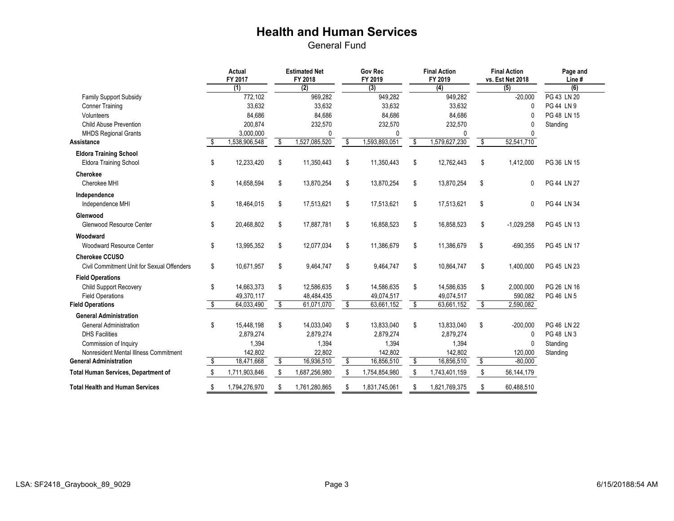General Fund

|                                            | <b>Actual</b><br>FY 2017 |                          | <b>Estimated Net</b><br>FY 2018 |    | <b>Gov Rec</b><br>FY 2019 |           | <b>Final Action</b><br>FY 2019 |                      | <b>Final Action</b><br>vs. Est Net 2018 | Page and<br>Line#         |
|--------------------------------------------|--------------------------|--------------------------|---------------------------------|----|---------------------------|-----------|--------------------------------|----------------------|-----------------------------------------|---------------------------|
|                                            | (1)                      |                          | (2)                             |    | (3)                       |           | (4)                            |                      | (5)                                     | (6)<br><b>PG 43 LN 20</b> |
| <b>Family Support Subsidy</b>              | 772,102                  |                          | 969,282                         |    | 949,282                   |           | 949,282                        |                      | $-20,000$                               |                           |
| <b>Conner Training</b>                     | 33,632                   |                          | 33,632                          |    | 33,632                    |           | 33,632                         |                      | $\Omega$                                | PG 44 LN 9                |
| Volunteers                                 | 84,686                   |                          | 84,686                          |    | 84,686                    |           | 84,686                         |                      | 0                                       | PG 48 LN 15               |
| <b>Child Abuse Prevention</b>              | 200,874                  |                          | 232,570                         |    | 232,570                   |           | 232,570                        |                      | 0                                       | Standing                  |
| <b>MHDS Regional Grants</b>                | 3,000,000                |                          | 0<br>1,527,085,520              |    | 1,593,893,051             |           | 0                              |                      | $\Omega$                                |                           |
| <b>Assistance</b>                          | \$<br>1,538,906,548      | \$                       |                                 | \$ |                           | $\bullet$ | 1,579,627,230                  | $\bullet$            | 52,541,710                              |                           |
| <b>Eldora Training School</b>              |                          |                          |                                 |    |                           |           |                                |                      |                                         |                           |
| <b>Eldora Training School</b>              | \$<br>12,233,420         | \$                       | 11,350,443                      | \$ | 11,350,443                | \$        | 12,762,443                     | \$                   | 1,412,000                               | PG 36 LN 15               |
| <b>Cherokee</b>                            |                          |                          |                                 |    |                           |           |                                |                      |                                         |                           |
| Cherokee MHI                               | \$<br>14,658,594         | \$                       | 13,870,254                      | \$ | 13,870,254                | \$        | 13,870,254                     | \$                   | $\mathbf 0$                             | PG 44 LN 27               |
| Independence                               |                          |                          |                                 |    |                           |           |                                |                      |                                         |                           |
| Independence MHI                           | \$<br>18,464,015         | \$                       | 17,513,621                      | \$ | 17,513,621                | \$        | 17,513,621                     | \$                   | 0                                       | PG 44 LN 34               |
| Glenwood                                   |                          |                          |                                 |    |                           |           |                                |                      |                                         |                           |
| Glenwood Resource Center                   | \$<br>20,468,802         | \$                       | 17,887,781                      | \$ | 16,858,523                | \$        | 16,858,523                     | \$                   | $-1,029,258$                            | PG 45 LN 13               |
| Woodward                                   |                          |                          |                                 |    |                           |           |                                |                      |                                         |                           |
| <b>Woodward Resource Center</b>            | \$<br>13,995,352         | \$                       | 12,077,034                      | \$ | 11,386,679                | \$        | 11,386,679                     | \$                   | $-690,355$                              | PG 45 LN 17               |
| <b>Cherokee CCUSO</b>                      |                          |                          |                                 |    |                           |           |                                |                      |                                         |                           |
| Civil Commitment Unit for Sexual Offenders | \$<br>10,671,957         | \$                       | 9,464,747                       | \$ | 9,464,747                 | \$        | 10,864,747                     | \$                   | 1,400,000                               | PG 45 LN 23               |
| <b>Field Operations</b>                    |                          |                          |                                 |    |                           |           |                                |                      |                                         |                           |
| Child Support Recovery                     | \$<br>14,663,373         | \$                       | 12,586,635                      | \$ | 14,586,635                | \$        | 14,586,635                     | \$                   | 2,000,000                               | PG 26 LN 16               |
| <b>Field Operations</b>                    | 49,370,117               |                          | 48,484,435                      |    | 49,074,517                |           | 49,074,517                     |                      | 590,082                                 | PG 46 LN 5                |
| <b>Field Operations</b>                    | \$<br>64,033,490         | $\overline{\mathcal{S}}$ | 61,071,070                      | \$ | 63,661,152                | \$        | 63,661,152                     | $\overline{\bullet}$ | 2,590,082                               |                           |
| <b>General Administration</b>              |                          |                          |                                 |    |                           |           |                                |                      |                                         |                           |
| <b>General Administration</b>              | \$<br>15,448,198         | \$                       | 14,033,040                      | \$ | 13,833,040                | \$        | 13,833,040                     | \$                   | $-200,000$                              | PG 46 LN 22               |
| <b>DHS Facilities</b>                      | 2,879,274                |                          | 2,879,274                       |    | 2,879,274                 |           | 2,879,274                      |                      | $\Omega$                                | PG 48 LN 3                |
| Commission of Inquiry                      | 1,394                    |                          | 1,394                           |    | 1,394                     |           | 1,394                          |                      | 0                                       | Standing                  |
| Nonresident Mental Illness Commitment      | 142,802                  |                          | 22,802                          |    | 142,802                   |           | 142,802                        |                      | 120,000                                 | Standing                  |
| <b>General Administration</b>              | \$<br>18,471,668         | \$                       | 16,936,510                      | \$ | 16,856,510                | \$        | 16,856,510                     | \$                   | $-80,000$                               |                           |
| <b>Total Human Services, Department of</b> | \$<br>1,711,903,846      | \$                       | 1,687,256,980                   |    | 1,754,854,980             | \$        | 1,743,401,159                  | \$                   | 56,144,179                              |                           |
| <b>Total Health and Human Services</b>     | \$<br>1,794,276,970      | \$                       | 1,761,280,865                   | S  | 1,831,745,061             | \$        | 1,821,769,375                  | \$                   | 60,488,510                              |                           |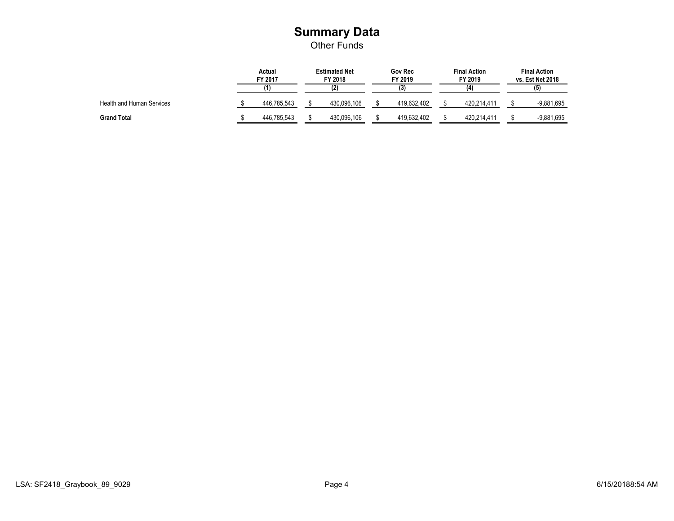#### **Summary Data** Other Funds

|                                  | Actual<br>FY 2017 |             | <b>Estimated Net</b><br>FY 2018 | <b>Gov Rec</b><br>FY 2019 | <b>Final Action</b><br>FY 2019 | <b>Final Action</b><br>vs. Est Net 2018 |
|----------------------------------|-------------------|-------------|---------------------------------|---------------------------|--------------------------------|-----------------------------------------|
|                                  |                   |             |                                 | (3)                       |                                | (5)                                     |
| <b>Health and Human Services</b> |                   | 446,785,543 | 430,096,106                     | 419,632,402               | 420,214,411                    | $-9,881,695$                            |
| <b>Grand Total</b>               |                   | 446,785,543 | 430,096,106                     | 419,632,402               | 420,214,411                    | $-9,881,695$                            |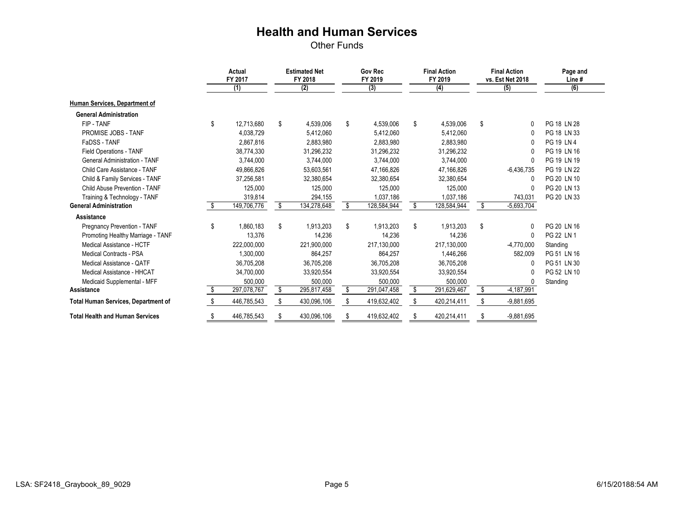Other Funds

|                                            | <b>Actual</b><br>FY 2017 |             | <b>Estimated Net</b><br>FY 2018 | <b>Gov Rec</b><br>FY 2019 |    | <b>Final Action</b><br>FY 2019 |    | <b>Final Action</b><br>vs. Est Net 2018 | Page and<br>Line# |  |
|--------------------------------------------|--------------------------|-------------|---------------------------------|---------------------------|----|--------------------------------|----|-----------------------------------------|-------------------|--|
|                                            |                          | (1)         | (2)                             | (3)                       |    | (4)                            |    | (5)                                     | (6)               |  |
| Human Services, Department of              |                          |             |                                 |                           |    |                                |    |                                         |                   |  |
| <b>General Administration</b>              |                          |             |                                 |                           |    |                                |    |                                         |                   |  |
| FIP-TANF                                   | \$                       | 12,713,680  | \$<br>4,539,006                 | \$<br>4,539,006           | \$ | 4,539,006                      | \$ | 0                                       | PG 18 LN 28       |  |
| PROMISE JOBS - TANF                        |                          | 4,038,729   | 5,412,060                       | 5,412,060                 |    | 5,412,060                      |    | 0                                       | PG 18 LN 33       |  |
| FaDSS - TANF                               |                          | 2,867,816   | 2,883,980                       | 2,883,980                 |    | 2,883,980                      |    | 0                                       | PG 19 LN 4        |  |
| <b>Field Operations - TANF</b>             |                          | 38,774,330  | 31,296,232                      | 31,296,232                |    | 31,296,232                     |    | 0                                       | PG 19 LN 16       |  |
| <b>General Administration - TANF</b>       |                          | 3,744,000   | 3,744,000                       | 3,744,000                 |    | 3,744,000                      |    | 0                                       | PG 19 LN 19       |  |
| Child Care Assistance - TANF               |                          | 49,866,826  | 53,603,561                      | 47,166,826                |    | 47,166,826                     |    | $-6,436,735$                            | PG 19 LN 22       |  |
| Child & Family Services - TANF             |                          | 37,256,581  | 32,380,654                      | 32,380,654                |    | 32,380,654                     |    | $\Omega$                                | PG 20 LN 10       |  |
| Child Abuse Prevention - TANF              |                          | 125,000     | 125,000                         | 125,000                   |    | 125,000                        |    | 0                                       | PG 20 LN 13       |  |
| Training & Technology - TANF               |                          | 319,814     | 294,155                         | 1,037,186                 |    | 1,037,186                      |    | 743,031                                 | PG 20 LN 33       |  |
| <b>General Administration</b>              | \$                       | 149,706,776 | \$<br>134,278,648               | 128,584,944               | \$ | 128,584,944                    | \$ | $-5,693,704$                            |                   |  |
| <b>Assistance</b>                          |                          |             |                                 |                           |    |                                |    |                                         |                   |  |
| Pregnancy Prevention - TANF                | \$                       | 1,860,183   | \$<br>1,913,203                 | \$<br>1,913,203           | \$ | 1,913,203                      | \$ | $\mathbf{0}$                            | PG 20 LN 16       |  |
| Promoting Healthy Marriage - TANF          |                          | 13,376      | 14,236                          | 14,236                    |    | 14,236                         |    | $\mathbf{0}$                            | PG 22 LN 1        |  |
| Medical Assistance - HCTF                  |                          | 222,000,000 | 221,900,000                     | 217,130,000               |    | 217,130,000                    |    | $-4,770,000$                            | Standing          |  |
| <b>Medical Contracts - PSA</b>             |                          | 1,300,000   | 864,257                         | 864,257                   |    | 1,446,266                      |    | 582,009                                 | PG 51 LN 16       |  |
| Medical Assistance - QATF                  |                          | 36,705,208  | 36,705,208                      | 36,705,208                |    | 36,705,208                     |    | 0                                       | PG 51 LN 30       |  |
| Medical Assistance - HHCAT                 |                          | 34,700,000  | 33,920,554                      | 33,920,554                |    | 33,920,554                     |    | 0                                       | PG 52 LN 10       |  |
| Medicaid Supplemental - MFF                |                          | 500,000     | 500,000                         | 500,000                   |    | 500,000                        |    | $\Omega$                                | Standing          |  |
| <b>Assistance</b>                          | \$.                      | 297,078,767 | \$<br>295,817,458               | \$<br>291,047,458         | \$ | 291,629,467                    | \$ | $-4,187,991$                            |                   |  |
| <b>Total Human Services, Department of</b> |                          | 446,785,543 | 430,096,106                     | 419,632,402               |    | 420,214,411                    | \$ | $-9,881,695$                            |                   |  |
| <b>Total Health and Human Services</b>     | \$                       | 446,785,543 | \$<br>430,096,106               | 419,632,402               | \$ | 420,214,411                    | \$ | $-9,881,695$                            |                   |  |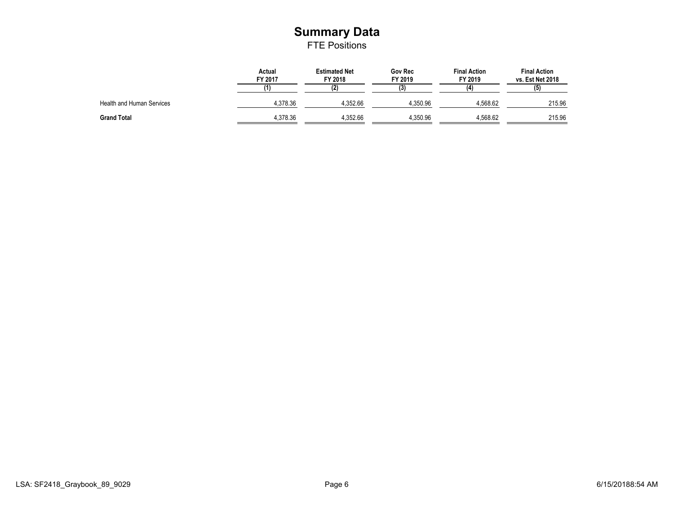#### **Summary Data** FTE Positions

|                           | <b>Actual</b><br>FY 2017 | <b>Estimated Net</b><br>FY 2018 | <b>Gov Rec</b><br>FY 2019 | <b>Final Action</b><br>FY 2019 | <b>Final Action</b><br>vs. Est Net 2018 |
|---------------------------|--------------------------|---------------------------------|---------------------------|--------------------------------|-----------------------------------------|
|                           |                          | (2)                             | (3)                       |                                | (5)                                     |
| Health and Human Services | 4,378.36                 | 4,352.66                        | 4,350.96                  | 4,568.62                       | 215.96                                  |
| <b>Grand Total</b>        | 4,378.36                 | 4,352.66                        | 4,350.96                  | 4,568.62                       | 215.96                                  |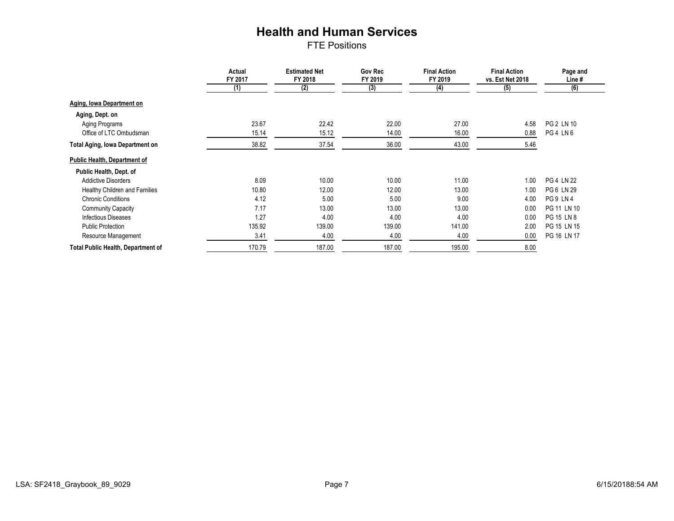FTE Positions

|                                           | <b>Actual</b><br>FY 2017 | <b>Estimated Net</b><br>FY 2018 | <b>Gov Rec</b><br>FY 2019 | <b>Final Action</b><br>FY 2019 | <b>Final Action</b><br>vs. Est Net 2018 | Page and<br>Line # |  |
|-------------------------------------------|--------------------------|---------------------------------|---------------------------|--------------------------------|-----------------------------------------|--------------------|--|
|                                           | (1)                      | (2)                             | (3)                       | (4)                            | (5)                                     | (6)                |  |
| <b>Aging, Iowa Department on</b>          |                          |                                 |                           |                                |                                         |                    |  |
| Aging, Dept. on                           |                          |                                 |                           |                                |                                         |                    |  |
| Aging Programs                            | 23.67                    | 22.42                           | 22.00                     | 27.00                          | 4.58                                    | PG 2 LN 10         |  |
| Office of LTC Ombudsman                   | 15.14                    | 15.12                           | 14.00                     | 16.00                          | 0.88                                    | PG4LN6             |  |
| <b>Total Aging, Iowa Department on</b>    | 38.82                    | 37.54                           | 36.00                     | 43.00                          | 5.46                                    |                    |  |
| <b>Public Health, Department of</b>       |                          |                                 |                           |                                |                                         |                    |  |
| Public Health, Dept. of                   |                          |                                 |                           |                                |                                         |                    |  |
| <b>Addictive Disorders</b>                | 8.09                     | 10.00                           | 10.00                     | 11.00                          | 1.00                                    | <b>PG 4 LN 22</b>  |  |
| Healthy Children and Families             | 10.80                    | 12.00                           | 12.00                     | 13.00                          | 1.00                                    | PG 6 LN 29         |  |
| <b>Chronic Conditions</b>                 | 4.12                     | 5.00                            | 5.00                      | 9.00                           | 4.00                                    | PG9LN4             |  |
| <b>Community Capacity</b>                 | 7.17                     | 13.00                           | 13.00                     | 13.00                          | 0.00                                    | PG 11 LN 10        |  |
| <b>Infectious Diseases</b>                | 1.27                     | 4.00                            | 4.00                      | 4.00                           | 0.00                                    | PG 15 LN 8         |  |
| <b>Public Protection</b>                  | 135.92                   | 139.00                          | 139.00                    | 141.00                         | 2.00                                    | PG 15 LN 15        |  |
| Resource Management                       | 3.41                     | 4.00                            | 4.00                      | 4.00                           | 0.00                                    | PG 16 LN 17        |  |
| <b>Total Public Health, Department of</b> | 170.79                   | 187.00                          | 187.00                    | 195.00                         | 8.00                                    |                    |  |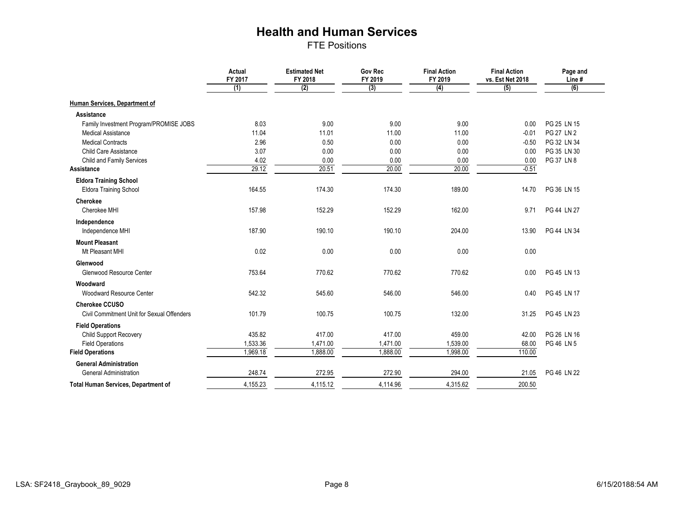FTE Positions

|                                            | <b>Actual</b><br>FY 2017 | <b>Estimated Net</b><br>FY 2018 | <b>Gov Rec</b><br>FY 2019 | <b>Final Action</b><br>FY 2019 | <b>Final Action</b><br>vs. Est Net 2018 | Page and<br>Line# |
|--------------------------------------------|--------------------------|---------------------------------|---------------------------|--------------------------------|-----------------------------------------|-------------------|
|                                            | (1)                      | (2)                             | (3)                       | $\overline{(4)}$               | (5)                                     | (6)               |
| Human Services, Department of              |                          |                                 |                           |                                |                                         |                   |
| Assistance                                 |                          |                                 |                           |                                |                                         |                   |
| Family Investment Program/PROMISE JOBS     | 8.03                     | 9.00                            | 9.00                      | 9.00                           | 0.00                                    | PG 25 LN 15       |
| <b>Medical Assistance</b>                  | 11.04                    | 11.01                           | 11.00                     | 11.00                          | $-0.01$                                 | <b>PG 27 LN 2</b> |
| <b>Medical Contracts</b>                   | 2.96                     | 0.50                            | 0.00                      | 0.00                           | $-0.50$                                 | PG 32 LN 34       |
| Child Care Assistance                      | 3.07                     | 0.00                            | 0.00                      | 0.00                           | 0.00                                    | PG 35 LN 30       |
| <b>Child and Family Services</b>           | 4.02                     | 0.00                            | 0.00                      | 0.00                           | 0.00                                    | PG 37 LN 8        |
| Assistance                                 | 29.12                    | 20.51                           | 20.00                     | 20.00                          | $-0.51$                                 |                   |
| <b>Eldora Training School</b>              |                          |                                 |                           |                                |                                         |                   |
| <b>Eldora Training School</b>              | 164.55                   | 174.30                          | 174.30                    | 189.00                         | 14.70                                   | PG 36 LN 15       |
| <b>Cherokee</b>                            |                          |                                 |                           |                                |                                         |                   |
| Cherokee MHI                               | 157.98                   | 152.29                          | 152.29                    | 162.00                         | 9.71                                    | PG 44 LN 27       |
| Independence                               |                          |                                 |                           |                                |                                         |                   |
| Independence MHI                           | 187.90                   | 190.10                          | 190.10                    | 204.00                         | 13.90                                   | PG 44 LN 34       |
| <b>Mount Pleasant</b>                      |                          |                                 |                           |                                |                                         |                   |
| Mt Pleasant MHI                            | 0.02                     | 0.00                            | 0.00                      | 0.00                           | 0.00                                    |                   |
| Glenwood                                   |                          |                                 |                           |                                |                                         |                   |
| Glenwood Resource Center                   | 753.64                   | 770.62                          | 770.62                    | 770.62                         | 0.00                                    | PG 45 LN 13       |
| Woodward                                   |                          |                                 |                           |                                |                                         |                   |
| <b>Woodward Resource Center</b>            | 542.32                   | 545.60                          | 546.00                    | 546.00                         | 0.40                                    | PG 45 LN 17       |
| <b>Cherokee CCUSO</b>                      |                          |                                 |                           |                                |                                         |                   |
| Civil Commitment Unit for Sexual Offenders | 101.79                   | 100.75                          | 100.75                    | 132.00                         | 31.25                                   | PG 45 LN 23       |
| <b>Field Operations</b>                    |                          |                                 |                           |                                |                                         |                   |
| <b>Child Support Recovery</b>              | 435.82                   | 417.00                          | 417.00                    | 459.00                         | 42.00                                   | PG 26 LN 16       |
| <b>Field Operations</b>                    | 1,533.36                 | 1,471.00                        | 1,471.00                  | 1,539.00                       | 68.00                                   | PG 46 LN 5        |
| <b>Field Operations</b>                    | 1,969.18                 | 1,888.00                        | 1,888.00                  | 1,998.00                       | 110.00                                  |                   |
| <b>General Administration</b>              |                          |                                 |                           |                                |                                         |                   |
| <b>General Administration</b>              | 248.74                   | 272.95                          | 272.90                    | 294.00                         | 21.05                                   | PG 46 LN 22       |
| <b>Total Human Services, Department of</b> | 4,155.23                 | 4,115.12                        | 4,114.96                  | 4,315.62                       | 200.50                                  |                   |